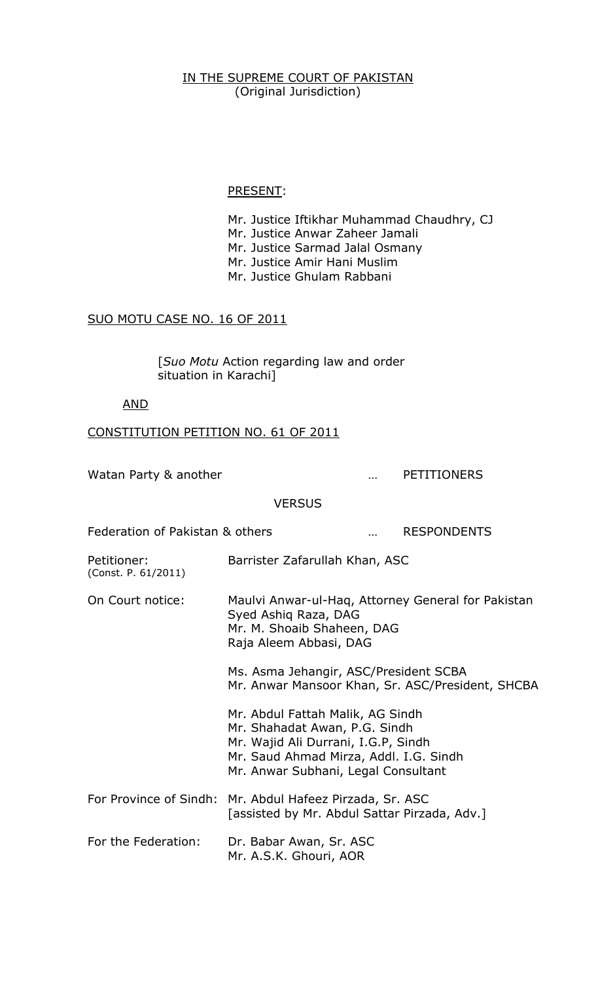# IN THE SUPREME COURT OF PAKISTAN (Original Jurisdiction)

# PRESENT:

Mr. Justice Iftikhar Muhammad Chaudhry, CJ Mr. Justice Anwar Zaheer Jamali Mr. Justice Sarmad Jalal Osmany Mr. Justice Amir Hani Muslim Mr. Justice Ghulam Rabbani

SUO MOTU CASE NO. 16 OF 2011

[*Suo Motu* Action regarding law and order situation in Karachi]

AND

# CONSTITUTION PETITION NO. 61 OF 2011

Watan Party & another **EXADLE EXAMPLE 1999** Matan PETITIONERS

#### **VERSUS**

| Federation of Pakistan & others    |                                                                                                                                                                                           | <b>RESPONDENTS</b> |
|------------------------------------|-------------------------------------------------------------------------------------------------------------------------------------------------------------------------------------------|--------------------|
| Petitioner:<br>(Const. P. 61/2011) | Barrister Zafarullah Khan, ASC                                                                                                                                                            |                    |
| On Court notice:                   | Maulvi Anwar-ul-Haq, Attorney General for Pakistan<br>Syed Ashiq Raza, DAG<br>Mr. M. Shoaib Shaheen, DAG<br>Raja Aleem Abbasi, DAG                                                        |                    |
|                                    | Ms. Asma Jehangir, ASC/President SCBA<br>Mr. Anwar Mansoor Khan, Sr. ASC/President, SHCBA                                                                                                 |                    |
|                                    | Mr. Abdul Fattah Malik, AG Sindh<br>Mr. Shahadat Awan, P.G. Sindh<br>Mr. Wajid Ali Durrani, I.G.P, Sindh<br>Mr. Saud Ahmad Mirza, Addl. I.G. Sindh<br>Mr. Anwar Subhani, Legal Consultant |                    |
|                                    | For Province of Sindh: Mr. Abdul Hafeez Pirzada, Sr. ASC<br>[assisted by Mr. Abdul Sattar Pirzada, Adv.]                                                                                  |                    |
| For the Federation:                | Dr. Babar Awan, Sr. ASC<br>Mr. A.S.K. Ghouri, AOR                                                                                                                                         |                    |
|                                    |                                                                                                                                                                                           |                    |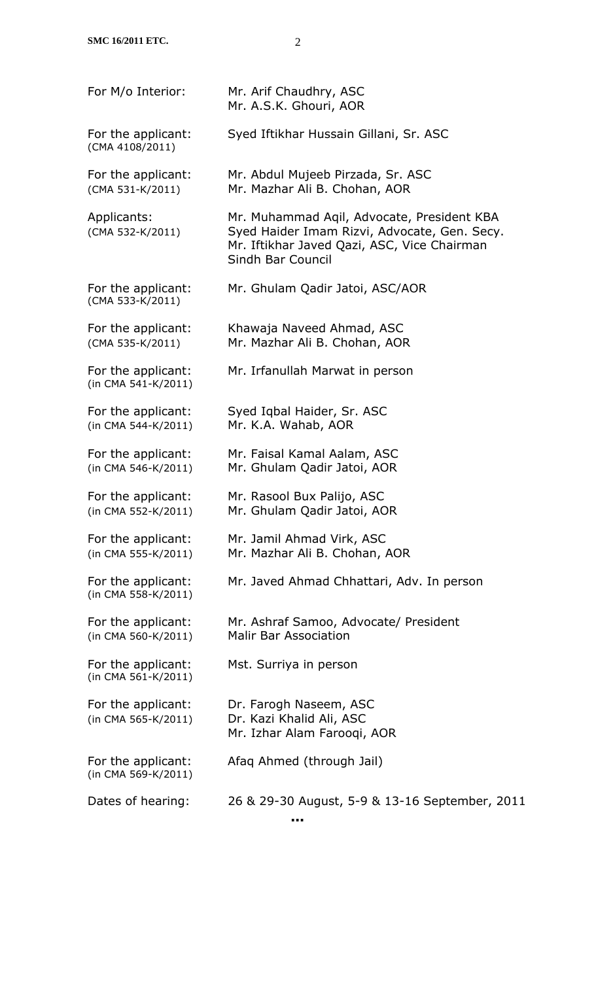| For M/o Interior:                         | Mr. Arif Chaudhry, ASC<br>Mr. A.S.K. Ghouri, AOR                                                                                                               |
|-------------------------------------------|----------------------------------------------------------------------------------------------------------------------------------------------------------------|
| For the applicant:<br>(CMA 4108/2011)     | Syed Iftikhar Hussain Gillani, Sr. ASC                                                                                                                         |
| For the applicant:<br>(CMA 531-K/2011)    | Mr. Abdul Mujeeb Pirzada, Sr. ASC<br>Mr. Mazhar Ali B. Chohan, AOR                                                                                             |
| Applicants:<br>(CMA 532-K/2011)           | Mr. Muhammad Aqil, Advocate, President KBA<br>Syed Haider Imam Rizvi, Advocate, Gen. Secy.<br>Mr. Iftikhar Javed Qazi, ASC, Vice Chairman<br>Sindh Bar Council |
| For the applicant:<br>(CMA 533-K/2011)    | Mr. Ghulam Qadir Jatoi, ASC/AOR                                                                                                                                |
| For the applicant:<br>(CMA 535-K/2011)    | Khawaja Naveed Ahmad, ASC<br>Mr. Mazhar Ali B. Chohan, AOR                                                                                                     |
| For the applicant:<br>(in CMA 541-K/2011) | Mr. Irfanullah Marwat in person                                                                                                                                |
| For the applicant:<br>(in CMA 544-K/2011) | Syed Iqbal Haider, Sr. ASC<br>Mr. K.A. Wahab, AOR                                                                                                              |
| For the applicant:<br>(in CMA 546-K/2011) | Mr. Faisal Kamal Aalam, ASC<br>Mr. Ghulam Qadir Jatoi, AOR                                                                                                     |
| For the applicant:<br>(in CMA 552-K/2011) | Mr. Rasool Bux Palijo, ASC<br>Mr. Ghulam Qadir Jatoi, AOR                                                                                                      |
| For the applicant:<br>(in CMA 555-K/2011) | Mr. Jamil Ahmad Virk, ASC<br>Mr. Mazhar Ali B. Chohan, AOR                                                                                                     |
| For the applicant:<br>(in CMA 558-K/2011) | Mr. Javed Ahmad Chhattari, Adv. In person                                                                                                                      |
| For the applicant:<br>(in CMA 560-K/2011) | Mr. Ashraf Samoo, Advocate/ President<br><b>Malir Bar Association</b>                                                                                          |
| For the applicant:<br>(in CMA 561-K/2011) | Mst. Surriya in person                                                                                                                                         |
| For the applicant:<br>(in CMA 565-K/2011) | Dr. Farogh Naseem, ASC<br>Dr. Kazi Khalid Ali, ASC<br>Mr. Izhar Alam Farooqi, AOR                                                                              |
| For the applicant:<br>(in CMA 569-K/2011) | Afaq Ahmed (through Jail)                                                                                                                                      |
| Dates of hearing:                         | 26 & 29-30 August, 5-9 & 13-16 September, 2011                                                                                                                 |

**…**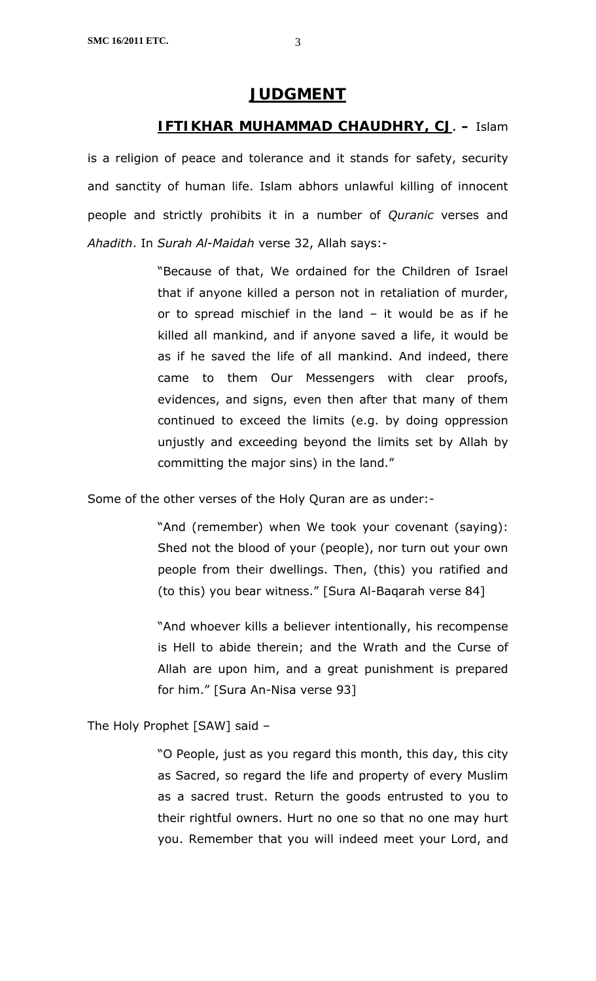## **JUDGMENT**

#### **IFTIKHAR MUHAMMAD CHAUDHRY, CJ**. **–** Islam

is a religion of peace and tolerance and it stands for safety, security and sanctity of human life. Islam abhors unlawful killing of innocent people and strictly prohibits it in a number of *Quranic* verses and *Ahadith*. In *Surah Al*-*Maidah* verse 32, Allah says:-

> "Because of that, We ordained for the Children of Israel that if anyone killed a person not in retaliation of murder, or to spread mischief in the land – it would be as if he killed all mankind, and if anyone saved a life, it would be as if he saved the life of all mankind. And indeed, there came to them Our Messengers with clear proofs, evidences, and signs, even then after that many of them continued to exceed the limits (e.g. by doing oppression unjustly and exceeding beyond the limits set by Allah by committing the major sins) in the land."

Some of the other verses of the Holy Quran are as under:-

"And (remember) when We took your covenant (saying): Shed not the blood of your (people), nor turn out your own people from their dwellings. Then, (this) you ratified and (to this) you bear witness." [Sura Al-Baqarah verse 84]

"And whoever kills a believer intentionally, his recompense is Hell to abide therein; and the Wrath and the Curse of Allah are upon him, and a great punishment is prepared for him." [Sura An-Nisa verse 93]

The Holy Prophet [SAW] said –

"O People, just as you regard this month, this day, this city as Sacred, so regard the life and property of every Muslim as a sacred trust. Return the goods entrusted to you to their rightful owners. Hurt no one so that no one may hurt you. Remember that you will indeed meet your Lord, and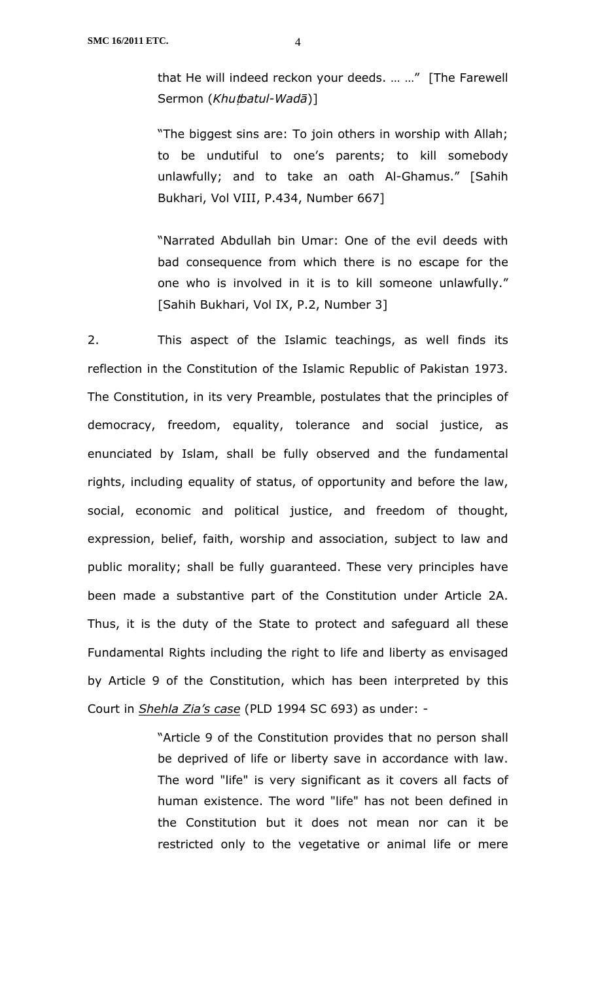that He will indeed reckon your deeds. … …" [The Farewell Sermon (*Khutbatul-Wadā*)]

"The biggest sins are: To join others in worship with Allah; to be undutiful to one's parents; to kill somebody unlawfully; and to take an oath Al-Ghamus." [Sahih Bukhari, Vol VIII, P.434, Number 667]

"Narrated Abdullah bin Umar: One of the evil deeds with bad consequence from which there is no escape for the one who is involved in it is to kill someone unlawfully." [Sahih Bukhari, Vol IX, P.2, Number 3]

2. This aspect of the Islamic teachings, as well finds its reflection in the Constitution of the Islamic Republic of Pakistan 1973. The Constitution, in its very Preamble, postulates that the principles of democracy, freedom, equality, tolerance and social justice, as enunciated by Islam, shall be fully observed and the fundamental rights, including equality of status, of opportunity and before the law, social, economic and political justice, and freedom of thought, expression, belief, faith, worship and association, subject to law and public morality; shall be fully guaranteed. These very principles have been made a substantive part of the Constitution under Article 2A. Thus, it is the duty of the State to protect and safeguard all these Fundamental Rights including the right to life and liberty as envisaged by Article 9 of the Constitution, which has been interpreted by this Court in *Shehla Zia's case* (PLD 1994 SC 693) as under: -

> "Article 9 of the Constitution provides that no person shall be deprived of life or liberty save in accordance with law. The word "life" is very significant as it covers all facts of human existence. The word "life" has not been defined in the Constitution but it does not mean nor can it be restricted only to the vegetative or animal life or mere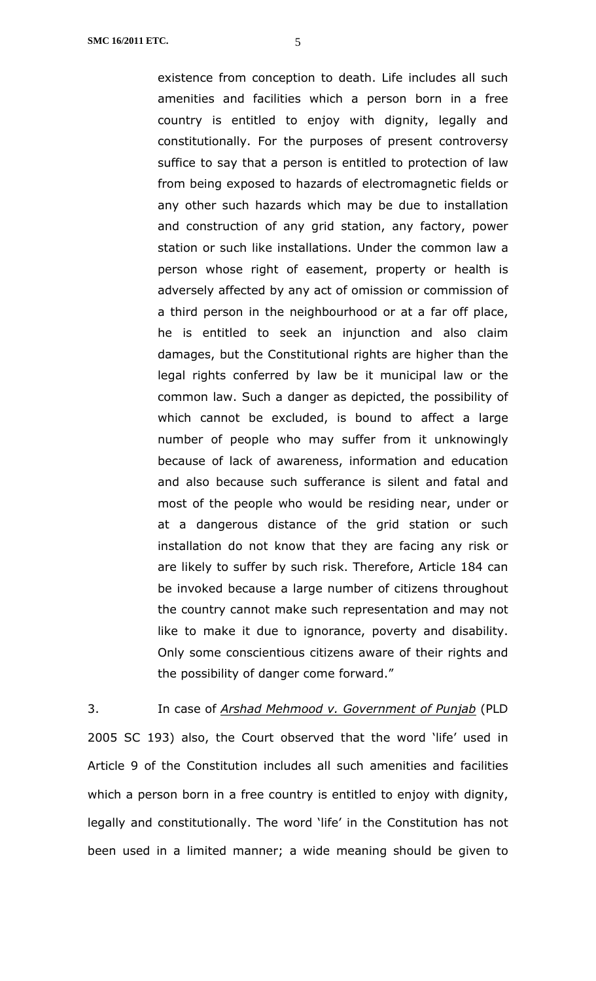existence from conception to death. Life includes all such amenities and facilities which a person born in a free country is entitled to enjoy with dignity, legally and constitutionally. For the purposes of present controversy suffice to say that a person is entitled to protection of law from being exposed to hazards of electromagnetic fields or any other such hazards which may be due to installation and construction of any grid station, any factory, power station or such like installations. Under the common law a person whose right of easement, property or health is adversely affected by any act of omission or commission of a third person in the neighbourhood or at a far off place, he is entitled to seek an injunction and also claim damages, but the Constitutional rights are higher than the legal rights conferred by law be it municipal law or the common law. Such a danger as depicted, the possibility of which cannot be excluded, is bound to affect a large number of people who may suffer from it unknowingly because of lack of awareness, information and education and also because such sufferance is silent and fatal and most of the people who would be residing near, under or at a dangerous distance of the grid station or such installation do not know that they are facing any risk or are likely to suffer by such risk. Therefore, Article 184 can be invoked because a large number of citizens throughout the country cannot make such representation and may not like to make it due to ignorance, poverty and disability. Only some conscientious citizens aware of their rights and the possibility of danger come forward."

3. In case of *Arshad Mehmood v. Government of Punjab* (PLD 2005 SC 193) also, the Court observed that the word 'life' used in Article 9 of the Constitution includes all such amenities and facilities which a person born in a free country is entitled to enjoy with dignity, legally and constitutionally. The word 'life' in the Constitution has not been used in a limited manner; a wide meaning should be given to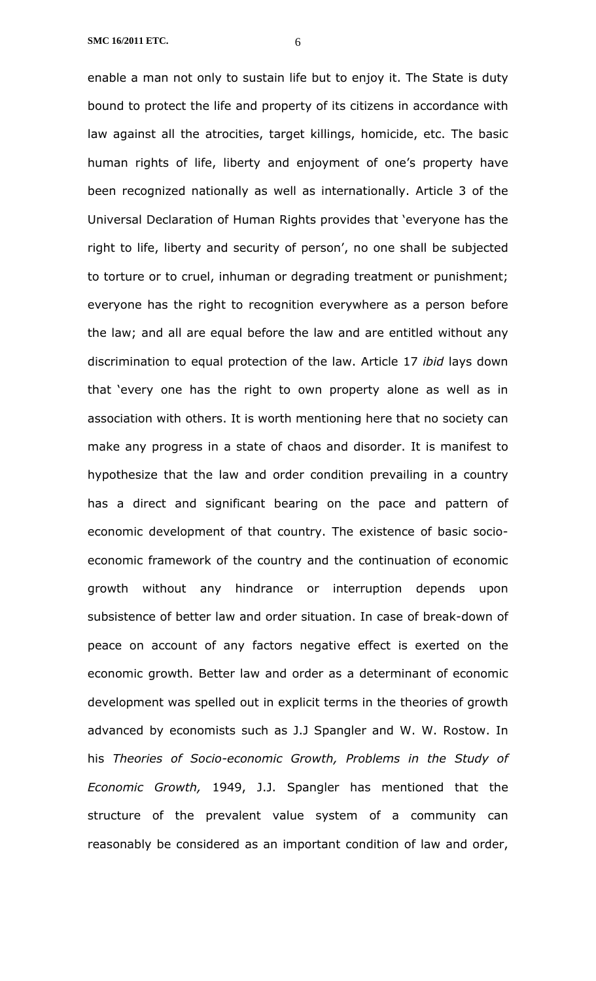enable a man not only to sustain life but to enjoy it. The State is duty bound to protect the life and property of its citizens in accordance with law against all the atrocities, target killings, homicide, etc. The basic human rights of life, liberty and enjoyment of one's property have been recognized nationally as well as internationally. Article 3 of the Universal Declaration of Human Rights provides that 'everyone has the right to life, liberty and security of person', no one shall be subjected to torture or to cruel, inhuman or degrading treatment or punishment; everyone has the right to recognition everywhere as a person before the law; and all are equal before the law and are entitled without any discrimination to equal protection of the law. Article 17 *ibid* lays down that 'every one has the right to own property alone as well as in association with others. It is worth mentioning here that no society can make any progress in a state of chaos and disorder. It is manifest to hypothesize that the law and order condition prevailing in a country has a direct and significant bearing on the pace and pattern of economic development of that country. The existence of basic socioeconomic framework of the country and the continuation of economic growth without any hindrance or interruption depends upon subsistence of better law and order situation. In case of break-down of peace on account of any factors negative effect is exerted on the economic growth. Better law and order as a determinant of economic development was spelled out in explicit terms in the theories of growth advanced by economists such as J.J Spangler and W. W. Rostow. In his *Theories of Socio-economic Growth, Problems in the Study of Economic Growth,* 1949, J.J. Spangler has mentioned that the structure of the prevalent value system of a community can reasonably be considered as an important condition of law and order,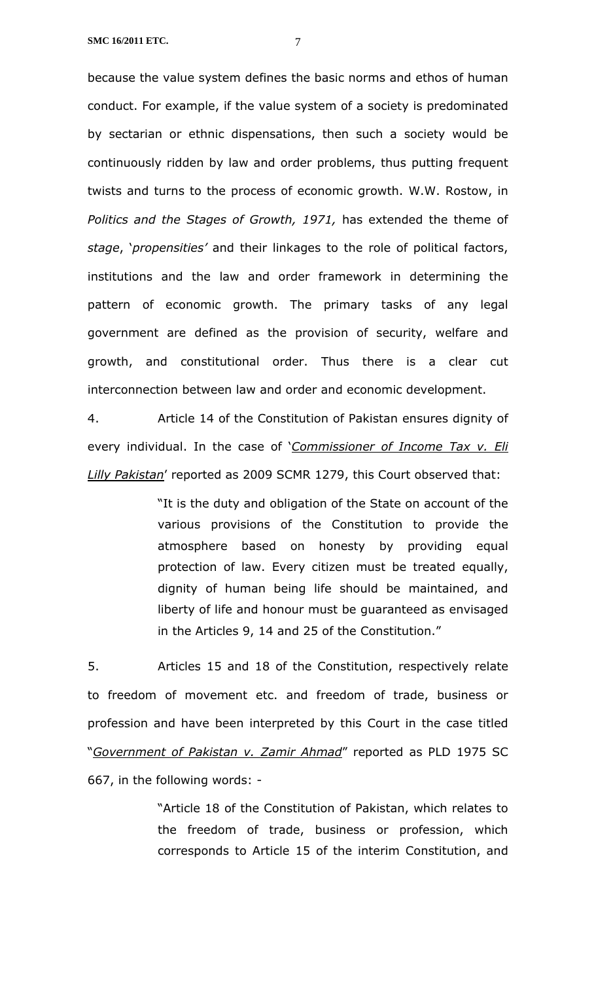because the value system defines the basic norms and ethos of human conduct. For example, if the value system of a society is predominated by sectarian or ethnic dispensations, then such a society would be continuously ridden by law and order problems, thus putting frequent twists and turns to the process of economic growth. W.W. Rostow, in *Politics and the Stages of Growth, 1971,* has extended the theme of *stage*, '*propensities'* and their linkages to the role of political factors, institutions and the law and order framework in determining the pattern of economic growth. The primary tasks of any legal government are defined as the provision of security, welfare and growth, and constitutional order. Thus there is a clear cut interconnection between law and order and economic development.

4. Article 14 of the Constitution of Pakistan ensures dignity of every individual. In the case of '*Commissioner of Income Tax v. Eli Lilly Pakistan*' reported as 2009 SCMR 1279, this Court observed that:

> "It is the duty and obligation of the State on account of the various provisions of the Constitution to provide the atmosphere based on honesty by providing equal protection of law. Every citizen must be treated equally, dignity of human being life should be maintained, and liberty of life and honour must be guaranteed as envisaged in the Articles 9, 14 and 25 of the Constitution."

5. Articles 15 and 18 of the Constitution, respectively relate to freedom of movement etc. and freedom of trade, business or profession and have been interpreted by this Court in the case titled "*Government of Pakistan v. Zamir Ahmad*" reported as PLD 1975 SC 667, in the following words: -

> "Article 18 of the Constitution of Pakistan, which relates to the freedom of trade, business or profession, which corresponds to Article 15 of the interim Constitution, and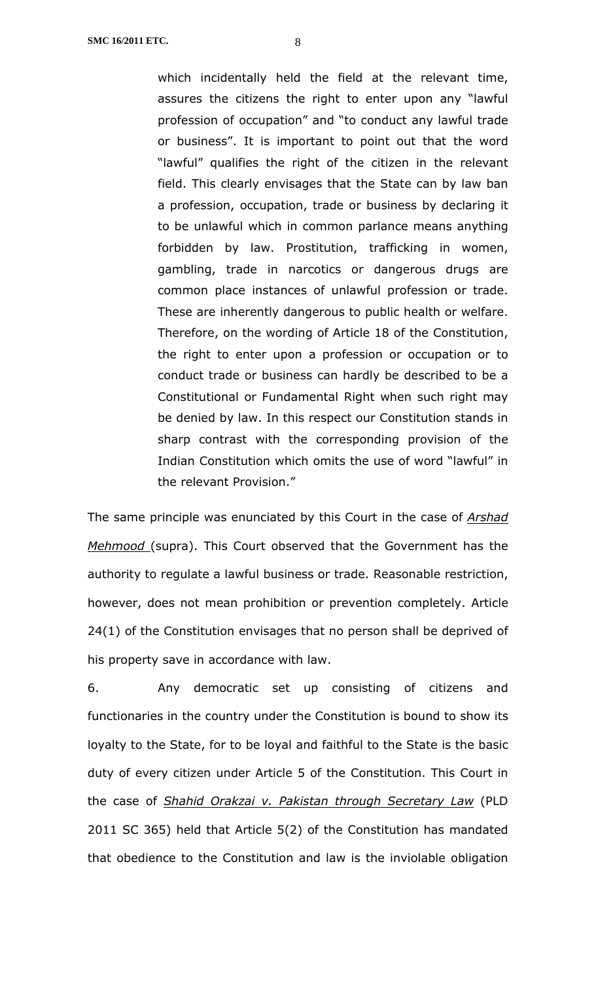which incidentally held the field at the relevant time, assures the citizens the right to enter upon any "lawful profession of occupation" and "to conduct any lawful trade or business". It is important to point out that the word "lawful" qualifies the right of the citizen in the relevant field. This clearly envisages that the State can by law ban a profession, occupation, trade or business by declaring it to be unlawful which in common parlance means anything forbidden by law. Prostitution, trafficking in women, gambling, trade in narcotics or dangerous drugs are common place instances of unlawful profession or trade. These are inherently dangerous to public health or welfare. Therefore, on the wording of Article 18 of the Constitution, the right to enter upon a profession or occupation or to conduct trade or business can hardly be described to be a Constitutional or Fundamental Right when such right may be denied by law. In this respect our Constitution stands in sharp contrast with the corresponding provision of the Indian Constitution which omits the use of word "lawful" in the relevant Provision."

The same principle was enunciated by this Court in the case of *Arshad Mehmood* (supra). This Court observed that the Government has the authority to regulate a lawful business or trade. Reasonable restriction, however, does not mean prohibition or prevention completely. Article 24(1) of the Constitution envisages that no person shall be deprived of his property save in accordance with law.

6. Any democratic set up consisting of citizens and functionaries in the country under the Constitution is bound to show its loyalty to the State, for to be loyal and faithful to the State is the basic duty of every citizen under Article 5 of the Constitution. This Court in the case of *Shahid Orakzai v. Pakistan through Secretary Law* (PLD 2011 SC 365) held that Article 5(2) of the Constitution has mandated that obedience to the Constitution and law is the inviolable obligation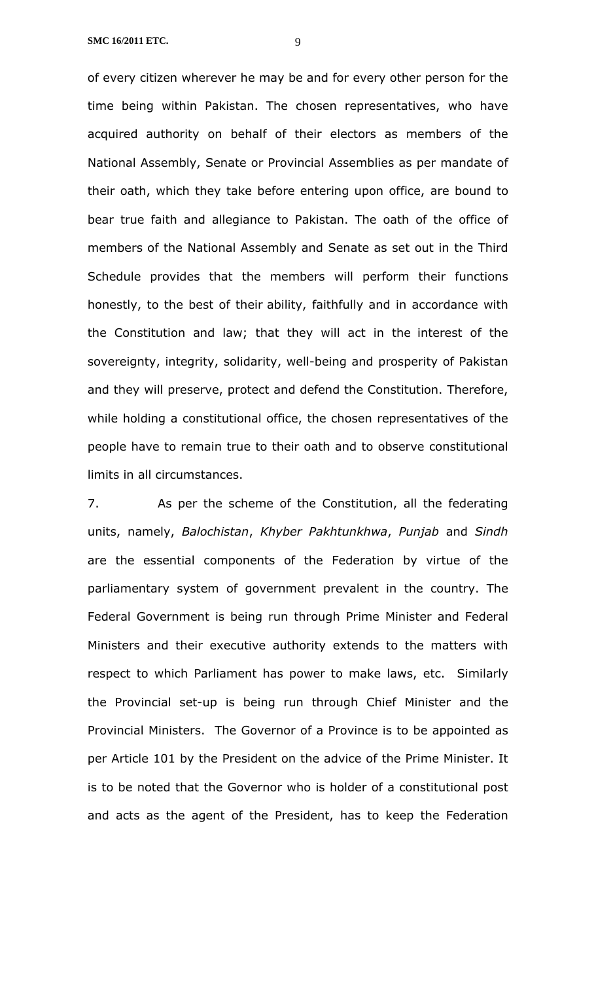of every citizen wherever he may be and for every other person for the time being within Pakistan. The chosen representatives, who have acquired authority on behalf of their electors as members of the National Assembly, Senate or Provincial Assemblies as per mandate of their oath, which they take before entering upon office, are bound to bear true faith and allegiance to Pakistan. The oath of the office of members of the National Assembly and Senate as set out in the Third Schedule provides that the members will perform their functions honestly, to the best of their ability, faithfully and in accordance with the Constitution and law; that they will act in the interest of the sovereignty, integrity, solidarity, well-being and prosperity of Pakistan and they will preserve, protect and defend the Constitution. Therefore, while holding a constitutional office, the chosen representatives of the people have to remain true to their oath and to observe constitutional limits in all circumstances.

7. As per the scheme of the Constitution, all the federating units, namely, *Balochistan*, *Khyber Pakhtunkhwa*, *Punjab* and *Sindh* are the essential components of the Federation by virtue of the parliamentary system of government prevalent in the country. The Federal Government is being run through Prime Minister and Federal Ministers and their executive authority extends to the matters with respect to which Parliament has power to make laws, etc. Similarly the Provincial set-up is being run through Chief Minister and the Provincial Ministers. The Governor of a Province is to be appointed as per Article 101 by the President on the advice of the Prime Minister. It is to be noted that the Governor who is holder of a constitutional post and acts as the agent of the President, has to keep the Federation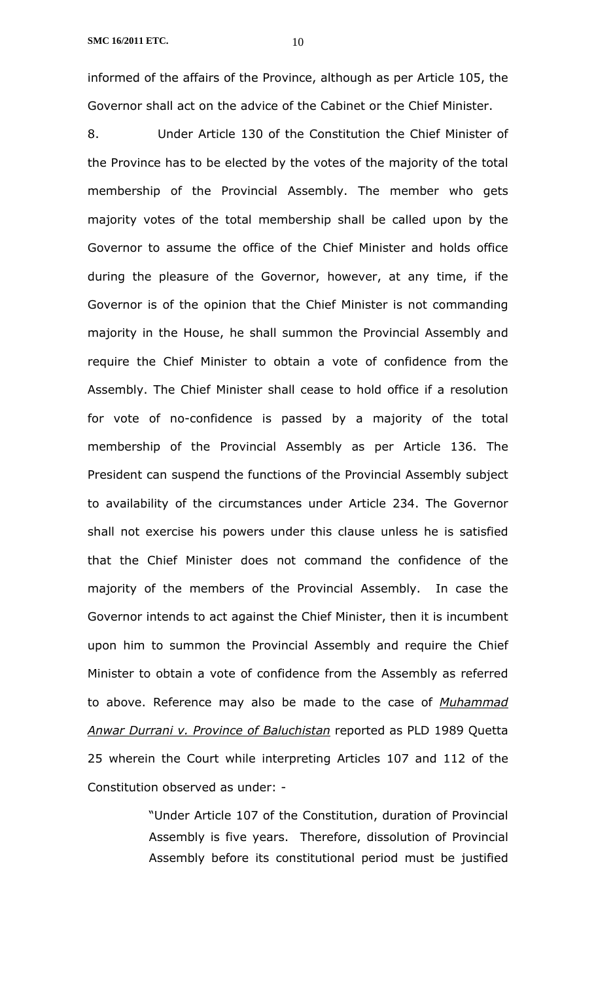informed of the affairs of the Province, although as per Article 105, the Governor shall act on the advice of the Cabinet or the Chief Minister.

8. Under Article 130 of the Constitution the Chief Minister of the Province has to be elected by the votes of the majority of the total membership of the Provincial Assembly. The member who gets majority votes of the total membership shall be called upon by the Governor to assume the office of the Chief Minister and holds office during the pleasure of the Governor, however, at any time, if the Governor is of the opinion that the Chief Minister is not commanding majority in the House, he shall summon the Provincial Assembly and require the Chief Minister to obtain a vote of confidence from the Assembly. The Chief Minister shall cease to hold office if a resolution for vote of no-confidence is passed by a majority of the total membership of the Provincial Assembly as per Article 136. The President can suspend the functions of the Provincial Assembly subject to availability of the circumstances under Article 234. The Governor shall not exercise his powers under this clause unless he is satisfied that the Chief Minister does not command the confidence of the majority of the members of the Provincial Assembly. In case the Governor intends to act against the Chief Minister, then it is incumbent upon him to summon the Provincial Assembly and require the Chief Minister to obtain a vote of confidence from the Assembly as referred to above. Reference may also be made to the case of *Muhammad Anwar Durrani v. Province of Baluchistan* reported as PLD 1989 Quetta 25 wherein the Court while interpreting Articles 107 and 112 of the Constitution observed as under: -

> "Under Article 107 of the Constitution, duration of Provincial Assembly is five years. Therefore, dissolution of Provincial Assembly before its constitutional period must be justified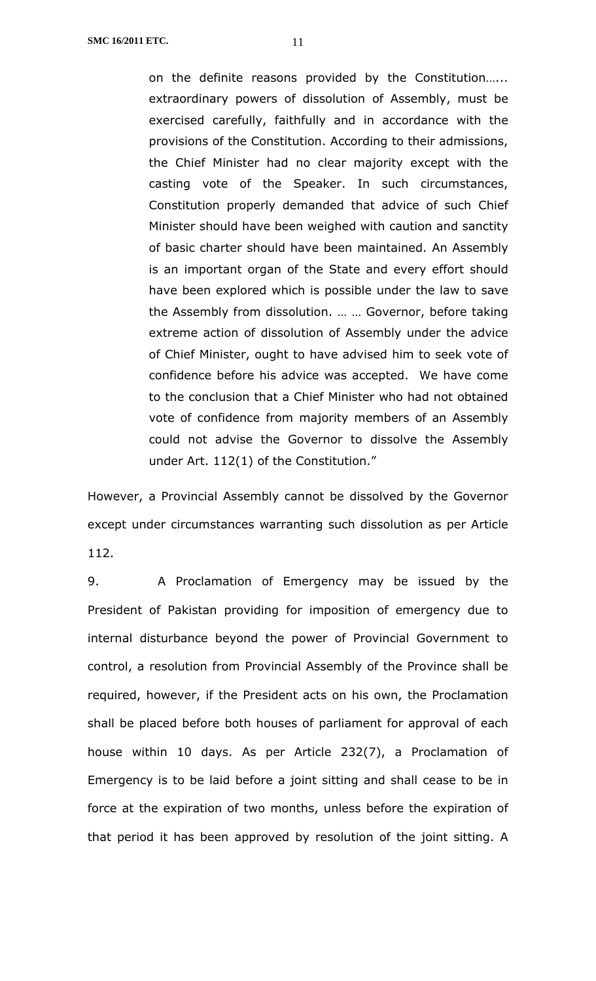on the definite reasons provided by the Constitution…... extraordinary powers of dissolution of Assembly, must be exercised carefully, faithfully and in accordance with the provisions of the Constitution. According to their admissions, the Chief Minister had no clear majority except with the casting vote of the Speaker. In such circumstances, Constitution properly demanded that advice of such Chief Minister should have been weighed with caution and sanctity of basic charter should have been maintained. An Assembly is an important organ of the State and every effort should have been explored which is possible under the law to save the Assembly from dissolution. … … Governor, before taking extreme action of dissolution of Assembly under the advice of Chief Minister, ought to have advised him to seek vote of confidence before his advice was accepted. We have come to the conclusion that a Chief Minister who had not obtained vote of confidence from majority members of an Assembly could not advise the Governor to dissolve the Assembly under Art. 112(1) of the Constitution."

However, a Provincial Assembly cannot be dissolved by the Governor except under circumstances warranting such dissolution as per Article 112.

9. A Proclamation of Emergency may be issued by the President of Pakistan providing for imposition of emergency due to internal disturbance beyond the power of Provincial Government to control, a resolution from Provincial Assembly of the Province shall be required, however, if the President acts on his own, the Proclamation shall be placed before both houses of parliament for approval of each house within 10 days. As per Article 232(7), a Proclamation of Emergency is to be laid before a joint sitting and shall cease to be in force at the expiration of two months, unless before the expiration of that period it has been approved by resolution of the joint sitting. A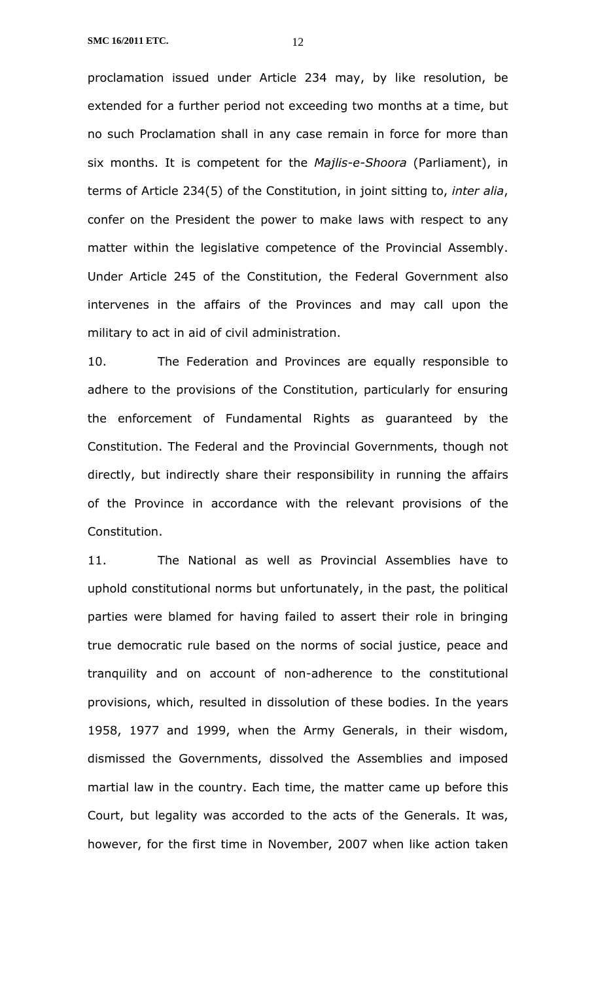proclamation issued under Article 234 may, by like resolution, be extended for a further period not exceeding two months at a time, but no such Proclamation shall in any case remain in force for more than six months. It is competent for the *Majlis-e-Shoora* (Parliament), in terms of Article 234(5) of the Constitution, in joint sitting to, *inter alia*, confer on the President the power to make laws with respect to any matter within the legislative competence of the Provincial Assembly. Under Article 245 of the Constitution, the Federal Government also intervenes in the affairs of the Provinces and may call upon the military to act in aid of civil administration.

10. The Federation and Provinces are equally responsible to adhere to the provisions of the Constitution, particularly for ensuring the enforcement of Fundamental Rights as guaranteed by the Constitution. The Federal and the Provincial Governments, though not directly, but indirectly share their responsibility in running the affairs of the Province in accordance with the relevant provisions of the Constitution.

11. The National as well as Provincial Assemblies have to uphold constitutional norms but unfortunately, in the past, the political parties were blamed for having failed to assert their role in bringing true democratic rule based on the norms of social justice, peace and tranquility and on account of non-adherence to the constitutional provisions, which, resulted in dissolution of these bodies. In the years 1958, 1977 and 1999, when the Army Generals, in their wisdom, dismissed the Governments, dissolved the Assemblies and imposed martial law in the country. Each time, the matter came up before this Court, but legality was accorded to the acts of the Generals. It was, however, for the first time in November, 2007 when like action taken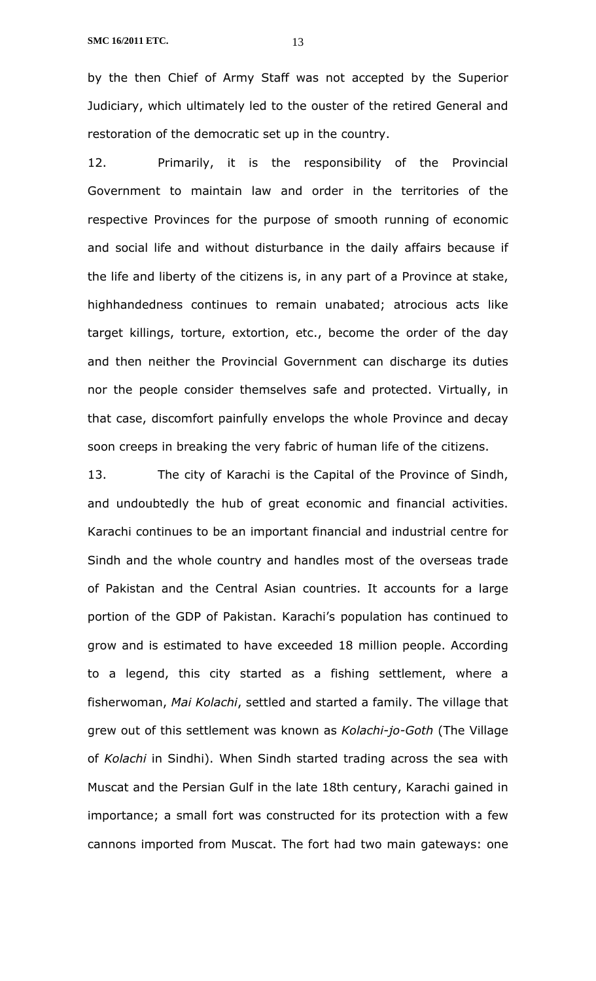by the then Chief of Army Staff was not accepted by the Superior Judiciary, which ultimately led to the ouster of the retired General and restoration of the democratic set up in the country.

12. Primarily, it is the responsibility of the Provincial Government to maintain law and order in the territories of the respective Provinces for the purpose of smooth running of economic and social life and without disturbance in the daily affairs because if the life and liberty of the citizens is, in any part of a Province at stake, highhandedness continues to remain unabated; atrocious acts like target killings, torture, extortion, etc., become the order of the day and then neither the Provincial Government can discharge its duties nor the people consider themselves safe and protected. Virtually, in that case, discomfort painfully envelops the whole Province and decay soon creeps in breaking the very fabric of human life of the citizens.

13. The city of Karachi is the Capital of the Province of Sindh, and undoubtedly the hub of great economic and financial activities. Karachi continues to be an important financial and industrial centre for Sindh and the whole country and handles most of the overseas trade of Pakistan and the Central Asian countries. It accounts for a large portion of the GDP of Pakistan. Karachi's population has continued to grow and is estimated to have exceeded 18 million people. According to a legend, this city started as a fishing settlement, where a fisherwoman, *Mai Kolachi*, settled and started a family. The village that grew out of this settlement was known as *Kolachi-jo-Goth* (The Village of *Kolachi* in Sindhi). When Sindh started trading across the sea with Muscat and the Persian Gulf in the late 18th century, Karachi gained in importance; a small fort was constructed for its protection with a few cannons imported from Muscat. The fort had two main gateways: one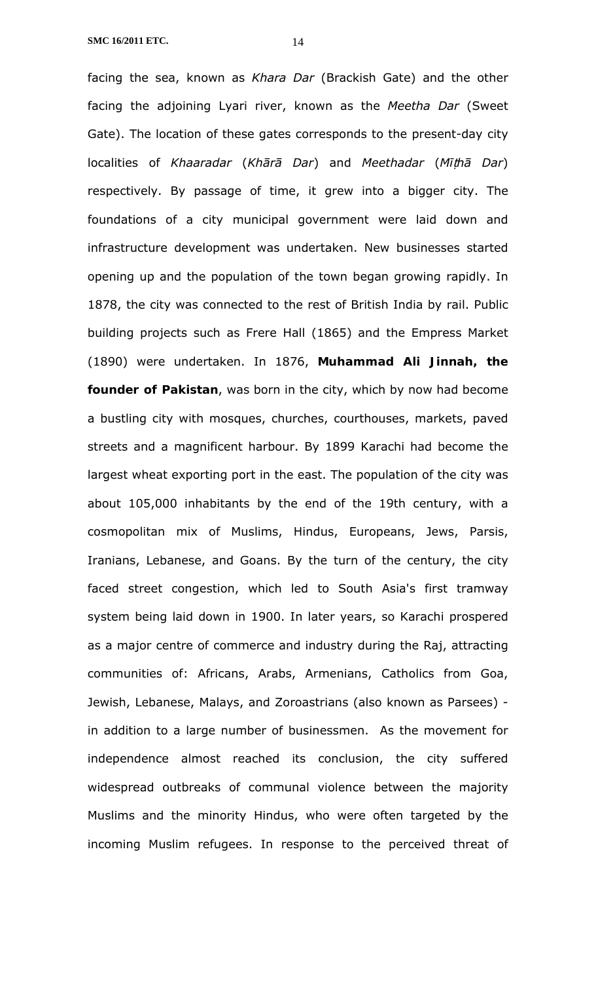facing the sea, known as *Khara Dar* (Brackish Gate) and the other facing the adjoining Lyari river, known as the *Meetha Dar* (Sweet Gate). The location of these gates corresponds to the present-day city localities of *Khaaradar* (*Khārā Dar*) and *Meethadar* (*Mī*ṭ*hā Dar*) respectively. By passage of time, it grew into a bigger city. The foundations of a city municipal government were laid down and infrastructure development was undertaken. New businesses started opening up and the population of the town began growing rapidly. In 1878, the city was connected to the rest of British India by rail. Public building projects such as Frere Hall (1865) and the Empress Market (1890) were undertaken. In 1876, **Muhammad Ali Jinnah, the founder of Pakistan**, was born in the city, which by now had become a bustling city with mosques, churches, courthouses, markets, paved streets and a magnificent harbour. By 1899 Karachi had become the largest wheat exporting port in the east. The population of the city was about 105,000 inhabitants by the end of the 19th century, with a cosmopolitan mix of Muslims, Hindus, Europeans, Jews, Parsis, Iranians, Lebanese, and Goans. By the turn of the century, the city faced street congestion, which led to South Asia's first tramway system being laid down in 1900. In later years, so Karachi prospered as a major centre of commerce and industry during the Raj, attracting communities of: Africans, Arabs, Armenians, Catholics from Goa, Jewish, Lebanese, Malays, and Zoroastrians (also known as Parsees) in addition to a large number of businessmen. As the movement for independence almost reached its conclusion, the city suffered widespread outbreaks of communal violence between the majority Muslims and the minority Hindus, who were often targeted by the incoming Muslim refugees. In response to the perceived threat of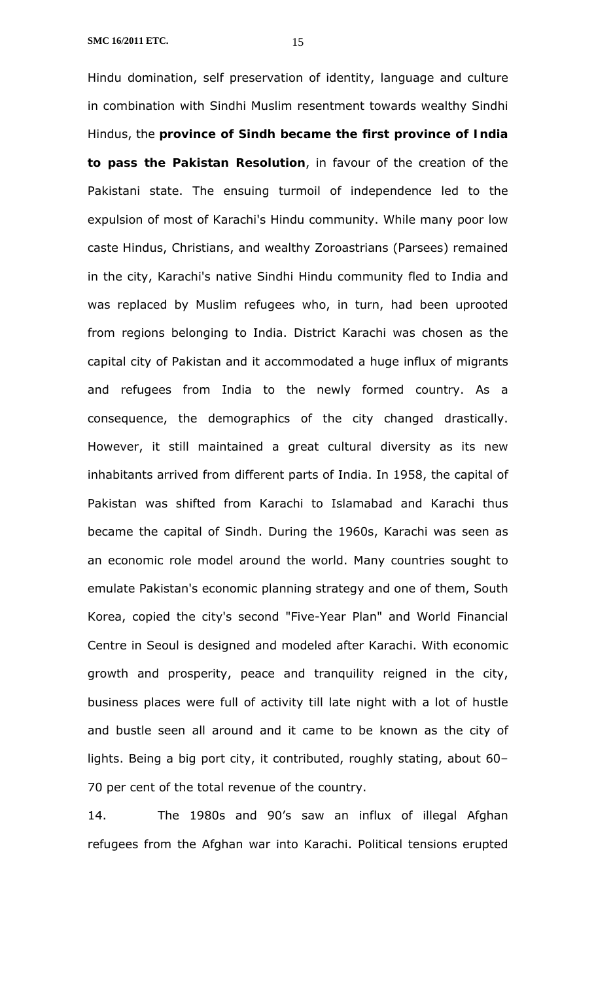Hindu domination, self preservation of identity, language and culture in combination with Sindhi Muslim resentment towards wealthy Sindhi Hindus, the **province of Sindh became the first province of India to pass the Pakistan Resolution**, in favour of the creation of the Pakistani state. The ensuing turmoil of independence led to the expulsion of most of Karachi's Hindu community. While many poor low caste Hindus, Christians, and wealthy Zoroastrians (Parsees) remained in the city, Karachi's native Sindhi Hindu community fled to India and was replaced by Muslim refugees who, in turn, had been uprooted from regions belonging to India. District Karachi was chosen as the capital city of Pakistan and it accommodated a huge influx of migrants and refugees from India to the newly formed country. As a consequence, the demographics of the city changed drastically. However, it still maintained a great cultural diversity as its new inhabitants arrived from different parts of India. In 1958, the capital of Pakistan was shifted from Karachi to Islamabad and Karachi thus became the capital of Sindh. During the 1960s, Karachi was seen as an economic role model around the world. Many countries sought to emulate Pakistan's economic planning strategy and one of them, South Korea, copied the city's second "Five-Year Plan" and World Financial Centre in Seoul is designed and modeled after Karachi. With economic growth and prosperity, peace and tranquility reigned in the city, business places were full of activity till late night with a lot of hustle and bustle seen all around and it came to be known as the city of lights. Being a big port city, it contributed, roughly stating, about 60– 70 per cent of the total revenue of the country.

14. The 1980s and 90's saw an influx of illegal Afghan refugees from the Afghan war into Karachi. Political tensions erupted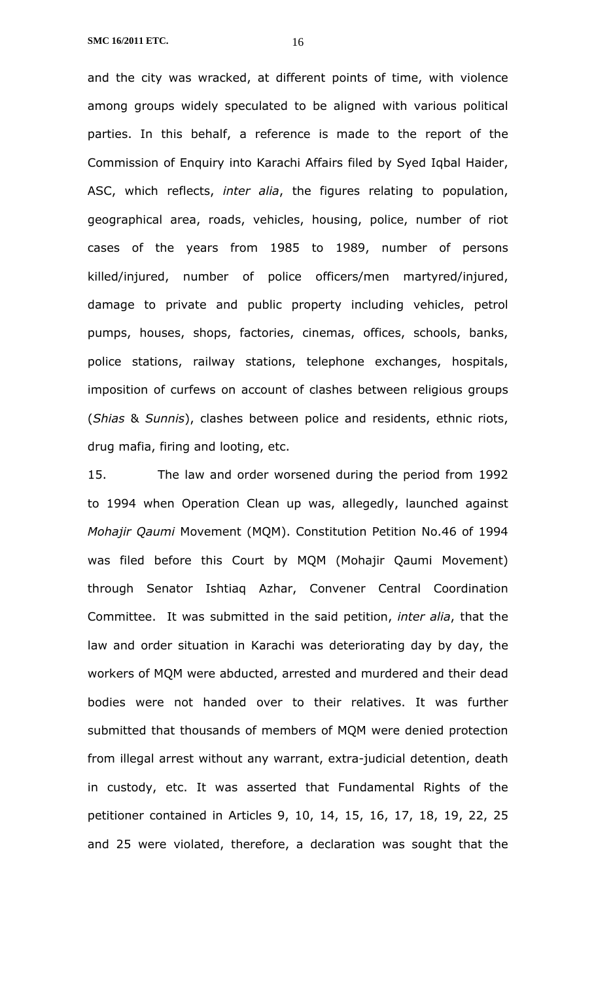and the city was wracked, at different points of time, with violence among groups widely speculated to be aligned with various political parties. In this behalf, a reference is made to the report of the Commission of Enquiry into Karachi Affairs filed by Syed Iqbal Haider, ASC, which reflects, *inter alia*, the figures relating to population, geographical area, roads, vehicles, housing, police, number of riot cases of the years from 1985 to 1989, number of persons killed/injured, number of police officers/men martyred/injured, damage to private and public property including vehicles, petrol pumps, houses, shops, factories, cinemas, offices, schools, banks, police stations, railway stations, telephone exchanges, hospitals, imposition of curfews on account of clashes between religious groups (*Shias* & *Sunnis*), clashes between police and residents, ethnic riots, drug mafia, firing and looting, etc.

15. The law and order worsened during the period from 1992 to 1994 when Operation Clean up was, allegedly, launched against *Mohajir Qaumi* Movement (MQM). Constitution Petition No.46 of 1994 was filed before this Court by MQM (Mohajir Qaumi Movement) through Senator Ishtiaq Azhar, Convener Central Coordination Committee. It was submitted in the said petition, *inter alia*, that the law and order situation in Karachi was deteriorating day by day, the workers of MQM were abducted, arrested and murdered and their dead bodies were not handed over to their relatives. It was further submitted that thousands of members of MQM were denied protection from illegal arrest without any warrant, extra-judicial detention, death in custody, etc. It was asserted that Fundamental Rights of the petitioner contained in Articles 9, 10, 14, 15, 16, 17, 18, 19, 22, 25 and 25 were violated, therefore, a declaration was sought that the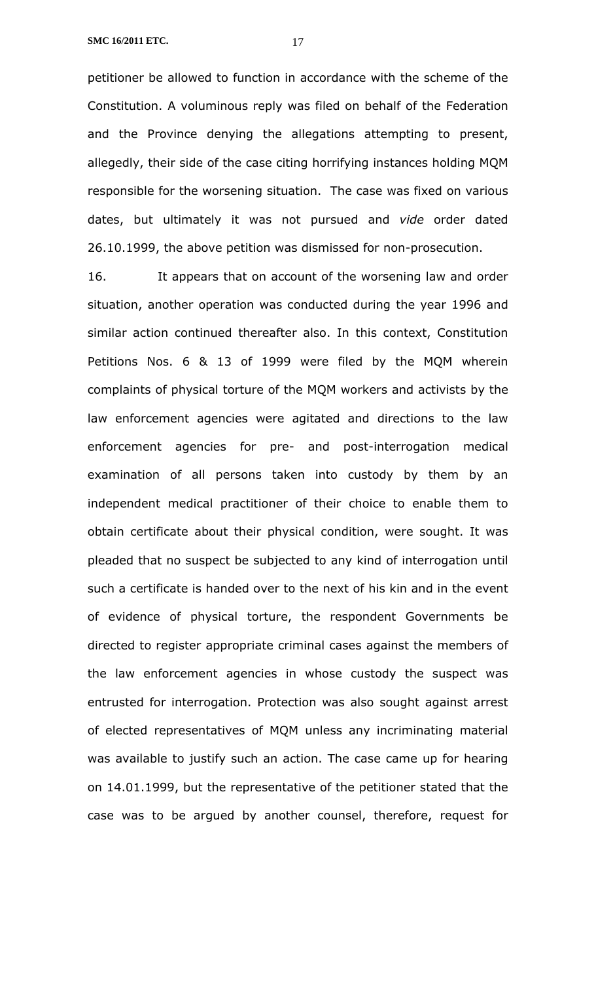petitioner be allowed to function in accordance with the scheme of the Constitution. A voluminous reply was filed on behalf of the Federation and the Province denying the allegations attempting to present, allegedly, their side of the case citing horrifying instances holding MQM responsible for the worsening situation. The case was fixed on various dates, but ultimately it was not pursued and *vide* order dated 26.10.1999, the above petition was dismissed for non-prosecution.

16. It appears that on account of the worsening law and order situation, another operation was conducted during the year 1996 and similar action continued thereafter also. In this context, Constitution Petitions Nos. 6 & 13 of 1999 were filed by the MQM wherein complaints of physical torture of the MQM workers and activists by the law enforcement agencies were agitated and directions to the law enforcement agencies for pre- and post-interrogation medical examination of all persons taken into custody by them by an independent medical practitioner of their choice to enable them to obtain certificate about their physical condition, were sought. It was pleaded that no suspect be subjected to any kind of interrogation until such a certificate is handed over to the next of his kin and in the event of evidence of physical torture, the respondent Governments be directed to register appropriate criminal cases against the members of the law enforcement agencies in whose custody the suspect was entrusted for interrogation. Protection was also sought against arrest of elected representatives of MQM unless any incriminating material was available to justify such an action. The case came up for hearing on 14.01.1999, but the representative of the petitioner stated that the case was to be argued by another counsel, therefore, request for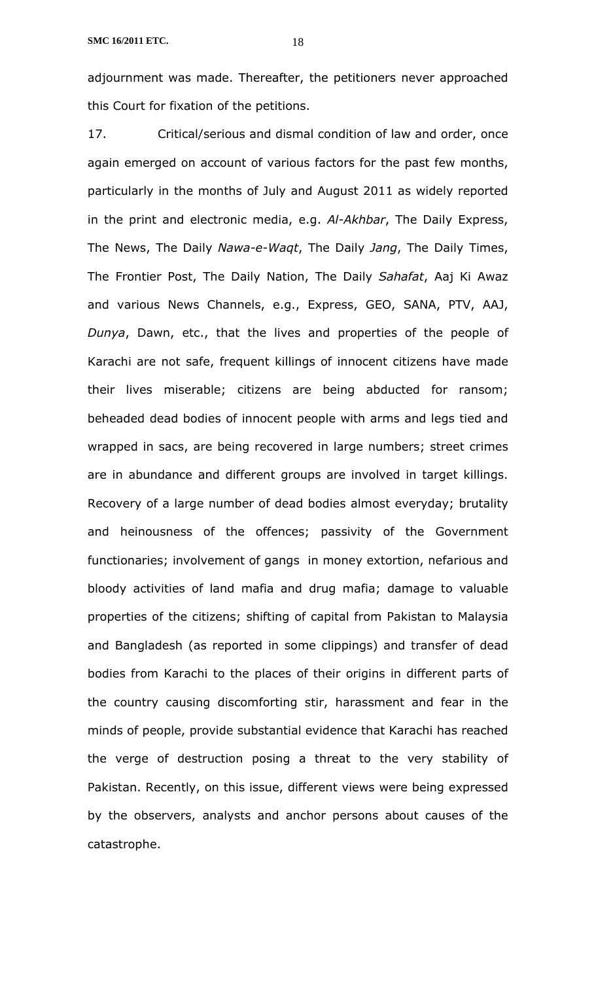adjournment was made. Thereafter, the petitioners never approached this Court for fixation of the petitions.

17. Critical/serious and dismal condition of law and order, once again emerged on account of various factors for the past few months, particularly in the months of July and August 2011 as widely reported in the print and electronic media, e.g. *Al-Akhbar*, The Daily Express, The News, The Daily *Nawa-e-Waqt*, The Daily *Jang*, The Daily Times, The Frontier Post, The Daily Nation, The Daily *Sahafat*, Aaj Ki Awaz and various News Channels, e.g., Express, GEO, SANA, PTV, AAJ, *Dunya*, Dawn, etc., that the lives and properties of the people of Karachi are not safe, frequent killings of innocent citizens have made their lives miserable; citizens are being abducted for ransom; beheaded dead bodies of innocent people with arms and legs tied and wrapped in sacs, are being recovered in large numbers; street crimes are in abundance and different groups are involved in target killings. Recovery of a large number of dead bodies almost everyday; brutality and heinousness of the offences; passivity of the Government functionaries; involvement of gangs in money extortion, nefarious and bloody activities of land mafia and drug mafia; damage to valuable properties of the citizens; shifting of capital from Pakistan to Malaysia and Bangladesh (as reported in some clippings) and transfer of dead bodies from Karachi to the places of their origins in different parts of the country causing discomforting stir, harassment and fear in the minds of people, provide substantial evidence that Karachi has reached the verge of destruction posing a threat to the very stability of Pakistan. Recently, on this issue, different views were being expressed by the observers, analysts and anchor persons about causes of the catastrophe.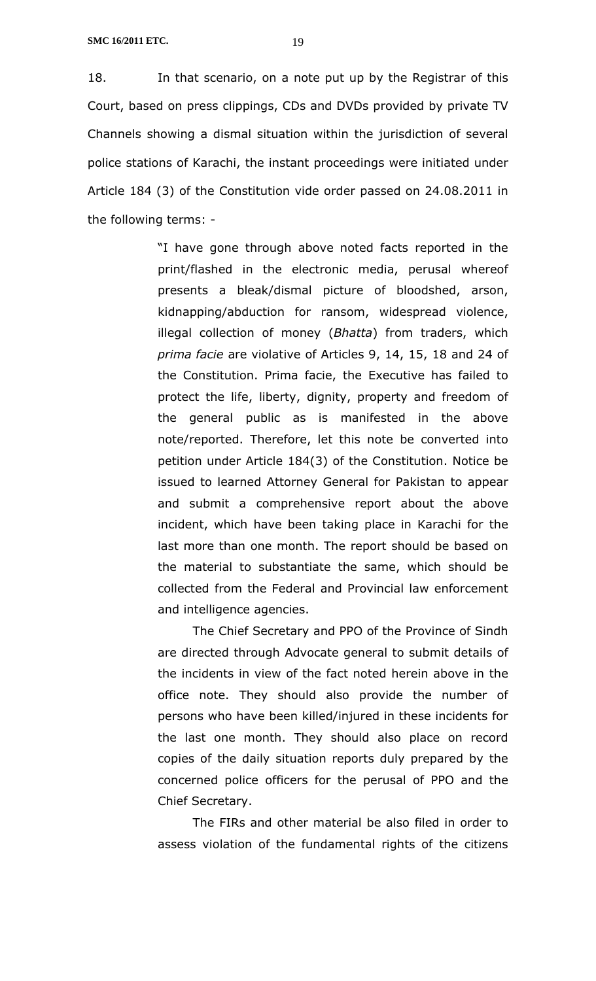18. In that scenario, on a note put up by the Registrar of this Court, based on press clippings, CDs and DVDs provided by private TV Channels showing a dismal situation within the jurisdiction of several police stations of Karachi, the instant proceedings were initiated under Article 184 (3) of the Constitution vide order passed on 24.08.2011 in the following terms: -

> "I have gone through above noted facts reported in the print/flashed in the electronic media, perusal whereof presents a bleak/dismal picture of bloodshed, arson, kidnapping/abduction for ransom, widespread violence, illegal collection of money (*Bhatta*) from traders, which *prima facie* are violative of Articles 9, 14, 15, 18 and 24 of the Constitution. Prima facie, the Executive has failed to protect the life, liberty, dignity, property and freedom of the general public as is manifested in the above note/reported. Therefore, let this note be converted into petition under Article 184(3) of the Constitution. Notice be issued to learned Attorney General for Pakistan to appear and submit a comprehensive report about the above incident, which have been taking place in Karachi for the last more than one month. The report should be based on the material to substantiate the same, which should be collected from the Federal and Provincial law enforcement and intelligence agencies.

> The Chief Secretary and PPO of the Province of Sindh are directed through Advocate general to submit details of the incidents in view of the fact noted herein above in the office note. They should also provide the number of persons who have been killed/injured in these incidents for the last one month. They should also place on record copies of the daily situation reports duly prepared by the concerned police officers for the perusal of PPO and the Chief Secretary.

> The FIRs and other material be also filed in order to assess violation of the fundamental rights of the citizens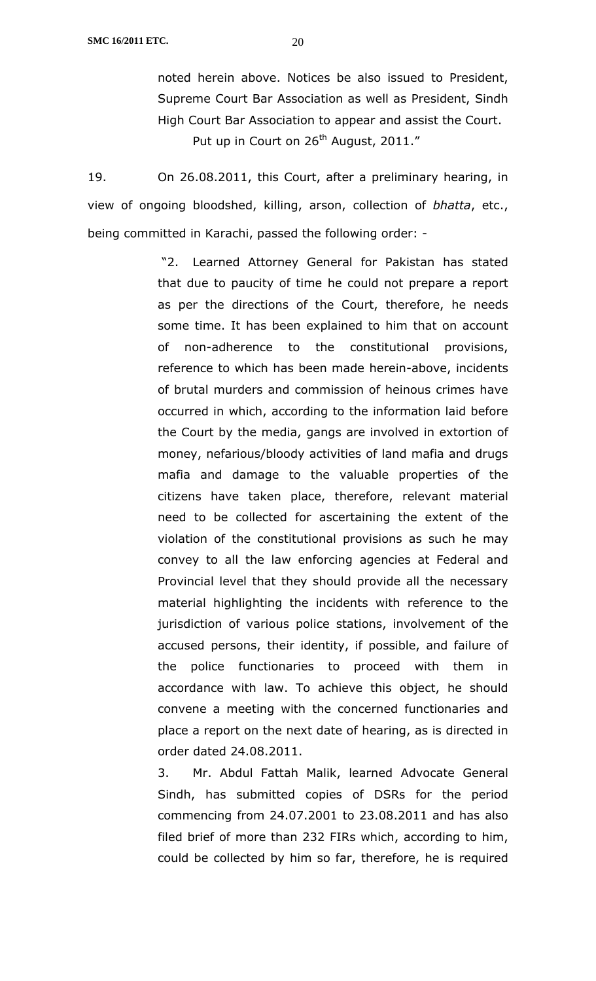noted herein above. Notices be also issued to President, Supreme Court Bar Association as well as President, Sindh High Court Bar Association to appear and assist the Court. Put up in Court on 26<sup>th</sup> August, 2011."

19. On 26.08.2011, this Court, after a preliminary hearing, in view of ongoing bloodshed, killing, arson, collection of *bhatta*, etc., being committed in Karachi, passed the following order: -

> "2. Learned Attorney General for Pakistan has stated that due to paucity of time he could not prepare a report as per the directions of the Court, therefore, he needs some time. It has been explained to him that on account of non-adherence to the constitutional provisions, reference to which has been made herein-above, incidents of brutal murders and commission of heinous crimes have occurred in which, according to the information laid before the Court by the media, gangs are involved in extortion of money, nefarious/bloody activities of land mafia and drugs mafia and damage to the valuable properties of the citizens have taken place, therefore, relevant material need to be collected for ascertaining the extent of the violation of the constitutional provisions as such he may convey to all the law enforcing agencies at Federal and Provincial level that they should provide all the necessary material highlighting the incidents with reference to the jurisdiction of various police stations, involvement of the accused persons, their identity, if possible, and failure of the police functionaries to proceed with them in accordance with law. To achieve this object, he should convene a meeting with the concerned functionaries and place a report on the next date of hearing, as is directed in order dated 24.08.2011.

> 3. Mr. Abdul Fattah Malik, learned Advocate General Sindh, has submitted copies of DSRs for the period commencing from 24.07.2001 to 23.08.2011 and has also filed brief of more than 232 FIRs which, according to him, could be collected by him so far, therefore, he is required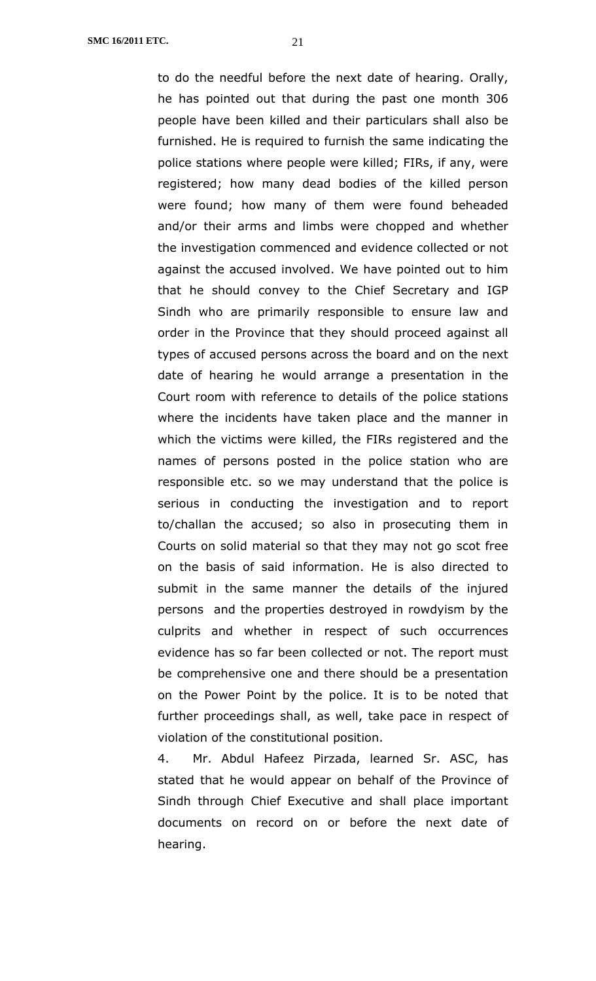to do the needful before the next date of hearing. Orally, he has pointed out that during the past one month 306 people have been killed and their particulars shall also be furnished. He is required to furnish the same indicating the police stations where people were killed; FIRs, if any, were registered; how many dead bodies of the killed person were found; how many of them were found beheaded and/or their arms and limbs were chopped and whether the investigation commenced and evidence collected or not against the accused involved. We have pointed out to him that he should convey to the Chief Secretary and IGP Sindh who are primarily responsible to ensure law and order in the Province that they should proceed against all types of accused persons across the board and on the next date of hearing he would arrange a presentation in the Court room with reference to details of the police stations where the incidents have taken place and the manner in which the victims were killed, the FIRs registered and the names of persons posted in the police station who are responsible etc. so we may understand that the police is serious in conducting the investigation and to report to/challan the accused; so also in prosecuting them in Courts on solid material so that they may not go scot free on the basis of said information. He is also directed to submit in the same manner the details of the injured persons and the properties destroyed in rowdyism by the culprits and whether in respect of such occurrences evidence has so far been collected or not. The report must be comprehensive one and there should be a presentation

on the Power Point by the police. It is to be noted that further proceedings shall, as well, take pace in respect of violation of the constitutional position.

4. Mr. Abdul Hafeez Pirzada, learned Sr. ASC, has stated that he would appear on behalf of the Province of Sindh through Chief Executive and shall place important documents on record on or before the next date of hearing.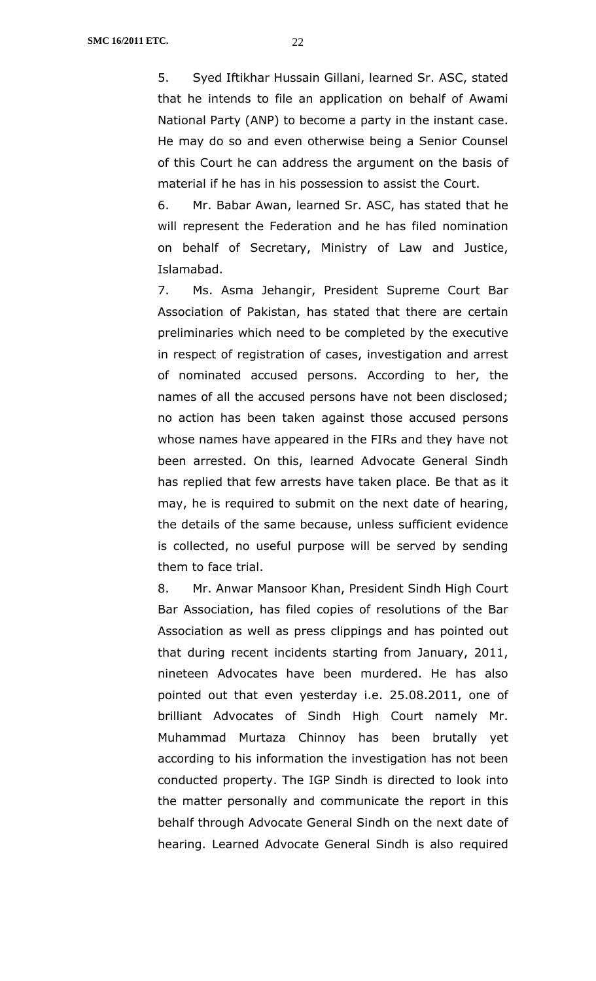5. Syed Iftikhar Hussain Gillani, learned Sr. ASC, stated that he intends to file an application on behalf of Awami National Party (ANP) to become a party in the instant case. He may do so and even otherwise being a Senior Counsel of this Court he can address the argument on the basis of material if he has in his possession to assist the Court.

6. Mr. Babar Awan, learned Sr. ASC, has stated that he will represent the Federation and he has filed nomination on behalf of Secretary, Ministry of Law and Justice, Islamabad.

7. Ms. Asma Jehangir, President Supreme Court Bar Association of Pakistan, has stated that there are certain preliminaries which need to be completed by the executive in respect of registration of cases, investigation and arrest of nominated accused persons. According to her, the names of all the accused persons have not been disclosed; no action has been taken against those accused persons whose names have appeared in the FIRs and they have not been arrested. On this, learned Advocate General Sindh has replied that few arrests have taken place. Be that as it may, he is required to submit on the next date of hearing, the details of the same because, unless sufficient evidence is collected, no useful purpose will be served by sending them to face trial.

8. Mr. Anwar Mansoor Khan, President Sindh High Court Bar Association, has filed copies of resolutions of the Bar Association as well as press clippings and has pointed out that during recent incidents starting from January, 2011, nineteen Advocates have been murdered. He has also pointed out that even yesterday i.e. 25.08.2011, one of brilliant Advocates of Sindh High Court namely Mr. Muhammad Murtaza Chinnoy has been brutally yet according to his information the investigation has not been conducted property. The IGP Sindh is directed to look into the matter personally and communicate the report in this behalf through Advocate General Sindh on the next date of hearing. Learned Advocate General Sindh is also required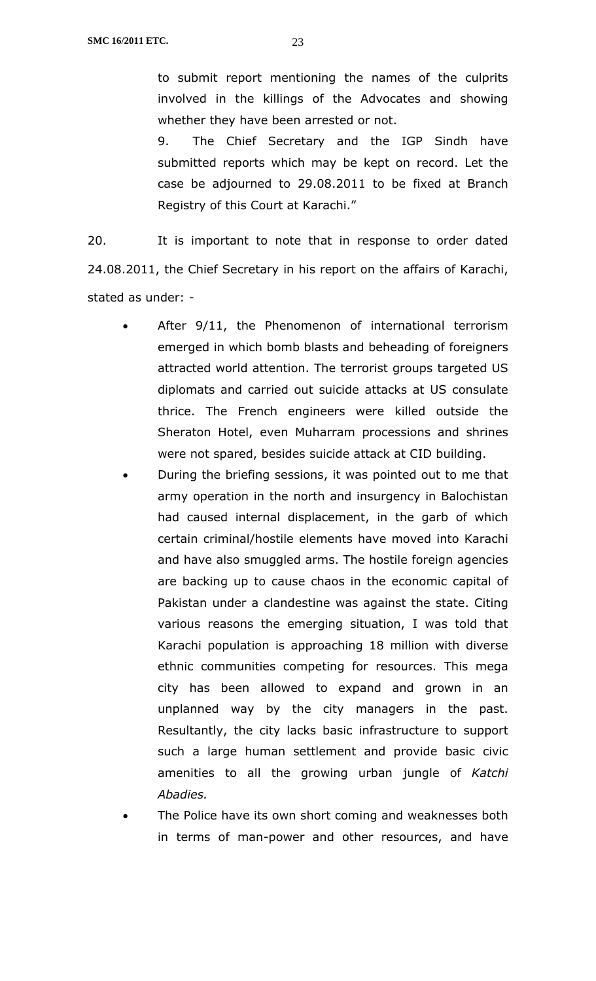to submit report mentioning the names of the culprits involved in the killings of the Advocates and showing whether they have been arrested or not.

9. The Chief Secretary and the IGP Sindh have submitted reports which may be kept on record. Let the case be adjourned to 29.08.2011 to be fixed at Branch Registry of this Court at Karachi."

20. It is important to note that in response to order dated 24.08.2011, the Chief Secretary in his report on the affairs of Karachi, stated as under: -

- After 9/11, the Phenomenon of international terrorism emerged in which bomb blasts and beheading of foreigners attracted world attention. The terrorist groups targeted US diplomats and carried out suicide attacks at US consulate thrice. The French engineers were killed outside the Sheraton Hotel, even Muharram processions and shrines were not spared, besides suicide attack at CID building.
- During the briefing sessions, it was pointed out to me that army operation in the north and insurgency in Balochistan had caused internal displacement, in the garb of which certain criminal/hostile elements have moved into Karachi and have also smuggled arms. The hostile foreign agencies are backing up to cause chaos in the economic capital of Pakistan under a clandestine was against the state. Citing various reasons the emerging situation, I was told that Karachi population is approaching 18 million with diverse ethnic communities competing for resources. This mega city has been allowed to expand and grown in an unplanned way by the city managers in the past. Resultantly, the city lacks basic infrastructure to support such a large human settlement and provide basic civic amenities to all the growing urban jungle of *Katchi Abadies.*
- The Police have its own short coming and weaknesses both in terms of man-power and other resources, and have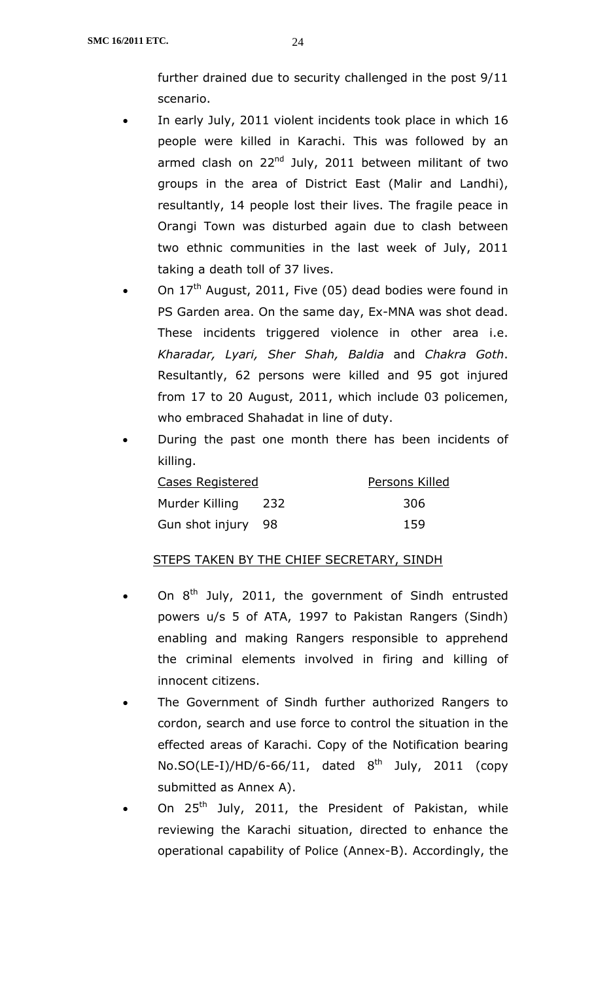further drained due to security challenged in the post 9/11 scenario.

- In early July, 2011 violent incidents took place in which 16 people were killed in Karachi. This was followed by an armed clash on  $22^{nd}$  July, 2011 between militant of two groups in the area of District East (Malir and Landhi), resultantly, 14 people lost their lives. The fragile peace in Orangi Town was disturbed again due to clash between two ethnic communities in the last week of July, 2011 taking a death toll of 37 lives.
- On  $17<sup>th</sup>$  August, 2011, Five (05) dead bodies were found in PS Garden area. On the same day, Ex-MNA was shot dead. These incidents triggered violence in other area i.e. *Kharadar, Lyari, Sher Shah, Baldia* and *Chakra Goth*. Resultantly, 62 persons were killed and 95 got injured from 17 to 20 August, 2011, which include 03 policemen, who embraced Shahadat in line of duty.
- During the past one month there has been incidents of killing.

| Cases Registered   |       | Persons Killed |
|--------------------|-------|----------------|
| Murder Killing     | - 232 | 306            |
| Gun shot injury 98 |       | 159            |

# STEPS TAKEN BY THE CHIEF SECRETARY, SINDH

- On  $8<sup>th</sup>$  July, 2011, the government of Sindh entrusted powers u/s 5 of ATA, 1997 to Pakistan Rangers (Sindh) enabling and making Rangers responsible to apprehend the criminal elements involved in firing and killing of innocent citizens.
- The Government of Sindh further authorized Rangers to cordon, search and use force to control the situation in the effected areas of Karachi. Copy of the Notification bearing No.SO(LE-I)/HD/6-66/11, dated  $8<sup>th</sup>$  July, 2011 (copy submitted as Annex A).
- $\bullet$  On 25<sup>th</sup> July, 2011, the President of Pakistan, while reviewing the Karachi situation, directed to enhance the operational capability of Police (Annex-B). Accordingly, the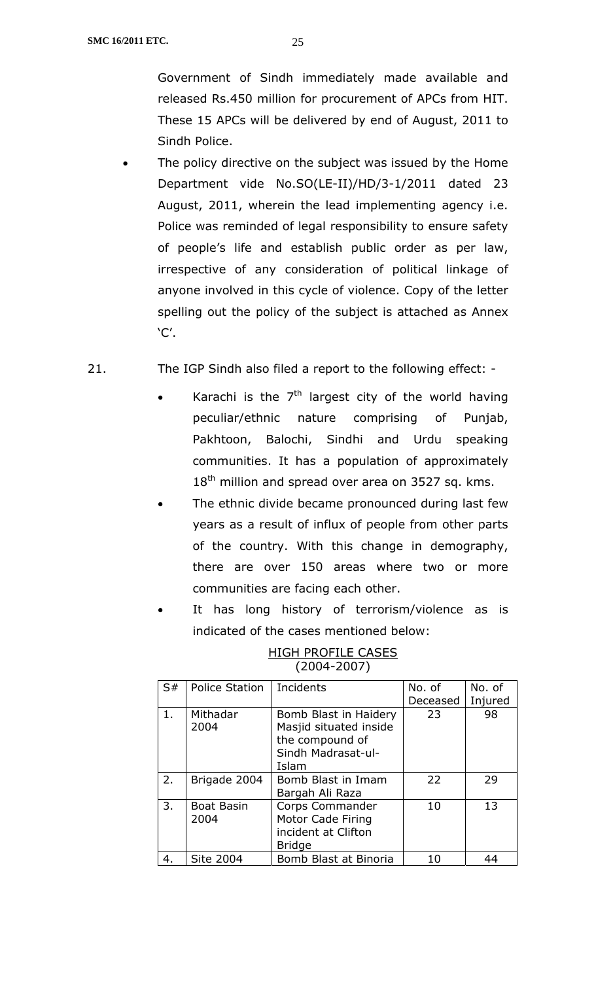Government of Sindh immediately made available and released Rs.450 million for procurement of APCs from HIT. These 15 APCs will be delivered by end of August, 2011 to Sindh Police.

- The policy directive on the subject was issued by the Home Department vide No.SO(LE-II)/HD/3-1/2011 dated 23 August, 2011, wherein the lead implementing agency i.e. Police was reminded of legal responsibility to ensure safety of people's life and establish public order as per law, irrespective of any consideration of political linkage of anyone involved in this cycle of violence. Copy of the letter spelling out the policy of the subject is attached as Annex 'C'.
- 21. The IGP Sindh also filed a report to the following effect:
	- Karachi is the  $7<sup>th</sup>$  largest city of the world having peculiar/ethnic nature comprising of Punjab, Pakhtoon, Balochi, Sindhi and Urdu speaking communities. It has a population of approximately  $18<sup>th</sup>$  million and spread over area on 3527 sq. kms.
	- The ethnic divide became pronounced during last few years as a result of influx of people from other parts of the country. With this change in demography, there are over 150 areas where two or more communities are facing each other.
	- It has long history of terrorism/violence as is indicated of the cases mentioned below:

| S# | Police Station            | Incidents                                                                                         | No. of   | No. of  |
|----|---------------------------|---------------------------------------------------------------------------------------------------|----------|---------|
|    |                           |                                                                                                   | Deceased | Injured |
| 1. | Mithadar<br>2004          | Bomb Blast in Haidery<br>Masjid situated inside<br>the compound of<br>Sindh Madrasat-ul-<br>Islam | 23       | 98      |
| 2. | Brigade 2004              | Bomb Blast in Imam<br>Bargah Ali Raza                                                             | 22       | 29      |
| 3. | <b>Boat Basin</b><br>2004 | Corps Commander<br>Motor Cade Firing<br>incident at Clifton<br><b>Bridge</b>                      | 10       | 13      |
| 4. | <b>Site 2004</b>          | Bomb Blast at Binoria                                                                             | 10       |         |

# HIGH PROFILE CASES (2004-2007)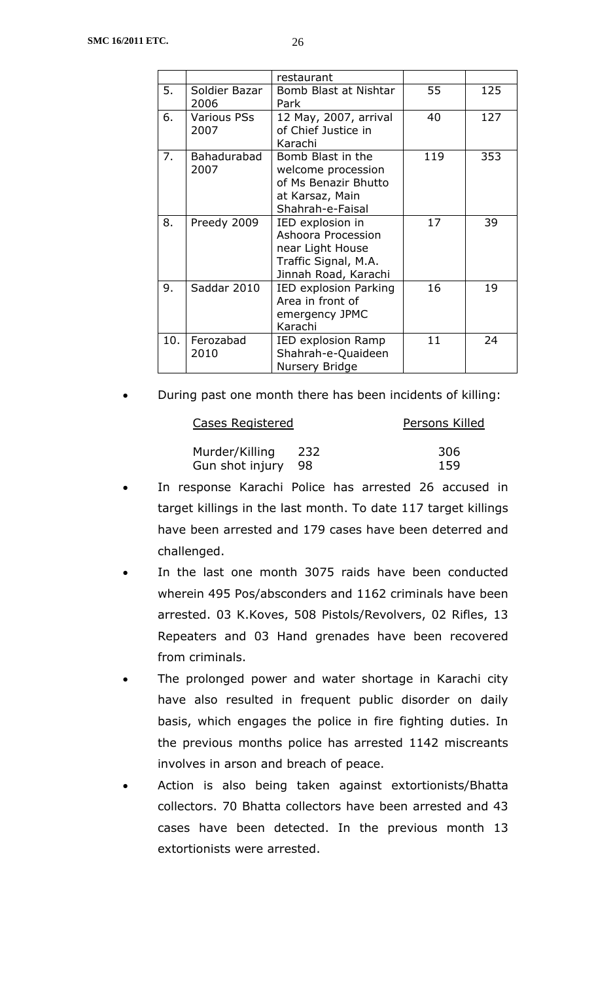|     |                       | restaurant                                                                                                 |     |     |
|-----|-----------------------|------------------------------------------------------------------------------------------------------------|-----|-----|
| 5.  | Soldier Bazar<br>2006 | Bomb Blast at Nishtar<br>Park                                                                              | 55  | 125 |
| 6.  | Various PSs<br>2007   | 12 May, 2007, arrival<br>of Chief Justice in<br>Karachi                                                    | 40  | 127 |
| 7.  | Bahadurabad<br>2007   | Bomb Blast in the<br>welcome procession<br>of Ms Benazir Bhutto<br>at Karsaz, Main<br>Shahrah-e-Faisal     | 119 | 353 |
| 8.  | Preedy 2009           | IED explosion in<br>Ashoora Procession<br>near Light House<br>Traffic Signal, M.A.<br>Jinnah Road, Karachi | 17  | 39  |
| 9.  | Saddar 2010           | <b>IED explosion Parking</b><br>Area in front of<br>emergency JPMC<br>Karachi                              | 16  | 19  |
| 10. | Ferozabad<br>2010     | <b>IED explosion Ramp</b><br>Shahrah-e-Quaideen<br>Nursery Bridge                                          | 11  | 24  |

During past one month there has been incidents of killing:

|                    | Cases Registered |     |
|--------------------|------------------|-----|
| Murder/Killing     | 232              | 306 |
| Gun shot injury 98 |                  | 159 |

- In response Karachi Police has arrested 26 accused in target killings in the last month. To date 117 target killings have been arrested and 179 cases have been deterred and challenged.
- In the last one month 3075 raids have been conducted wherein 495 Pos/absconders and 1162 criminals have been arrested. 03 K.Koves, 508 Pistols/Revolvers, 02 Rifles, 13 Repeaters and 03 Hand grenades have been recovered from criminals.
- The prolonged power and water shortage in Karachi city have also resulted in frequent public disorder on daily basis, which engages the police in fire fighting duties. In the previous months police has arrested 1142 miscreants involves in arson and breach of peace.
- Action is also being taken against extortionists/Bhatta collectors. 70 Bhatta collectors have been arrested and 43 cases have been detected. In the previous month 13 extortionists were arrested.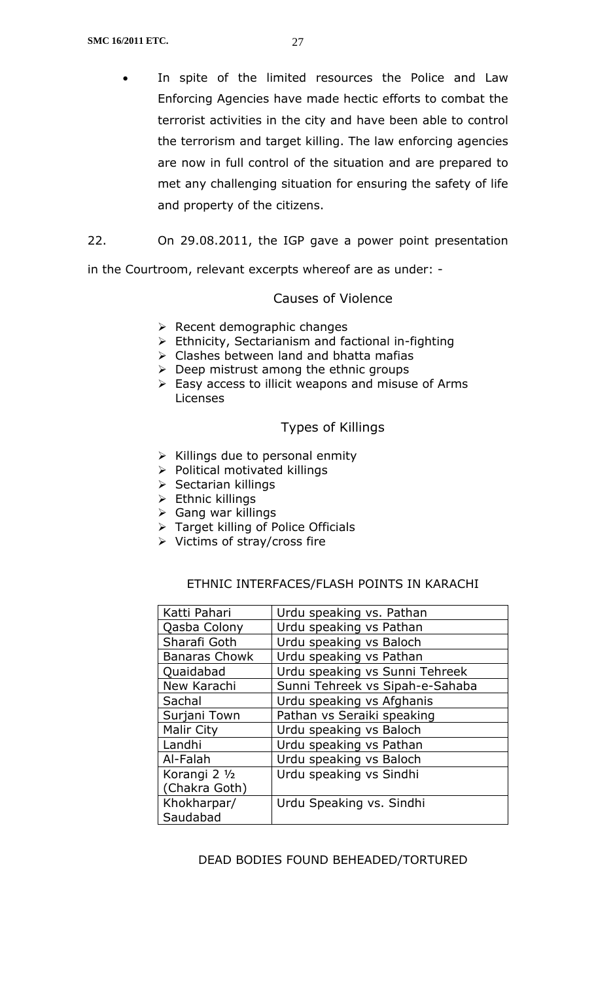- In spite of the limited resources the Police and Law Enforcing Agencies have made hectic efforts to combat the terrorist activities in the city and have been able to control the terrorism and target killing. The law enforcing agencies are now in full control of the situation and are prepared to met any challenging situation for ensuring the safety of life and property of the citizens.
- 22. On 29.08.2011, the IGP gave a power point presentation

in the Courtroom, relevant excerpts whereof are as under: -

#### Causes of Violence

- $\triangleright$  Recent demographic changes
- Ethnicity, Sectarianism and factional in-fighting
- $\triangleright$  Clashes between land and bhatta mafias
- $\triangleright$  Deep mistrust among the ethnic groups
- $\triangleright$  Easy access to illicit weapons and misuse of Arms Licenses

# Types of Killings

- $\triangleright$  Killings due to personal enmity
- $\triangleright$  Political motivated killings
- $\triangleright$  Sectarian killings
- $\triangleright$  Ethnic killings
- $\triangleright$  Gang war killings
- $\triangleright$  Target killing of Police Officials
- $\triangleright$  Victims of stray/cross fire

#### ETHNIC INTERFACES/FLASH POINTS IN KARACHI

| Katti Pahari         | Urdu speaking vs. Pathan        |
|----------------------|---------------------------------|
| Qasba Colony         | Urdu speaking vs Pathan         |
| Sharafi Goth         | Urdu speaking vs Baloch         |
| <b>Banaras Chowk</b> | Urdu speaking vs Pathan         |
| Quaidabad            | Urdu speaking vs Sunni Tehreek  |
| New Karachi          | Sunni Tehreek vs Sipah-e-Sahaba |
| Sachal               | Urdu speaking vs Afghanis       |
| Surjani Town         | Pathan vs Seraiki speaking      |
| Malir City           | Urdu speaking vs Baloch         |
| Landhi               | Urdu speaking vs Pathan         |
| Al-Falah             | Urdu speaking vs Baloch         |
| Korangi 2 1/2        | Urdu speaking vs Sindhi         |
| (Chakra Goth)        |                                 |
| Khokharpar/          | Urdu Speaking vs. Sindhi        |
| Saudabad             |                                 |

## DEAD BODIES FOUND BEHEADED/TORTURED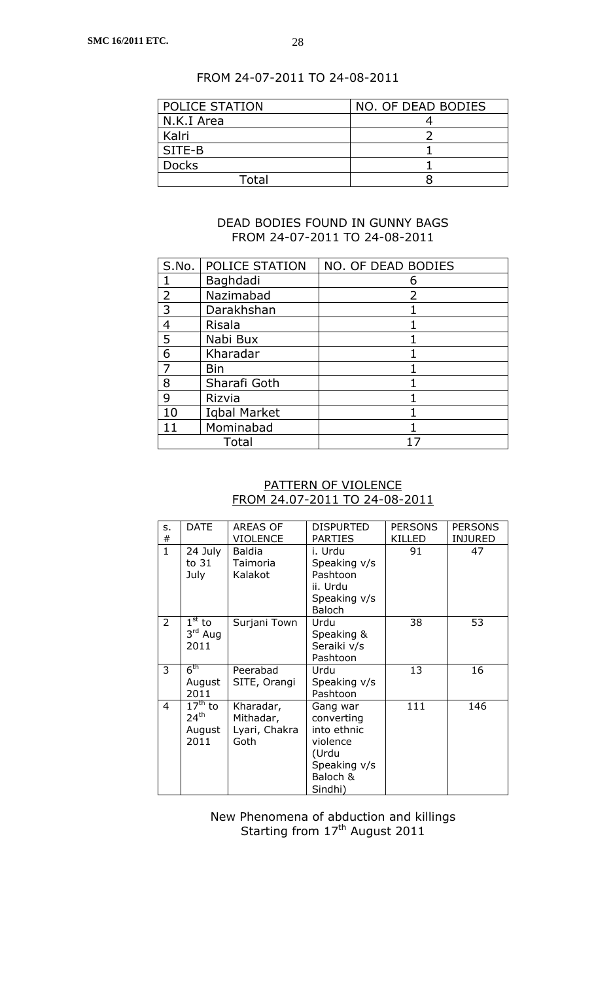| POLICE STATION | NO. OF DEAD BODIES |
|----------------|--------------------|
| N.K.I Area     |                    |
| Kalri          |                    |
| SITE-B         |                    |
| <b>Docks</b>   |                    |
| Total          |                    |

# FROM 24-07-2011 TO 24-08-2011

#### DEAD BODIES FOUND IN GUNNY BAGS FROM 24-07-2011 TO 24-08-2011

| S.No.          | POLICE STATION      | NO. OF DEAD BODIES |
|----------------|---------------------|--------------------|
| 1              | Baghdadi            | 6                  |
| $\overline{2}$ | Nazimabad           |                    |
| 3              | Darakhshan          |                    |
| 4              | Risala              |                    |
| 5              | Nabi Bux            |                    |
| 6              | Kharadar            |                    |
| 7              | <b>Bin</b>          |                    |
| 8              | Sharafi Goth        |                    |
| 9              | Rizvia              |                    |
| 10             | <b>Igbal Market</b> |                    |
|                | Mominabad           |                    |
|                | Total               |                    |

#### PATTERN OF VIOLENCE FROM 24.07-2011 TO 24-08-2011

| s.<br>$^{\#}$  | <b>DATE</b>                                                            | AREAS OF<br><b>VIOLENCE</b>                     | <b>DISPURTED</b><br><b>PARTIES</b>                                                                | <b>PERSONS</b><br><b>KILLED</b> | <b>PERSONS</b><br><b>INJURED</b> |
|----------------|------------------------------------------------------------------------|-------------------------------------------------|---------------------------------------------------------------------------------------------------|---------------------------------|----------------------------------|
| $\mathbf{1}$   | 24 July<br>to 31<br>July                                               | <b>Baldia</b><br>Taimoria<br>Kalakot            | i. Urdu<br>Speaking v/s<br>Pashtoon<br>ii. Urdu<br>Speaking v/s<br><b>Baloch</b>                  | 91                              | 47                               |
| $\overline{2}$ | $1st$ to<br>3rd Aug<br>2011                                            | Surjani Town                                    | Urdu<br>Speaking &<br>Seraiki v/s<br>Pashtoon                                                     | 38                              | 53                               |
| 3              | $6^{\overline{\text{th}}}$<br>August<br>2011                           | Peerabad<br>SITE, Orangi                        | Urdu<br>Speaking v/s<br>Pashtoon                                                                  | 13                              | 16                               |
| 4              | $\overline{17}$ <sup>th</sup> to<br>24 <sup>th</sup><br>August<br>2011 | Kharadar,<br>Mithadar,<br>Lyari, Chakra<br>Goth | Gang war<br>converting<br>into ethnic<br>violence<br>(Urdu<br>Speaking v/s<br>Baloch &<br>Sindhi) | 111                             | 146                              |

New Phenomena of abduction and killings Starting from 17<sup>th</sup> August 2011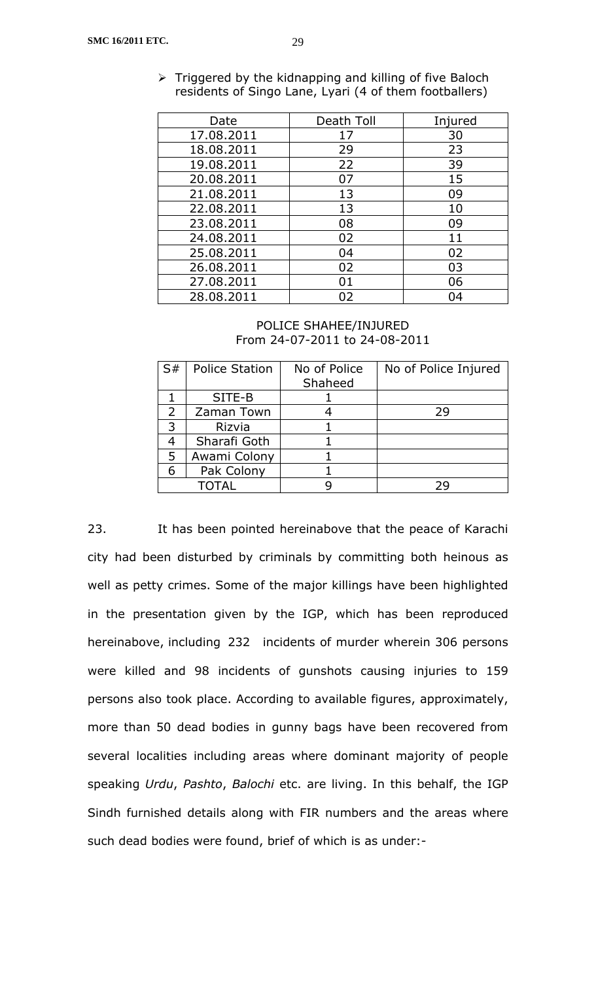| Date       | Death Toll | Injured |
|------------|------------|---------|
| 17.08.2011 | 17         | 30      |
| 18.08.2011 | 29         | 23      |
| 19.08.2011 | 22         | 39      |
| 20.08.2011 | 07         | 15      |
| 21.08.2011 | 13         | 09      |
| 22.08.2011 | 13         | 10      |
| 23.08.2011 | 08         | 09      |
| 24.08.2011 | 02         | 11      |
| 25.08.2011 | 04         | 02      |
| 26.08.2011 | 02         | 03      |
| 27.08.2011 | 01         | 06      |
| 28.08.2011 | 02         | 04      |

 $\triangleright$  Triggered by the kidnapping and killing of five Baloch residents of Singo Lane, Lyari (4 of them footballers)

POLICE SHAHEE/INJURED From 24-07-2011 to 24-08-2011

| S# | <b>Police Station</b> | No of Police<br>Shaheed | No of Police Injured |
|----|-----------------------|-------------------------|----------------------|
|    | SITE-B                |                         |                      |
| 2  | Zaman Town            |                         | 29                   |
| 3  | Rizvia                |                         |                      |
|    | Sharafi Goth          |                         |                      |
| 5  | Awami Colony          |                         |                      |
|    | Pak Colony            |                         |                      |
|    | ΤΩΤΑΙ                 |                         | つロ                   |

23. It has been pointed hereinabove that the peace of Karachi city had been disturbed by criminals by committing both heinous as well as petty crimes. Some of the major killings have been highlighted in the presentation given by the IGP, which has been reproduced hereinabove, including 232 incidents of murder wherein 306 persons were killed and 98 incidents of gunshots causing injuries to 159 persons also took place. According to available figures, approximately, more than 50 dead bodies in gunny bags have been recovered from several localities including areas where dominant majority of people speaking *Urdu*, *Pashto*, *Balochi* etc. are living. In this behalf, the IGP Sindh furnished details along with FIR numbers and the areas where such dead bodies were found, brief of which is as under:-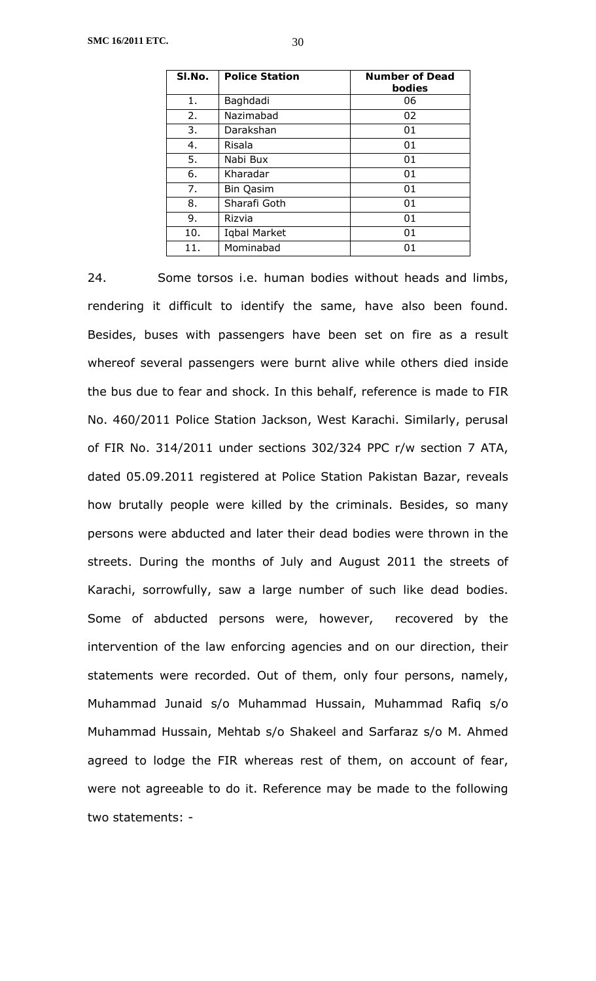| SI.No. | <b>Police Station</b> | <b>Number of Dead</b><br>bodies |
|--------|-----------------------|---------------------------------|
| 1.     | Baghdadi              | 06                              |
| 2.     | Nazimabad             | 02                              |
| 3.     | Darakshan             | 01                              |
| 4.     | Risala                | 01                              |
| 5.     | Nabi Bux              | 01                              |
| 6.     | Kharadar              | 01                              |
| 7.     | <b>Bin Qasim</b>      | 01                              |
| 8.     | Sharafi Goth          | 01                              |
| 9.     | Rizvia                | 01                              |
| 10.    | Iqbal Market          | 01                              |
| 11.    | Mominabad             |                                 |

24. Some torsos i.e. human bodies without heads and limbs, rendering it difficult to identify the same, have also been found. Besides, buses with passengers have been set on fire as a result whereof several passengers were burnt alive while others died inside the bus due to fear and shock. In this behalf, reference is made to FIR No. 460/2011 Police Station Jackson, West Karachi. Similarly, perusal of FIR No. 314/2011 under sections 302/324 PPC r/w section 7 ATA, dated 05.09.2011 registered at Police Station Pakistan Bazar, reveals how brutally people were killed by the criminals. Besides, so many persons were abducted and later their dead bodies were thrown in the streets. During the months of July and August 2011 the streets of Karachi, sorrowfully, saw a large number of such like dead bodies. Some of abducted persons were, however, recovered by the intervention of the law enforcing agencies and on our direction, their statements were recorded. Out of them, only four persons, namely, Muhammad Junaid s/o Muhammad Hussain, Muhammad Rafiq s/o Muhammad Hussain, Mehtab s/o Shakeel and Sarfaraz s/o M. Ahmed agreed to lodge the FIR whereas rest of them, on account of fear, were not agreeable to do it. Reference may be made to the following two statements: -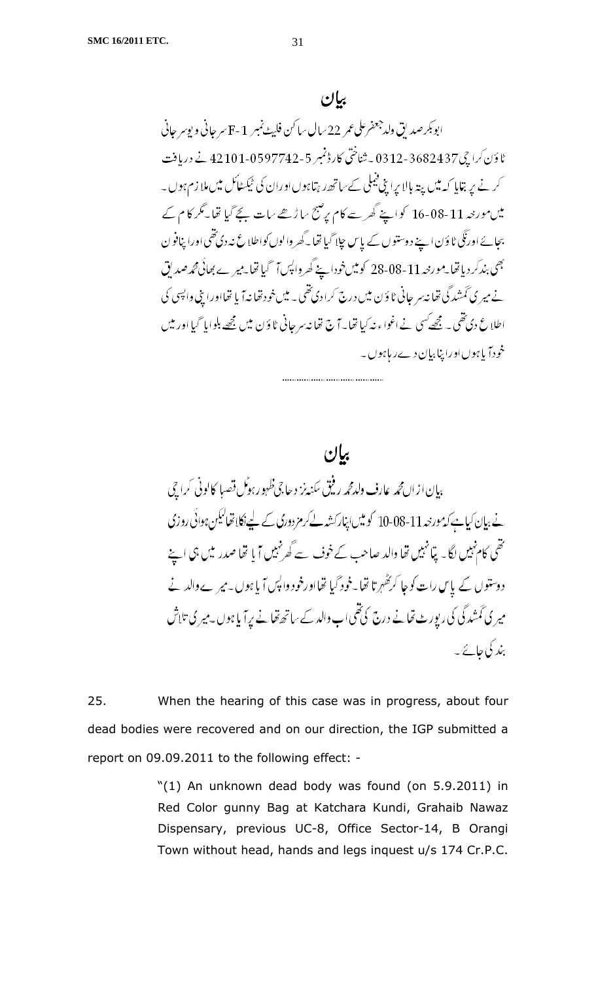ابوبكرصديق ولدجعفرعلى عمر 22سال ساكن فليث نمبر F-1 سرجاني ويوسر جاني ٹا ؤن کراچی 3682437-0312 شناختی کارڈنمبر 5-7742-0597742 نے دریافت کرنے پر بتایا کہ میں پید بالا پراپنی فیملی کے ساتھ رہتاہوں اوران کی ٹیکسٹائل میں ملا زم ہوں۔ میںمورنہ 11-08-16 کواپنے گھرسے کام پر صبح ساڑھے سات بچے گیا تھا۔مگر کام کے بجائے اورنگی ٹا وَن اپنے دوستوں کے پاِس چاا گیا تھا۔گھروالوں کواطلاع نہ دی تھی اورا پنافو ن بھی بندکر دیاتھا۔مورنعہ11-08-28 کومیں خوداپنے گھرواپس آگیاتھا۔میرے بھائی محمدصدیق نے میر کی گمشدگی تھا نہ سر جانی ٹا وَن میں درج کرا دی تھی ۔ میں خود تھا نہ آیا تھااورا بچی واپسی کی اطلاع دی تھی۔ مجھےکسی نے اغوا ء نہ کیا تھا۔آج تقانیہ سر جانی ٹاؤن میں مجھے بلوایا گیا اور میں خودآ بإہوںاورا پنا بیان دےر ہاہوں۔



25. When the hearing of this case was in progress, about four dead bodies were recovered and on our direction, the IGP submitted a report on 09.09.2011 to the following effect: -

> "(1) An unknown dead body was found (on 5.9.2011) in Red Color gunny Bag at Katchara Kundi, Grahaib Nawaz Dispensary, previous UC-8, Office Sector-14, B Orangi Town without head, hands and legs inquest u/s 174 Cr.P.C.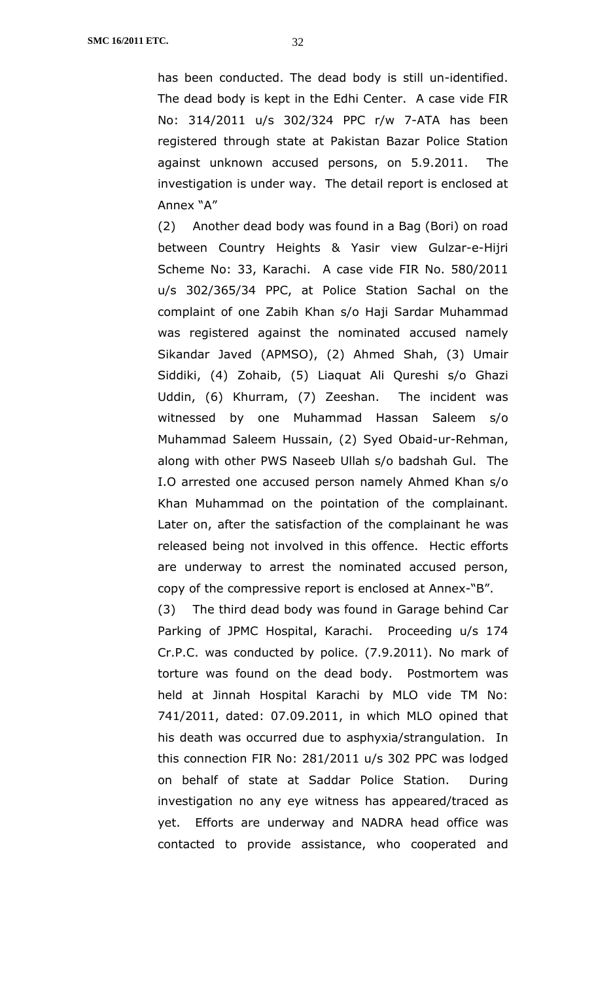has been conducted. The dead body is still un-identified. The dead body is kept in the Edhi Center. A case vide FIR No: 314/2011 u/s 302/324 PPC r/w 7-ATA has been

registered through state at Pakistan Bazar Police Station against unknown accused persons, on 5.9.2011. The investigation is under way. The detail report is enclosed at Annex "A"

(2) Another dead body was found in a Bag (Bori) on road between Country Heights & Yasir view Gulzar-e-Hijri Scheme No: 33, Karachi. A case vide FIR No. 580/2011 u/s 302/365/34 PPC, at Police Station Sachal on the complaint of one Zabih Khan s/o Haji Sardar Muhammad was registered against the nominated accused namely Sikandar Javed (APMSO), (2) Ahmed Shah, (3) Umair Siddiki, (4) Zohaib, (5) Liaquat Ali Qureshi s/o Ghazi Uddin, (6) Khurram, (7) Zeeshan. The incident was witnessed by one Muhammad Hassan Saleem s/o Muhammad Saleem Hussain, (2) Syed Obaid-ur-Rehman, along with other PWS Naseeb Ullah s/o badshah Gul. The I.O arrested one accused person namely Ahmed Khan s/o Khan Muhammad on the pointation of the complainant. Later on, after the satisfaction of the complainant he was released being not involved in this offence. Hectic efforts are underway to arrest the nominated accused person, copy of the compressive report is enclosed at Annex-"B".

(3) The third dead body was found in Garage behind Car Parking of JPMC Hospital, Karachi. Proceeding u/s 174 Cr.P.C. was conducted by police. (7.9.2011). No mark of torture was found on the dead body. Postmortem was held at Jinnah Hospital Karachi by MLO vide TM No: 741/2011, dated: 07.09.2011, in which MLO opined that his death was occurred due to asphyxia/strangulation. In this connection FIR No: 281/2011 u/s 302 PPC was lodged on behalf of state at Saddar Police Station. During investigation no any eye witness has appeared/traced as yet. Efforts are underway and NADRA head office was contacted to provide assistance, who cooperated and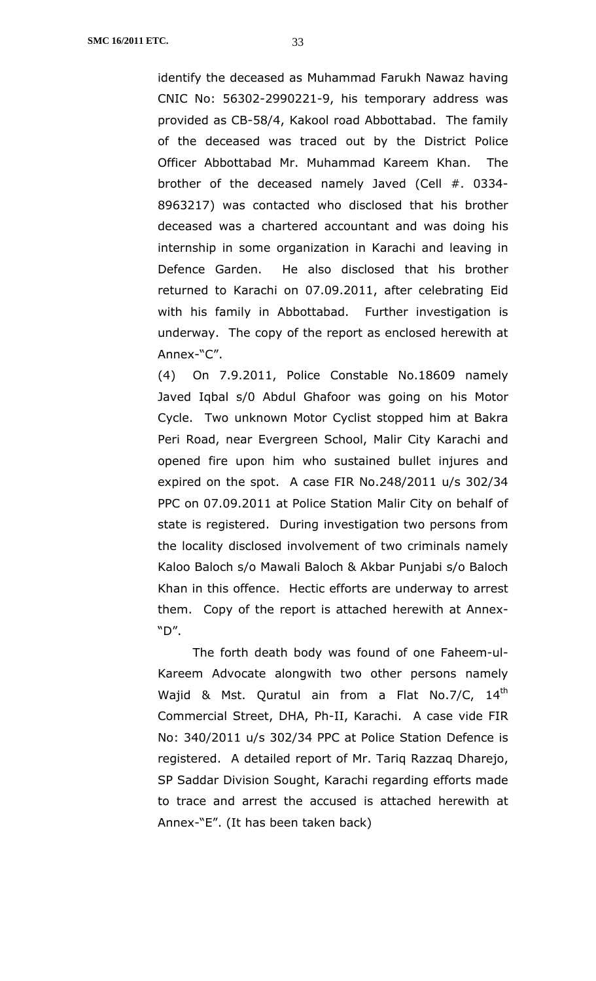identify the deceased as Muhammad Farukh Nawaz having CNIC No: 56302-2990221-9, his temporary address was provided as CB-58/4, Kakool road Abbottabad. The family of the deceased was traced out by the District Police Officer Abbottabad Mr. Muhammad Kareem Khan. The brother of the deceased namely Javed (Cell #. 0334- 8963217) was contacted who disclosed that his brother deceased was a chartered accountant and was doing his internship in some organization in Karachi and leaving in Defence Garden. He also disclosed that his brother returned to Karachi on 07.09.2011, after celebrating Eid with his family in Abbottabad. Further investigation is underway. The copy of the report as enclosed herewith at Annex-"C".

(4) On 7.9.2011, Police Constable No.18609 namely Javed Iqbal s/0 Abdul Ghafoor was going on his Motor Cycle. Two unknown Motor Cyclist stopped him at Bakra Peri Road, near Evergreen School, Malir City Karachi and opened fire upon him who sustained bullet injures and expired on the spot. A case FIR No.248/2011 u/s 302/34 PPC on 07.09.2011 at Police Station Malir City on behalf of state is registered. During investigation two persons from the locality disclosed involvement of two criminals namely Kaloo Baloch s/o Mawali Baloch & Akbar Punjabi s/o Baloch Khan in this offence. Hectic efforts are underway to arrest them. Copy of the report is attached herewith at Annex- "D".

The forth death body was found of one Faheem-ul-Kareem Advocate alongwith two other persons namely Wajid & Mst. Quratul ain from a Flat No.7/C, 14<sup>th</sup> Commercial Street, DHA, Ph-II, Karachi. A case vide FIR No: 340/2011 u/s 302/34 PPC at Police Station Defence is registered. A detailed report of Mr. Tariq Razzaq Dharejo, SP Saddar Division Sought, Karachi regarding efforts made to trace and arrest the accused is attached herewith at Annex-"E". (It has been taken back)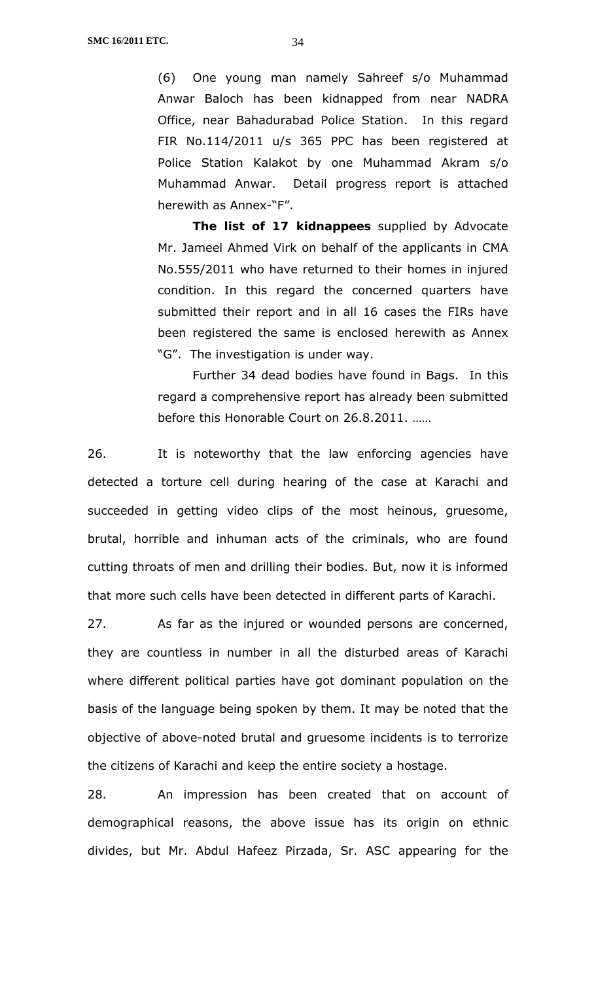(6) One young man namely Sahreef s/o Muhammad Anwar Baloch has been kidnapped from near NADRA Office, near Bahadurabad Police Station. In this regard FIR No.114/2011 u/s 365 PPC has been registered at Police Station Kalakot by one Muhammad Akram s/o Muhammad Anwar. Detail progress report is attached herewith as Annex-"F".

**The list of 17 kidnappees** supplied by Advocate Mr. Jameel Ahmed Virk on behalf of the applicants in CMA No.555/2011 who have returned to their homes in injured condition. In this regard the concerned quarters have submitted their report and in all 16 cases the FIRs have been registered the same is enclosed herewith as Annex "G". The investigation is under way.

Further 34 dead bodies have found in Bags. In this regard a comprehensive report has already been submitted before this Honorable Court on 26.8.2011. ……

26. It is noteworthy that the law enforcing agencies have detected a torture cell during hearing of the case at Karachi and succeeded in getting video clips of the most heinous, gruesome, brutal, horrible and inhuman acts of the criminals, who are found cutting throats of men and drilling their bodies. But, now it is informed that more such cells have been detected in different parts of Karachi.

27. As far as the injured or wounded persons are concerned, they are countless in number in all the disturbed areas of Karachi where different political parties have got dominant population on the basis of the language being spoken by them. It may be noted that the objective of above-noted brutal and gruesome incidents is to terrorize the citizens of Karachi and keep the entire society a hostage.

28. An impression has been created that on account of demographical reasons, the above issue has its origin on ethnic divides, but Mr. Abdul Hafeez Pirzada, Sr. ASC appearing for the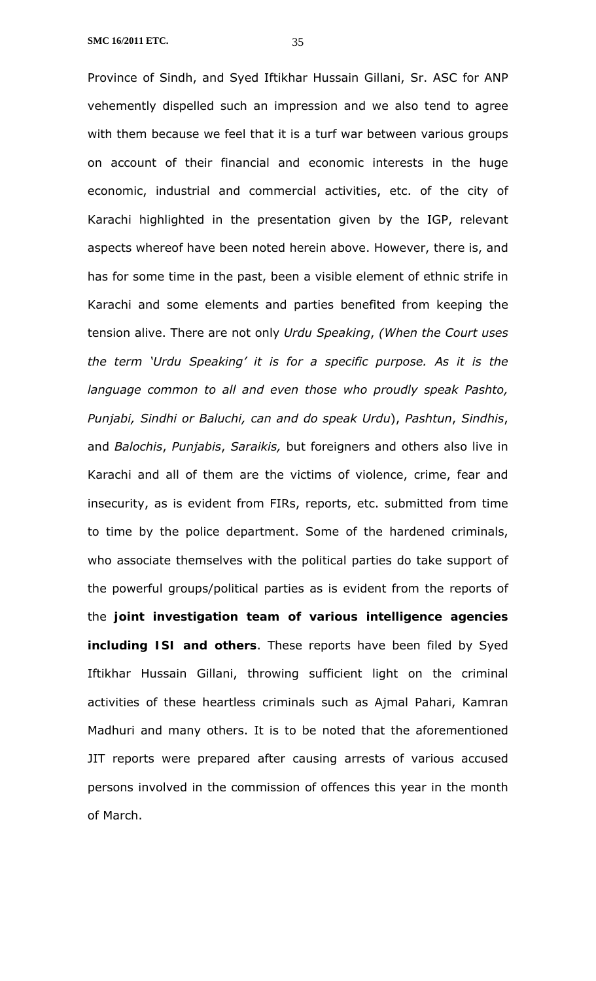Province of Sindh, and Syed Iftikhar Hussain Gillani, Sr. ASC for ANP vehemently dispelled such an impression and we also tend to agree with them because we feel that it is a turf war between various groups on account of their financial and economic interests in the huge economic, industrial and commercial activities, etc. of the city of Karachi highlighted in the presentation given by the IGP, relevant aspects whereof have been noted herein above. However, there is, and has for some time in the past, been a visible element of ethnic strife in Karachi and some elements and parties benefited from keeping the tension alive. There are not only *Urdu Speaking*, *(When the Court uses the term 'Urdu Speaking' it is for a specific purpose. As it is the language common to all and even those who proudly speak Pashto, Punjabi, Sindhi or Baluchi, can and do speak Urdu*), *Pashtun*, *Sindhis*, and *Balochis*, *Punjabis*, *Saraikis,* but foreigners and others also live in Karachi and all of them are the victims of violence, crime, fear and insecurity, as is evident from FIRs, reports, etc. submitted from time to time by the police department. Some of the hardened criminals, who associate themselves with the political parties do take support of the powerful groups/political parties as is evident from the reports of the **joint investigation team of various intelligence agencies including ISI and others**. These reports have been filed by Syed Iftikhar Hussain Gillani, throwing sufficient light on the criminal activities of these heartless criminals such as Ajmal Pahari, Kamran Madhuri and many others. It is to be noted that the aforementioned JIT reports were prepared after causing arrests of various accused persons involved in the commission of offences this year in the month of March.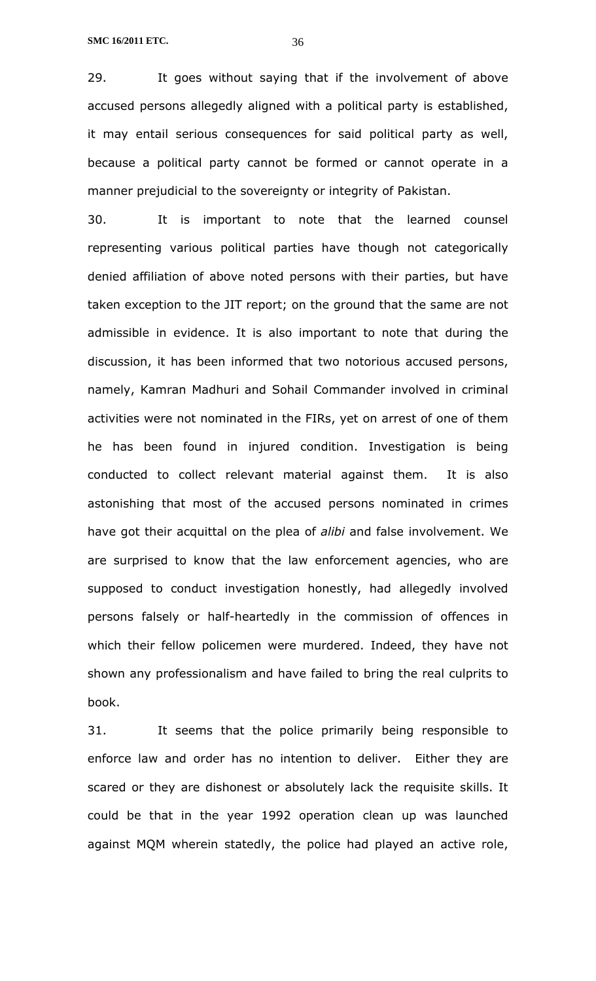**SMC 16/2011 ETC.** 36

29. It goes without saying that if the involvement of above accused persons allegedly aligned with a political party is established, it may entail serious consequences for said political party as well, because a political party cannot be formed or cannot operate in a manner prejudicial to the sovereignty or integrity of Pakistan.

30. It is important to note that the learned counsel representing various political parties have though not categorically denied affiliation of above noted persons with their parties, but have taken exception to the JIT report; on the ground that the same are not admissible in evidence. It is also important to note that during the discussion, it has been informed that two notorious accused persons, namely, Kamran Madhuri and Sohail Commander involved in criminal activities were not nominated in the FIRs, yet on arrest of one of them he has been found in injured condition. Investigation is being conducted to collect relevant material against them. It is also astonishing that most of the accused persons nominated in crimes have got their acquittal on the plea of *alibi* and false involvement. We are surprised to know that the law enforcement agencies, who are supposed to conduct investigation honestly, had allegedly involved persons falsely or half-heartedly in the commission of offences in which their fellow policemen were murdered. Indeed, they have not shown any professionalism and have failed to bring the real culprits to book.

31. It seems that the police primarily being responsible to enforce law and order has no intention to deliver. Either they are scared or they are dishonest or absolutely lack the requisite skills. It could be that in the year 1992 operation clean up was launched against MQM wherein statedly, the police had played an active role,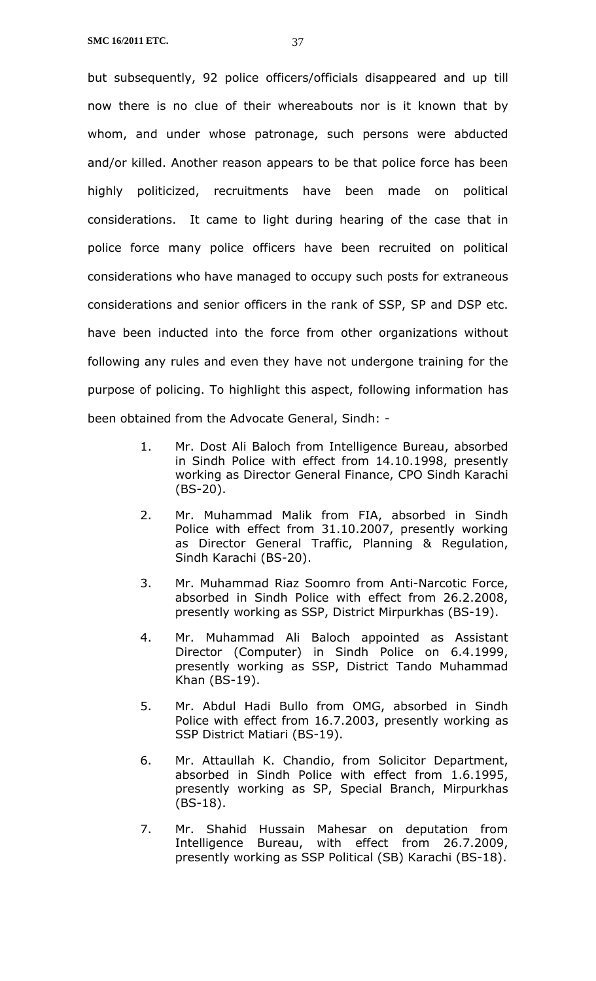but subsequently, 92 police officers/officials disappeared and up till now there is no clue of their whereabouts nor is it known that by whom, and under whose patronage, such persons were abducted and/or killed. Another reason appears to be that police force has been highly politicized, recruitments have been made on political considerations. It came to light during hearing of the case that in police force many police officers have been recruited on political considerations who have managed to occupy such posts for extraneous considerations and senior officers in the rank of SSP, SP and DSP etc. have been inducted into the force from other organizations without following any rules and even they have not undergone training for the purpose of policing. To highlight this aspect, following information has been obtained from the Advocate General, Sindh: -

- 1. Mr. Dost Ali Baloch from Intelligence Bureau, absorbed in Sindh Police with effect from 14.10.1998, presently working as Director General Finance, CPO Sindh Karachi (BS-20).
- 2. Mr. Muhammad Malik from FIA, absorbed in Sindh Police with effect from 31.10.2007, presently working as Director General Traffic, Planning & Regulation, Sindh Karachi (BS-20).
- 3. Mr. Muhammad Riaz Soomro from Anti-Narcotic Force, absorbed in Sindh Police with effect from 26.2.2008, presently working as SSP, District Mirpurkhas (BS-19).
- 4. Mr. Muhammad Ali Baloch appointed as Assistant Director (Computer) in Sindh Police on 6.4.1999, presently working as SSP, District Tando Muhammad Khan (BS-19).
- 5. Mr. Abdul Hadi Bullo from OMG, absorbed in Sindh Police with effect from 16.7.2003, presently working as SSP District Matiari (BS-19).
- 6. Mr. Attaullah K. Chandio, from Solicitor Department, absorbed in Sindh Police with effect from 1.6.1995, presently working as SP, Special Branch, Mirpurkhas (BS-18).
- 7. Mr. Shahid Hussain Mahesar on deputation from Intelligence Bureau, with effect from 26.7.2009, presently working as SSP Political (SB) Karachi (BS-18).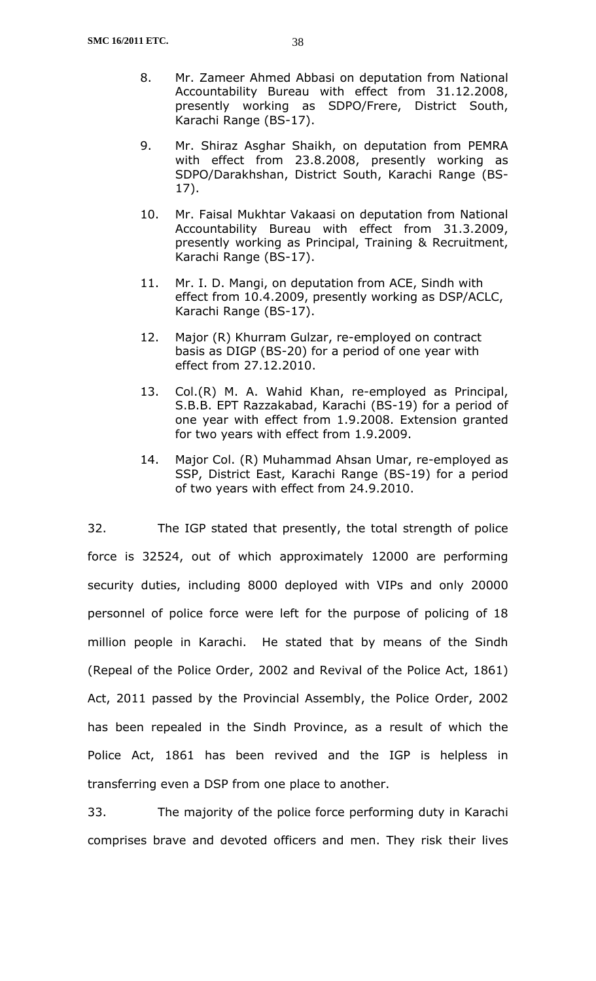- 8. Mr. Zameer Ahmed Abbasi on deputation from National Accountability Bureau with effect from 31.12.2008, presently working as SDPO/Frere, District South, Karachi Range (BS-17).
- 9. Mr. Shiraz Asghar Shaikh, on deputation from PEMRA with effect from 23.8.2008, presently working as SDPO/Darakhshan, District South, Karachi Range (BS-17).
- 10. Mr. Faisal Mukhtar Vakaasi on deputation from National Accountability Bureau with effect from 31.3.2009, presently working as Principal, Training & Recruitment, Karachi Range (BS-17).
- 11. Mr. I. D. Mangi, on deputation from ACE, Sindh with effect from 10.4.2009, presently working as DSP/ACLC, Karachi Range (BS-17).
- 12. Major (R) Khurram Gulzar, re-employed on contract basis as DIGP (BS-20) for a period of one year with effect from 27.12.2010.
- 13. Col.(R) M. A. Wahid Khan, re-employed as Principal, S.B.B. EPT Razzakabad, Karachi (BS-19) for a period of one year with effect from 1.9.2008. Extension granted for two years with effect from 1.9.2009.
- 14. Major Col. (R) Muhammad Ahsan Umar, re-employed as SSP, District East, Karachi Range (BS-19) for a period of two years with effect from 24.9.2010.

32. The IGP stated that presently, the total strength of police force is 32524, out of which approximately 12000 are performing security duties, including 8000 deployed with VIPs and only 20000 personnel of police force were left for the purpose of policing of 18 million people in Karachi. He stated that by means of the Sindh (Repeal of the Police Order, 2002 and Revival of the Police Act, 1861) Act, 2011 passed by the Provincial Assembly, the Police Order, 2002 has been repealed in the Sindh Province, as a result of which the Police Act, 1861 has been revived and the IGP is helpless in transferring even a DSP from one place to another.

33. The majority of the police force performing duty in Karachi comprises brave and devoted officers and men. They risk their lives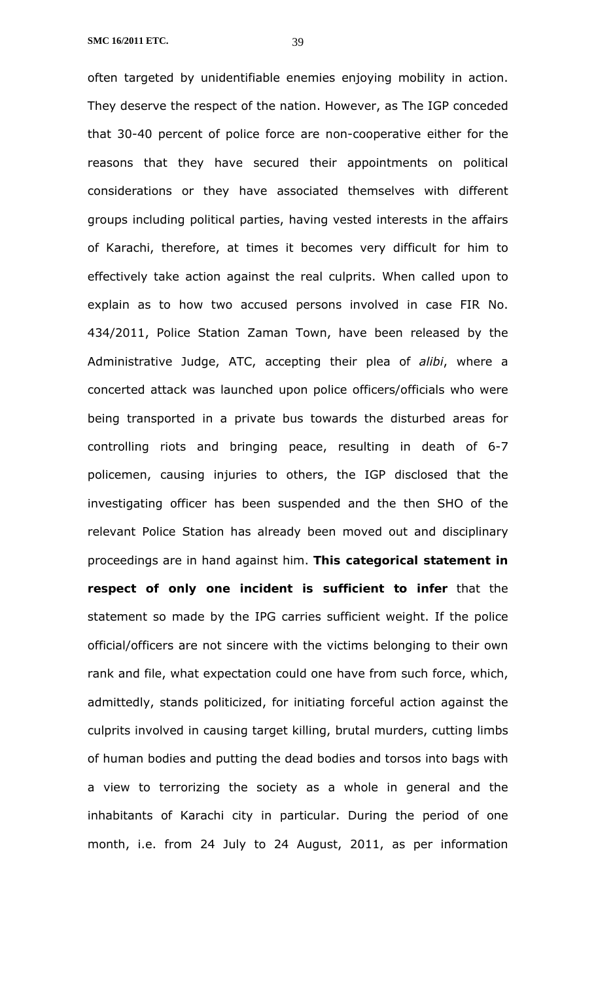often targeted by unidentifiable enemies enjoying mobility in action. They deserve the respect of the nation. However, as The IGP conceded that 30-40 percent of police force are non-cooperative either for the reasons that they have secured their appointments on political considerations or they have associated themselves with different groups including political parties, having vested interests in the affairs of Karachi, therefore, at times it becomes very difficult for him to effectively take action against the real culprits. When called upon to explain as to how two accused persons involved in case FIR No. 434/2011, Police Station Zaman Town, have been released by the Administrative Judge, ATC, accepting their plea of *alibi*, where a concerted attack was launched upon police officers/officials who were being transported in a private bus towards the disturbed areas for controlling riots and bringing peace, resulting in death of 6-7 policemen, causing injuries to others, the IGP disclosed that the investigating officer has been suspended and the then SHO of the relevant Police Station has already been moved out and disciplinary proceedings are in hand against him. **This categorical statement in respect of only one incident is sufficient to infer** that the statement so made by the IPG carries sufficient weight. If the police official/officers are not sincere with the victims belonging to their own rank and file, what expectation could one have from such force, which, admittedly, stands politicized, for initiating forceful action against the culprits involved in causing target killing, brutal murders, cutting limbs of human bodies and putting the dead bodies and torsos into bags with a view to terrorizing the society as a whole in general and the inhabitants of Karachi city in particular. During the period of one month, i.e. from 24 July to 24 August, 2011, as per information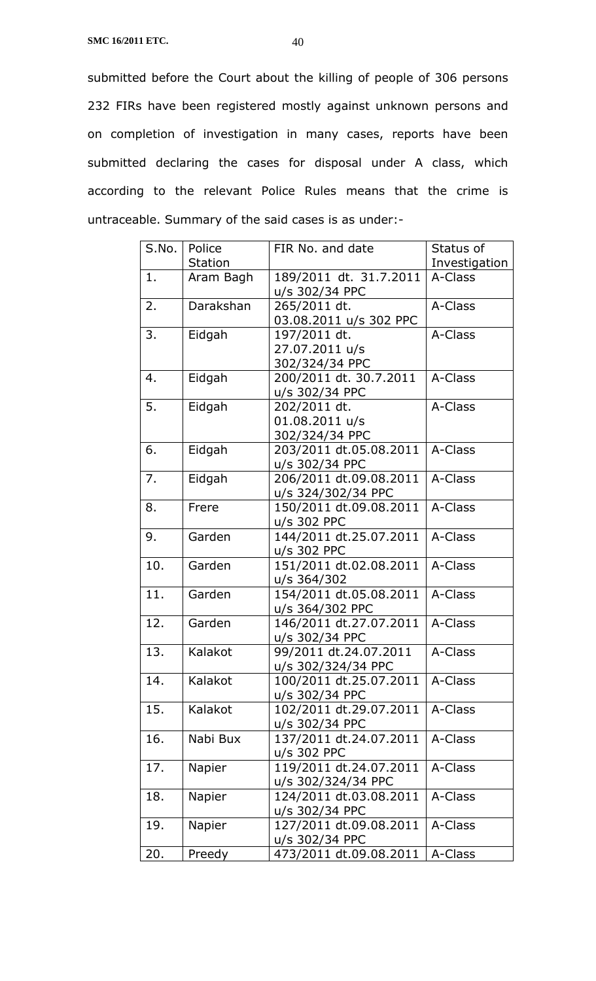submitted before the Court about the killing of people of 306 persons 232 FIRs have been registered mostly against unknown persons and on completion of investigation in many cases, reports have been submitted declaring the cases for disposal under A class, which according to the relevant Police Rules means that the crime is untraceable. Summary of the said cases is as under:-

| S.No. | Police         | FIR No. and date       | Status of     |
|-------|----------------|------------------------|---------------|
|       | <b>Station</b> |                        | Investigation |
| 1.    | Aram Bagh      | 189/2011 dt. 31.7.2011 | A-Class       |
|       |                | u/s 302/34 PPC         |               |
| 2.    | Darakshan      | 265/2011 dt.           | A-Class       |
|       |                | 03.08.2011 u/s 302 PPC |               |
| 3.    | Eidgah         | 197/2011 dt.           | A-Class       |
|       |                | 27.07.2011 u/s         |               |
|       |                | 302/324/34 PPC         |               |
| 4.    | Eidgah         | 200/2011 dt. 30.7.2011 | A-Class       |
|       |                | u/s 302/34 PPC         |               |
| 5.    | Eidgah         | 202/2011 dt.           | A-Class       |
|       |                | 01.08.2011 u/s         |               |
|       |                | 302/324/34 PPC         |               |
| 6.    | Eidgah         | 203/2011 dt.05.08.2011 | A-Class       |
|       |                | u/s 302/34 PPC         |               |
| 7.    | Eidgah         | 206/2011 dt.09.08.2011 | A-Class       |
|       |                | u/s 324/302/34 PPC     |               |
| 8.    | Frere          | 150/2011 dt.09.08.2011 | A-Class       |
|       |                | u/s 302 PPC            |               |
| 9.    | Garden         | 144/2011 dt.25.07.2011 | A-Class       |
|       |                | u/s 302 PPC            |               |
| 10.   | Garden         | 151/2011 dt.02.08.2011 | A-Class       |
|       |                | u/s 364/302            |               |
| 11.   | Garden         | 154/2011 dt.05.08.2011 | A-Class       |
|       |                | u/s 364/302 PPC        |               |
| 12.   | Garden         | 146/2011 dt.27.07.2011 | A-Class       |
|       |                | u/s 302/34 PPC         |               |
| 13.   | Kalakot        | 99/2011 dt.24.07.2011  | A-Class       |
|       |                | u/s 302/324/34 PPC     |               |
| 14.   | Kalakot        | 100/2011 dt.25.07.2011 | A-Class       |
|       |                | u/s 302/34 PPC         |               |
| 15.   | Kalakot        | 102/2011 dt.29.07.2011 | A-Class       |
|       |                | u/s 302/34 PPC         |               |
| 16.   | Nabi Bux       | 137/2011 dt.24.07.2011 | A-Class       |
|       |                | u/s 302 PPC            |               |
| 17.   | Napier         | 119/2011 dt.24.07.2011 | A-Class       |
|       |                | u/s 302/324/34 PPC     |               |
| 18.   | Napier         | 124/2011 dt.03.08.2011 | A-Class       |
|       |                | u/s 302/34 PPC         |               |
| 19.   | Napier         | 127/2011 dt.09.08.2011 | A-Class       |
|       |                | u/s 302/34 PPC         |               |
| 20.   | Preedy         | 473/2011 dt.09.08.2011 | A-Class       |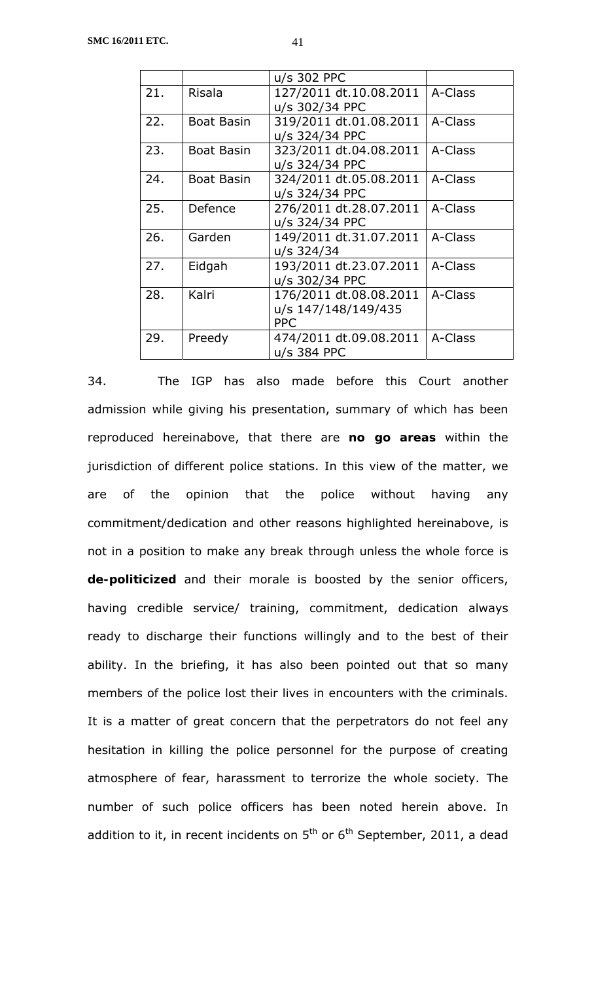|     |                   | u/s 302 PPC                                                 |         |
|-----|-------------------|-------------------------------------------------------------|---------|
| 21. | <b>Risala</b>     | 127/2011 dt.10.08.2011<br>u/s 302/34 PPC                    | A-Class |
| 22. | <b>Boat Basin</b> | 319/2011 dt.01.08.2011<br>u/s 324/34 PPC                    | A-Class |
| 23. | <b>Boat Basin</b> | 323/2011 dt.04.08.2011<br>u/s 324/34 PPC                    | A-Class |
| 24. | <b>Boat Basin</b> | 324/2011 dt.05.08.2011<br>u/s 324/34 PPC                    | A-Class |
| 25. | Defence           | 276/2011 dt.28.07.2011<br>u/s 324/34 PPC                    | A-Class |
| 26. | Garden            | 149/2011 dt.31.07.2011<br>u/s 324/34                        | A-Class |
| 27. | Eidgah            | 193/2011 dt.23.07.2011<br>u/s 302/34 PPC                    | A-Class |
| 28. | Kalri             | 176/2011 dt.08.08.2011<br>u/s 147/148/149/435<br><b>PPC</b> | A-Class |
| 29. | Preedy            | 474/2011 dt.09.08.2011<br>u/s 384 PPC                       | A-Class |

34. The IGP has also made before this Court another admission while giving his presentation, summary of which has been reproduced hereinabove, that there are **no go areas** within the jurisdiction of different police stations. In this view of the matter, we are of the opinion that the police without having any commitment/dedication and other reasons highlighted hereinabove, is not in a position to make any break through unless the whole force is **de-politicized** and their morale is boosted by the senior officers, having credible service/ training, commitment, dedication always ready to discharge their functions willingly and to the best of their ability. In the briefing, it has also been pointed out that so many members of the police lost their lives in encounters with the criminals. It is a matter of great concern that the perpetrators do not feel any hesitation in killing the police personnel for the purpose of creating atmosphere of fear, harassment to terrorize the whole society. The number of such police officers has been noted herein above. In addition to it, in recent incidents on  $5<sup>th</sup>$  or  $6<sup>th</sup>$  September, 2011, a dead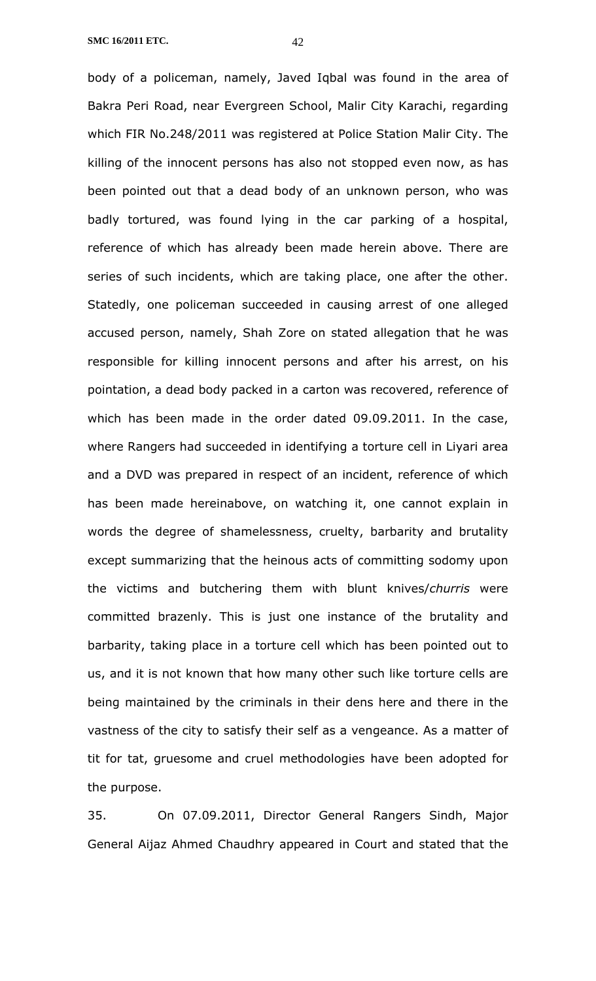body of a policeman, namely, Javed Iqbal was found in the area of Bakra Peri Road, near Evergreen School, Malir City Karachi, regarding which FIR No.248/2011 was registered at Police Station Malir City. The killing of the innocent persons has also not stopped even now, as has been pointed out that a dead body of an unknown person, who was badly tortured, was found lying in the car parking of a hospital, reference of which has already been made herein above. There are series of such incidents, which are taking place, one after the other. Statedly, one policeman succeeded in causing arrest of one alleged accused person, namely, Shah Zore on stated allegation that he was responsible for killing innocent persons and after his arrest, on his pointation, a dead body packed in a carton was recovered, reference of which has been made in the order dated 09.09.2011. In the case, where Rangers had succeeded in identifying a torture cell in Liyari area and a DVD was prepared in respect of an incident, reference of which has been made hereinabove, on watching it, one cannot explain in words the degree of shamelessness, cruelty, barbarity and brutality except summarizing that the heinous acts of committing sodomy upon the victims and butchering them with blunt knives/*churris* were committed brazenly. This is just one instance of the brutality and barbarity, taking place in a torture cell which has been pointed out to us, and it is not known that how many other such like torture cells are being maintained by the criminals in their dens here and there in the vastness of the city to satisfy their self as a vengeance. As a matter of tit for tat, gruesome and cruel methodologies have been adopted for the purpose.

35. On 07.09.2011, Director General Rangers Sindh, Major General Aijaz Ahmed Chaudhry appeared in Court and stated that the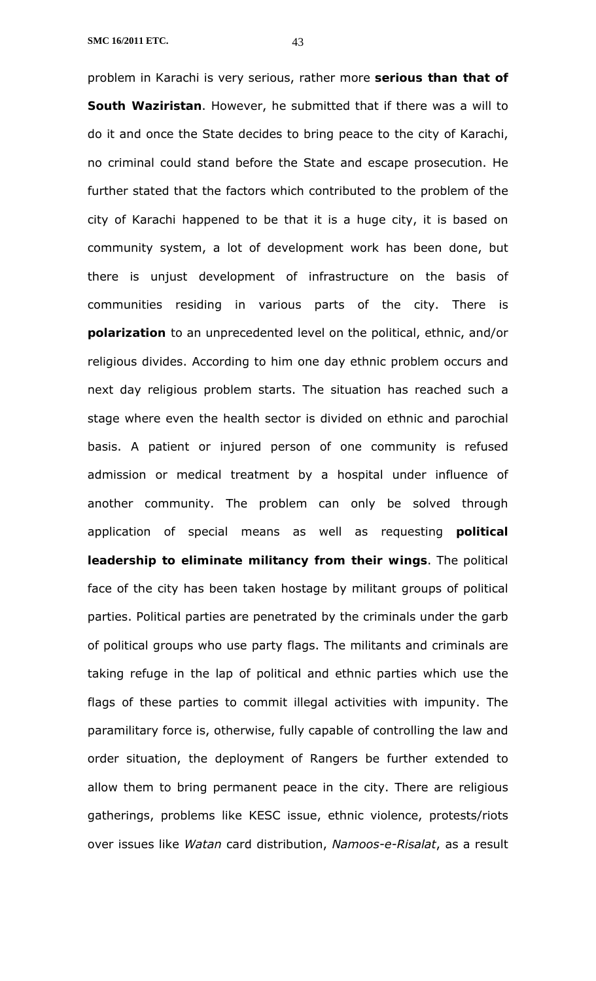problem in Karachi is very serious, rather more **serious than that of South Waziristan**. However, he submitted that if there was a will to do it and once the State decides to bring peace to the city of Karachi, no criminal could stand before the State and escape prosecution. He further stated that the factors which contributed to the problem of the city of Karachi happened to be that it is a huge city, it is based on community system, a lot of development work has been done, but there is unjust development of infrastructure on the basis of communities residing in various parts of the city. There is **polarization** to an unprecedented level on the political, ethnic, and/or religious divides. According to him one day ethnic problem occurs and next day religious problem starts. The situation has reached such a stage where even the health sector is divided on ethnic and parochial basis. A patient or injured person of one community is refused admission or medical treatment by a hospital under influence of another community. The problem can only be solved through application of special means as well as requesting **political leadership to eliminate militancy from their wings**. The political face of the city has been taken hostage by militant groups of political parties. Political parties are penetrated by the criminals under the garb of political groups who use party flags. The militants and criminals are taking refuge in the lap of political and ethnic parties which use the flags of these parties to commit illegal activities with impunity. The paramilitary force is, otherwise, fully capable of controlling the law and order situation, the deployment of Rangers be further extended to allow them to bring permanent peace in the city. There are religious gatherings, problems like KESC issue, ethnic violence, protests/riots over issues like *Watan* card distribution, *Namoos-e-Risalat*, as a result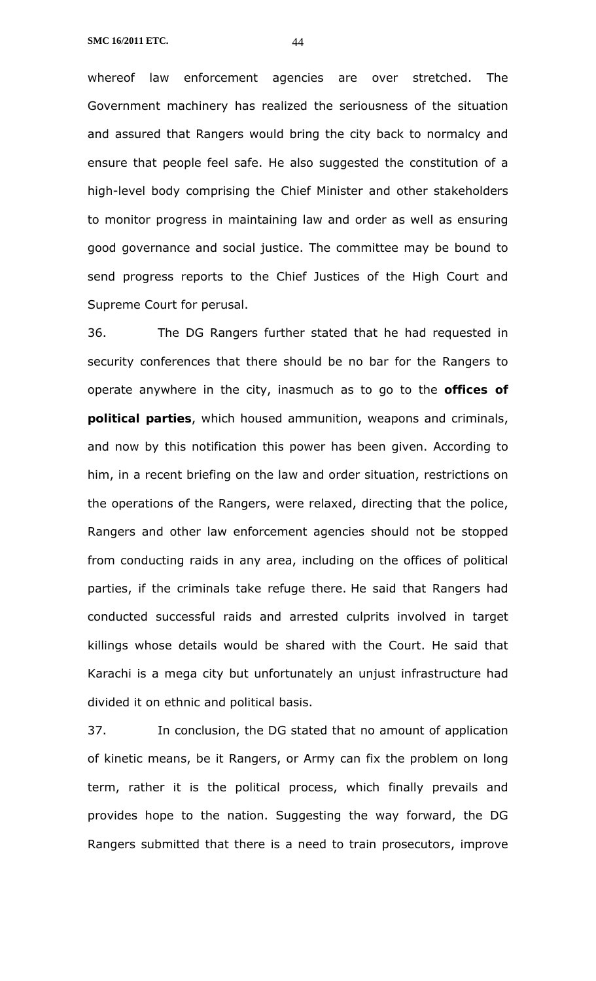whereof law enforcement agencies are over stretched. The Government machinery has realized the seriousness of the situation and assured that Rangers would bring the city back to normalcy and ensure that people feel safe. He also suggested the constitution of a high-level body comprising the Chief Minister and other stakeholders to monitor progress in maintaining law and order as well as ensuring good governance and social justice. The committee may be bound to send progress reports to the Chief Justices of the High Court and Supreme Court for perusal.

36. The DG Rangers further stated that he had requested in security conferences that there should be no bar for the Rangers to operate anywhere in the city, inasmuch as to go to the **offices of political parties**, which housed ammunition, weapons and criminals, and now by this notification this power has been given. According to him, in a recent briefing on the law and order situation, restrictions on the operations of the Rangers, were relaxed, directing that the police, Rangers and other law enforcement agencies should not be stopped from conducting raids in any area, including on the offices of political parties, if the criminals take refuge there. He said that Rangers had conducted successful raids and arrested culprits involved in target killings whose details would be shared with the Court. He said that Karachi is a mega city but unfortunately an unjust infrastructure had divided it on ethnic and political basis.

37. In conclusion, the DG stated that no amount of application of kinetic means, be it Rangers, or Army can fix the problem on long term, rather it is the political process, which finally prevails and provides hope to the nation. Suggesting the way forward, the DG Rangers submitted that there is a need to train prosecutors, improve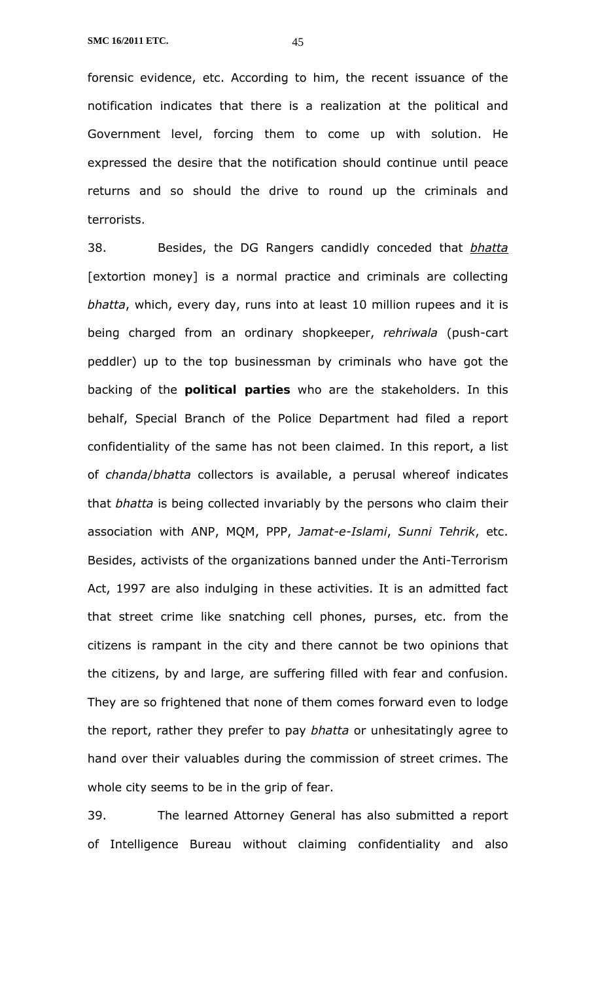forensic evidence, etc. According to him, the recent issuance of the notification indicates that there is a realization at the political and Government level, forcing them to come up with solution. He expressed the desire that the notification should continue until peace returns and so should the drive to round up the criminals and terrorists.

38. Besides, the DG Rangers candidly conceded that *bhatta* [extortion money] is a normal practice and criminals are collecting *bhatta*, which, every day, runs into at least 10 million rupees and it is being charged from an ordinary shopkeeper, *rehriwala* (push-cart peddler) up to the top businessman by criminals who have got the backing of the **political parties** who are the stakeholders. In this behalf, Special Branch of the Police Department had filed a report confidentiality of the same has not been claimed. In this report, a list of *chanda*/*bhatta* collectors is available, a perusal whereof indicates that *bhatta* is being collected invariably by the persons who claim their association with ANP, MQM, PPP, *Jamat-e-Islami*, *Sunni Tehrik*, etc. Besides, activists of the organizations banned under the Anti-Terrorism Act, 1997 are also indulging in these activities. It is an admitted fact that street crime like snatching cell phones, purses, etc. from the citizens is rampant in the city and there cannot be two opinions that the citizens, by and large, are suffering filled with fear and confusion. They are so frightened that none of them comes forward even to lodge the report, rather they prefer to pay *bhatta* or unhesitatingly agree to hand over their valuables during the commission of street crimes. The whole city seems to be in the grip of fear.

39. The learned Attorney General has also submitted a report of Intelligence Bureau without claiming confidentiality and also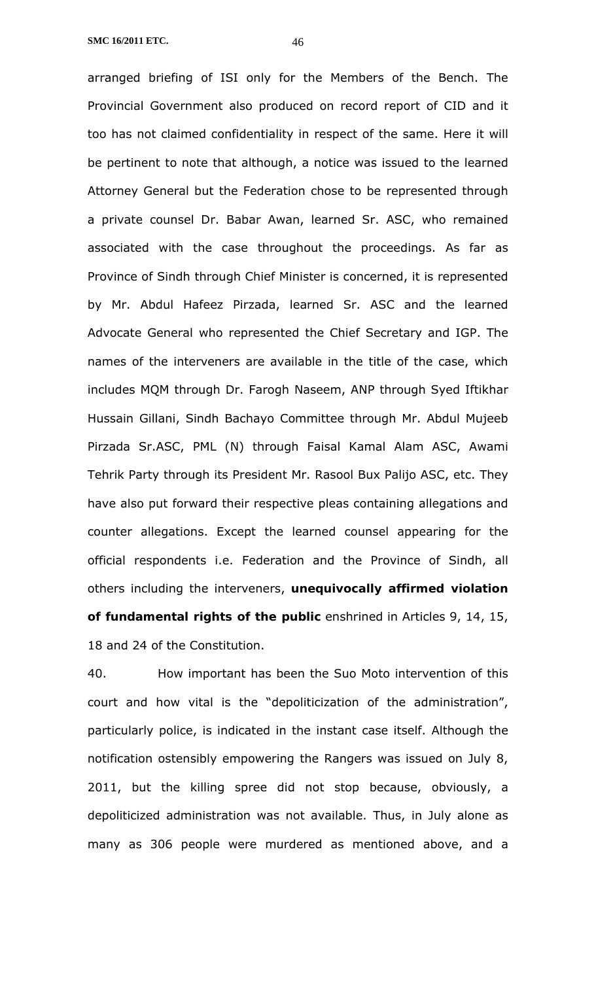arranged briefing of ISI only for the Members of the Bench. The Provincial Government also produced on record report of CID and it too has not claimed confidentiality in respect of the same. Here it will be pertinent to note that although, a notice was issued to the learned Attorney General but the Federation chose to be represented through a private counsel Dr. Babar Awan, learned Sr. ASC, who remained associated with the case throughout the proceedings. As far as Province of Sindh through Chief Minister is concerned, it is represented by Mr. Abdul Hafeez Pirzada, learned Sr. ASC and the learned Advocate General who represented the Chief Secretary and IGP. The names of the interveners are available in the title of the case, which includes MQM through Dr. Farogh Naseem, ANP through Syed Iftikhar Hussain Gillani, Sindh Bachayo Committee through Mr. Abdul Mujeeb Pirzada Sr.ASC, PML (N) through Faisal Kamal Alam ASC, Awami Tehrik Party through its President Mr. Rasool Bux Palijo ASC, etc. They have also put forward their respective pleas containing allegations and counter allegations. Except the learned counsel appearing for the official respondents i.e. Federation and the Province of Sindh, all others including the interveners, **unequivocally affirmed violation of fundamental rights of the public** enshrined in Articles 9, 14, 15, 18 and 24 of the Constitution.

40. How important has been the Suo Moto intervention of this court and how vital is the "depoliticization of the administration", particularly police, is indicated in the instant case itself. Although the notification ostensibly empowering the Rangers was issued on July 8, 2011, but the killing spree did not stop because, obviously, a depoliticized administration was not available. Thus, in July alone as many as 306 people were murdered as mentioned above, and a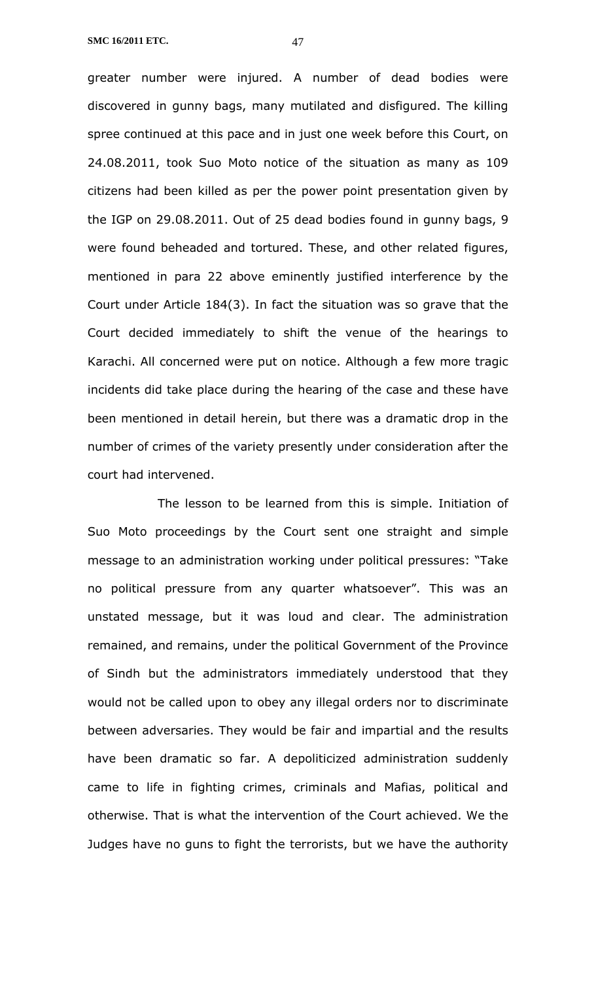greater number were injured. A number of dead bodies were discovered in gunny bags, many mutilated and disfigured. The killing spree continued at this pace and in just one week before this Court, on 24.08.2011, took Suo Moto notice of the situation as many as 109 citizens had been killed as per the power point presentation given by the IGP on 29.08.2011. Out of 25 dead bodies found in gunny bags, 9 were found beheaded and tortured. These, and other related figures, mentioned in para 22 above eminently justified interference by the Court under Article 184(3). In fact the situation was so grave that the Court decided immediately to shift the venue of the hearings to Karachi. All concerned were put on notice. Although a few more tragic incidents did take place during the hearing of the case and these have been mentioned in detail herein, but there was a dramatic drop in the number of crimes of the variety presently under consideration after the court had intervened.

 The lesson to be learned from this is simple. Initiation of Suo Moto proceedings by the Court sent one straight and simple message to an administration working under political pressures: "Take no political pressure from any quarter whatsoever". This was an unstated message, but it was loud and clear. The administration remained, and remains, under the political Government of the Province of Sindh but the administrators immediately understood that they would not be called upon to obey any illegal orders nor to discriminate between adversaries. They would be fair and impartial and the results have been dramatic so far. A depoliticized administration suddenly came to life in fighting crimes, criminals and Mafias, political and otherwise. That is what the intervention of the Court achieved. We the Judges have no guns to fight the terrorists, but we have the authority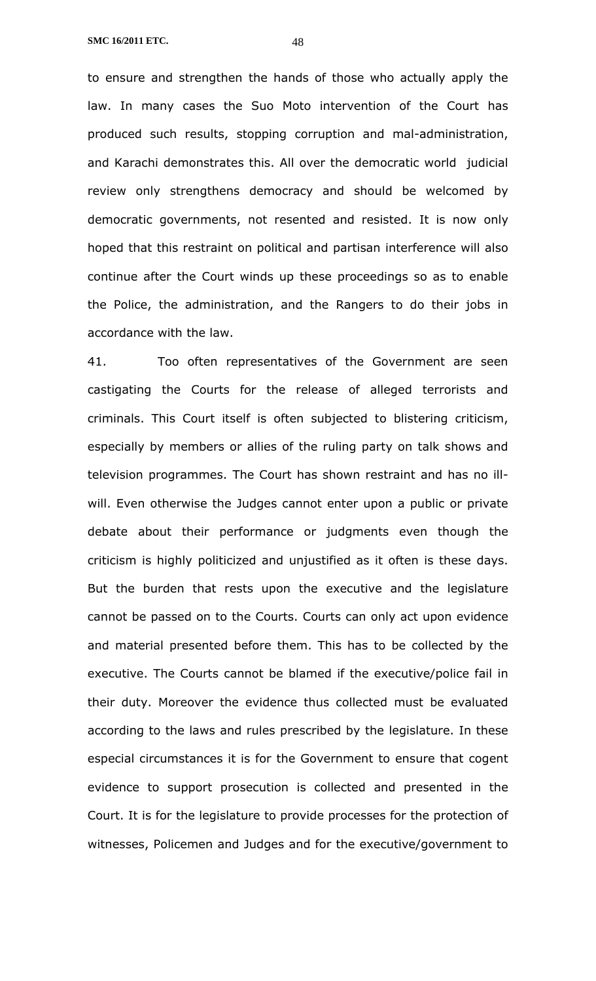to ensure and strengthen the hands of those who actually apply the law. In many cases the Suo Moto intervention of the Court has produced such results, stopping corruption and mal-administration, and Karachi demonstrates this. All over the democratic world judicial review only strengthens democracy and should be welcomed by democratic governments, not resented and resisted. It is now only hoped that this restraint on political and partisan interference will also continue after the Court winds up these proceedings so as to enable the Police, the administration, and the Rangers to do their jobs in accordance with the law.

41. Too often representatives of the Government are seen castigating the Courts for the release of alleged terrorists and criminals. This Court itself is often subjected to blistering criticism, especially by members or allies of the ruling party on talk shows and television programmes. The Court has shown restraint and has no illwill. Even otherwise the Judges cannot enter upon a public or private debate about their performance or judgments even though the criticism is highly politicized and unjustified as it often is these days. But the burden that rests upon the executive and the legislature cannot be passed on to the Courts. Courts can only act upon evidence and material presented before them. This has to be collected by the executive. The Courts cannot be blamed if the executive/police fail in their duty. Moreover the evidence thus collected must be evaluated according to the laws and rules prescribed by the legislature. In these especial circumstances it is for the Government to ensure that cogent evidence to support prosecution is collected and presented in the Court. It is for the legislature to provide processes for the protection of witnesses, Policemen and Judges and for the executive/government to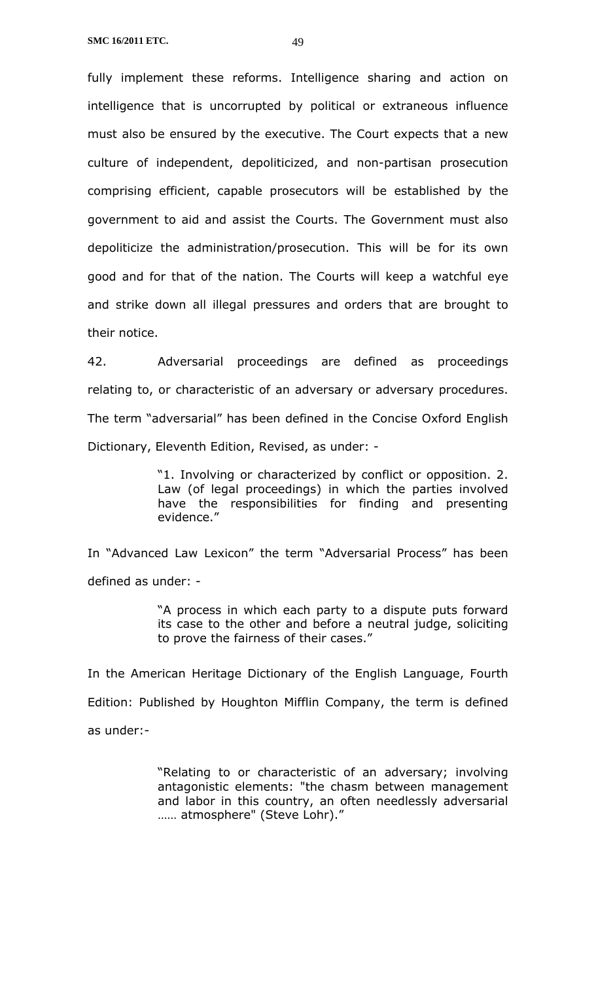fully implement these reforms. Intelligence sharing and action on intelligence that is uncorrupted by political or extraneous influence must also be ensured by the executive. The Court expects that a new culture of independent, depoliticized, and non-partisan prosecution comprising efficient, capable prosecutors will be established by the government to aid and assist the Courts. The Government must also depoliticize the administration/prosecution. This will be for its own good and for that of the nation. The Courts will keep a watchful eye and strike down all illegal pressures and orders that are brought to their notice.

42. Adversarial proceedings are defined as proceedings relating to, or characteristic of an adversary or adversary procedures. The term "adversarial" has been defined in the Concise Oxford English Dictionary, Eleventh Edition, Revised, as under: -

> "1. Involving or characterized by conflict or opposition. 2. Law (of legal proceedings) in which the parties involved have the responsibilities for finding and presenting evidence."

In "Advanced Law Lexicon" the term "Adversarial Process" has been defined as under: -

> "A process in which each party to a dispute puts forward its case to the other and before a neutral judge, soliciting to prove the fairness of their cases."

In the American Heritage Dictionary of the English Language, Fourth Edition: Published by Houghton Mifflin Company, the term is defined as under:-

> "Relating to or characteristic of an adversary; involving antagonistic elements: "the chasm between management and labor in this country, an often needlessly adversarial …… atmosphere" (Steve Lohr)."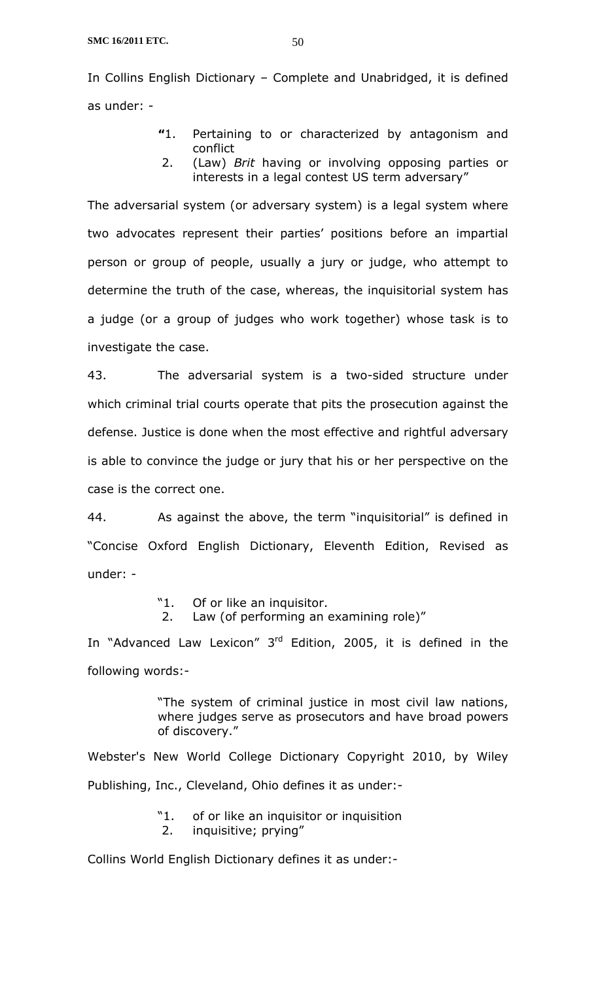In Collins English Dictionary – Complete and Unabridged, it is defined as under: -

- **"**1. Pertaining to or characterized by antagonism and conflict
- 2. (Law) *Brit* having or involving opposing parties or interests in a legal contest US term adversary"

The adversarial system (or adversary system) is a legal system where two advocates represent their parties' positions before an impartial person or group of people, usually a jury or judge, who attempt to determine the truth of the case, whereas, the inquisitorial system has a judge (or a group of judges who work together) whose task is to investigate the case.

43. The adversarial system is a two-sided structure under which criminal trial courts operate that pits the prosecution against the defense. Justice is done when the most effective and rightful adversary is able to convince the judge or jury that his or her perspective on the case is the correct one.

44. As against the above, the term "inquisitorial" is defined in "Concise Oxford English Dictionary, Eleventh Edition, Revised as under: -

"1. Of or like an inquisitor.

2. Law (of performing an examining role)"

In "Advanced Law Lexicon"  $3<sup>rd</sup>$  Edition, 2005, it is defined in the following words:-

> "The system of criminal justice in most civil law nations, where judges serve as prosecutors and have broad powers of discovery."

Webster's New World College Dictionary Copyright 2010, by Wiley Publishing, Inc., Cleveland, Ohio defines it as under:-

- "1. of or like an inquisitor or inquisition
- 2. inquisitive; prying"

Collins World English Dictionary defines it as under:-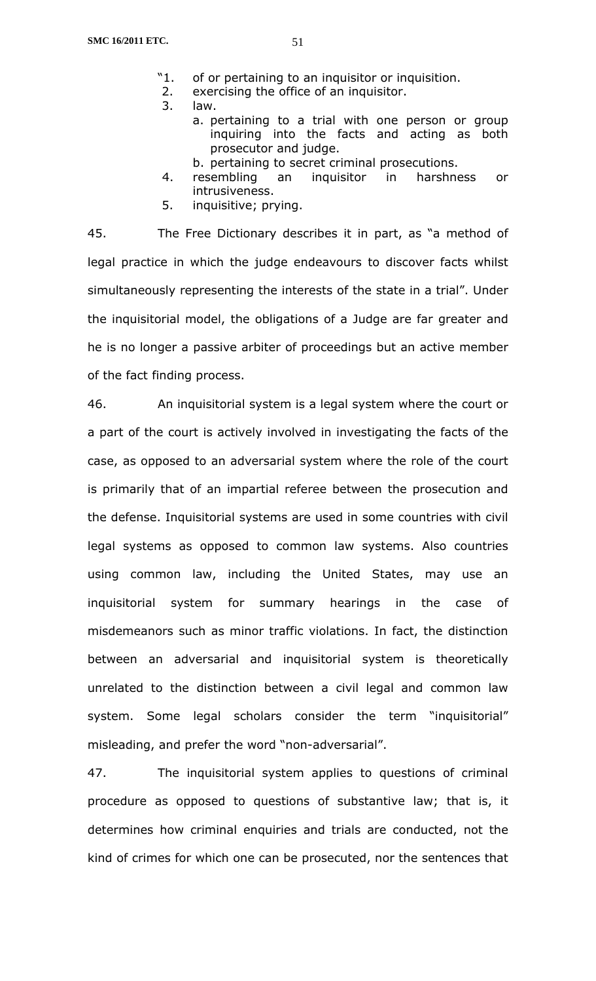- "1. of or pertaining to an inquisitor or inquisition.
- 2. exercising the office of an inquisitor.

3. law.

- a. pertaining to a trial with one person or group inquiring into the facts and acting as both prosecutor and judge.
- b. pertaining to secret criminal prosecutions.
- 4. resembling an inquisitor in harshness or intrusiveness.
- 5. inquisitive; prying.

45. The Free Dictionary describes it in part, as "a method of legal practice in which the judge endeavours to discover facts whilst simultaneously representing the interests of the state in a trial". Under the inquisitorial model, the obligations of a Judge are far greater and he is no longer a passive arbiter of proceedings but an active member of the fact finding process.

46. An inquisitorial system is a legal system where the court or a part of the court is actively involved in investigating the facts of the case, as opposed to an adversarial system where the role of the court is primarily that of an impartial referee between the prosecution and the defense. Inquisitorial systems are used in some countries with civil legal systems as opposed to common law systems. Also countries using common law, including the United States, may use an inquisitorial system for summary hearings in the case of misdemeanors such as minor traffic violations. In fact, the distinction between an adversarial and inquisitorial system is theoretically unrelated to the distinction between a civil legal and common law system. Some legal scholars consider the term "inquisitorial" misleading, and prefer the word "non-adversarial".

47. The inquisitorial system applies to questions of criminal procedure as opposed to questions of substantive law; that is, it determines how criminal enquiries and trials are conducted, not the kind of crimes for which one can be prosecuted, nor the sentences that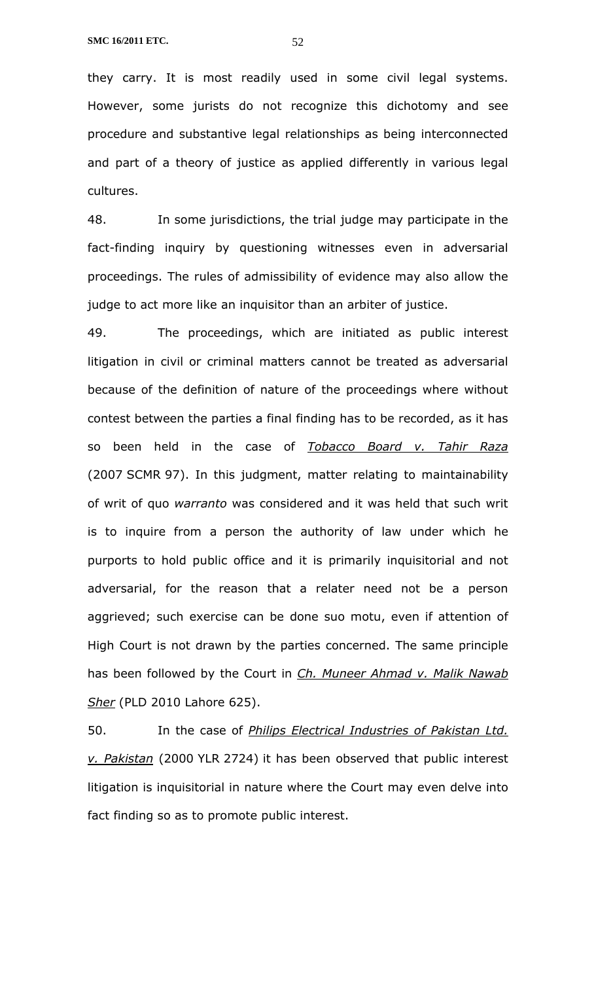they carry. It is most readily used in some civil legal systems. However, some jurists do not recognize this dichotomy and see procedure and substantive legal relationships as being interconnected and part of a theory of justice as applied differently in various legal cultures.

48. In some jurisdictions, the trial judge may participate in the fact-finding inquiry by questioning witnesses even in adversarial proceedings. The rules of admissibility of evidence may also allow the judge to act more like an inquisitor than an arbiter of justice.

49. The proceedings, which are initiated as public interest litigation in civil or criminal matters cannot be treated as adversarial because of the definition of nature of the proceedings where without contest between the parties a final finding has to be recorded, as it has so been held in the case of *Tobacco Board v. Tahir Raza* (2007 SCMR 97). In this judgment, matter relating to maintainability of writ of quo *warranto* was considered and it was held that such writ is to inquire from a person the authority of law under which he purports to hold public office and it is primarily inquisitorial and not adversarial, for the reason that a relater need not be a person aggrieved; such exercise can be done suo motu, even if attention of High Court is not drawn by the parties concerned. The same principle has been followed by the Court in *Ch. Muneer Ahmad v. Malik Nawab Sher* (PLD 2010 Lahore 625).

50. In the case of *Philips Electrical Industries of Pakistan Ltd. v. Pakistan* (2000 YLR 2724) it has been observed that public interest litigation is inquisitorial in nature where the Court may even delve into fact finding so as to promote public interest.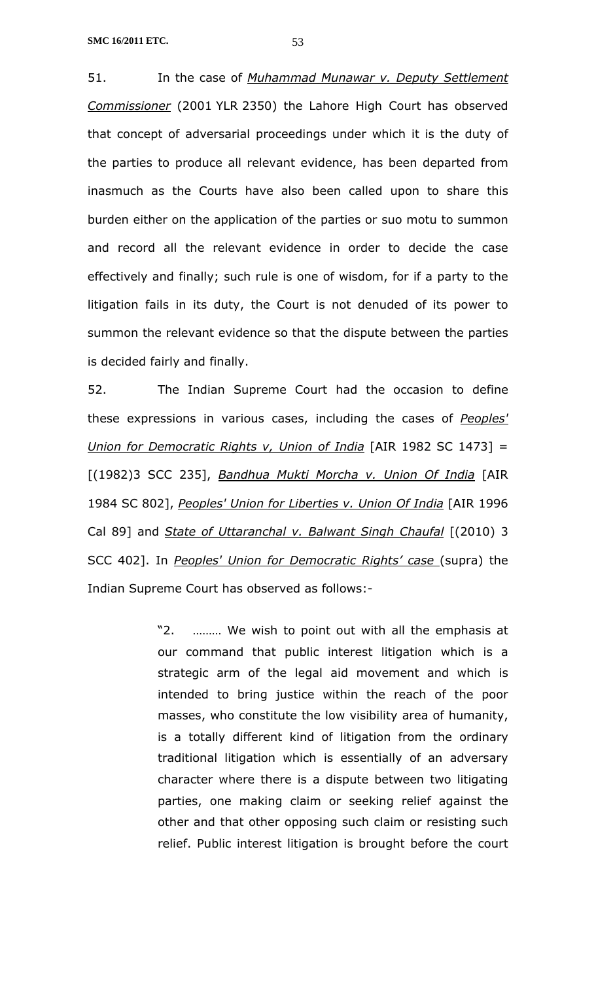51. In the case of *Muhammad Munawar v. Deputy Settlement Commissioner* (2001 YLR 2350) the Lahore High Court has observed that concept of adversarial proceedings under which it is the duty of the parties to produce all relevant evidence, has been departed from inasmuch as the Courts have also been called upon to share this burden either on the application of the parties or suo motu to summon and record all the relevant evidence in order to decide the case effectively and finally; such rule is one of wisdom, for if a party to the litigation fails in its duty, the Court is not denuded of its power to summon the relevant evidence so that the dispute between the parties is decided fairly and finally.

52. The Indian Supreme Court had the occasion to define these expressions in various cases, including the cases of *Peoples' Union for Democratic Rights v, Union of India* [AIR 1982 SC 1473] = [(1982)3 SCC 235], *Bandhua Mukti Morcha v. Union Of India* [AIR 1984 SC 802], *Peoples' Union for Liberties v. Union Of India* [AIR 1996 Cal 89] and *State of Uttaranchal v. Balwant Singh Chaufal* [(2010) 3 SCC 402]. In *Peoples' Union for Democratic Rights' case* (supra) the Indian Supreme Court has observed as follows:-

> "2. ……… We wish to point out with all the emphasis at our command that public interest litigation which is a strategic arm of the legal aid movement and which is intended to bring justice within the reach of the poor masses, who constitute the low visibility area of humanity, is a totally different kind of litigation from the ordinary traditional litigation which is essentially of an adversary character where there is a dispute between two litigating parties, one making claim or seeking relief against the other and that other opposing such claim or resisting such relief. Public interest litigation is brought before the court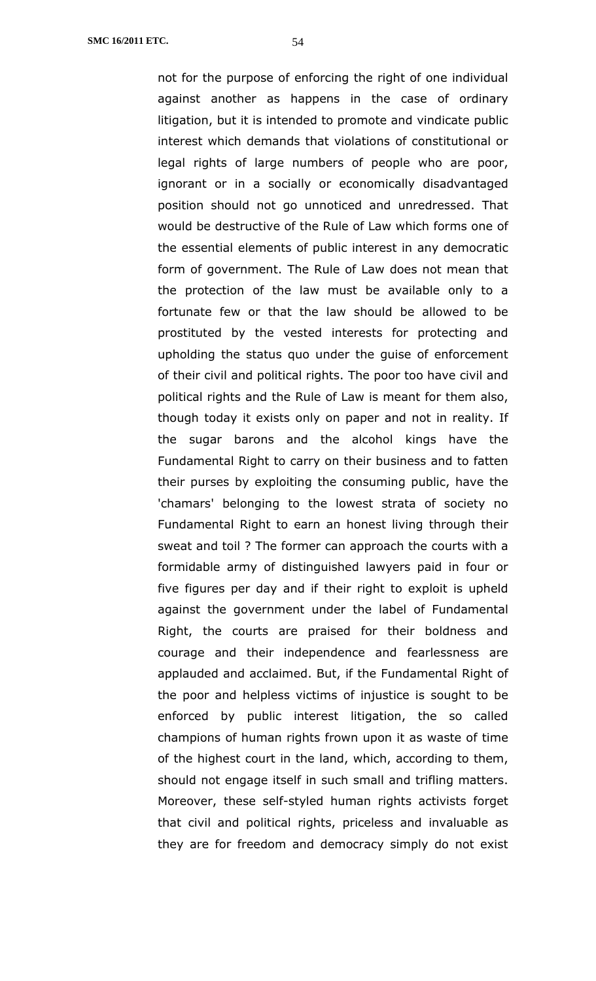not for the purpose of enforcing the right of one individual against another as happens in the case of ordinary litigation, but it is intended to promote and vindicate public interest which demands that violations of constitutional or legal rights of large numbers of people who are poor, ignorant or in a socially or economically disadvantaged position should not go unnoticed and unredressed. That would be destructive of the Rule of Law which forms one of the essential elements of public interest in any democratic form of government. The Rule of Law does not mean that the protection of the law must be available only to a fortunate few or that the law should be allowed to be prostituted by the vested interests for protecting and upholding the status quo under the guise of enforcement of their civil and political rights. The poor too have civil and political rights and the Rule of Law is meant for them also, though today it exists only on paper and not in reality. If the sugar barons and the alcohol kings have the Fundamental Right to carry on their business and to fatten their purses by exploiting the consuming public, have the 'chamars' belonging to the lowest strata of society no Fundamental Right to earn an honest living through their sweat and toil ? The former can approach the courts with a formidable army of distinguished lawyers paid in four or five figures per day and if their right to exploit is upheld against the government under the label of Fundamental Right, the courts are praised for their boldness and courage and their independence and fearlessness are applauded and acclaimed. But, if the Fundamental Right of the poor and helpless victims of injustice is sought to be enforced by public interest litigation, the so called champions of human rights frown upon it as waste of time of the highest court in the land, which, according to them, should not engage itself in such small and trifling matters. Moreover, these self-styled human rights activists forget that civil and political rights, priceless and invaluable as they are for freedom and democracy simply do not exist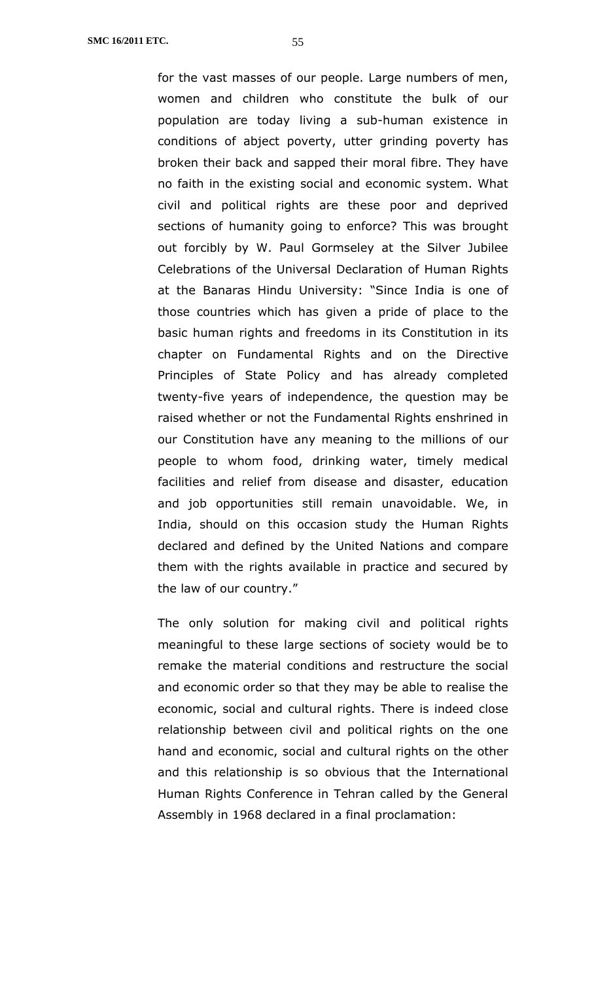for the vast masses of our people. Large numbers of men, women and children who constitute the bulk of our population are today living a sub-human existence in conditions of abject poverty, utter grinding poverty has broken their back and sapped their moral fibre. They have no faith in the existing social and economic system. What civil and political rights are these poor and deprived sections of humanity going to enforce? This was brought out forcibly by W. Paul Gormseley at the Silver Jubilee Celebrations of the Universal Declaration of Human Rights at the Banaras Hindu University: "Since India is one of those countries which has given a pride of place to the basic human rights and freedoms in its Constitution in its chapter on Fundamental Rights and on the Directive Principles of State Policy and has already completed twenty-five years of independence, the question may be raised whether or not the Fundamental Rights enshrined in our Constitution have any meaning to the millions of our people to whom food, drinking water, timely medical facilities and relief from disease and disaster, education and job opportunities still remain unavoidable. We, in India, should on this occasion study the Human Rights declared and defined by the United Nations and compare them with the rights available in practice and secured by the law of our country."

The only solution for making civil and political rights meaningful to these large sections of society would be to remake the material conditions and restructure the social and economic order so that they may be able to realise the economic, social and cultural rights. There is indeed close relationship between civil and political rights on the one hand and economic, social and cultural rights on the other and this relationship is so obvious that the International Human Rights Conference in Tehran called by the General Assembly in 1968 declared in a final proclamation: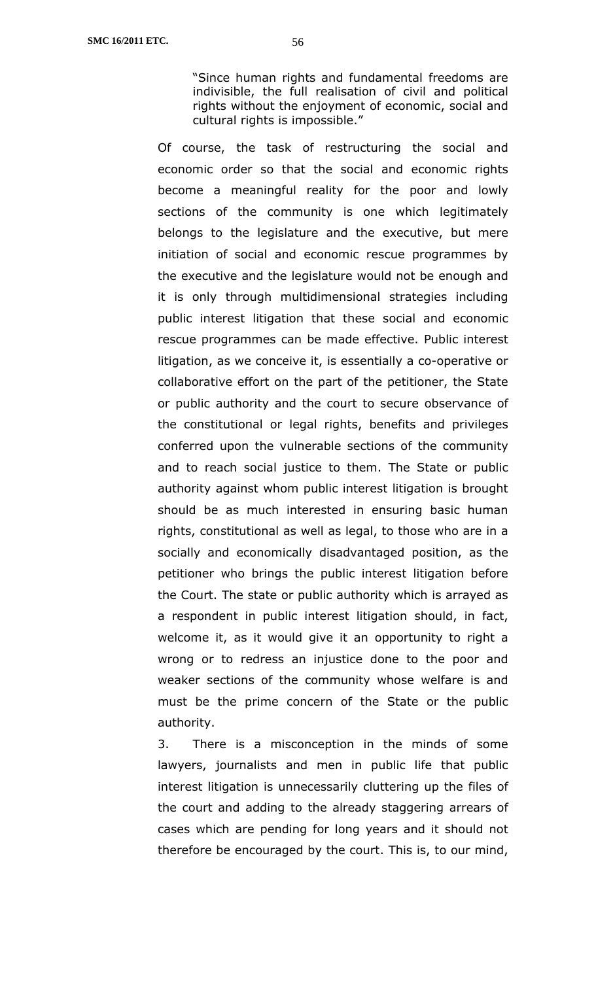"Since human rights and fundamental freedoms are indivisible, the full realisation of civil and political rights without the enjoyment of economic, social and cultural rights is impossible."

Of course, the task of restructuring the social and economic order so that the social and economic rights become a meaningful reality for the poor and lowly sections of the community is one which legitimately belongs to the legislature and the executive, but mere initiation of social and economic rescue programmes by the executive and the legislature would not be enough and it is only through multidimensional strategies including public interest litigation that these social and economic rescue programmes can be made effective. Public interest litigation, as we conceive it, is essentially a co-operative or collaborative effort on the part of the petitioner, the State or public authority and the court to secure observance of the constitutional or legal rights, benefits and privileges conferred upon the vulnerable sections of the community and to reach social justice to them. The State or public authority against whom public interest litigation is brought should be as much interested in ensuring basic human rights, constitutional as well as legal, to those who are in a socially and economically disadvantaged position, as the petitioner who brings the public interest litigation before the Court. The state or public authority which is arrayed as a respondent in public interest litigation should, in fact, welcome it, as it would give it an opportunity to right a wrong or to redress an injustice done to the poor and weaker sections of the community whose welfare is and must be the prime concern of the State or the public authority.

3. There is a misconception in the minds of some lawyers, journalists and men in public life that public interest litigation is unnecessarily cluttering up the files of the court and adding to the already staggering arrears of cases which are pending for long years and it should not therefore be encouraged by the court. This is, to our mind,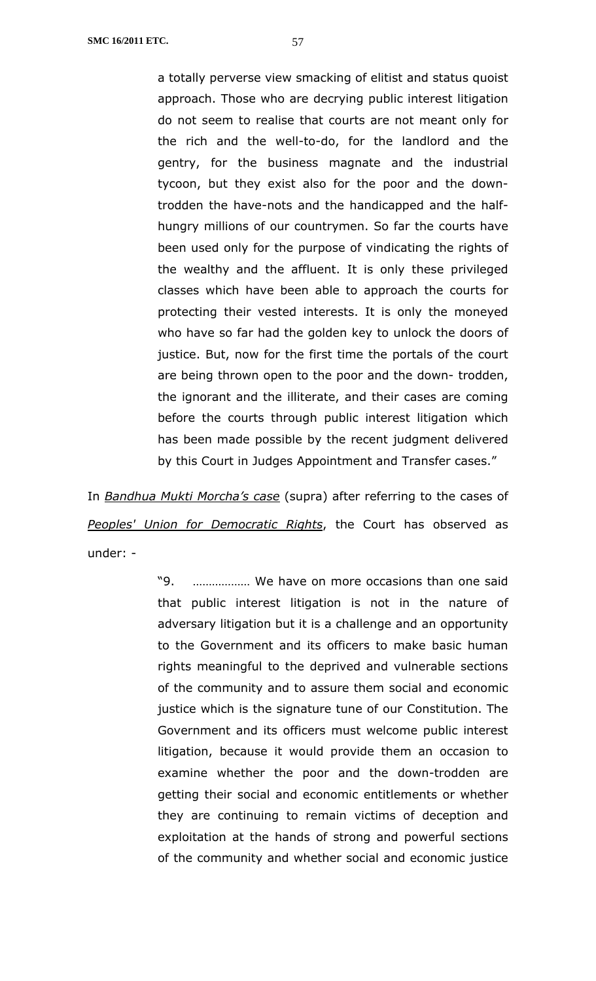a totally perverse view smacking of elitist and status quoist approach. Those who are decrying public interest litigation do not seem to realise that courts are not meant only for the rich and the well-to-do, for the landlord and the gentry, for the business magnate and the industrial tycoon, but they exist also for the poor and the downtrodden the have-nots and the handicapped and the halfhungry millions of our countrymen. So far the courts have been used only for the purpose of vindicating the rights of the wealthy and the affluent. It is only these privileged classes which have been able to approach the courts for protecting their vested interests. It is only the moneyed who have so far had the golden key to unlock the doors of justice. But, now for the first time the portals of the court are being thrown open to the poor and the down- trodden, the ignorant and the illiterate, and their cases are coming before the courts through public interest litigation which has been made possible by the recent judgment delivered by this Court in Judges Appointment and Transfer cases."

In *Bandhua Mukti Morcha's case* (supra) after referring to the cases of *Peoples' Union for Democratic Rights*, the Court has observed as under: -

> "9. ……………… We have on more occasions than one said that public interest litigation is not in the nature of adversary litigation but it is a challenge and an opportunity to the Government and its officers to make basic human rights meaningful to the deprived and vulnerable sections of the community and to assure them social and economic justice which is the signature tune of our Constitution. The Government and its officers must welcome public interest litigation, because it would provide them an occasion to examine whether the poor and the down-trodden are getting their social and economic entitlements or whether they are continuing to remain victims of deception and exploitation at the hands of strong and powerful sections of the community and whether social and economic justice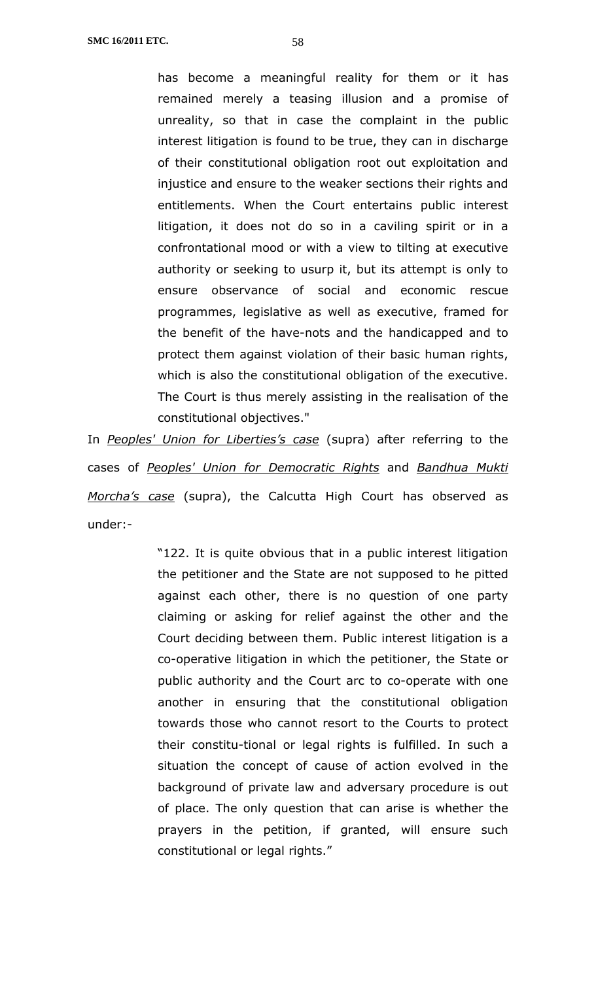has become a meaningful reality for them or it has remained merely a teasing illusion and a promise of unreality, so that in case the complaint in the public interest litigation is found to be true, they can in discharge of their constitutional obligation root out exploitation and injustice and ensure to the weaker sections their rights and entitlements. When the Court entertains public interest litigation, it does not do so in a caviling spirit or in a confrontational mood or with a view to tilting at executive authority or seeking to usurp it, but its attempt is only to ensure observance of social and economic rescue programmes, legislative as well as executive, framed for the benefit of the have-nots and the handicapped and to protect them against violation of their basic human rights, which is also the constitutional obligation of the executive. The Court is thus merely assisting in the realisation of the constitutional objectives."

In *Peoples' Union for Liberties's case* (supra) after referring to the cases of *Peoples' Union for Democratic Rights* and *Bandhua Mukti Morcha's case* (supra), the Calcutta High Court has observed as under:-

> "122. It is quite obvious that in a public interest litigation the petitioner and the State are not supposed to he pitted against each other, there is no question of one party claiming or asking for relief against the other and the Court deciding between them. Public interest litigation is a co-operative litigation in which the petitioner, the State or public authority and the Court arc to co-operate with one another in ensuring that the constitutional obligation towards those who cannot resort to the Courts to protect their constitu-tional or legal rights is fulfilled. In such a situation the concept of cause of action evolved in the background of private law and adversary procedure is out of place. The only question that can arise is whether the prayers in the petition, if granted, will ensure such constitutional or legal rights."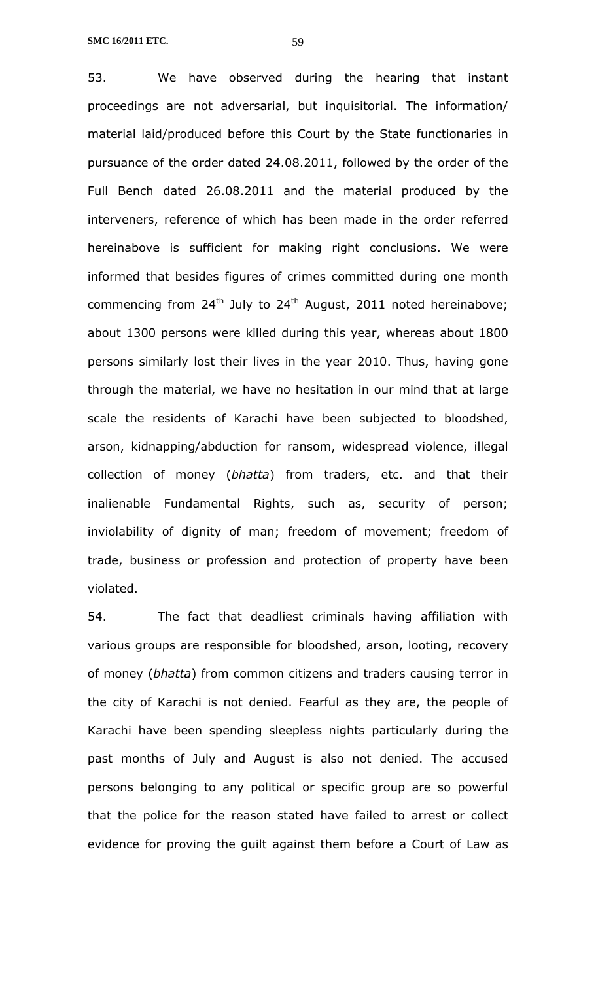53. We have observed during the hearing that instant proceedings are not adversarial, but inquisitorial. The information/ material laid/produced before this Court by the State functionaries in pursuance of the order dated 24.08.2011, followed by the order of the Full Bench dated 26.08.2011 and the material produced by the interveners, reference of which has been made in the order referred hereinabove is sufficient for making right conclusions. We were informed that besides figures of crimes committed during one month commencing from  $24^{th}$  July to  $24^{th}$  August, 2011 noted hereinabove; about 1300 persons were killed during this year, whereas about 1800 persons similarly lost their lives in the year 2010. Thus, having gone through the material, we have no hesitation in our mind that at large scale the residents of Karachi have been subjected to bloodshed, arson, kidnapping/abduction for ransom, widespread violence, illegal collection of money (*bhatta*) from traders, etc. and that their inalienable Fundamental Rights, such as, security of person; inviolability of dignity of man; freedom of movement; freedom of trade, business or profession and protection of property have been violated.

54. The fact that deadliest criminals having affiliation with various groups are responsible for bloodshed, arson, looting, recovery of money (*bhatta*) from common citizens and traders causing terror in the city of Karachi is not denied. Fearful as they are, the people of Karachi have been spending sleepless nights particularly during the past months of July and August is also not denied. The accused persons belonging to any political or specific group are so powerful that the police for the reason stated have failed to arrest or collect evidence for proving the guilt against them before a Court of Law as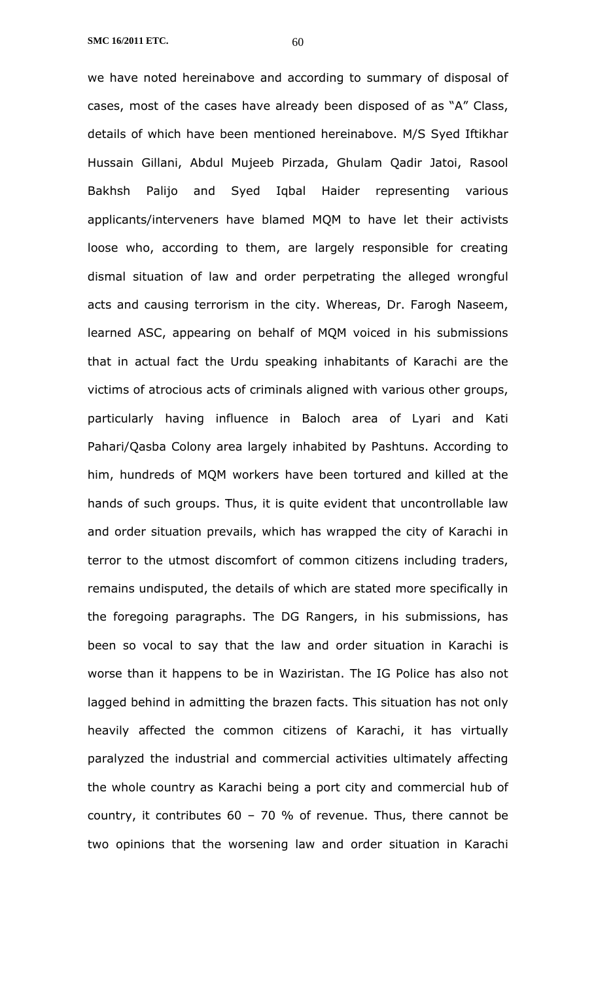we have noted hereinabove and according to summary of disposal of cases, most of the cases have already been disposed of as "A" Class, details of which have been mentioned hereinabove. M/S Syed Iftikhar Hussain Gillani, Abdul Mujeeb Pirzada, Ghulam Qadir Jatoi, Rasool Bakhsh Palijo and Syed Iqbal Haider representing various applicants/interveners have blamed MQM to have let their activists loose who, according to them, are largely responsible for creating dismal situation of law and order perpetrating the alleged wrongful acts and causing terrorism in the city. Whereas, Dr. Farogh Naseem, learned ASC, appearing on behalf of MQM voiced in his submissions that in actual fact the Urdu speaking inhabitants of Karachi are the victims of atrocious acts of criminals aligned with various other groups, particularly having influence in Baloch area of Lyari and Kati Pahari/Qasba Colony area largely inhabited by Pashtuns. According to him, hundreds of MQM workers have been tortured and killed at the hands of such groups. Thus, it is quite evident that uncontrollable law and order situation prevails, which has wrapped the city of Karachi in terror to the utmost discomfort of common citizens including traders, remains undisputed, the details of which are stated more specifically in the foregoing paragraphs. The DG Rangers, in his submissions, has been so vocal to say that the law and order situation in Karachi is worse than it happens to be in Waziristan. The IG Police has also not lagged behind in admitting the brazen facts. This situation has not only heavily affected the common citizens of Karachi, it has virtually paralyzed the industrial and commercial activities ultimately affecting the whole country as Karachi being a port city and commercial hub of country, it contributes  $60 - 70$  % of revenue. Thus, there cannot be two opinions that the worsening law and order situation in Karachi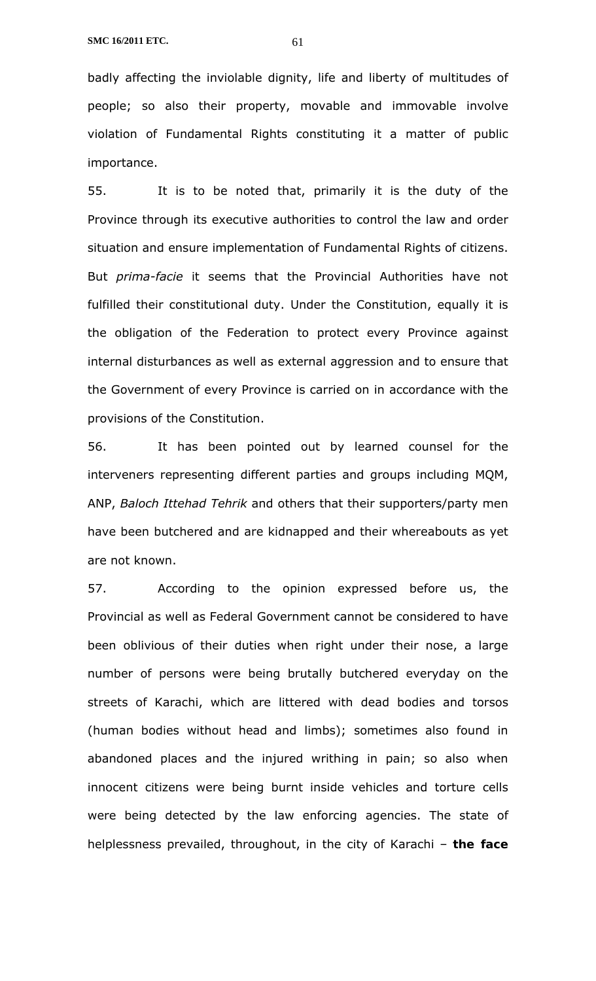badly affecting the inviolable dignity, life and liberty of multitudes of people; so also their property, movable and immovable involve violation of Fundamental Rights constituting it a matter of public importance.

55. It is to be noted that, primarily it is the duty of the Province through its executive authorities to control the law and order situation and ensure implementation of Fundamental Rights of citizens. But *prima-facie* it seems that the Provincial Authorities have not fulfilled their constitutional duty. Under the Constitution, equally it is the obligation of the Federation to protect every Province against internal disturbances as well as external aggression and to ensure that the Government of every Province is carried on in accordance with the provisions of the Constitution.

56. It has been pointed out by learned counsel for the interveners representing different parties and groups including MQM, ANP, *Baloch Ittehad Tehrik* and others that their supporters/party men have been butchered and are kidnapped and their whereabouts as yet are not known.

57. According to the opinion expressed before us, the Provincial as well as Federal Government cannot be considered to have been oblivious of their duties when right under their nose, a large number of persons were being brutally butchered everyday on the streets of Karachi, which are littered with dead bodies and torsos (human bodies without head and limbs); sometimes also found in abandoned places and the injured writhing in pain; so also when innocent citizens were being burnt inside vehicles and torture cells were being detected by the law enforcing agencies. The state of helplessness prevailed, throughout, in the city of Karachi – **the face**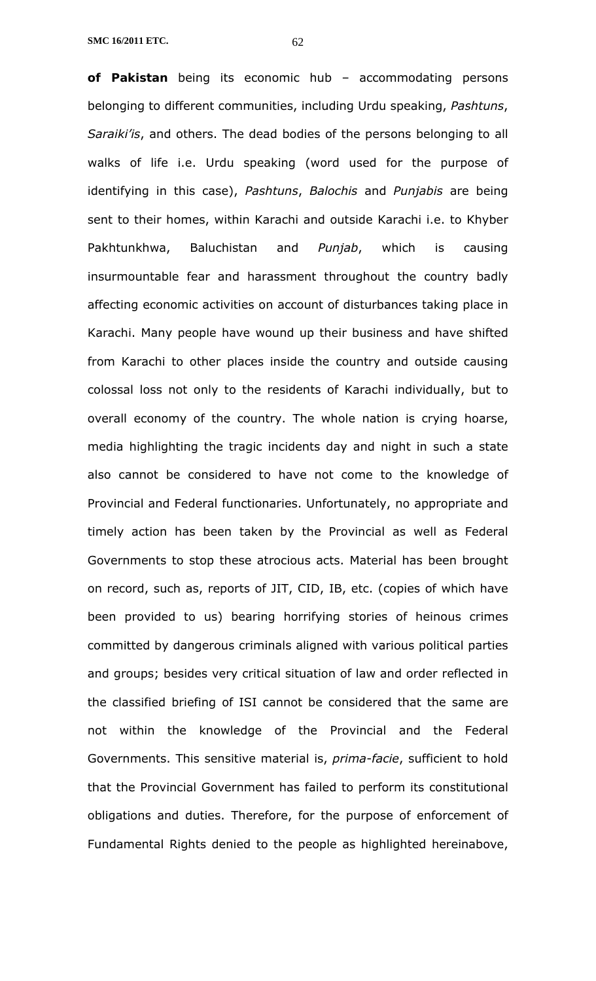**of Pakistan** being its economic hub – accommodating persons belonging to different communities, including Urdu speaking, *Pashtuns*, *Saraiki'is*, and others. The dead bodies of the persons belonging to all walks of life i.e. Urdu speaking (word used for the purpose of identifying in this case), *Pashtuns*, *Balochis* and *Punjabis* are being sent to their homes, within Karachi and outside Karachi i.e. to Khyber Pakhtunkhwa, Baluchistan and *Punjab*, which is causing insurmountable fear and harassment throughout the country badly affecting economic activities on account of disturbances taking place in Karachi. Many people have wound up their business and have shifted from Karachi to other places inside the country and outside causing colossal loss not only to the residents of Karachi individually, but to overall economy of the country. The whole nation is crying hoarse, media highlighting the tragic incidents day and night in such a state also cannot be considered to have not come to the knowledge of Provincial and Federal functionaries. Unfortunately, no appropriate and timely action has been taken by the Provincial as well as Federal Governments to stop these atrocious acts. Material has been brought on record, such as, reports of JIT, CID, IB, etc. (copies of which have been provided to us) bearing horrifying stories of heinous crimes committed by dangerous criminals aligned with various political parties and groups; besides very critical situation of law and order reflected in the classified briefing of ISI cannot be considered that the same are not within the knowledge of the Provincial and the Federal Governments. This sensitive material is, *prima-facie*, sufficient to hold that the Provincial Government has failed to perform its constitutional obligations and duties. Therefore, for the purpose of enforcement of Fundamental Rights denied to the people as highlighted hereinabove,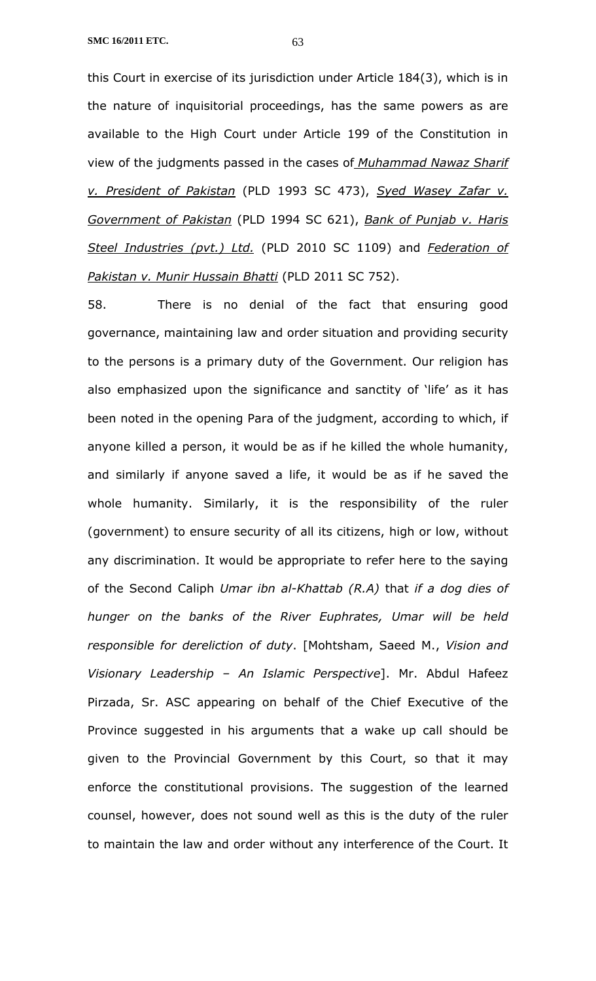this Court in exercise of its jurisdiction under Article 184(3), which is in the nature of inquisitorial proceedings, has the same powers as are available to the High Court under Article 199 of the Constitution in view of the judgments passed in the cases of *Muhammad Nawaz Sharif v. President of Pakistan* (PLD 1993 SC 473), *Syed Wasey Zafar v. Government of Pakistan* (PLD 1994 SC 621), *Bank of Punjab v. Haris Steel Industries (pvt.) Ltd.* (PLD 2010 SC 1109) and *Federation of Pakistan v. Munir Hussain Bhatti* (PLD 2011 SC 752).

58. There is no denial of the fact that ensuring good governance, maintaining law and order situation and providing security to the persons is a primary duty of the Government. Our religion has also emphasized upon the significance and sanctity of 'life' as it has been noted in the opening Para of the judgment, according to which, if anyone killed a person, it would be as if he killed the whole humanity, and similarly if anyone saved a life, it would be as if he saved the whole humanity. Similarly, it is the responsibility of the ruler (government) to ensure security of all its citizens, high or low, without any discrimination. It would be appropriate to refer here to the saying of the Second Caliph *Umar ibn al-Khattab (R.A)* that *if a dog dies of hunger on the banks of the River Euphrates, Umar will be held responsible for dereliction of duty*. [Mohtsham, Saeed M., *Vision and Visionary Leadership – An Islamic Perspective*]. Mr. Abdul Hafeez Pirzada, Sr. ASC appearing on behalf of the Chief Executive of the Province suggested in his arguments that a wake up call should be given to the Provincial Government by this Court, so that it may enforce the constitutional provisions. The suggestion of the learned counsel, however, does not sound well as this is the duty of the ruler to maintain the law and order without any interference of the Court. It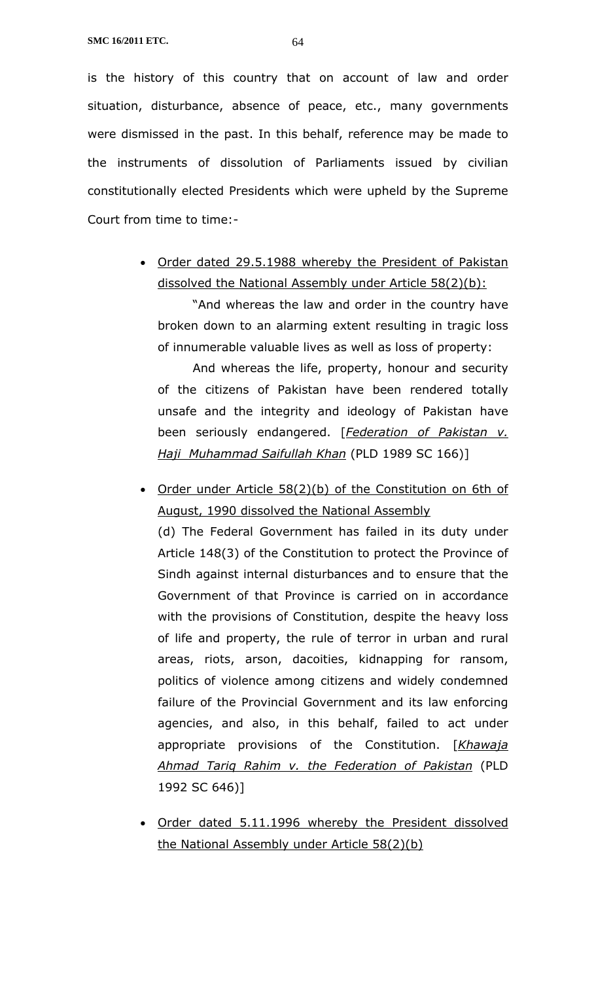is the history of this country that on account of law and order situation, disturbance, absence of peace, etc., many governments were dismissed in the past. In this behalf, reference may be made to the instruments of dissolution of Parliaments issued by civilian constitutionally elected Presidents which were upheld by the Supreme Court from time to time:-

> • Order dated 29.5.1988 whereby the President of Pakistan dissolved the National Assembly under Article 58(2)(b):

 "And whereas the law and order in the country have broken down to an alarming extent resulting in tragic loss of innumerable valuable lives as well as loss of property:

 And whereas the life, property, honour and security of the citizens of Pakistan have been rendered totally unsafe and the integrity and ideology of Pakistan have been seriously endangered. [*Federation of Pakistan v. Haji Muhammad Saifullah Khan* (PLD 1989 SC 166)]

• Order under Article 58(2)(b) of the Constitution on 6th of August, 1990 dissolved the National Assembly

 (d) The Federal Government has failed in its duty under Article 148(3) of the Constitution to protect the Province of Sindh against internal disturbances and to ensure that the Government of that Province is carried on in accordance with the provisions of Constitution, despite the heavy loss of life and property, the rule of terror in urban and rural areas, riots, arson, dacoities, kidnapping for ransom, politics of violence among citizens and widely condemned failure of the Provincial Government and its law enforcing agencies, and also, in this behalf, failed to act under appropriate provisions of the Constitution. [*Khawaja Ahmad Tariq Rahim v. the Federation of Pakistan* (PLD 1992 SC 646)]

 Order dated 5.11.1996 whereby the President dissolved the National Assembly under Article 58(2)(b)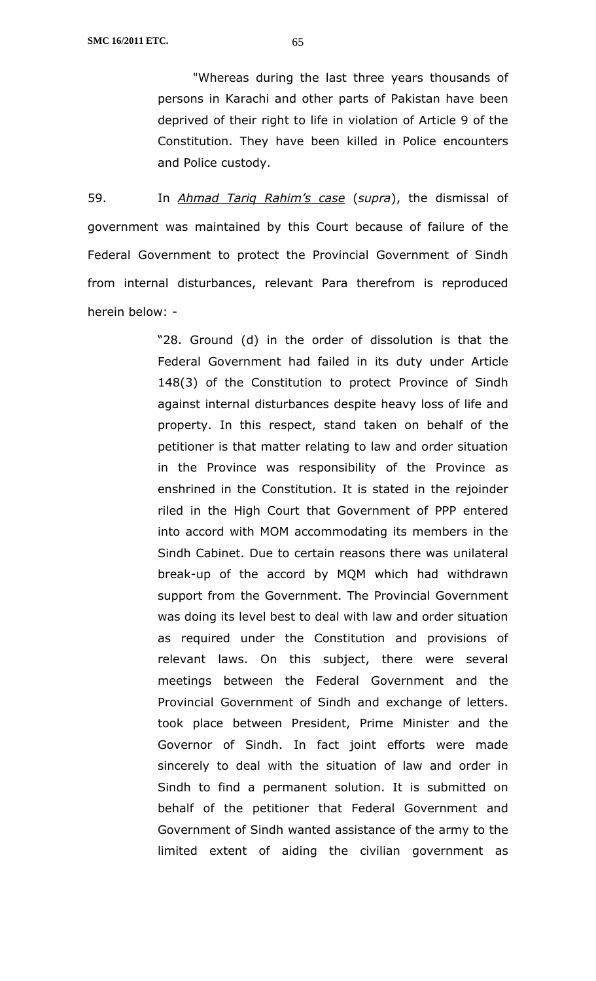"Whereas during the last three years thousands of persons in Karachi and other parts of Pakistan have been deprived of their right to life in violation of Article 9 of the Constitution. They have been killed in Police encounters and Police custody.

59. In *Ahmad Tariq Rahim's case* (*supra*), the dismissal of government was maintained by this Court because of failure of the Federal Government to protect the Provincial Government of Sindh from internal disturbances, relevant Para therefrom is reproduced herein below: -

> "28. Ground (d) in the order of dissolution is that the Federal Government had failed in its duty under Article 148(3) of the Constitution to protect Province of Sindh against internal disturbances despite heavy loss of life and property. In this respect, stand taken on behalf of the petitioner is that matter relating to law and order situation in the Province was responsibility of the Province as enshrined in the Constitution. It is stated in the rejoinder riled in the High Court that Government of PPP entered into accord with MOM accommodating its members in the Sindh Cabinet. Due to certain reasons there was unilateral break-up of the accord by MQM which had withdrawn support from the Government. The Provincial Government was doing its level best to deal with law and order situation as required under the Constitution and provisions of relevant laws. On this subject, there were several meetings between the Federal Government and the Provincial Government of Sindh and exchange of letters. took place between President, Prime Minister and the Governor of Sindh. In fact joint efforts were made sincerely to deal with the situation of law and order in Sindh to find a permanent solution. It is submitted on behalf of the petitioner that Federal Government and Government of Sindh wanted assistance of the army to the limited extent of aiding the civilian government as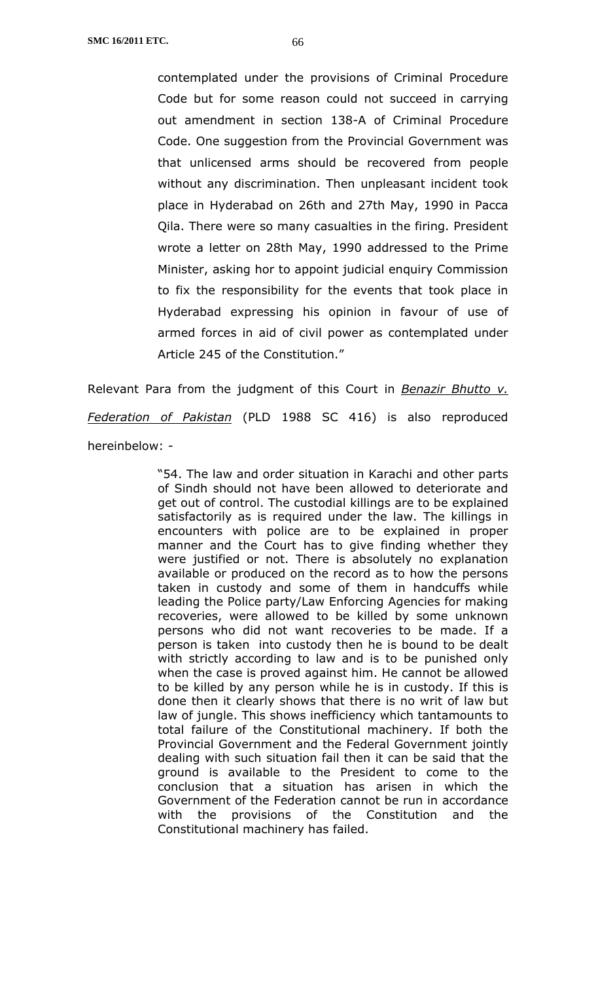contemplated under the provisions of Criminal Procedure Code but for some reason could not succeed in carrying out amendment in section 138-A of Criminal Procedure Code. One suggestion from the Provincial Government was that unlicensed arms should be recovered from people without any discrimination. Then unpleasant incident took place in Hyderabad on 26th and 27th May, 1990 in Pacca Qila. There were so many casualties in the firing. President wrote a letter on 28th May, 1990 addressed to the Prime Minister, asking hor to appoint judicial enquiry Commission to fix the responsibility for the events that took place in Hyderabad expressing his opinion in favour of use of armed forces in aid of civil power as contemplated under Article 245 of the Constitution."

Relevant Para from the judgment of this Court in *Benazir Bhutto v. Federation of Pakistan* (PLD 1988 SC 416) is also reproduced hereinbelow: -

> "54. The law and order situation in Karachi and other parts of Sindh should not have been allowed to deteriorate and get out of control. The custodial killings are to be explained satisfactorily as is required under the law. The killings in encounters with police are to be explained in proper manner and the Court has to give finding whether they were justified or not. There is absolutely no explanation available or produced on the record as to how the persons taken in custody and some of them in handcuffs while leading the Police party/Law Enforcing Agencies for making recoveries, were allowed to be killed by some unknown persons who did not want recoveries to be made. If a person is taken into custody then he is bound to be dealt with strictly according to law and is to be punished only when the case is proved against him. He cannot be allowed to be killed by any person while he is in custody. If this is done then it clearly shows that there is no writ of law but law of jungle. This shows inefficiency which tantamounts to total failure of the Constitutional machinery. If both the Provincial Government and the Federal Government jointly dealing with such situation fail then it can be said that the ground is available to the President to come to the conclusion that a situation has arisen in which the Government of the Federation cannot be run in accordance with the provisions of the Constitution and the Constitutional machinery has failed.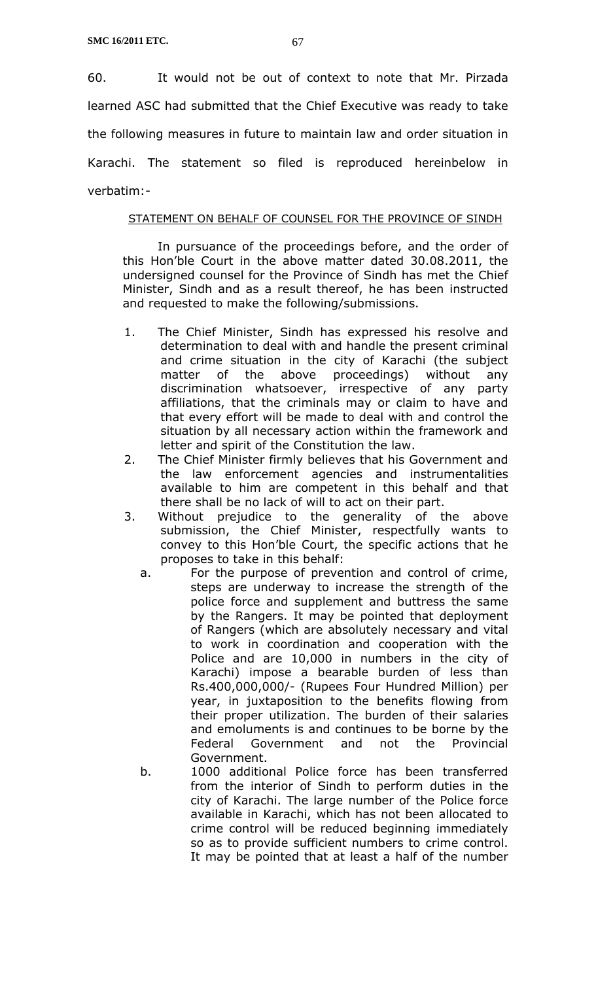60. It would not be out of context to note that Mr. Pirzada learned ASC had submitted that the Chief Executive was ready to take the following measures in future to maintain law and order situation in Karachi. The statement so filed is reproduced hereinbelow in verbatim:-

### STATEMENT ON BEHALF OF COUNSEL FOR THE PROVINCE OF SINDH

In pursuance of the proceedings before, and the order of this Hon'ble Court in the above matter dated 30.08.2011, the undersigned counsel for the Province of Sindh has met the Chief Minister, Sindh and as a result thereof, he has been instructed and requested to make the following/submissions.

- 1. The Chief Minister, Sindh has expressed his resolve and determination to deal with and handle the present criminal and crime situation in the city of Karachi (the subject matter of the above proceedings) without any discrimination whatsoever, irrespective of any party affiliations, that the criminals may or claim to have and that every effort will be made to deal with and control the situation by all necessary action within the framework and letter and spirit of the Constitution the law.
- 2. The Chief Minister firmly believes that his Government and the law enforcement agencies and instrumentalities available to him are competent in this behalf and that there shall be no lack of will to act on their part.
- 3. Without prejudice to the generality of the above submission, the Chief Minister, respectfully wants to convey to this Hon'ble Court, the specific actions that he proposes to take in this behalf:
	- a. For the purpose of prevention and control of crime, steps are underway to increase the strength of the police force and supplement and buttress the same by the Rangers. It may be pointed that deployment of Rangers (which are absolutely necessary and vital to work in coordination and cooperation with the Police and are 10,000 in numbers in the city of Karachi) impose a bearable burden of less than Rs.400,000,000/- (Rupees Four Hundred Million) per year, in juxtaposition to the benefits flowing from their proper utilization. The burden of their salaries and emoluments is and continues to be borne by the Federal Government and not the Provincial Government.
	- b. 1000 additional Police force has been transferred from the interior of Sindh to perform duties in the city of Karachi. The large number of the Police force available in Karachi, which has not been allocated to crime control will be reduced beginning immediately so as to provide sufficient numbers to crime control. It may be pointed that at least a half of the number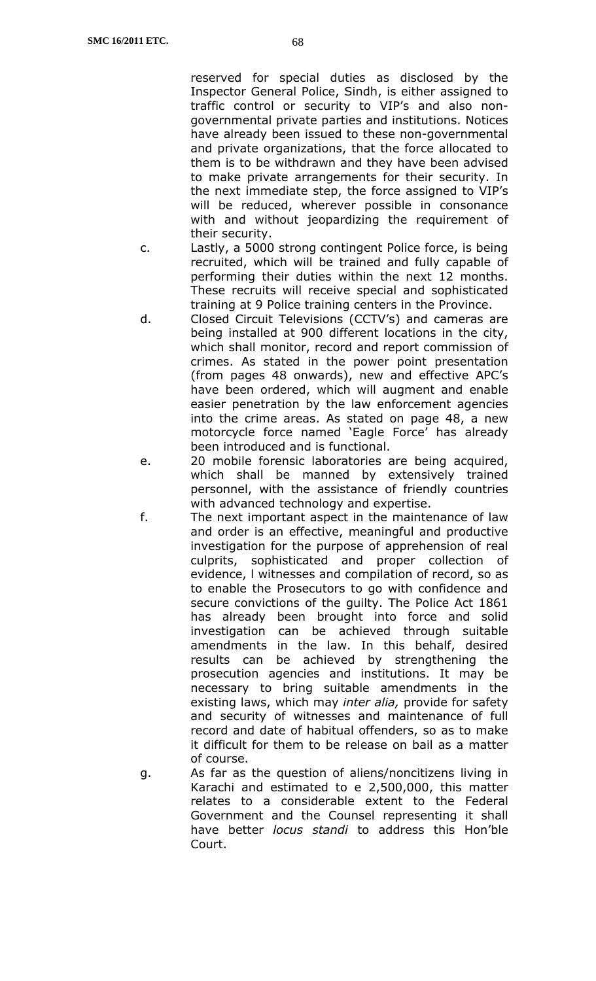reserved for special duties as disclosed by the Inspector General Police, Sindh, is either assigned to traffic control or security to VIP's and also nongovernmental private parties and institutions. Notices have already been issued to these non-governmental and private organizations, that the force allocated to them is to be withdrawn and they have been advised to make private arrangements for their security. In the next immediate step, the force assigned to VIP's will be reduced, wherever possible in consonance with and without jeopardizing the requirement of their security.

- c. Lastly, a 5000 strong contingent Police force, is being recruited, which will be trained and fully capable of performing their duties within the next 12 months. These recruits will receive special and sophisticated training at 9 Police training centers in the Province.
- d. Closed Circuit Televisions (CCTV's) and cameras are being installed at 900 different locations in the city, which shall monitor, record and report commission of crimes. As stated in the power point presentation (from pages 48 onwards), new and effective APC's have been ordered, which will augment and enable easier penetration by the law enforcement agencies into the crime areas. As stated on page 48, a new motorcycle force named 'Eagle Force' has already been introduced and is functional.
- e. 20 mobile forensic laboratories are being acquired, which shall be manned by extensively trained personnel, with the assistance of friendly countries with advanced technology and expertise.
- f. The next important aspect in the maintenance of law and order is an effective, meaningful and productive investigation for the purpose of apprehension of real culprits, sophisticated and proper collection of evidence, l witnesses and compilation of record, so as to enable the Prosecutors to go with confidence and secure convictions of the guilty. The Police Act 1861 has already been brought into force and solid investigation can be achieved through suitable amendments in the law. In this behalf, desired results can be achieved by strengthening the prosecution agencies and institutions. It may be necessary to bring suitable amendments in the existing laws, which may *inter alia,* provide for safety and security of witnesses and maintenance of full record and date of habitual offenders, so as to make it difficult for them to be release on bail as a matter of course.
- g. As far as the question of aliens/noncitizens living in Karachi and estimated to e 2,500,000, this matter relates to a considerable extent to the Federal Government and the Counsel representing it shall have better *locus standi* to address this Hon'ble Court.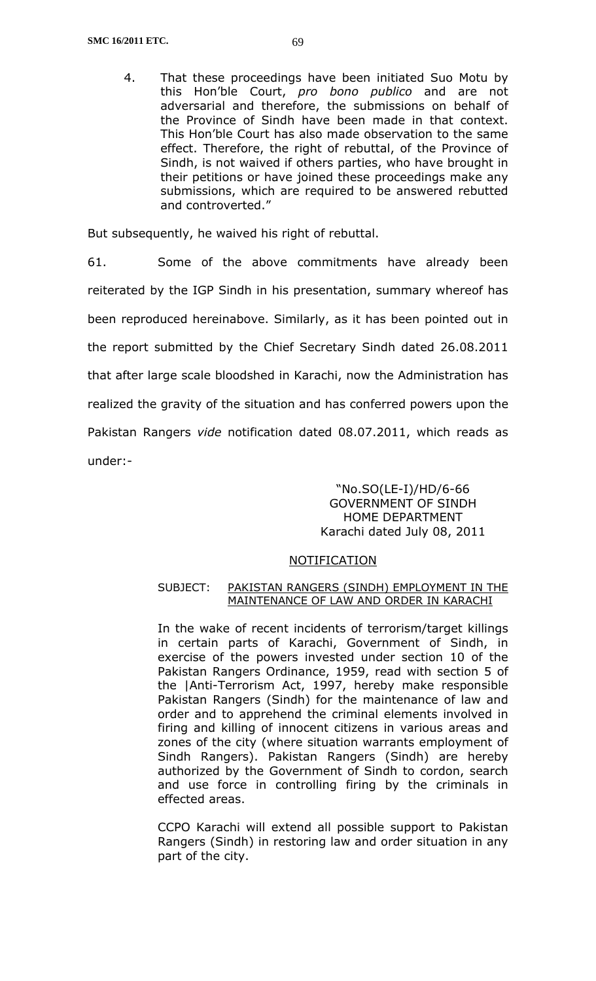4. That these proceedings have been initiated Suo Motu by this Hon'ble Court, *pro bono publico* and are not adversarial and therefore, the submissions on behalf of the Province of Sindh have been made in that context. This Hon'ble Court has also made observation to the same effect. Therefore, the right of rebuttal, of the Province of Sindh, is not waived if others parties, who have brought in their petitions or have joined these proceedings make any submissions, which are required to be answered rebutted and controverted."

But subsequently, he waived his right of rebuttal.

61. Some of the above commitments have already been reiterated by the IGP Sindh in his presentation, summary whereof has been reproduced hereinabove. Similarly, as it has been pointed out in the report submitted by the Chief Secretary Sindh dated 26.08.2011 that after large scale bloodshed in Karachi, now the Administration has realized the gravity of the situation and has conferred powers upon the Pakistan Rangers *vide* notification dated 08.07.2011, which reads as under:-

# "No.SO(LE-I)/HD/6-66 GOVERNMENT OF SINDH HOME DEPARTMENT Karachi dated July 08, 2011

### **NOTIFICATION**

### SUBJECT: PAKISTAN RANGERS (SINDH) EMPLOYMENT IN THE MAINTENANCE OF LAW AND ORDER IN KARACHI

In the wake of recent incidents of terrorism/target killings in certain parts of Karachi, Government of Sindh, in exercise of the powers invested under section 10 of the Pakistan Rangers Ordinance, 1959, read with section 5 of the |Anti-Terrorism Act, 1997, hereby make responsible Pakistan Rangers (Sindh) for the maintenance of law and order and to apprehend the criminal elements involved in firing and killing of innocent citizens in various areas and zones of the city (where situation warrants employment of Sindh Rangers). Pakistan Rangers (Sindh) are hereby authorized by the Government of Sindh to cordon, search and use force in controlling firing by the criminals in effected areas.

CCPO Karachi will extend all possible support to Pakistan Rangers (Sindh) in restoring law and order situation in any part of the city.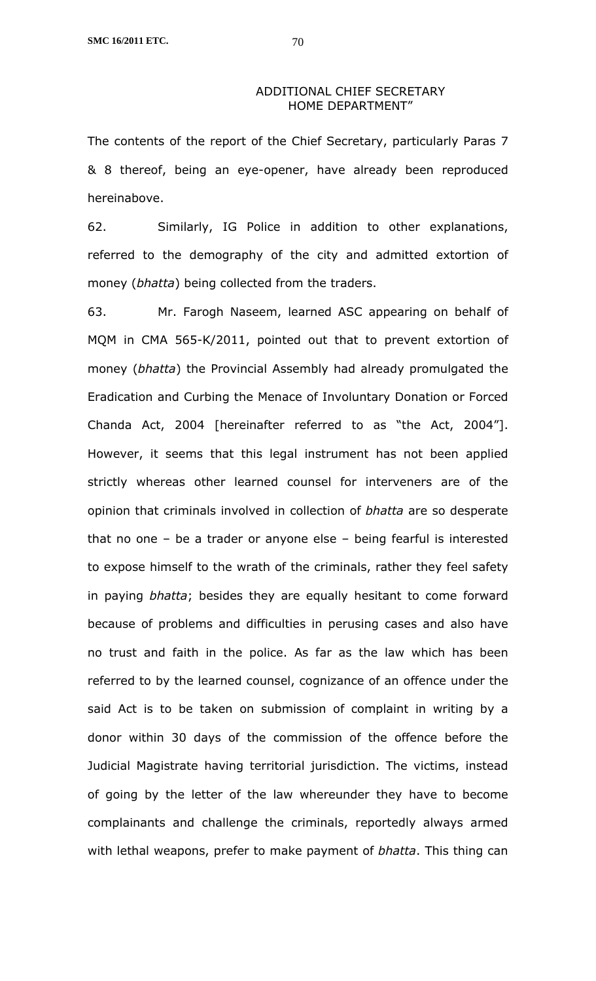## ADDITIONAL CHIEF SECRETARY HOME DEPARTMENT"

The contents of the report of the Chief Secretary, particularly Paras 7 & 8 thereof, being an eye-opener, have already been reproduced hereinabove.

62. Similarly, IG Police in addition to other explanations, referred to the demography of the city and admitted extortion of money (*bhatta*) being collected from the traders.

63. Mr. Farogh Naseem, learned ASC appearing on behalf of MQM in CMA 565-K/2011, pointed out that to prevent extortion of money (*bhatta*) the Provincial Assembly had already promulgated the Eradication and Curbing the Menace of Involuntary Donation or Forced Chanda Act, 2004 [hereinafter referred to as "the Act, 2004"]. However, it seems that this legal instrument has not been applied strictly whereas other learned counsel for interveners are of the opinion that criminals involved in collection of *bhatta* are so desperate that no one – be a trader or anyone else – being fearful is interested to expose himself to the wrath of the criminals, rather they feel safety in paying *bhatta*; besides they are equally hesitant to come forward because of problems and difficulties in perusing cases and also have no trust and faith in the police. As far as the law which has been referred to by the learned counsel, cognizance of an offence under the said Act is to be taken on submission of complaint in writing by a donor within 30 days of the commission of the offence before the Judicial Magistrate having territorial jurisdiction. The victims, instead of going by the letter of the law whereunder they have to become complainants and challenge the criminals, reportedly always armed with lethal weapons, prefer to make payment of *bhatta*. This thing can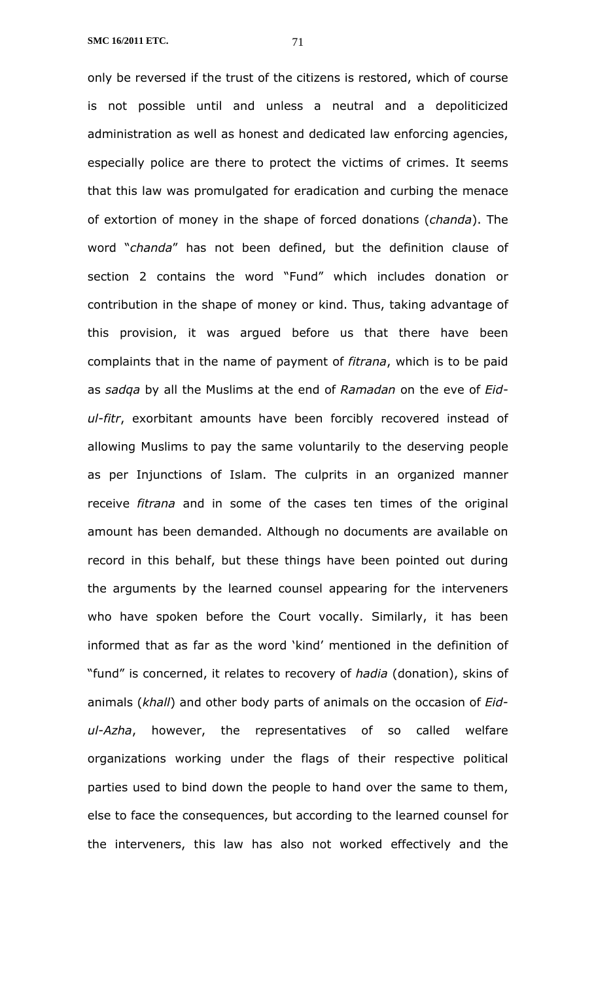only be reversed if the trust of the citizens is restored, which of course is not possible until and unless a neutral and a depoliticized administration as well as honest and dedicated law enforcing agencies, especially police are there to protect the victims of crimes. It seems that this law was promulgated for eradication and curbing the menace of extortion of money in the shape of forced donations (*chanda*). The word "*chanda*" has not been defined, but the definition clause of section 2 contains the word "Fund" which includes donation or contribution in the shape of money or kind. Thus, taking advantage of this provision, it was argued before us that there have been complaints that in the name of payment of *fitrana*, which is to be paid as *sadqa* by all the Muslims at the end of *Ramadan* on the eve of *Eidul-fitr*, exorbitant amounts have been forcibly recovered instead of allowing Muslims to pay the same voluntarily to the deserving people as per Injunctions of Islam. The culprits in an organized manner receive *fitrana* and in some of the cases ten times of the original amount has been demanded. Although no documents are available on record in this behalf, but these things have been pointed out during the arguments by the learned counsel appearing for the interveners who have spoken before the Court vocally. Similarly, it has been informed that as far as the word 'kind' mentioned in the definition of "fund" is concerned, it relates to recovery of *hadia* (donation), skins of animals (*khall*) and other body parts of animals on the occasion of *Eidul-Azha*, however, the representatives of so called welfare organizations working under the flags of their respective political parties used to bind down the people to hand over the same to them, else to face the consequences, but according to the learned counsel for the interveners, this law has also not worked effectively and the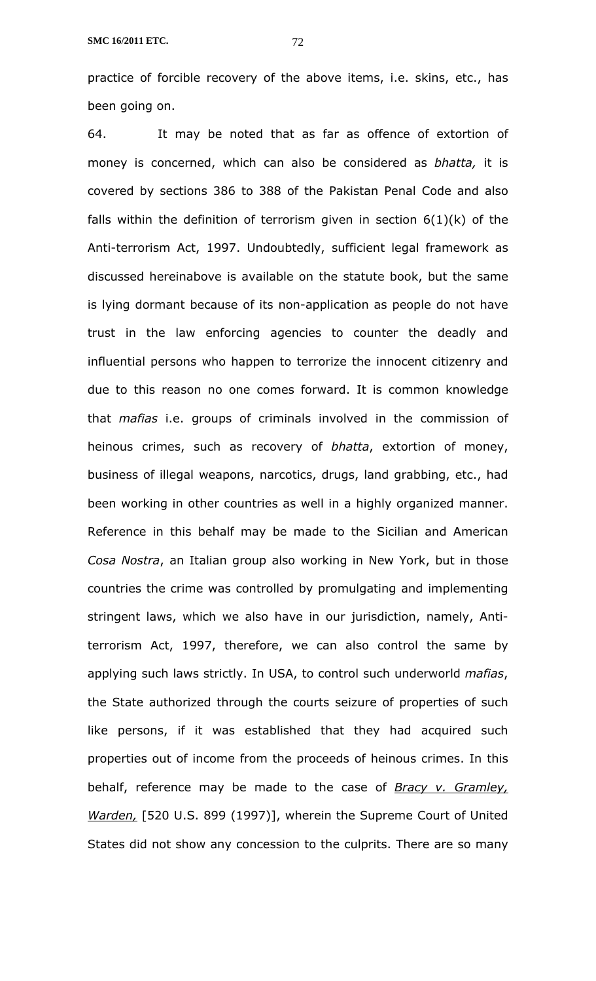practice of forcible recovery of the above items, i.e. skins, etc., has been going on.

64. It may be noted that as far as offence of extortion of money is concerned, which can also be considered as *bhatta,* it is covered by sections 386 to 388 of the Pakistan Penal Code and also falls within the definition of terrorism given in section  $6(1)(k)$  of the Anti-terrorism Act, 1997. Undoubtedly, sufficient legal framework as discussed hereinabove is available on the statute book, but the same is lying dormant because of its non-application as people do not have trust in the law enforcing agencies to counter the deadly and influential persons who happen to terrorize the innocent citizenry and due to this reason no one comes forward. It is common knowledge that *mafias* i.e. groups of criminals involved in the commission of heinous crimes, such as recovery of *bhatta*, extortion of money, business of illegal weapons, narcotics, drugs, land grabbing, etc., had been working in other countries as well in a highly organized manner. Reference in this behalf may be made to the Sicilian and American *Cosa Nostra*, an Italian group also working in New York, but in those countries the crime was controlled by promulgating and implementing stringent laws, which we also have in our jurisdiction, namely, Antiterrorism Act, 1997, therefore, we can also control the same by applying such laws strictly. In USA, to control such underworld *mafias*, the State authorized through the courts seizure of properties of such like persons, if it was established that they had acquired such properties out of income from the proceeds of heinous crimes. In this behalf, reference may be made to the case of *Bracy v. Gramley, Warden,* [520 U.S. 899 (1997)], wherein the Supreme Court of United States did not show any concession to the culprits. There are so many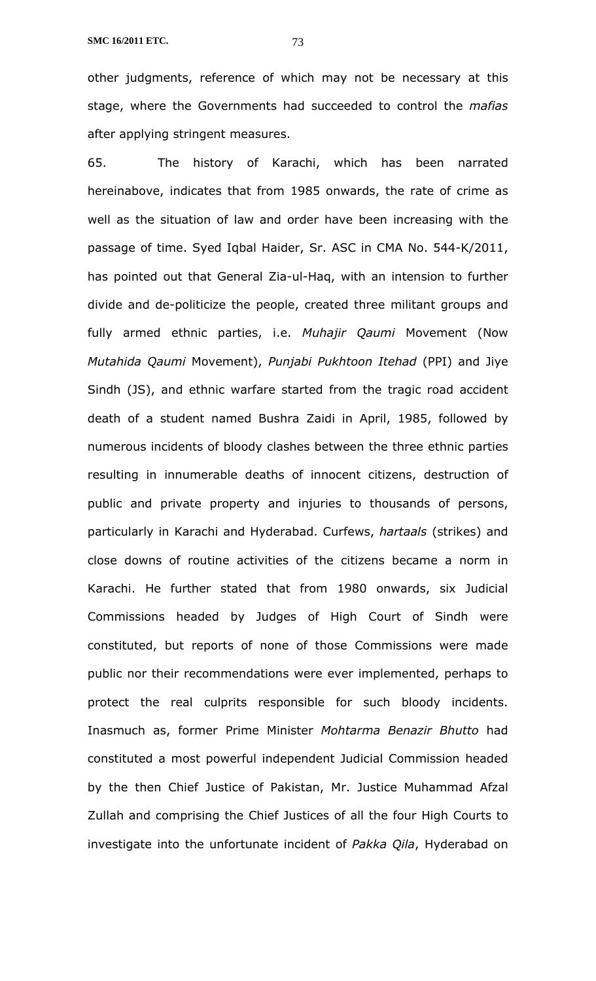other judgments, reference of which may not be necessary at this stage, where the Governments had succeeded to control the *mafias* after applying stringent measures.

65. The history of Karachi, which has been narrated hereinabove, indicates that from 1985 onwards, the rate of crime as well as the situation of law and order have been increasing with the passage of time. Syed Iqbal Haider, Sr. ASC in CMA No. 544-K/2011, has pointed out that General Zia-ul-Haq, with an intension to further divide and de-politicize the people, created three militant groups and fully armed ethnic parties, i.e. *Muhajir Qaumi* Movement (Now *Mutahida Qaumi* Movement), *Punjabi Pukhtoon Itehad* (PPI) and Jiye Sindh (JS), and ethnic warfare started from the tragic road accident death of a student named Bushra Zaidi in April, 1985, followed by numerous incidents of bloody clashes between the three ethnic parties resulting in innumerable deaths of innocent citizens, destruction of public and private property and injuries to thousands of persons, particularly in Karachi and Hyderabad. Curfews, *hartaals* (strikes) and close downs of routine activities of the citizens became a norm in Karachi. He further stated that from 1980 onwards, six Judicial Commissions headed by Judges of High Court of Sindh were constituted, but reports of none of those Commissions were made public nor their recommendations were ever implemented, perhaps to protect the real culprits responsible for such bloody incidents. Inasmuch as, former Prime Minister *Mohtarma Benazir Bhutto* had constituted a most powerful independent Judicial Commission headed by the then Chief Justice of Pakistan, Mr. Justice Muhammad Afzal Zullah and comprising the Chief Justices of all the four High Courts to investigate into the unfortunate incident of *Pakka Qila*, Hyderabad on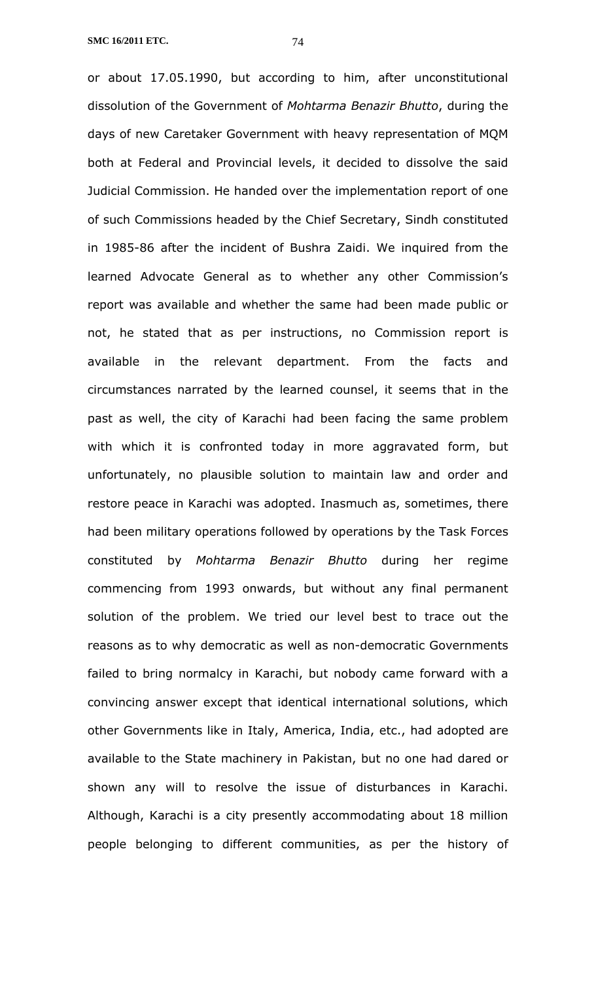or about 17.05.1990, but according to him, after unconstitutional dissolution of the Government of *Mohtarma Benazir Bhutto*, during the days of new Caretaker Government with heavy representation of MQM both at Federal and Provincial levels, it decided to dissolve the said Judicial Commission. He handed over the implementation report of one of such Commissions headed by the Chief Secretary, Sindh constituted in 1985-86 after the incident of Bushra Zaidi. We inquired from the learned Advocate General as to whether any other Commission's report was available and whether the same had been made public or not, he stated that as per instructions, no Commission report is available in the relevant department. From the facts and circumstances narrated by the learned counsel, it seems that in the past as well, the city of Karachi had been facing the same problem with which it is confronted today in more aggravated form, but unfortunately, no plausible solution to maintain law and order and restore peace in Karachi was adopted. Inasmuch as, sometimes, there had been military operations followed by operations by the Task Forces constituted by *Mohtarma Benazir Bhutto* during her regime commencing from 1993 onwards, but without any final permanent solution of the problem. We tried our level best to trace out the reasons as to why democratic as well as non-democratic Governments failed to bring normalcy in Karachi, but nobody came forward with a convincing answer except that identical international solutions, which other Governments like in Italy, America, India, etc., had adopted are available to the State machinery in Pakistan, but no one had dared or shown any will to resolve the issue of disturbances in Karachi. Although, Karachi is a city presently accommodating about 18 million people belonging to different communities, as per the history of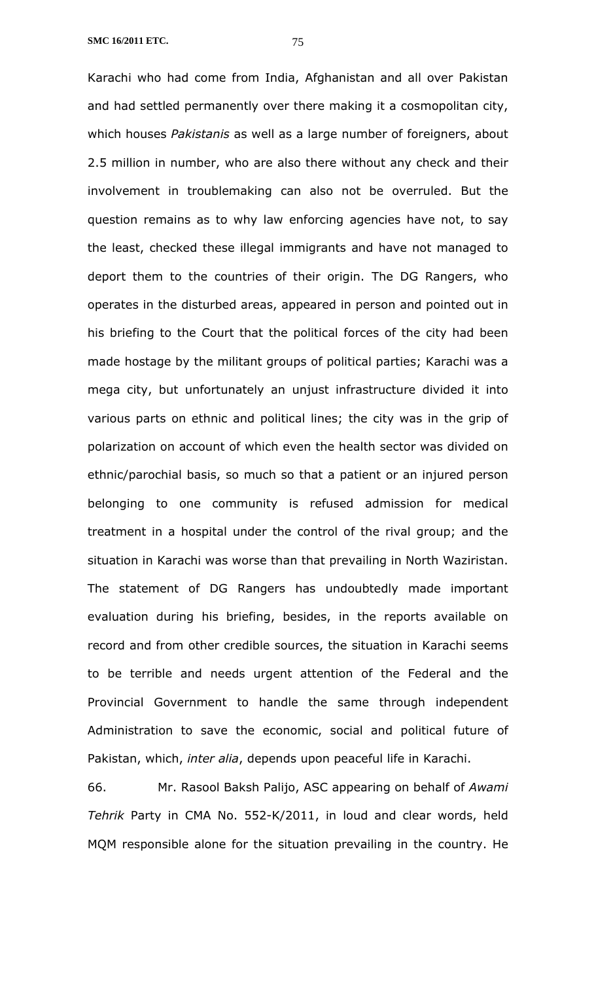Karachi who had come from India, Afghanistan and all over Pakistan and had settled permanently over there making it a cosmopolitan city, which houses *Pakistanis* as well as a large number of foreigners, about 2.5 million in number, who are also there without any check and their involvement in troublemaking can also not be overruled. But the question remains as to why law enforcing agencies have not, to say the least, checked these illegal immigrants and have not managed to deport them to the countries of their origin. The DG Rangers, who operates in the disturbed areas, appeared in person and pointed out in his briefing to the Court that the political forces of the city had been made hostage by the militant groups of political parties; Karachi was a mega city, but unfortunately an unjust infrastructure divided it into various parts on ethnic and political lines; the city was in the grip of polarization on account of which even the health sector was divided on ethnic/parochial basis, so much so that a patient or an injured person belonging to one community is refused admission for medical treatment in a hospital under the control of the rival group; and the situation in Karachi was worse than that prevailing in North Waziristan. The statement of DG Rangers has undoubtedly made important evaluation during his briefing, besides, in the reports available on record and from other credible sources, the situation in Karachi seems to be terrible and needs urgent attention of the Federal and the Provincial Government to handle the same through independent Administration to save the economic, social and political future of Pakistan, which, *inter alia*, depends upon peaceful life in Karachi.

66. Mr. Rasool Baksh Palijo, ASC appearing on behalf of *Awami Tehrik* Party in CMA No. 552-K/2011, in loud and clear words, held MQM responsible alone for the situation prevailing in the country. He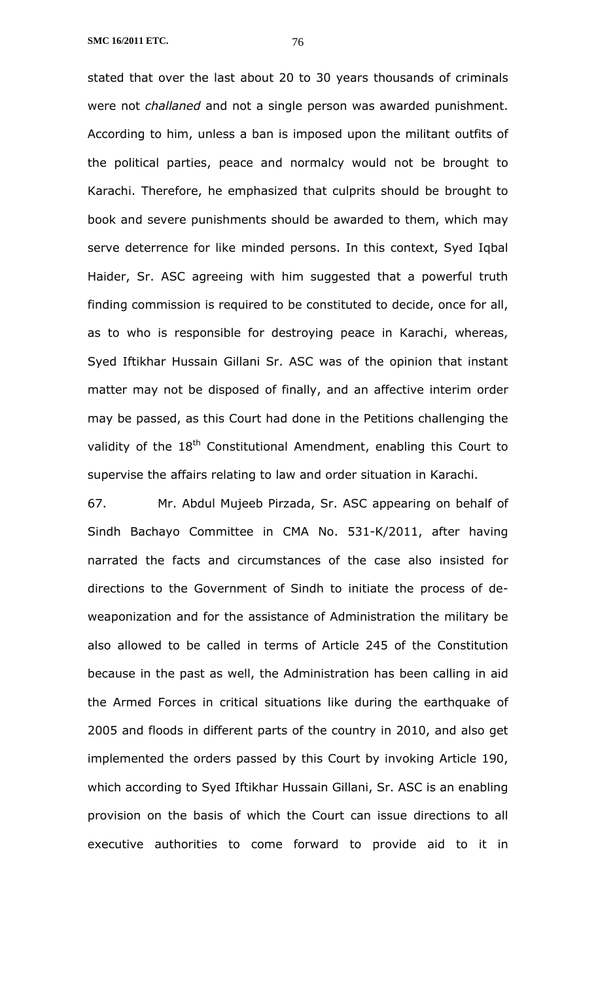stated that over the last about 20 to 30 years thousands of criminals were not *challaned* and not a single person was awarded punishment. According to him, unless a ban is imposed upon the militant outfits of the political parties, peace and normalcy would not be brought to Karachi. Therefore, he emphasized that culprits should be brought to book and severe punishments should be awarded to them, which may serve deterrence for like minded persons. In this context, Syed Iqbal Haider, Sr. ASC agreeing with him suggested that a powerful truth finding commission is required to be constituted to decide, once for all, as to who is responsible for destroying peace in Karachi, whereas, Syed Iftikhar Hussain Gillani Sr. ASC was of the opinion that instant matter may not be disposed of finally, and an affective interim order may be passed, as this Court had done in the Petitions challenging the validity of the  $18<sup>th</sup>$  Constitutional Amendment, enabling this Court to supervise the affairs relating to law and order situation in Karachi.

67. Mr. Abdul Mujeeb Pirzada, Sr. ASC appearing on behalf of Sindh Bachayo Committee in CMA No. 531-K/2011, after having narrated the facts and circumstances of the case also insisted for directions to the Government of Sindh to initiate the process of deweaponization and for the assistance of Administration the military be also allowed to be called in terms of Article 245 of the Constitution because in the past as well, the Administration has been calling in aid the Armed Forces in critical situations like during the earthquake of 2005 and floods in different parts of the country in 2010, and also get implemented the orders passed by this Court by invoking Article 190, which according to Syed Iftikhar Hussain Gillani, Sr. ASC is an enabling provision on the basis of which the Court can issue directions to all executive authorities to come forward to provide aid to it in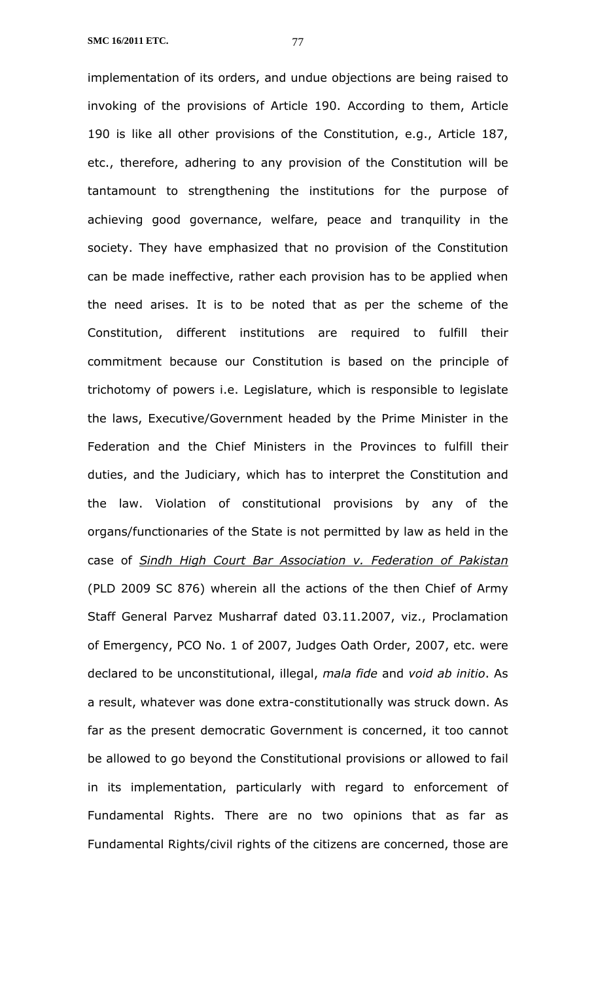implementation of its orders, and undue objections are being raised to invoking of the provisions of Article 190. According to them, Article 190 is like all other provisions of the Constitution, e.g., Article 187, etc., therefore, adhering to any provision of the Constitution will be tantamount to strengthening the institutions for the purpose of achieving good governance, welfare, peace and tranquility in the society. They have emphasized that no provision of the Constitution can be made ineffective, rather each provision has to be applied when the need arises. It is to be noted that as per the scheme of the Constitution, different institutions are required to fulfill their commitment because our Constitution is based on the principle of trichotomy of powers i.e. Legislature, which is responsible to legislate the laws, Executive/Government headed by the Prime Minister in the Federation and the Chief Ministers in the Provinces to fulfill their duties, and the Judiciary, which has to interpret the Constitution and the law. Violation of constitutional provisions by any of the organs/functionaries of the State is not permitted by law as held in the case of *Sindh High Court Bar Association v. Federation of Pakistan* (PLD 2009 SC 876) wherein all the actions of the then Chief of Army Staff General Parvez Musharraf dated 03.11.2007, viz., Proclamation of Emergency, PCO No. 1 of 2007, Judges Oath Order, 2007, etc. were declared to be unconstitutional, illegal, *mala fide* and *void ab initio*. As a result, whatever was done extra-constitutionally was struck down. As far as the present democratic Government is concerned, it too cannot be allowed to go beyond the Constitutional provisions or allowed to fail in its implementation, particularly with regard to enforcement of Fundamental Rights. There are no two opinions that as far as Fundamental Rights/civil rights of the citizens are concerned, those are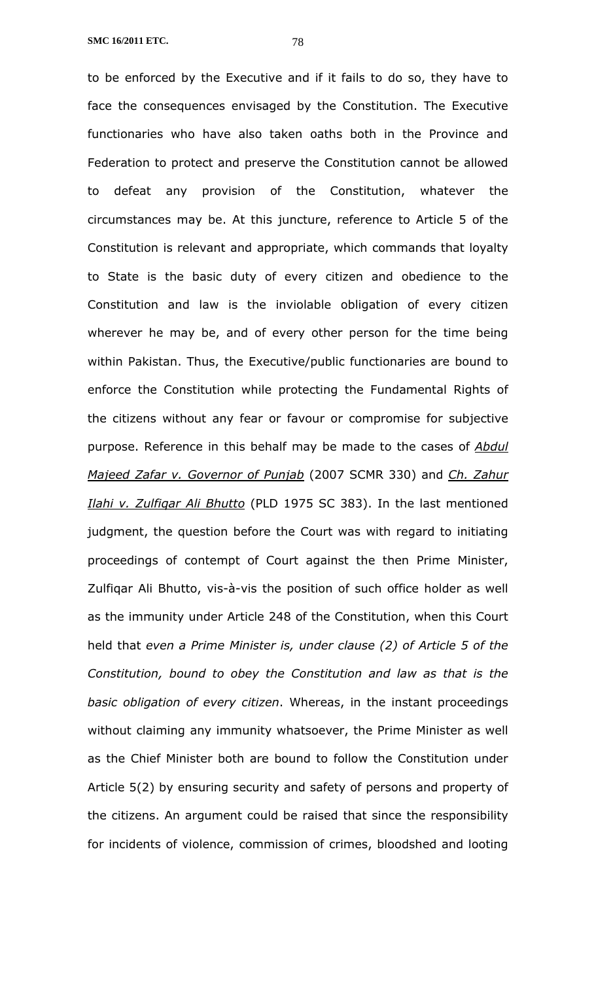to be enforced by the Executive and if it fails to do so, they have to face the consequences envisaged by the Constitution. The Executive functionaries who have also taken oaths both in the Province and Federation to protect and preserve the Constitution cannot be allowed to defeat any provision of the Constitution, whatever the circumstances may be. At this juncture, reference to Article 5 of the Constitution is relevant and appropriate, which commands that loyalty to State is the basic duty of every citizen and obedience to the Constitution and law is the inviolable obligation of every citizen wherever he may be, and of every other person for the time being within Pakistan. Thus, the Executive/public functionaries are bound to enforce the Constitution while protecting the Fundamental Rights of the citizens without any fear or favour or compromise for subjective purpose. Reference in this behalf may be made to the cases of *Abdul Majeed Zafar v. Governor of Punjab* (2007 SCMR 330) and *Ch. Zahur Ilahi v. Zulfiqar Ali Bhutto* (PLD 1975 SC 383). In the last mentioned judgment, the question before the Court was with regard to initiating proceedings of contempt of Court against the then Prime Minister, Zulfiqar Ali Bhutto, vis-à-vis the position of such office holder as well as the immunity under Article 248 of the Constitution, when this Court held that *even a Prime Minister is, under clause (2) of Article 5 of the Constitution, bound to obey the Constitution and law as that is the basic obligation of every citizen*. Whereas, in the instant proceedings without claiming any immunity whatsoever, the Prime Minister as well as the Chief Minister both are bound to follow the Constitution under Article 5(2) by ensuring security and safety of persons and property of the citizens. An argument could be raised that since the responsibility for incidents of violence, commission of crimes, bloodshed and looting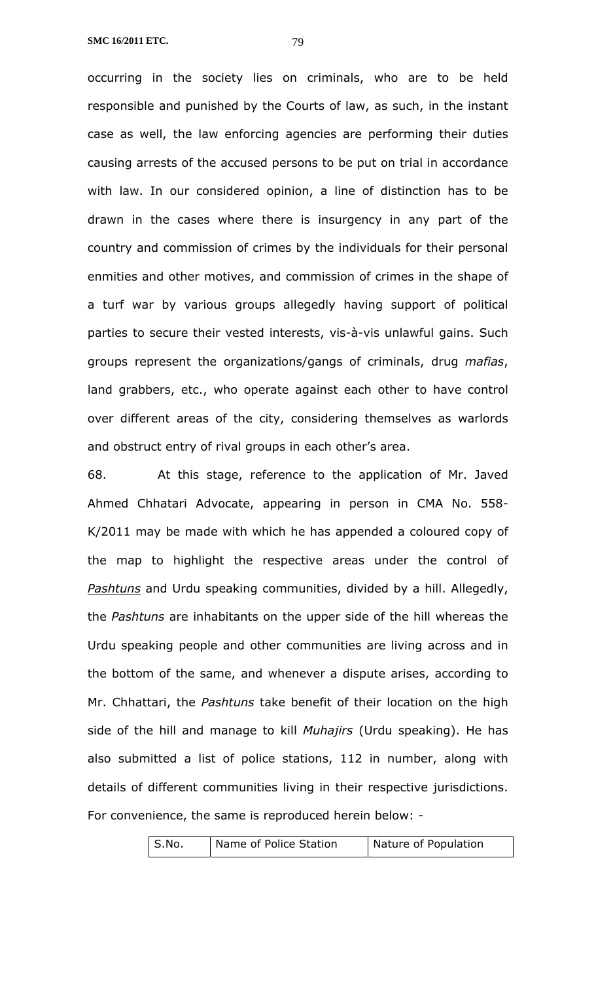occurring in the society lies on criminals, who are to be held responsible and punished by the Courts of law, as such, in the instant case as well, the law enforcing agencies are performing their duties causing arrests of the accused persons to be put on trial in accordance with law. In our considered opinion, a line of distinction has to be drawn in the cases where there is insurgency in any part of the country and commission of crimes by the individuals for their personal enmities and other motives, and commission of crimes in the shape of a turf war by various groups allegedly having support of political parties to secure their vested interests, vis-à-vis unlawful gains. Such groups represent the organizations/gangs of criminals, drug *mafias*, land grabbers, etc., who operate against each other to have control over different areas of the city, considering themselves as warlords and obstruct entry of rival groups in each other's area.

68. At this stage, reference to the application of Mr. Javed Ahmed Chhatari Advocate, appearing in person in CMA No. 558- K/2011 may be made with which he has appended a coloured copy of the map to highlight the respective areas under the control of *Pashtuns* and Urdu speaking communities, divided by a hill. Allegedly, the *Pashtuns* are inhabitants on the upper side of the hill whereas the Urdu speaking people and other communities are living across and in the bottom of the same, and whenever a dispute arises, according to Mr. Chhattari, the *Pashtuns* take benefit of their location on the high side of the hill and manage to kill *Muhajirs* (Urdu speaking). He has also submitted a list of police stations, 112 in number, along with details of different communities living in their respective jurisdictions. For convenience, the same is reproduced herein below: -

| S.No. | Name of Police Station | Nature of Population |
|-------|------------------------|----------------------|
|-------|------------------------|----------------------|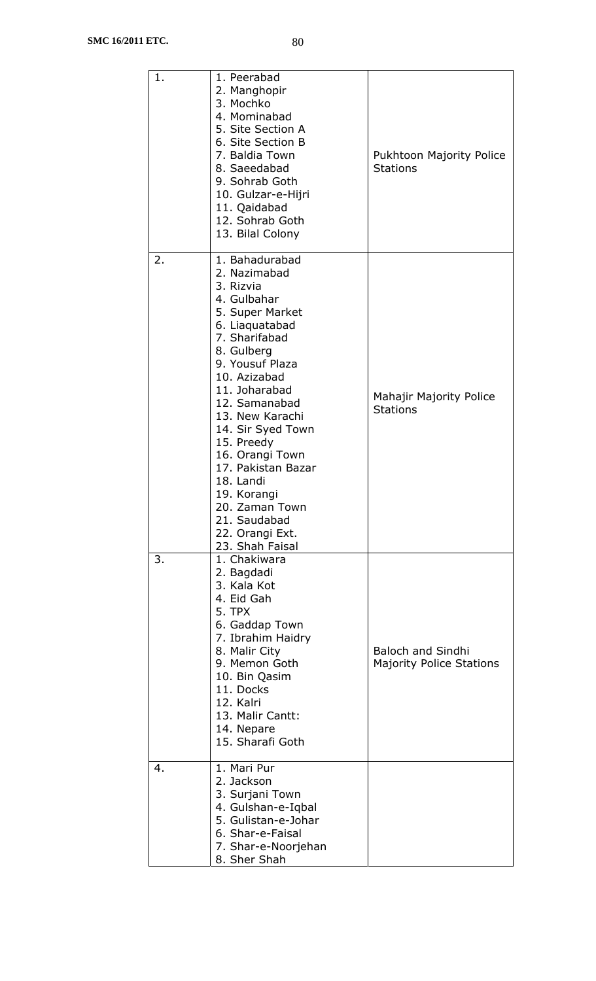| 1. | 1. Peerabad<br>2. Manghopir<br>3. Mochko<br>4. Mominabad<br>5. Site Section A<br>6. Site Section B<br>7. Baldia Town<br>8. Saeedabad<br>9. Sohrab Goth<br>10. Gulzar-e-Hijri<br>11. Qaidabad<br>12. Sohrab Goth<br>13. Bilal Colony                                                                                                                                                                    | Pukhtoon Majority Police<br><b>Stations</b>                 |
|----|--------------------------------------------------------------------------------------------------------------------------------------------------------------------------------------------------------------------------------------------------------------------------------------------------------------------------------------------------------------------------------------------------------|-------------------------------------------------------------|
| 2. | 1. Bahadurabad<br>2. Nazimabad<br>3. Rizvia<br>4. Gulbahar<br>5. Super Market<br>6. Liaquatabad<br>7. Sharifabad<br>8. Gulberg<br>9. Yousuf Plaza<br>10. Azizabad<br>11. Joharabad<br>12. Samanabad<br>13. New Karachi<br>14. Sir Syed Town<br>15. Preedy<br>16. Orangi Town<br>17. Pakistan Bazar<br>18. Landi<br>19. Korangi<br>20. Zaman Town<br>21. Saudabad<br>22. Orangi Ext.<br>23. Shah Faisal | Mahajir Majority Police<br><b>Stations</b>                  |
| 3. | 1. Chakiwara<br>2. Bagdadi<br>3. Kala Kot<br>4. Eid Gah<br>5. TPX<br>6. Gaddap Town<br>7. Ibrahim Haidry<br>8. Malir City<br>9. Memon Goth<br>10. Bin Qasim<br>11. Docks<br>12. Kalri<br>13. Malir Cantt:<br>14. Nepare<br>15. Sharafi Goth                                                                                                                                                            | <b>Baloch and Sindhi</b><br><b>Majority Police Stations</b> |
| 4. | 1. Mari Pur<br>2. Jackson<br>3. Surjani Town<br>4. Gulshan-e-Iqbal<br>5. Gulistan-e-Johar<br>6. Shar-e-Faisal<br>7. Shar-e-Noorjehan<br>8. Sher Shah                                                                                                                                                                                                                                                   |                                                             |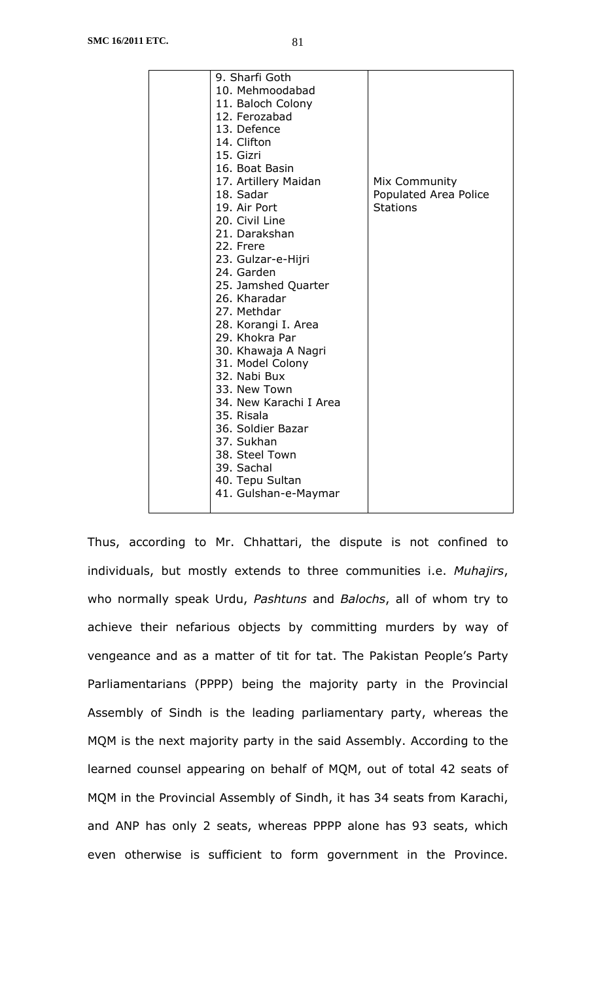| 10. Mehmoodabad<br>11. Baloch Colony<br>12. Ferozabad<br>13. Defence<br>14. Clifton<br>15. Gizri<br>16. Boat Basin<br>17. Artillery Maidan<br>18. Sadar<br>19. Air Port<br>20. Civil Line<br>21. Darakshan<br>22. Frere<br>23. Gulzar-e-Hijri<br>24. Garden<br>25. Jamshed Quarter<br>26. Kharadar<br>27. Methdar<br>28. Korangi I. Area<br>29. Khokra Par<br>30. Khawaja A Nagri<br>31. Model Colony<br>32. Nabi Bux<br>33. New Town<br>34. New Karachi I Area<br>35. Risala<br>36. Soldier Bazar<br>37. Sukhan<br>38. Steel Town | Mix Community<br>Populated Area Police<br><b>Stations</b> |
|------------------------------------------------------------------------------------------------------------------------------------------------------------------------------------------------------------------------------------------------------------------------------------------------------------------------------------------------------------------------------------------------------------------------------------------------------------------------------------------------------------------------------------|-----------------------------------------------------------|
|------------------------------------------------------------------------------------------------------------------------------------------------------------------------------------------------------------------------------------------------------------------------------------------------------------------------------------------------------------------------------------------------------------------------------------------------------------------------------------------------------------------------------------|-----------------------------------------------------------|

Thus, according to Mr. Chhattari, the dispute is not confined to individuals, but mostly extends to three communities i.e. *Muhajirs*, who normally speak Urdu, *Pashtuns* and *Balochs*, all of whom try to achieve their nefarious objects by committing murders by way of vengeance and as a matter of tit for tat. The Pakistan People's Party Parliamentarians (PPPP) being the majority party in the Provincial Assembly of Sindh is the leading parliamentary party, whereas the MQM is the next majority party in the said Assembly. According to the learned counsel appearing on behalf of MQM, out of total 42 seats of MQM in the Provincial Assembly of Sindh, it has 34 seats from Karachi, and ANP has only 2 seats, whereas PPPP alone has 93 seats, which even otherwise is sufficient to form government in the Province.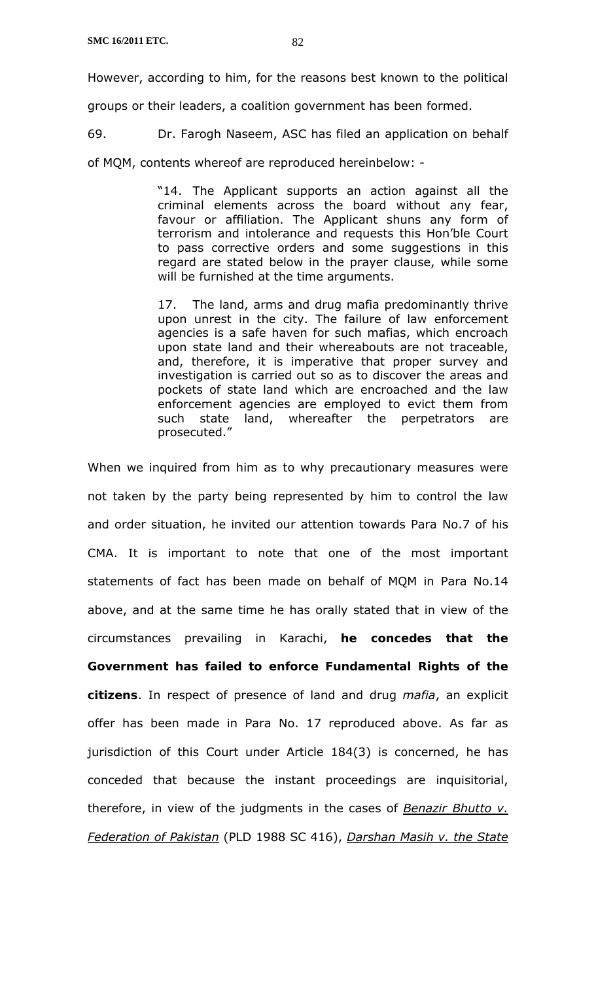However, according to him, for the reasons best known to the political

groups or their leaders, a coalition government has been formed.

69. Dr. Farogh Naseem, ASC has filed an application on behalf

of MQM, contents whereof are reproduced hereinbelow: -

"14. The Applicant supports an action against all the criminal elements across the board without any fear, favour or affiliation. The Applicant shuns any form of terrorism and intolerance and requests this Hon'ble Court to pass corrective orders and some suggestions in this regard are stated below in the prayer clause, while some will be furnished at the time arguments.

17. The land, arms and drug mafia predominantly thrive upon unrest in the city. The failure of law enforcement agencies is a safe haven for such mafias, which encroach upon state land and their whereabouts are not traceable, and, therefore, it is imperative that proper survey and investigation is carried out so as to discover the areas and pockets of state land which are encroached and the law enforcement agencies are employed to evict them from such state land, whereafter the perpetrators are prosecuted."

When we inquired from him as to why precautionary measures were not taken by the party being represented by him to control the law and order situation, he invited our attention towards Para No.7 of his CMA. It is important to note that one of the most important statements of fact has been made on behalf of MQM in Para No.14 above, and at the same time he has orally stated that in view of the circumstances prevailing in Karachi, **he concedes that the Government has failed to enforce Fundamental Rights of the citizens**. In respect of presence of land and drug *mafia*, an explicit offer has been made in Para No. 17 reproduced above. As far as jurisdiction of this Court under Article 184(3) is concerned, he has conceded that because the instant proceedings are inquisitorial, therefore, in view of the judgments in the cases of *Benazir Bhutto v. Federation of Pakistan* (PLD 1988 SC 416), *Darshan Masih v. the State*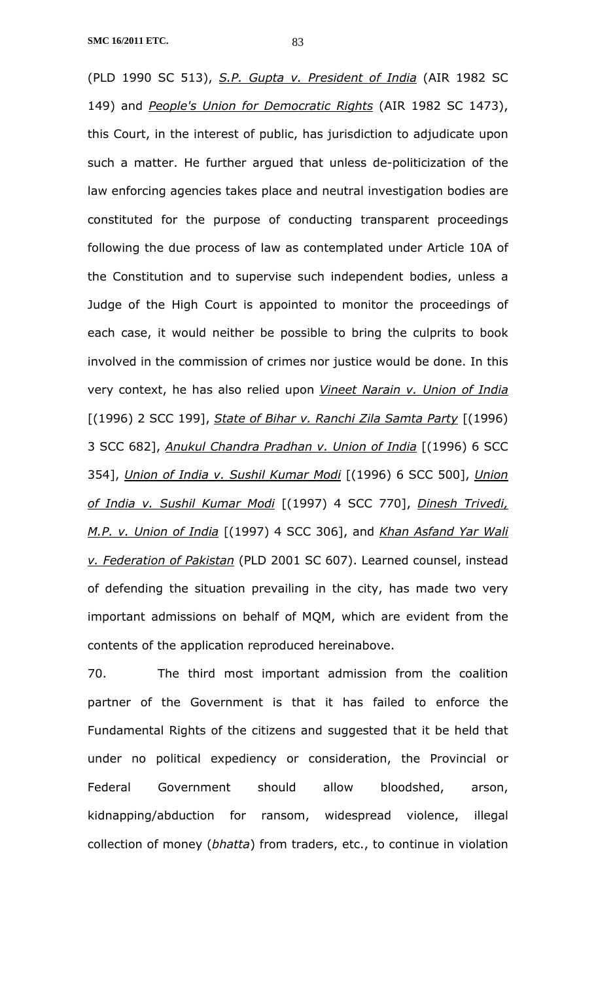(PLD 1990 SC 513), *S.P. Gupta v. President of India* (AIR 1982 SC 149) and *People's Union for Democratic Rights* (AIR 1982 SC 1473), this Court, in the interest of public, has jurisdiction to adjudicate upon such a matter. He further argued that unless de-politicization of the law enforcing agencies takes place and neutral investigation bodies are constituted for the purpose of conducting transparent proceedings following the due process of law as contemplated under Article 10A of the Constitution and to supervise such independent bodies, unless a Judge of the High Court is appointed to monitor the proceedings of each case, it would neither be possible to bring the culprits to book involved in the commission of crimes nor justice would be done. In this very context, he has also relied upon *Vineet Narain v. Union of India* [(1996) 2 SCC 199], *State of Bihar v. Ranchi Zila Samta Party* [(1996) 3 SCC 682], *Anukul Chandra Pradhan v. Union of India* [(1996) 6 SCC 354], *Union of India v. Sushil Kumar Modi* [(1996) 6 SCC 500], *Union of India v. Sushil Kumar Modi* [(1997) 4 SCC 770], *Dinesh Trivedi, M.P. v. Union of India* [(1997) 4 SCC 306], and *Khan Asfand Yar Wali v. Federation of Pakistan* (PLD 2001 SC 607). Learned counsel, instead of defending the situation prevailing in the city, has made two very important admissions on behalf of MQM, which are evident from the contents of the application reproduced hereinabove.

70. The third most important admission from the coalition partner of the Government is that it has failed to enforce the Fundamental Rights of the citizens and suggested that it be held that under no political expediency or consideration, the Provincial or Federal Government should allow bloodshed, arson, kidnapping/abduction for ransom, widespread violence, illegal collection of money (*bhatta*) from traders, etc., to continue in violation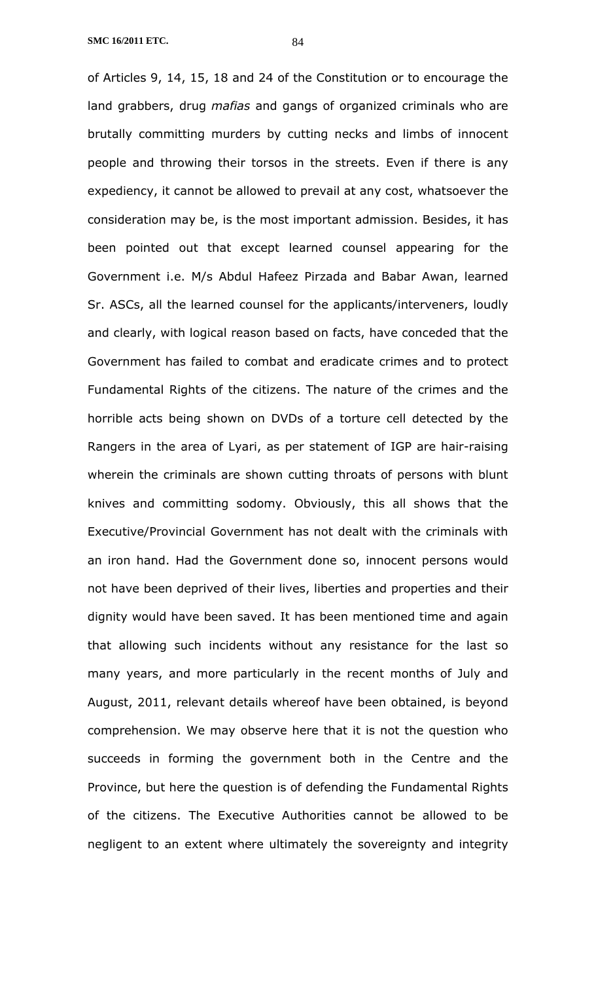of Articles 9, 14, 15, 18 and 24 of the Constitution or to encourage the land grabbers, drug *mafias* and gangs of organized criminals who are brutally committing murders by cutting necks and limbs of innocent people and throwing their torsos in the streets. Even if there is any expediency, it cannot be allowed to prevail at any cost, whatsoever the consideration may be, is the most important admission. Besides, it has been pointed out that except learned counsel appearing for the Government i.e. M/s Abdul Hafeez Pirzada and Babar Awan, learned Sr. ASCs, all the learned counsel for the applicants/interveners, loudly and clearly, with logical reason based on facts, have conceded that the Government has failed to combat and eradicate crimes and to protect Fundamental Rights of the citizens. The nature of the crimes and the horrible acts being shown on DVDs of a torture cell detected by the Rangers in the area of Lyari, as per statement of IGP are hair-raising wherein the criminals are shown cutting throats of persons with blunt knives and committing sodomy. Obviously, this all shows that the Executive/Provincial Government has not dealt with the criminals with an iron hand. Had the Government done so, innocent persons would not have been deprived of their lives, liberties and properties and their dignity would have been saved. It has been mentioned time and again that allowing such incidents without any resistance for the last so many years, and more particularly in the recent months of July and August, 2011, relevant details whereof have been obtained, is beyond comprehension. We may observe here that it is not the question who succeeds in forming the government both in the Centre and the Province, but here the question is of defending the Fundamental Rights of the citizens. The Executive Authorities cannot be allowed to be negligent to an extent where ultimately the sovereignty and integrity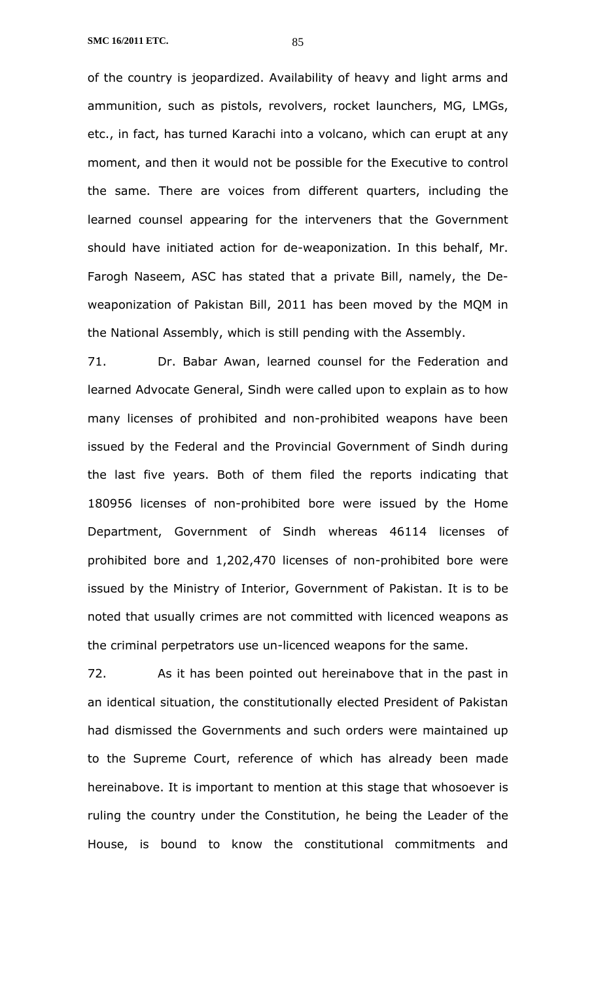of the country is jeopardized. Availability of heavy and light arms and ammunition, such as pistols, revolvers, rocket launchers, MG, LMGs, etc., in fact, has turned Karachi into a volcano, which can erupt at any moment, and then it would not be possible for the Executive to control the same. There are voices from different quarters, including the learned counsel appearing for the interveners that the Government should have initiated action for de-weaponization. In this behalf, Mr. Farogh Naseem, ASC has stated that a private Bill, namely, the Deweaponization of Pakistan Bill, 2011 has been moved by the MQM in the National Assembly, which is still pending with the Assembly.

71. Dr. Babar Awan, learned counsel for the Federation and learned Advocate General, Sindh were called upon to explain as to how many licenses of prohibited and non-prohibited weapons have been issued by the Federal and the Provincial Government of Sindh during the last five years. Both of them filed the reports indicating that 180956 licenses of non-prohibited bore were issued by the Home Department, Government of Sindh whereas 46114 licenses of prohibited bore and 1,202,470 licenses of non-prohibited bore were issued by the Ministry of Interior, Government of Pakistan. It is to be noted that usually crimes are not committed with licenced weapons as the criminal perpetrators use un-licenced weapons for the same.

72. As it has been pointed out hereinabove that in the past in an identical situation, the constitutionally elected President of Pakistan had dismissed the Governments and such orders were maintained up to the Supreme Court, reference of which has already been made hereinabove. It is important to mention at this stage that whosoever is ruling the country under the Constitution, he being the Leader of the House, is bound to know the constitutional commitments and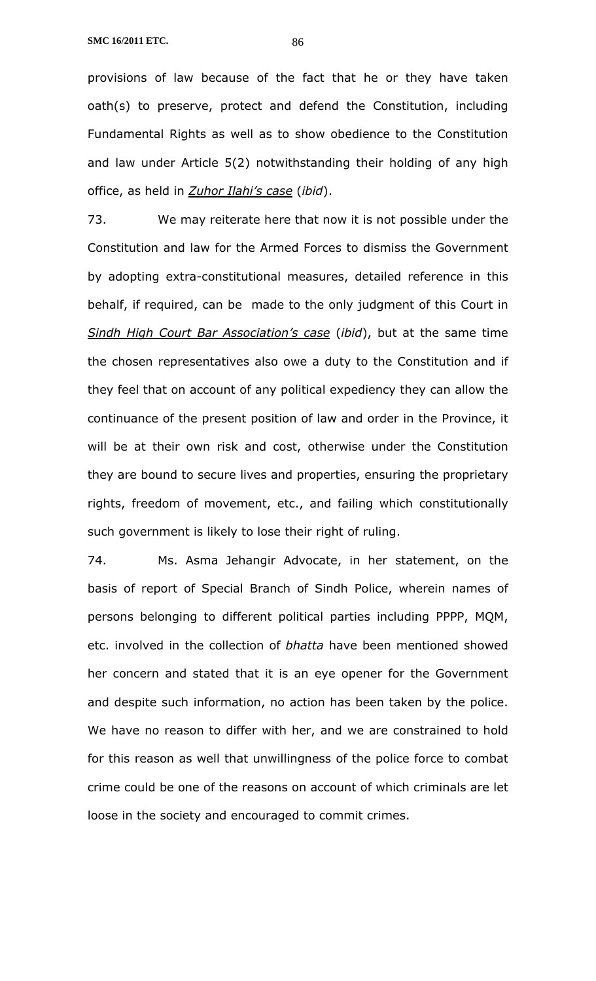provisions of law because of the fact that he or they have taken oath(s) to preserve, protect and defend the Constitution, including Fundamental Rights as well as to show obedience to the Constitution and law under Article 5(2) notwithstanding their holding of any high office, as held in *Zuhor Ilahi's case* (*ibid*).

73. We may reiterate here that now it is not possible under the Constitution and law for the Armed Forces to dismiss the Government by adopting extra-constitutional measures, detailed reference in this behalf, if required, can be made to the only judgment of this Court in *Sindh High Court Bar Association's case* (*ibid*), but at the same time the chosen representatives also owe a duty to the Constitution and if they feel that on account of any political expediency they can allow the continuance of the present position of law and order in the Province, it will be at their own risk and cost, otherwise under the Constitution they are bound to secure lives and properties, ensuring the proprietary rights, freedom of movement, etc., and failing which constitutionally such government is likely to lose their right of ruling.

74. Ms. Asma Jehangir Advocate, in her statement, on the basis of report of Special Branch of Sindh Police, wherein names of persons belonging to different political parties including PPPP, MQM, etc. involved in the collection of *bhatta* have been mentioned showed her concern and stated that it is an eye opener for the Government and despite such information, no action has been taken by the police. We have no reason to differ with her, and we are constrained to hold for this reason as well that unwillingness of the police force to combat crime could be one of the reasons on account of which criminals are let loose in the society and encouraged to commit crimes.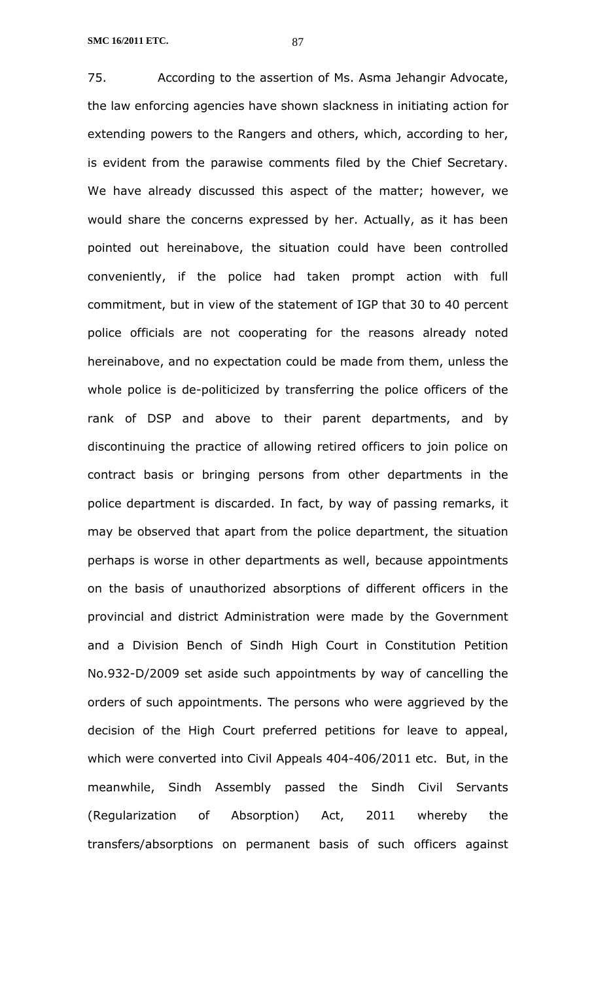75. According to the assertion of Ms. Asma Jehangir Advocate, the law enforcing agencies have shown slackness in initiating action for extending powers to the Rangers and others, which, according to her, is evident from the parawise comments filed by the Chief Secretary. We have already discussed this aspect of the matter; however, we would share the concerns expressed by her. Actually, as it has been pointed out hereinabove, the situation could have been controlled conveniently, if the police had taken prompt action with full commitment, but in view of the statement of IGP that 30 to 40 percent police officials are not cooperating for the reasons already noted hereinabove, and no expectation could be made from them, unless the whole police is de-politicized by transferring the police officers of the rank of DSP and above to their parent departments, and by discontinuing the practice of allowing retired officers to join police on contract basis or bringing persons from other departments in the police department is discarded. In fact, by way of passing remarks, it may be observed that apart from the police department, the situation perhaps is worse in other departments as well, because appointments on the basis of unauthorized absorptions of different officers in the provincial and district Administration were made by the Government and a Division Bench of Sindh High Court in Constitution Petition No.932-D/2009 set aside such appointments by way of cancelling the orders of such appointments. The persons who were aggrieved by the decision of the High Court preferred petitions for leave to appeal, which were converted into Civil Appeals 404-406/2011 etc. But, in the meanwhile, Sindh Assembly passed the Sindh Civil Servants (Regularization of Absorption) Act, 2011 whereby the transfers/absorptions on permanent basis of such officers against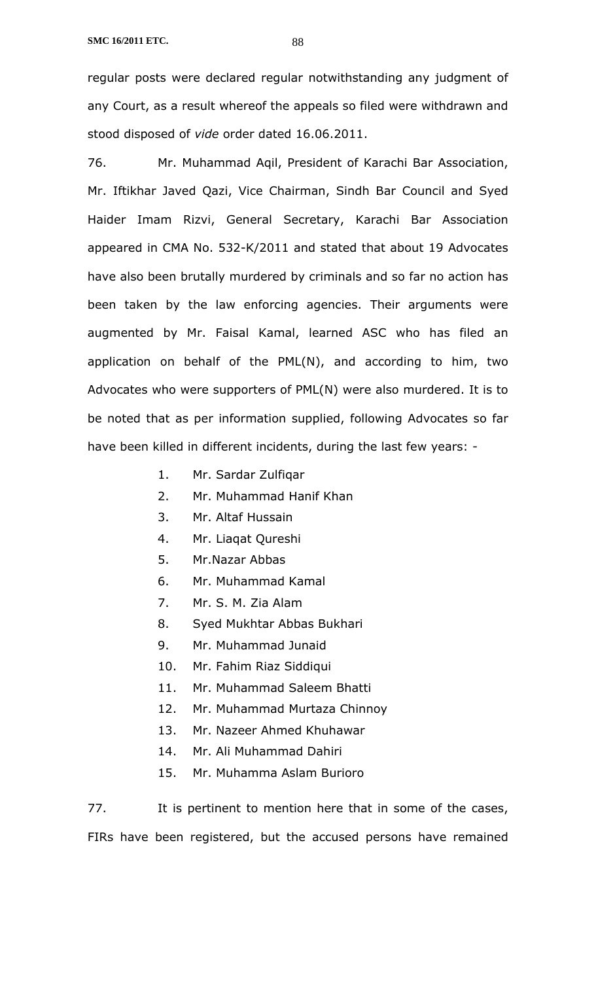regular posts were declared regular notwithstanding any judgment of any Court, as a result whereof the appeals so filed were withdrawn and stood disposed of *vide* order dated 16.06.2011.

76. Mr. Muhammad Aqil, President of Karachi Bar Association, Mr. Iftikhar Javed Qazi, Vice Chairman, Sindh Bar Council and Syed Haider Imam Rizvi, General Secretary, Karachi Bar Association appeared in CMA No. 532-K/2011 and stated that about 19 Advocates have also been brutally murdered by criminals and so far no action has been taken by the law enforcing agencies. Their arguments were augmented by Mr. Faisal Kamal, learned ASC who has filed an application on behalf of the PML(N), and according to him, two Advocates who were supporters of PML(N) were also murdered. It is to be noted that as per information supplied, following Advocates so far have been killed in different incidents, during the last few years: -

- 1. Mr. Sardar Zulfiqar
- 2. Mr. Muhammad Hanif Khan
- 3. Mr. Altaf Hussain
- 4. Mr. Liaqat Qureshi
- 5. Mr.Nazar Abbas
- 6. Mr. Muhammad Kamal
- 7. Mr. S. M. Zia Alam
- 8. Syed Mukhtar Abbas Bukhari
- 9. Mr. Muhammad Junaid
- 10. Mr. Fahim Riaz Siddiqui
- 11. Mr. Muhammad Saleem Bhatti
- 12. Mr. Muhammad Murtaza Chinnoy
- 13. Mr. Nazeer Ahmed Khuhawar
- 14. Mr. Ali Muhammad Dahiri
- 15. Mr. Muhamma Aslam Burioro

77. It is pertinent to mention here that in some of the cases, FIRs have been registered, but the accused persons have remained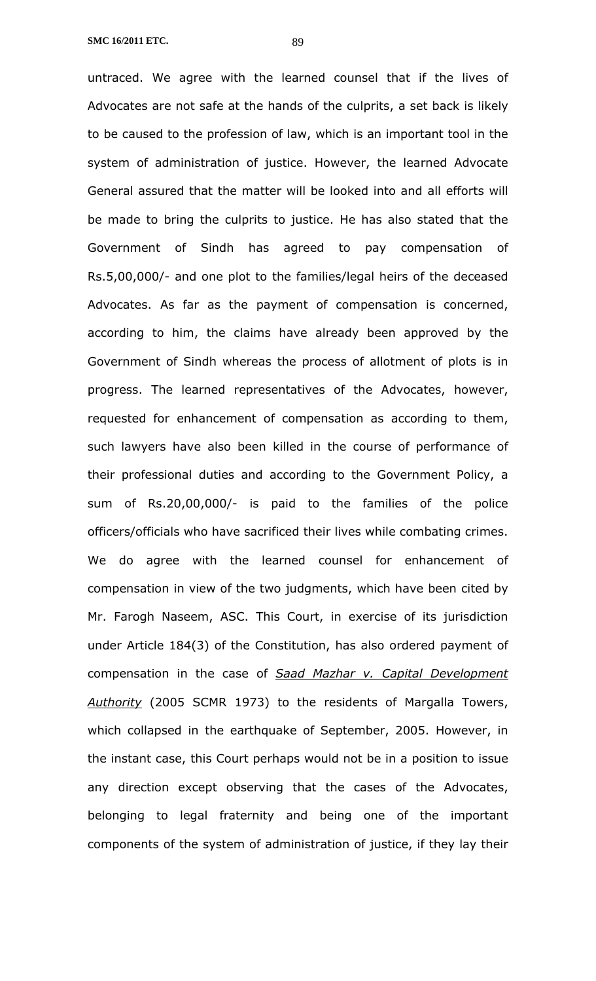untraced. We agree with the learned counsel that if the lives of Advocates are not safe at the hands of the culprits, a set back is likely to be caused to the profession of law, which is an important tool in the system of administration of justice. However, the learned Advocate General assured that the matter will be looked into and all efforts will be made to bring the culprits to justice. He has also stated that the Government of Sindh has agreed to pay compensation of Rs.5,00,000/- and one plot to the families/legal heirs of the deceased Advocates. As far as the payment of compensation is concerned, according to him, the claims have already been approved by the Government of Sindh whereas the process of allotment of plots is in progress. The learned representatives of the Advocates, however, requested for enhancement of compensation as according to them, such lawyers have also been killed in the course of performance of their professional duties and according to the Government Policy, a sum of Rs.20,00,000/- is paid to the families of the police officers/officials who have sacrificed their lives while combating crimes. We do agree with the learned counsel for enhancement of compensation in view of the two judgments, which have been cited by Mr. Farogh Naseem, ASC. This Court, in exercise of its jurisdiction under Article 184(3) of the Constitution, has also ordered payment of compensation in the case of *Saad Mazhar v. Capital Development Authority* (2005 SCMR 1973) to the residents of Margalla Towers, which collapsed in the earthquake of September, 2005. However, in the instant case, this Court perhaps would not be in a position to issue any direction except observing that the cases of the Advocates, belonging to legal fraternity and being one of the important components of the system of administration of justice, if they lay their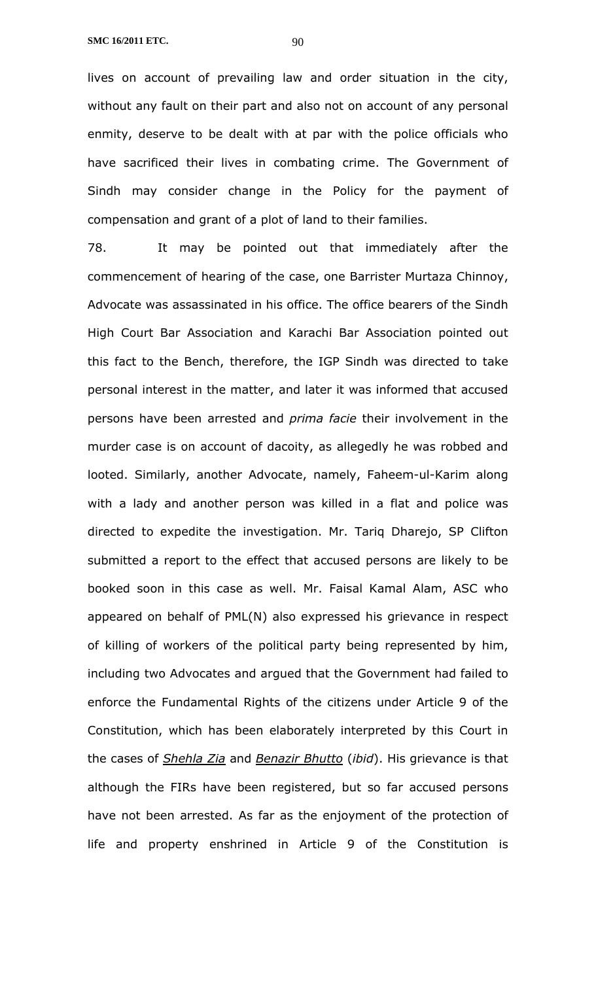lives on account of prevailing law and order situation in the city, without any fault on their part and also not on account of any personal enmity, deserve to be dealt with at par with the police officials who have sacrificed their lives in combating crime. The Government of Sindh may consider change in the Policy for the payment of compensation and grant of a plot of land to their families.

78. It may be pointed out that immediately after the commencement of hearing of the case, one Barrister Murtaza Chinnoy, Advocate was assassinated in his office. The office bearers of the Sindh High Court Bar Association and Karachi Bar Association pointed out this fact to the Bench, therefore, the IGP Sindh was directed to take personal interest in the matter, and later it was informed that accused persons have been arrested and *prima facie* their involvement in the murder case is on account of dacoity, as allegedly he was robbed and looted. Similarly, another Advocate, namely, Faheem-ul-Karim along with a lady and another person was killed in a flat and police was directed to expedite the investigation. Mr. Tariq Dharejo, SP Clifton submitted a report to the effect that accused persons are likely to be booked soon in this case as well. Mr. Faisal Kamal Alam, ASC who appeared on behalf of PML(N) also expressed his grievance in respect of killing of workers of the political party being represented by him, including two Advocates and argued that the Government had failed to enforce the Fundamental Rights of the citizens under Article 9 of the Constitution, which has been elaborately interpreted by this Court in the cases of *Shehla Zia* and *Benazir Bhutto* (*ibid*). His grievance is that although the FIRs have been registered, but so far accused persons have not been arrested. As far as the enjoyment of the protection of life and property enshrined in Article 9 of the Constitution is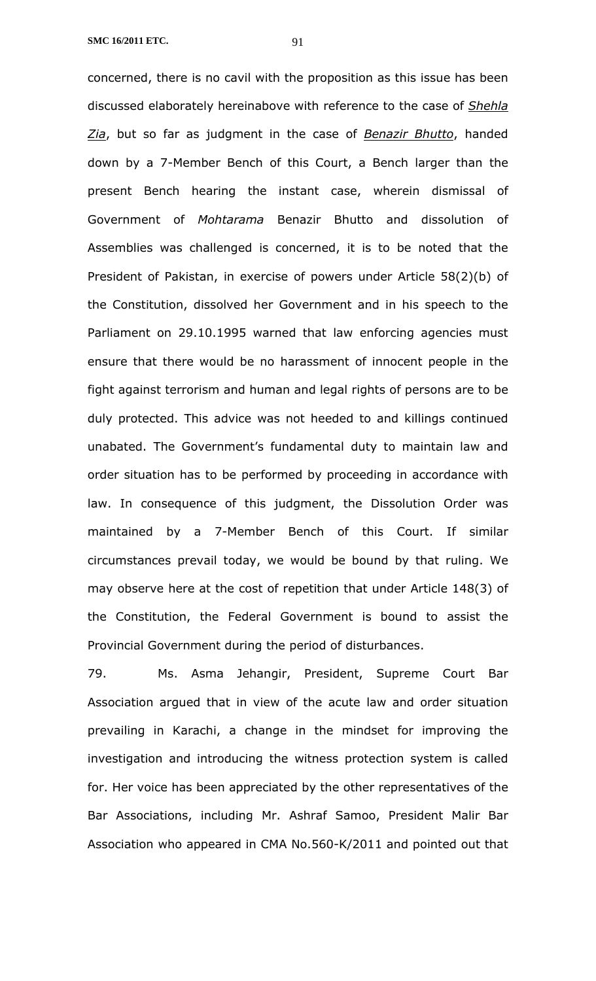concerned, there is no cavil with the proposition as this issue has been discussed elaborately hereinabove with reference to the case of *Shehla Zia*, but so far as judgment in the case of *Benazir Bhutto*, handed down by a 7-Member Bench of this Court, a Bench larger than the present Bench hearing the instant case, wherein dismissal of Government of *Mohtarama* Benazir Bhutto and dissolution of Assemblies was challenged is concerned, it is to be noted that the President of Pakistan, in exercise of powers under Article 58(2)(b) of the Constitution, dissolved her Government and in his speech to the Parliament on 29.10.1995 warned that law enforcing agencies must ensure that there would be no harassment of innocent people in the fight against terrorism and human and legal rights of persons are to be duly protected. This advice was not heeded to and killings continued unabated. The Government's fundamental duty to maintain law and order situation has to be performed by proceeding in accordance with law. In consequence of this judgment, the Dissolution Order was maintained by a 7-Member Bench of this Court. If similar circumstances prevail today, we would be bound by that ruling. We may observe here at the cost of repetition that under Article 148(3) of the Constitution, the Federal Government is bound to assist the Provincial Government during the period of disturbances.

79. Ms. Asma Jehangir, President, Supreme Court Bar Association argued that in view of the acute law and order situation prevailing in Karachi, a change in the mindset for improving the investigation and introducing the witness protection system is called for. Her voice has been appreciated by the other representatives of the Bar Associations, including Mr. Ashraf Samoo, President Malir Bar Association who appeared in CMA No.560-K/2011 and pointed out that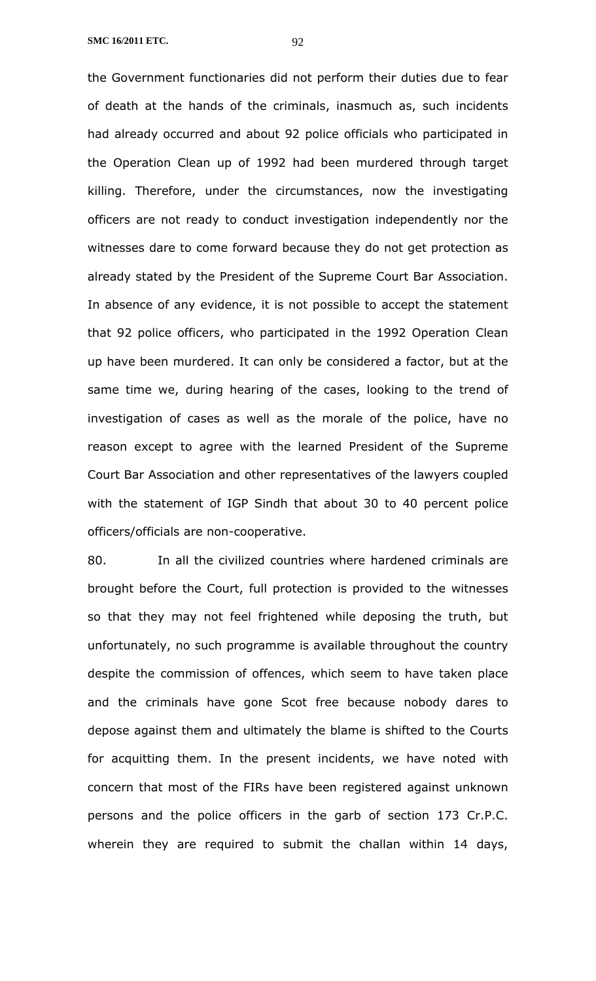**SMC 16/2011 ETC.** 92

the Government functionaries did not perform their duties due to fear of death at the hands of the criminals, inasmuch as, such incidents had already occurred and about 92 police officials who participated in the Operation Clean up of 1992 had been murdered through target killing. Therefore, under the circumstances, now the investigating officers are not ready to conduct investigation independently nor the witnesses dare to come forward because they do not get protection as already stated by the President of the Supreme Court Bar Association. In absence of any evidence, it is not possible to accept the statement that 92 police officers, who participated in the 1992 Operation Clean up have been murdered. It can only be considered a factor, but at the same time we, during hearing of the cases, looking to the trend of investigation of cases as well as the morale of the police, have no reason except to agree with the learned President of the Supreme Court Bar Association and other representatives of the lawyers coupled with the statement of IGP Sindh that about 30 to 40 percent police officers/officials are non-cooperative.

80. In all the civilized countries where hardened criminals are brought before the Court, full protection is provided to the witnesses so that they may not feel frightened while deposing the truth, but unfortunately, no such programme is available throughout the country despite the commission of offences, which seem to have taken place and the criminals have gone Scot free because nobody dares to depose against them and ultimately the blame is shifted to the Courts for acquitting them. In the present incidents, we have noted with concern that most of the FIRs have been registered against unknown persons and the police officers in the garb of section 173 Cr.P.C. wherein they are required to submit the challan within 14 days,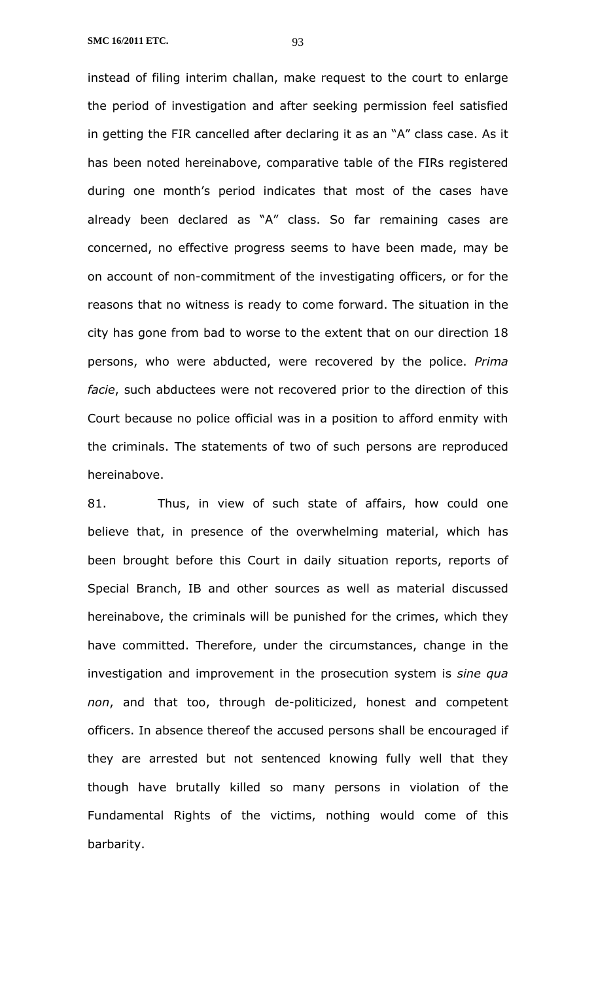instead of filing interim challan, make request to the court to enlarge the period of investigation and after seeking permission feel satisfied in getting the FIR cancelled after declaring it as an "A" class case. As it has been noted hereinabove, comparative table of the FIRs registered during one month's period indicates that most of the cases have already been declared as "A" class. So far remaining cases are concerned, no effective progress seems to have been made, may be on account of non-commitment of the investigating officers, or for the reasons that no witness is ready to come forward. The situation in the city has gone from bad to worse to the extent that on our direction 18 persons, who were abducted, were recovered by the police. *Prima facie*, such abductees were not recovered prior to the direction of this Court because no police official was in a position to afford enmity with the criminals. The statements of two of such persons are reproduced hereinabove.

81. Thus, in view of such state of affairs, how could one believe that, in presence of the overwhelming material, which has been brought before this Court in daily situation reports, reports of Special Branch, IB and other sources as well as material discussed hereinabove, the criminals will be punished for the crimes, which they have committed. Therefore, under the circumstances, change in the investigation and improvement in the prosecution system is *sine qua non*, and that too, through de-politicized, honest and competent officers. In absence thereof the accused persons shall be encouraged if they are arrested but not sentenced knowing fully well that they though have brutally killed so many persons in violation of the Fundamental Rights of the victims, nothing would come of this barbarity.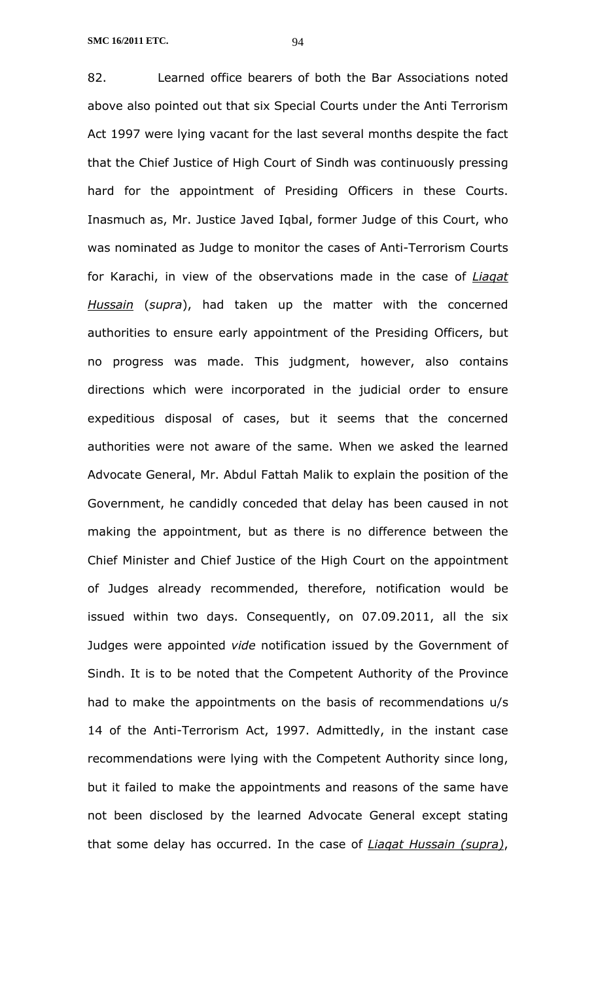82. Learned office bearers of both the Bar Associations noted above also pointed out that six Special Courts under the Anti Terrorism Act 1997 were lying vacant for the last several months despite the fact that the Chief Justice of High Court of Sindh was continuously pressing hard for the appointment of Presiding Officers in these Courts. Inasmuch as, Mr. Justice Javed Iqbal, former Judge of this Court, who was nominated as Judge to monitor the cases of Anti-Terrorism Courts for Karachi, in view of the observations made in the case of *Liaqat Hussain* (*supra*), had taken up the matter with the concerned authorities to ensure early appointment of the Presiding Officers, but no progress was made. This judgment, however, also contains directions which were incorporated in the judicial order to ensure expeditious disposal of cases, but it seems that the concerned authorities were not aware of the same. When we asked the learned Advocate General, Mr. Abdul Fattah Malik to explain the position of the Government, he candidly conceded that delay has been caused in not making the appointment, but as there is no difference between the Chief Minister and Chief Justice of the High Court on the appointment of Judges already recommended, therefore, notification would be issued within two days. Consequently, on 07.09.2011, all the six Judges were appointed *vide* notification issued by the Government of Sindh. It is to be noted that the Competent Authority of the Province had to make the appointments on the basis of recommendations u/s 14 of the Anti-Terrorism Act, 1997. Admittedly, in the instant case recommendations were lying with the Competent Authority since long, but it failed to make the appointments and reasons of the same have not been disclosed by the learned Advocate General except stating that some delay has occurred. In the case of *Liaqat Hussain (supra)*,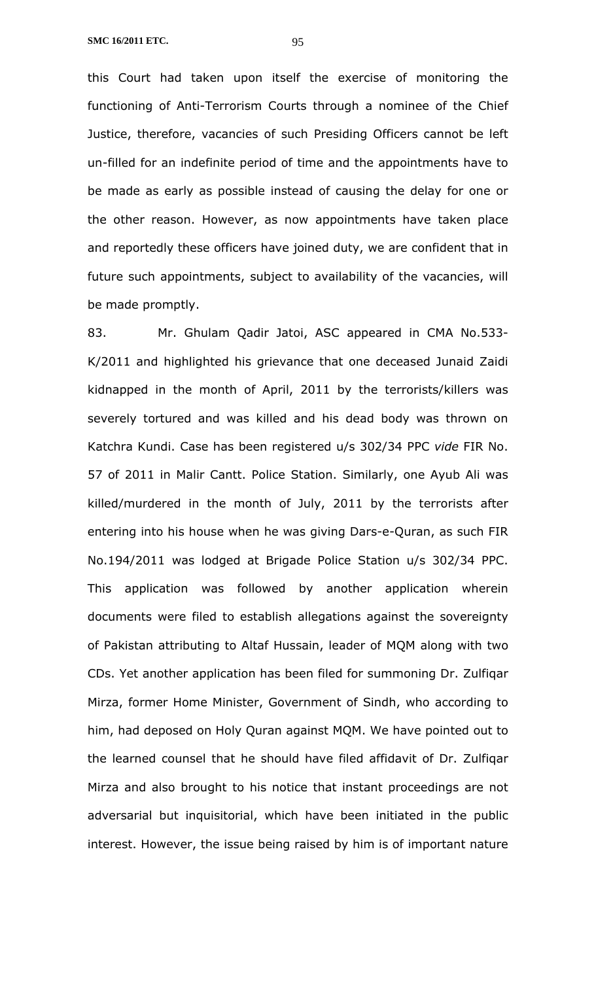this Court had taken upon itself the exercise of monitoring the functioning of Anti-Terrorism Courts through a nominee of the Chief Justice, therefore, vacancies of such Presiding Officers cannot be left un-filled for an indefinite period of time and the appointments have to be made as early as possible instead of causing the delay for one or the other reason. However, as now appointments have taken place and reportedly these officers have joined duty, we are confident that in future such appointments, subject to availability of the vacancies, will be made promptly.

83. Mr. Ghulam Qadir Jatoi, ASC appeared in CMA No.533- K/2011 and highlighted his grievance that one deceased Junaid Zaidi kidnapped in the month of April, 2011 by the terrorists/killers was severely tortured and was killed and his dead body was thrown on Katchra Kundi. Case has been registered u/s 302/34 PPC *vide* FIR No. 57 of 2011 in Malir Cantt. Police Station. Similarly, one Ayub Ali was killed/murdered in the month of July, 2011 by the terrorists after entering into his house when he was giving Dars-e-Quran, as such FIR No.194/2011 was lodged at Brigade Police Station u/s 302/34 PPC. This application was followed by another application wherein documents were filed to establish allegations against the sovereignty of Pakistan attributing to Altaf Hussain, leader of MQM along with two CDs. Yet another application has been filed for summoning Dr. Zulfiqar Mirza, former Home Minister, Government of Sindh, who according to him, had deposed on Holy Quran against MQM. We have pointed out to the learned counsel that he should have filed affidavit of Dr. Zulfiqar Mirza and also brought to his notice that instant proceedings are not adversarial but inquisitorial, which have been initiated in the public interest. However, the issue being raised by him is of important nature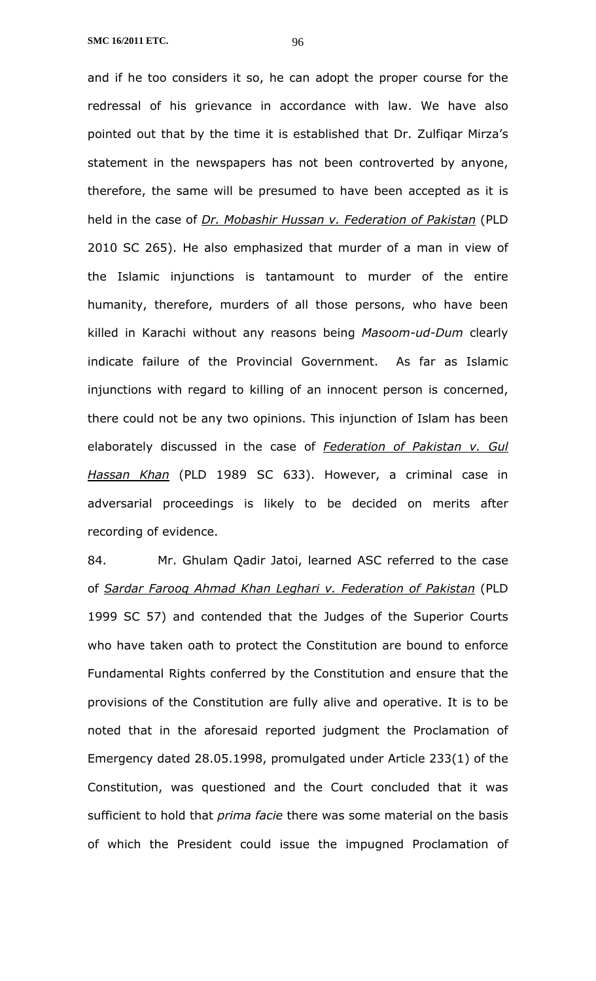and if he too considers it so, he can adopt the proper course for the redressal of his grievance in accordance with law. We have also pointed out that by the time it is established that Dr. Zulfiqar Mirza's statement in the newspapers has not been controverted by anyone, therefore, the same will be presumed to have been accepted as it is held in the case of *Dr. Mobashir Hussan v. Federation of Pakistan* (PLD 2010 SC 265). He also emphasized that murder of a man in view of the Islamic injunctions is tantamount to murder of the entire humanity, therefore, murders of all those persons, who have been killed in Karachi without any reasons being *Masoom-ud-Dum* clearly indicate failure of the Provincial Government. As far as Islamic injunctions with regard to killing of an innocent person is concerned, there could not be any two opinions. This injunction of Islam has been elaborately discussed in the case of *Federation of Pakistan v. Gul Hassan Khan* (PLD 1989 SC 633). However, a criminal case in adversarial proceedings is likely to be decided on merits after recording of evidence.

84. Mr. Ghulam Qadir Jatoi, learned ASC referred to the case of *Sardar Farooq Ahmad Khan Leghari v. Federation of Pakistan* (PLD 1999 SC 57) and contended that the Judges of the Superior Courts who have taken oath to protect the Constitution are bound to enforce Fundamental Rights conferred by the Constitution and ensure that the provisions of the Constitution are fully alive and operative. It is to be noted that in the aforesaid reported judgment the Proclamation of Emergency dated 28.05.1998, promulgated under Article 233(1) of the Constitution, was questioned and the Court concluded that it was sufficient to hold that *prima facie* there was some material on the basis of which the President could issue the impugned Proclamation of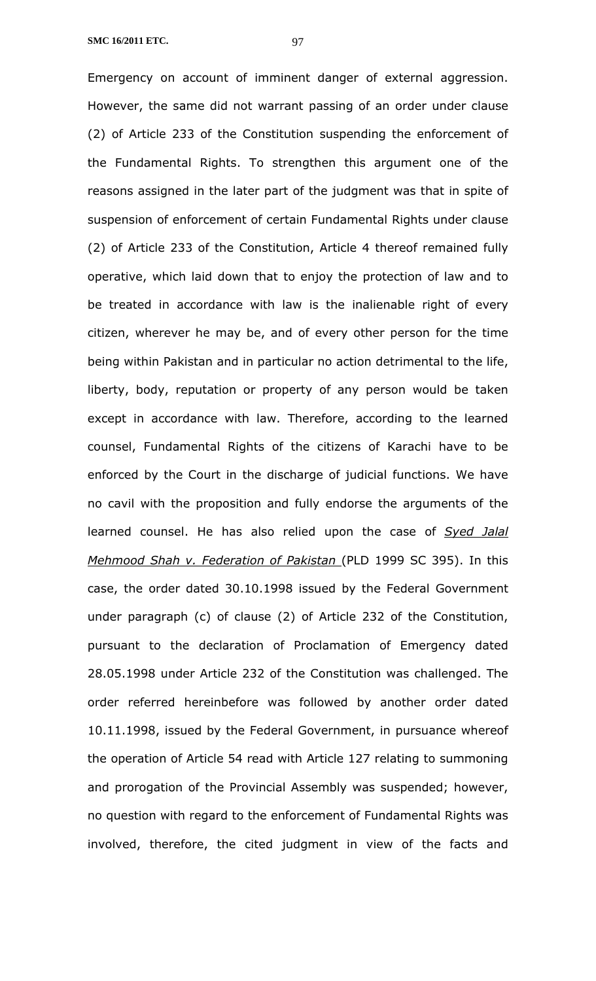**SMC 16/2011 ETC.** 97

Emergency on account of imminent danger of external aggression. However, the same did not warrant passing of an order under clause (2) of Article 233 of the Constitution suspending the enforcement of the Fundamental Rights. To strengthen this argument one of the reasons assigned in the later part of the judgment was that in spite of suspension of enforcement of certain Fundamental Rights under clause (2) of Article 233 of the Constitution, Article 4 thereof remained fully operative, which laid down that to enjoy the protection of law and to be treated in accordance with law is the inalienable right of every citizen, wherever he may be, and of every other person for the time being within Pakistan and in particular no action detrimental to the life, liberty, body, reputation or property of any person would be taken except in accordance with law. Therefore, according to the learned counsel, Fundamental Rights of the citizens of Karachi have to be enforced by the Court in the discharge of judicial functions. We have no cavil with the proposition and fully endorse the arguments of the learned counsel. He has also relied upon the case of *Syed Jalal Mehmood Shah v. Federation of Pakistan* (PLD 1999 SC 395). In this case, the order dated 30.10.1998 issued by the Federal Government under paragraph (c) of clause (2) of Article 232 of the Constitution, pursuant to the declaration of Proclamation of Emergency dated 28.05.1998 under Article 232 of the Constitution was challenged. The order referred hereinbefore was followed by another order dated 10.11.1998, issued by the Federal Government, in pursuance whereof the operation of Article 54 read with Article 127 relating to summoning and prorogation of the Provincial Assembly was suspended; however, no question with regard to the enforcement of Fundamental Rights was involved, therefore, the cited judgment in view of the facts and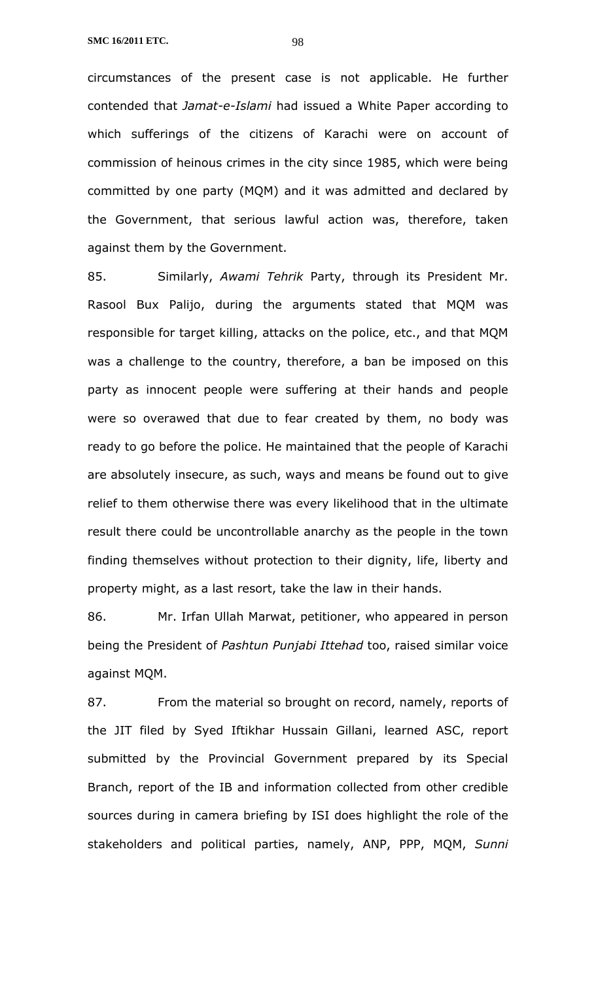circumstances of the present case is not applicable. He further contended that *Jamat-e-Islami* had issued a White Paper according to which sufferings of the citizens of Karachi were on account of commission of heinous crimes in the city since 1985, which were being committed by one party (MQM) and it was admitted and declared by the Government, that serious lawful action was, therefore, taken against them by the Government.

85. Similarly, *Awami Tehrik* Party, through its President Mr. Rasool Bux Palijo, during the arguments stated that MQM was responsible for target killing, attacks on the police, etc., and that MQM was a challenge to the country, therefore, a ban be imposed on this party as innocent people were suffering at their hands and people were so overawed that due to fear created by them, no body was ready to go before the police. He maintained that the people of Karachi are absolutely insecure, as such, ways and means be found out to give relief to them otherwise there was every likelihood that in the ultimate result there could be uncontrollable anarchy as the people in the town finding themselves without protection to their dignity, life, liberty and property might, as a last resort, take the law in their hands.

86. Mr. Irfan Ullah Marwat, petitioner, who appeared in person being the President of *Pashtun Punjabi Ittehad* too, raised similar voice against MQM.

87. From the material so brought on record, namely, reports of the JIT filed by Syed Iftikhar Hussain Gillani, learned ASC, report submitted by the Provincial Government prepared by its Special Branch, report of the IB and information collected from other credible sources during in camera briefing by ISI does highlight the role of the stakeholders and political parties, namely, ANP, PPP, MQM, *Sunni*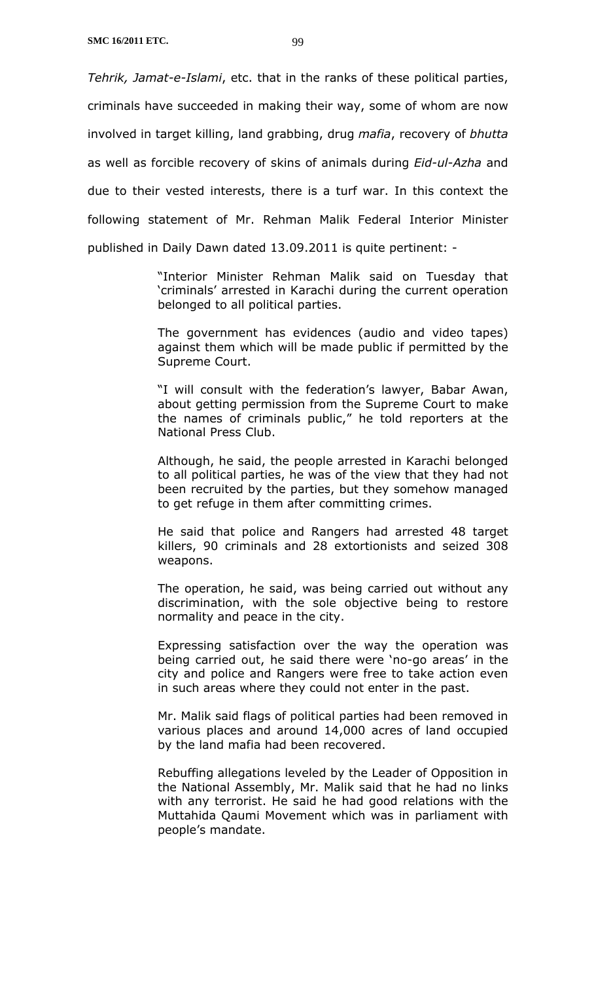*Tehrik, Jamat-e-Islami*, etc. that in the ranks of these political parties, criminals have succeeded in making their way, some of whom are now involved in target killing, land grabbing, drug *mafia*, recovery of *bhutta* as well as forcible recovery of skins of animals during *Eid-ul-Azha* and due to their vested interests, there is a turf war. In this context the following statement of Mr. Rehman Malik Federal Interior Minister published in Daily Dawn dated 13.09.2011 is quite pertinent: -

> "Interior Minister Rehman Malik said on Tuesday that 'criminals' arrested in Karachi during the current operation belonged to all political parties.

> The government has evidences (audio and video tapes) against them which will be made public if permitted by the Supreme Court.

> "I will consult with the federation's lawyer, Babar Awan, about getting permission from the Supreme Court to make the names of criminals public," he told reporters at the National Press Club.

> Although, he said, the people arrested in Karachi belonged to all political parties, he was of the view that they had not been recruited by the parties, but they somehow managed to get refuge in them after committing crimes.

> He said that police and Rangers had arrested 48 target killers, 90 criminals and 28 extortionists and seized 308 weapons.

> The operation, he said, was being carried out without any discrimination, with the sole objective being to restore normality and peace in the city.

> Expressing satisfaction over the way the operation was being carried out, he said there were 'no-go areas' in the city and police and Rangers were free to take action even in such areas where they could not enter in the past.

> Mr. Malik said flags of political parties had been removed in various places and around 14,000 acres of land occupied by the land mafia had been recovered.

> Rebuffing allegations leveled by the Leader of Opposition in the National Assembly, Mr. Malik said that he had no links with any terrorist. He said he had good relations with the Muttahida Qaumi Movement which was in parliament with people's mandate.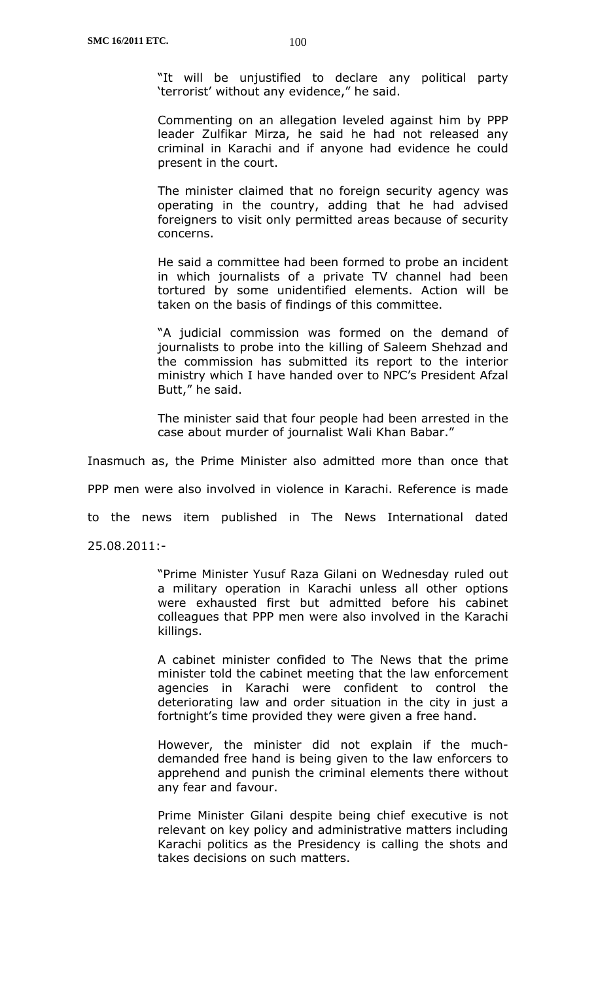"It will be unjustified to declare any political party 'terrorist' without any evidence," he said.

Commenting on an allegation leveled against him by PPP leader Zulfikar Mirza, he said he had not released any criminal in Karachi and if anyone had evidence he could present in the court.

The minister claimed that no foreign security agency was operating in the country, adding that he had advised foreigners to visit only permitted areas because of security concerns.

He said a committee had been formed to probe an incident in which journalists of a private TV channel had been tortured by some unidentified elements. Action will be taken on the basis of findings of this committee.

"A judicial commission was formed on the demand of journalists to probe into the killing of Saleem Shehzad and the commission has submitted its report to the interior ministry which I have handed over to NPC's President Afzal Butt," he said.

The minister said that four people had been arrested in the case about murder of journalist Wali Khan Babar."

Inasmuch as, the Prime Minister also admitted more than once that

PPP men were also involved in violence in Karachi. Reference is made

to the news item published in The News International dated

25.08.2011:-

"Prime Minister Yusuf Raza Gilani on Wednesday ruled out a military operation in Karachi unless all other options were exhausted first but admitted before his cabinet colleagues that PPP men were also involved in the Karachi killings.

A cabinet minister confided to The News that the prime minister told the cabinet meeting that the law enforcement agencies in Karachi were confident to control the deteriorating law and order situation in the city in just a fortnight's time provided they were given a free hand.

However, the minister did not explain if the muchdemanded free hand is being given to the law enforcers to apprehend and punish the criminal elements there without any fear and favour.

Prime Minister Gilani despite being chief executive is not relevant on key policy and administrative matters including Karachi politics as the Presidency is calling the shots and takes decisions on such matters.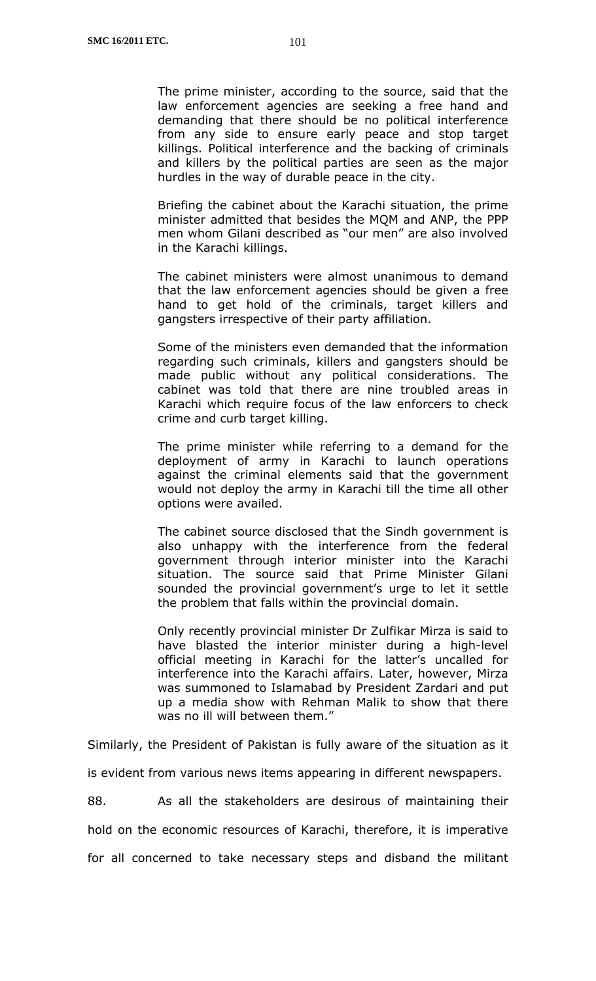The prime minister, according to the source, said that the law enforcement agencies are seeking a free hand and demanding that there should be no political interference from any side to ensure early peace and stop target killings. Political interference and the backing of criminals and killers by the political parties are seen as the major hurdles in the way of durable peace in the city.

Briefing the cabinet about the Karachi situation, the prime minister admitted that besides the MQM and ANP, the PPP men whom Gilani described as "our men" are also involved in the Karachi killings.

The cabinet ministers were almost unanimous to demand that the law enforcement agencies should be given a free hand to get hold of the criminals, target killers and gangsters irrespective of their party affiliation.

Some of the ministers even demanded that the information regarding such criminals, killers and gangsters should be made public without any political considerations. The cabinet was told that there are nine troubled areas in Karachi which require focus of the law enforcers to check crime and curb target killing.

The prime minister while referring to a demand for the deployment of army in Karachi to launch operations against the criminal elements said that the government would not deploy the army in Karachi till the time all other options were availed.

The cabinet source disclosed that the Sindh government is also unhappy with the interference from the federal government through interior minister into the Karachi situation. The source said that Prime Minister Gilani sounded the provincial government's urge to let it settle the problem that falls within the provincial domain.

Only recently provincial minister Dr Zulfikar Mirza is said to have blasted the interior minister during a high-level official meeting in Karachi for the latter's uncalled for interference into the Karachi affairs. Later, however, Mirza was summoned to Islamabad by President Zardari and put up a media show with Rehman Malik to show that there was no ill will between them."

Similarly, the President of Pakistan is fully aware of the situation as it

is evident from various news items appearing in different newspapers.

88. As all the stakeholders are desirous of maintaining their hold on the economic resources of Karachi, therefore, it is imperative for all concerned to take necessary steps and disband the militant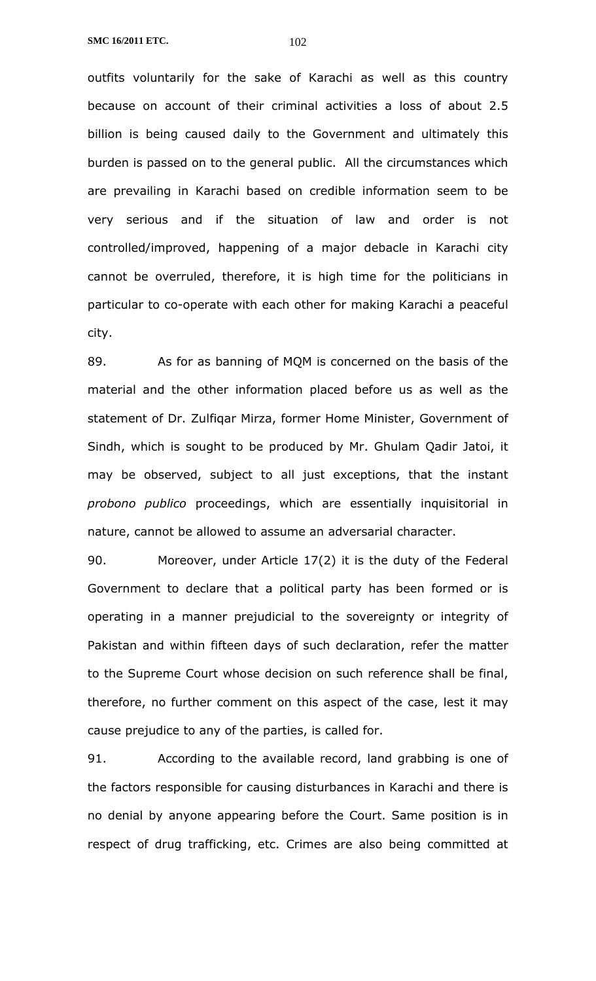outfits voluntarily for the sake of Karachi as well as this country because on account of their criminal activities a loss of about 2.5 billion is being caused daily to the Government and ultimately this burden is passed on to the general public. All the circumstances which are prevailing in Karachi based on credible information seem to be very serious and if the situation of law and order is not controlled/improved, happening of a major debacle in Karachi city cannot be overruled, therefore, it is high time for the politicians in particular to co-operate with each other for making Karachi a peaceful city.

89. As for as banning of MQM is concerned on the basis of the material and the other information placed before us as well as the statement of Dr. Zulfiqar Mirza, former Home Minister, Government of Sindh, which is sought to be produced by Mr. Ghulam Qadir Jatoi, it may be observed, subject to all just exceptions, that the instant *probono publico* proceedings, which are essentially inquisitorial in nature, cannot be allowed to assume an adversarial character.

90. Moreover, under Article 17(2) it is the duty of the Federal Government to declare that a political party has been formed or is operating in a manner prejudicial to the sovereignty or integrity of Pakistan and within fifteen days of such declaration, refer the matter to the Supreme Court whose decision on such reference shall be final, therefore, no further comment on this aspect of the case, lest it may cause prejudice to any of the parties, is called for.

91. According to the available record, land grabbing is one of the factors responsible for causing disturbances in Karachi and there is no denial by anyone appearing before the Court. Same position is in respect of drug trafficking, etc. Crimes are also being committed at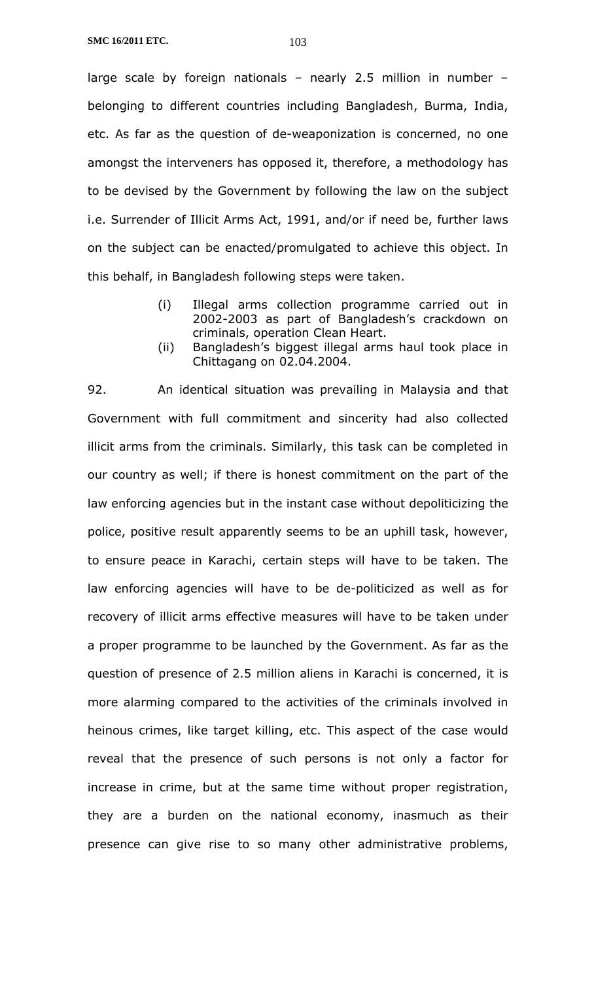large scale by foreign nationals – nearly 2.5 million in number – belonging to different countries including Bangladesh, Burma, India, etc. As far as the question of de-weaponization is concerned, no one amongst the interveners has opposed it, therefore, a methodology has to be devised by the Government by following the law on the subject i.e. Surrender of Illicit Arms Act, 1991, and/or if need be, further laws on the subject can be enacted/promulgated to achieve this object. In this behalf, in Bangladesh following steps were taken.

- (i) Illegal arms collection programme carried out in 2002-2003 as part of Bangladesh's crackdown on criminals, operation Clean Heart.
- (ii) Bangladesh's biggest illegal arms haul took place in Chittagang on 02.04.2004.

92. An identical situation was prevailing in Malaysia and that Government with full commitment and sincerity had also collected illicit arms from the criminals. Similarly, this task can be completed in our country as well; if there is honest commitment on the part of the law enforcing agencies but in the instant case without depoliticizing the police, positive result apparently seems to be an uphill task, however, to ensure peace in Karachi, certain steps will have to be taken. The law enforcing agencies will have to be de-politicized as well as for recovery of illicit arms effective measures will have to be taken under a proper programme to be launched by the Government. As far as the question of presence of 2.5 million aliens in Karachi is concerned, it is more alarming compared to the activities of the criminals involved in heinous crimes, like target killing, etc. This aspect of the case would reveal that the presence of such persons is not only a factor for increase in crime, but at the same time without proper registration, they are a burden on the national economy, inasmuch as their presence can give rise to so many other administrative problems,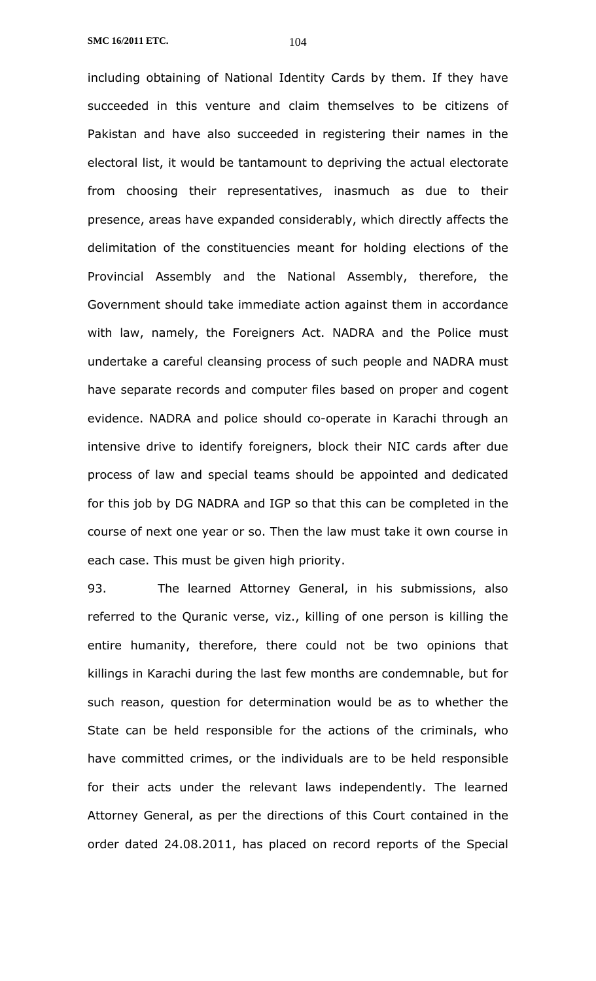including obtaining of National Identity Cards by them. If they have succeeded in this venture and claim themselves to be citizens of Pakistan and have also succeeded in registering their names in the electoral list, it would be tantamount to depriving the actual electorate from choosing their representatives, inasmuch as due to their presence, areas have expanded considerably, which directly affects the delimitation of the constituencies meant for holding elections of the Provincial Assembly and the National Assembly, therefore, the Government should take immediate action against them in accordance with law, namely, the Foreigners Act. NADRA and the Police must undertake a careful cleansing process of such people and NADRA must have separate records and computer files based on proper and cogent evidence. NADRA and police should co-operate in Karachi through an intensive drive to identify foreigners, block their NIC cards after due process of law and special teams should be appointed and dedicated for this job by DG NADRA and IGP so that this can be completed in the course of next one year or so. Then the law must take it own course in each case. This must be given high priority.

93. The learned Attorney General, in his submissions, also referred to the Quranic verse, viz., killing of one person is killing the entire humanity, therefore, there could not be two opinions that killings in Karachi during the last few months are condemnable, but for such reason, question for determination would be as to whether the State can be held responsible for the actions of the criminals, who have committed crimes, or the individuals are to be held responsible for their acts under the relevant laws independently. The learned Attorney General, as per the directions of this Court contained in the order dated 24.08.2011, has placed on record reports of the Special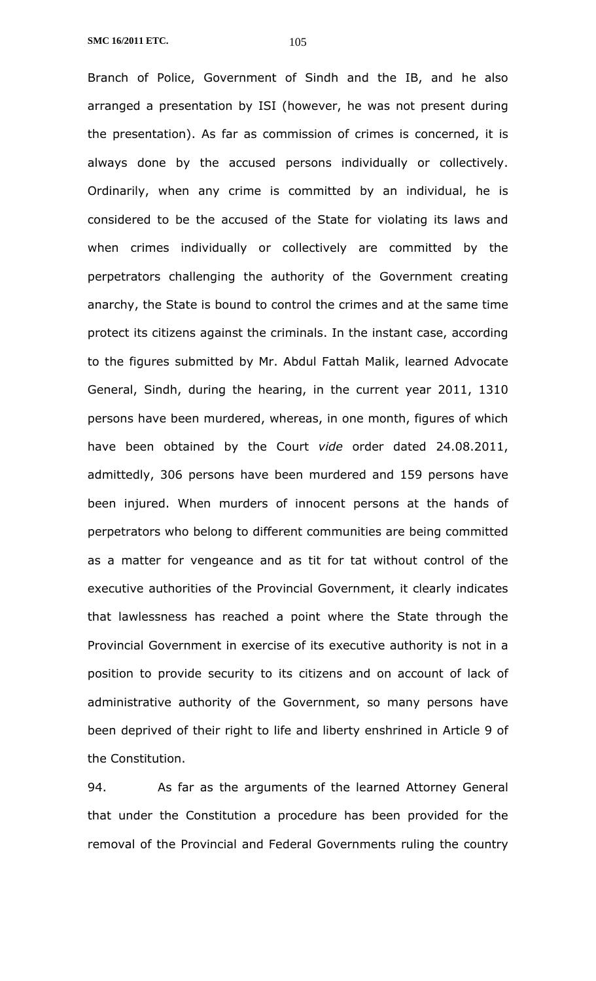Branch of Police, Government of Sindh and the IB, and he also arranged a presentation by ISI (however, he was not present during the presentation). As far as commission of crimes is concerned, it is always done by the accused persons individually or collectively. Ordinarily, when any crime is committed by an individual, he is considered to be the accused of the State for violating its laws and when crimes individually or collectively are committed by the perpetrators challenging the authority of the Government creating anarchy, the State is bound to control the crimes and at the same time protect its citizens against the criminals. In the instant case, according to the figures submitted by Mr. Abdul Fattah Malik, learned Advocate General, Sindh, during the hearing, in the current year 2011, 1310 persons have been murdered, whereas, in one month, figures of which have been obtained by the Court *vide* order dated 24.08.2011, admittedly, 306 persons have been murdered and 159 persons have been injured. When murders of innocent persons at the hands of perpetrators who belong to different communities are being committed as a matter for vengeance and as tit for tat without control of the executive authorities of the Provincial Government, it clearly indicates that lawlessness has reached a point where the State through the Provincial Government in exercise of its executive authority is not in a position to provide security to its citizens and on account of lack of administrative authority of the Government, so many persons have been deprived of their right to life and liberty enshrined in Article 9 of the Constitution.

94. As far as the arguments of the learned Attorney General that under the Constitution a procedure has been provided for the removal of the Provincial and Federal Governments ruling the country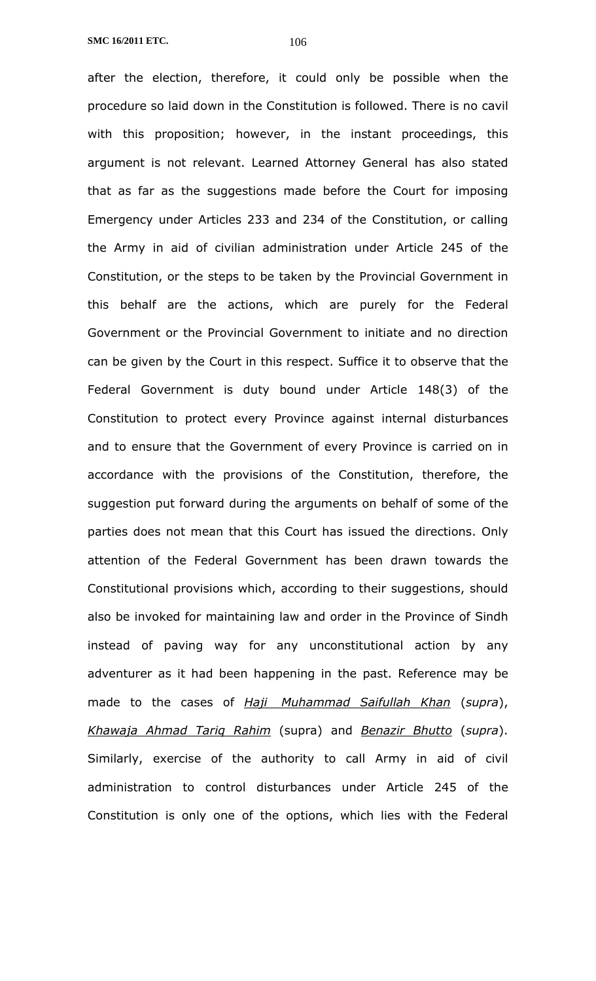after the election, therefore, it could only be possible when the procedure so laid down in the Constitution is followed. There is no cavil with this proposition; however, in the instant proceedings, this argument is not relevant. Learned Attorney General has also stated that as far as the suggestions made before the Court for imposing Emergency under Articles 233 and 234 of the Constitution, or calling the Army in aid of civilian administration under Article 245 of the Constitution, or the steps to be taken by the Provincial Government in this behalf are the actions, which are purely for the Federal Government or the Provincial Government to initiate and no direction can be given by the Court in this respect. Suffice it to observe that the Federal Government is duty bound under Article 148(3) of the Constitution to protect every Province against internal disturbances and to ensure that the Government of every Province is carried on in accordance with the provisions of the Constitution, therefore, the suggestion put forward during the arguments on behalf of some of the parties does not mean that this Court has issued the directions. Only attention of the Federal Government has been drawn towards the Constitutional provisions which, according to their suggestions, should also be invoked for maintaining law and order in the Province of Sindh instead of paving way for any unconstitutional action by any adventurer as it had been happening in the past. Reference may be made to the cases of *Haji Muhammad Saifullah Khan* (*supra*), *Khawaja Ahmad Tariq Rahim* (supra) and *Benazir Bhutto* (*supra*). Similarly, exercise of the authority to call Army in aid of civil administration to control disturbances under Article 245 of the Constitution is only one of the options, which lies with the Federal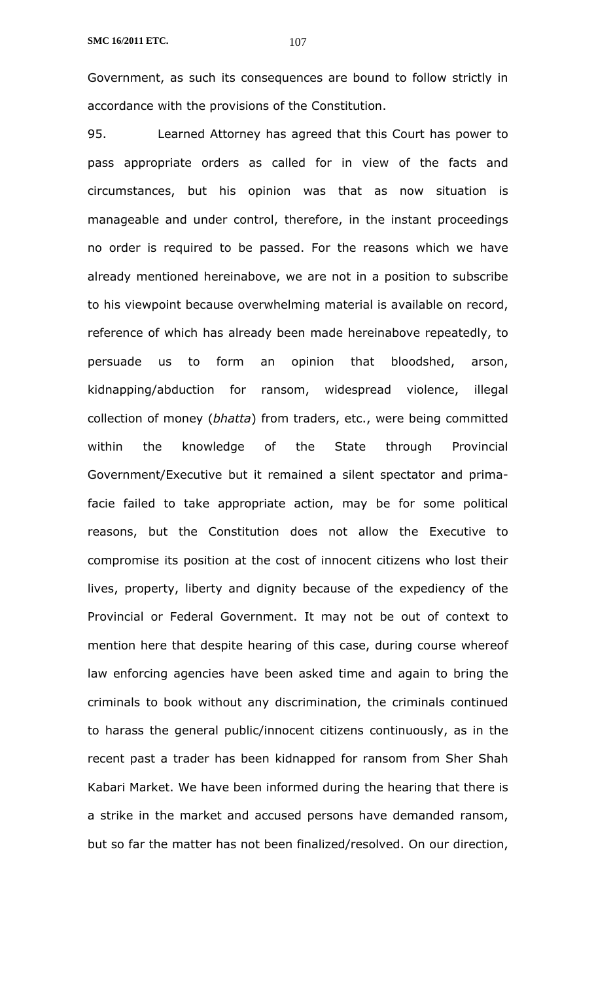Government, as such its consequences are bound to follow strictly in accordance with the provisions of the Constitution.

95. Learned Attorney has agreed that this Court has power to pass appropriate orders as called for in view of the facts and circumstances, but his opinion was that as now situation is manageable and under control, therefore, in the instant proceedings no order is required to be passed. For the reasons which we have already mentioned hereinabove, we are not in a position to subscribe to his viewpoint because overwhelming material is available on record, reference of which has already been made hereinabove repeatedly, to persuade us to form an opinion that bloodshed, arson, kidnapping/abduction for ransom, widespread violence, illegal collection of money (*bhatta*) from traders, etc., were being committed within the knowledge of the State through Provincial Government/Executive but it remained a silent spectator and primafacie failed to take appropriate action, may be for some political reasons, but the Constitution does not allow the Executive to compromise its position at the cost of innocent citizens who lost their lives, property, liberty and dignity because of the expediency of the Provincial or Federal Government. It may not be out of context to mention here that despite hearing of this case, during course whereof law enforcing agencies have been asked time and again to bring the criminals to book without any discrimination, the criminals continued to harass the general public/innocent citizens continuously, as in the recent past a trader has been kidnapped for ransom from Sher Shah Kabari Market. We have been informed during the hearing that there is a strike in the market and accused persons have demanded ransom, but so far the matter has not been finalized/resolved. On our direction,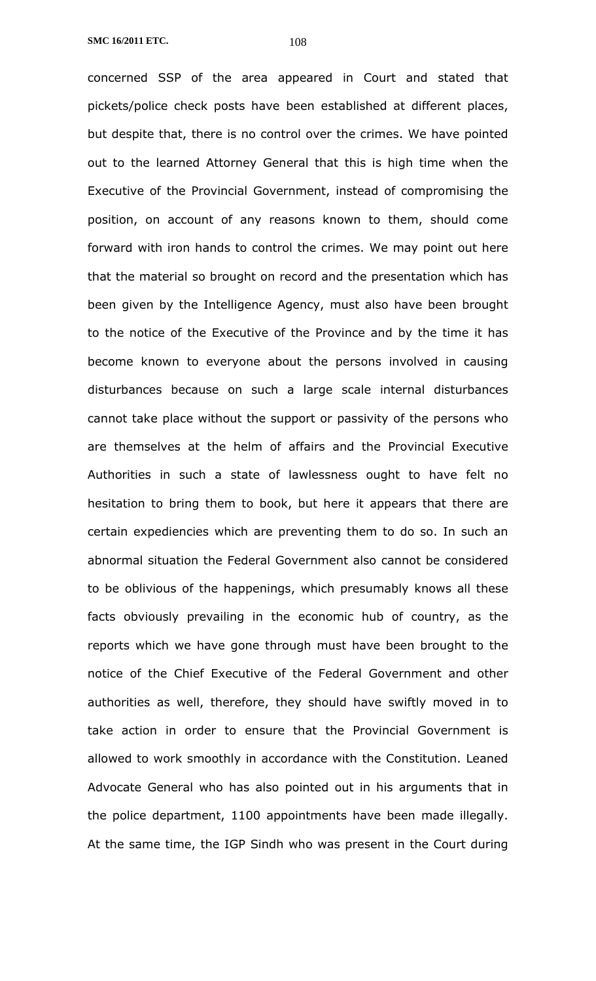concerned SSP of the area appeared in Court and stated that pickets/police check posts have been established at different places, but despite that, there is no control over the crimes. We have pointed out to the learned Attorney General that this is high time when the Executive of the Provincial Government, instead of compromising the position, on account of any reasons known to them, should come forward with iron hands to control the crimes. We may point out here that the material so brought on record and the presentation which has been given by the Intelligence Agency, must also have been brought to the notice of the Executive of the Province and by the time it has become known to everyone about the persons involved in causing disturbances because on such a large scale internal disturbances cannot take place without the support or passivity of the persons who are themselves at the helm of affairs and the Provincial Executive Authorities in such a state of lawlessness ought to have felt no hesitation to bring them to book, but here it appears that there are certain expediencies which are preventing them to do so. In such an abnormal situation the Federal Government also cannot be considered to be oblivious of the happenings, which presumably knows all these facts obviously prevailing in the economic hub of country, as the reports which we have gone through must have been brought to the notice of the Chief Executive of the Federal Government and other authorities as well, therefore, they should have swiftly moved in to take action in order to ensure that the Provincial Government is allowed to work smoothly in accordance with the Constitution. Leaned Advocate General who has also pointed out in his arguments that in the police department, 1100 appointments have been made illegally. At the same time, the IGP Sindh who was present in the Court during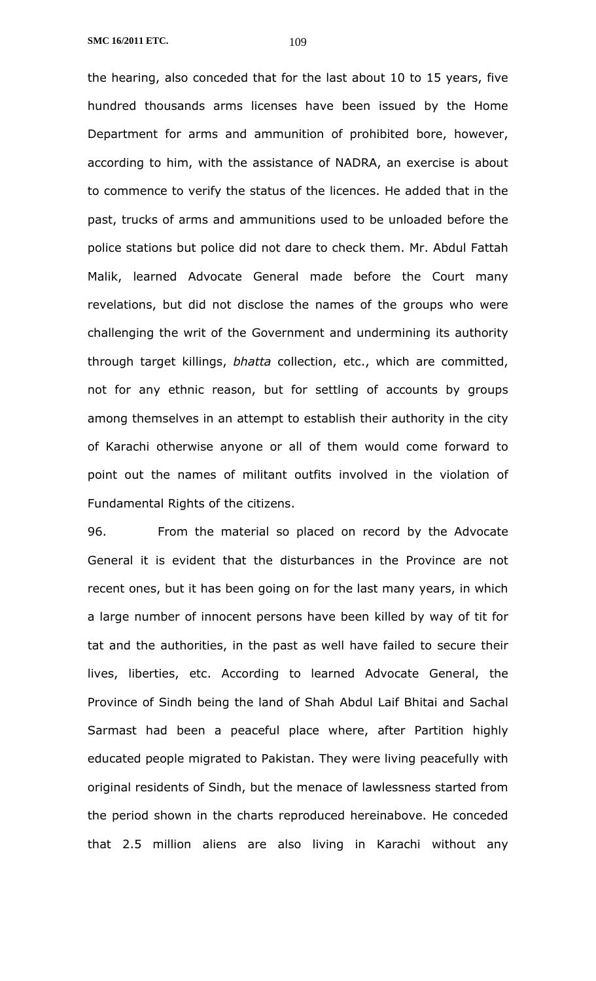the hearing, also conceded that for the last about 10 to 15 years, five hundred thousands arms licenses have been issued by the Home Department for arms and ammunition of prohibited bore, however, according to him, with the assistance of NADRA, an exercise is about to commence to verify the status of the licences. He added that in the past, trucks of arms and ammunitions used to be unloaded before the police stations but police did not dare to check them. Mr. Abdul Fattah Malik, learned Advocate General made before the Court many revelations, but did not disclose the names of the groups who were challenging the writ of the Government and undermining its authority through target killings, *bhatta* collection, etc., which are committed, not for any ethnic reason, but for settling of accounts by groups among themselves in an attempt to establish their authority in the city of Karachi otherwise anyone or all of them would come forward to point out the names of militant outfits involved in the violation of Fundamental Rights of the citizens.

96. From the material so placed on record by the Advocate General it is evident that the disturbances in the Province are not recent ones, but it has been going on for the last many years, in which a large number of innocent persons have been killed by way of tit for tat and the authorities, in the past as well have failed to secure their lives, liberties, etc. According to learned Advocate General, the Province of Sindh being the land of Shah Abdul Laif Bhitai and Sachal Sarmast had been a peaceful place where, after Partition highly educated people migrated to Pakistan. They were living peacefully with original residents of Sindh, but the menace of lawlessness started from the period shown in the charts reproduced hereinabove. He conceded that 2.5 million aliens are also living in Karachi without any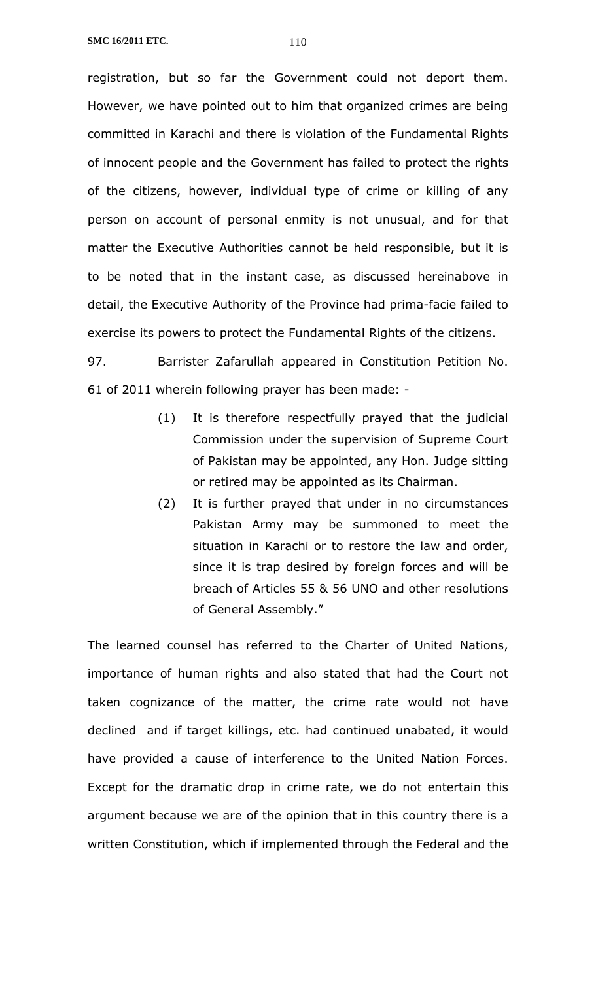registration, but so far the Government could not deport them. However, we have pointed out to him that organized crimes are being committed in Karachi and there is violation of the Fundamental Rights of innocent people and the Government has failed to protect the rights of the citizens, however, individual type of crime or killing of any person on account of personal enmity is not unusual, and for that matter the Executive Authorities cannot be held responsible, but it is to be noted that in the instant case, as discussed hereinabove in detail, the Executive Authority of the Province had prima-facie failed to exercise its powers to protect the Fundamental Rights of the citizens.

97. Barrister Zafarullah appeared in Constitution Petition No. 61 of 2011 wherein following prayer has been made: -

- (1) It is therefore respectfully prayed that the judicial Commission under the supervision of Supreme Court of Pakistan may be appointed, any Hon. Judge sitting or retired may be appointed as its Chairman.
- (2) It is further prayed that under in no circumstances Pakistan Army may be summoned to meet the situation in Karachi or to restore the law and order, since it is trap desired by foreign forces and will be breach of Articles 55 & 56 UNO and other resolutions of General Assembly."

The learned counsel has referred to the Charter of United Nations, importance of human rights and also stated that had the Court not taken cognizance of the matter, the crime rate would not have declined and if target killings, etc. had continued unabated, it would have provided a cause of interference to the United Nation Forces. Except for the dramatic drop in crime rate, we do not entertain this argument because we are of the opinion that in this country there is a written Constitution, which if implemented through the Federal and the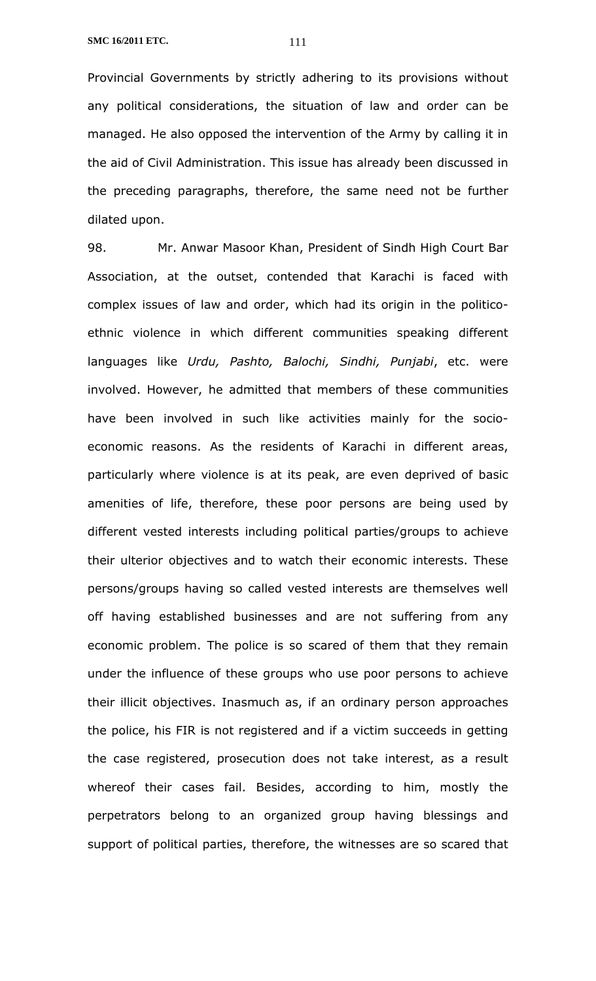dilated upon.

Provincial Governments by strictly adhering to its provisions without any political considerations, the situation of law and order can be managed. He also opposed the intervention of the Army by calling it in the aid of Civil Administration. This issue has already been discussed in the preceding paragraphs, therefore, the same need not be further

98. Mr. Anwar Masoor Khan, President of Sindh High Court Bar Association, at the outset, contended that Karachi is faced with complex issues of law and order, which had its origin in the politicoethnic violence in which different communities speaking different languages like *Urdu, Pashto, Balochi, Sindhi, Punjabi*, etc. were involved. However, he admitted that members of these communities have been involved in such like activities mainly for the socioeconomic reasons. As the residents of Karachi in different areas, particularly where violence is at its peak, are even deprived of basic amenities of life, therefore, these poor persons are being used by different vested interests including political parties/groups to achieve their ulterior objectives and to watch their economic interests. These persons/groups having so called vested interests are themselves well off having established businesses and are not suffering from any economic problem. The police is so scared of them that they remain under the influence of these groups who use poor persons to achieve their illicit objectives. Inasmuch as, if an ordinary person approaches the police, his FIR is not registered and if a victim succeeds in getting the case registered, prosecution does not take interest, as a result whereof their cases fail. Besides, according to him, mostly the perpetrators belong to an organized group having blessings and support of political parties, therefore, the witnesses are so scared that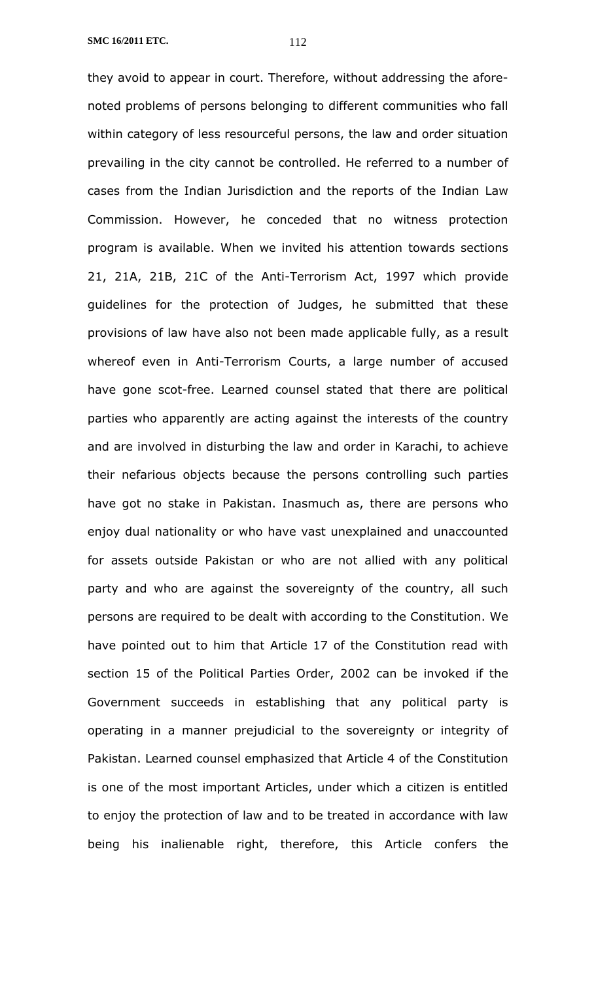they avoid to appear in court. Therefore, without addressing the aforenoted problems of persons belonging to different communities who fall within category of less resourceful persons, the law and order situation prevailing in the city cannot be controlled. He referred to a number of cases from the Indian Jurisdiction and the reports of the Indian Law Commission. However, he conceded that no witness protection program is available. When we invited his attention towards sections 21, 21A, 21B, 21C of the Anti-Terrorism Act, 1997 which provide guidelines for the protection of Judges, he submitted that these provisions of law have also not been made applicable fully, as a result whereof even in Anti-Terrorism Courts, a large number of accused have gone scot-free. Learned counsel stated that there are political parties who apparently are acting against the interests of the country and are involved in disturbing the law and order in Karachi, to achieve their nefarious objects because the persons controlling such parties have got no stake in Pakistan. Inasmuch as, there are persons who enjoy dual nationality or who have vast unexplained and unaccounted for assets outside Pakistan or who are not allied with any political party and who are against the sovereignty of the country, all such persons are required to be dealt with according to the Constitution. We have pointed out to him that Article 17 of the Constitution read with section 15 of the Political Parties Order, 2002 can be invoked if the Government succeeds in establishing that any political party is operating in a manner prejudicial to the sovereignty or integrity of Pakistan. Learned counsel emphasized that Article 4 of the Constitution is one of the most important Articles, under which a citizen is entitled to enjoy the protection of law and to be treated in accordance with law being his inalienable right, therefore, this Article confers the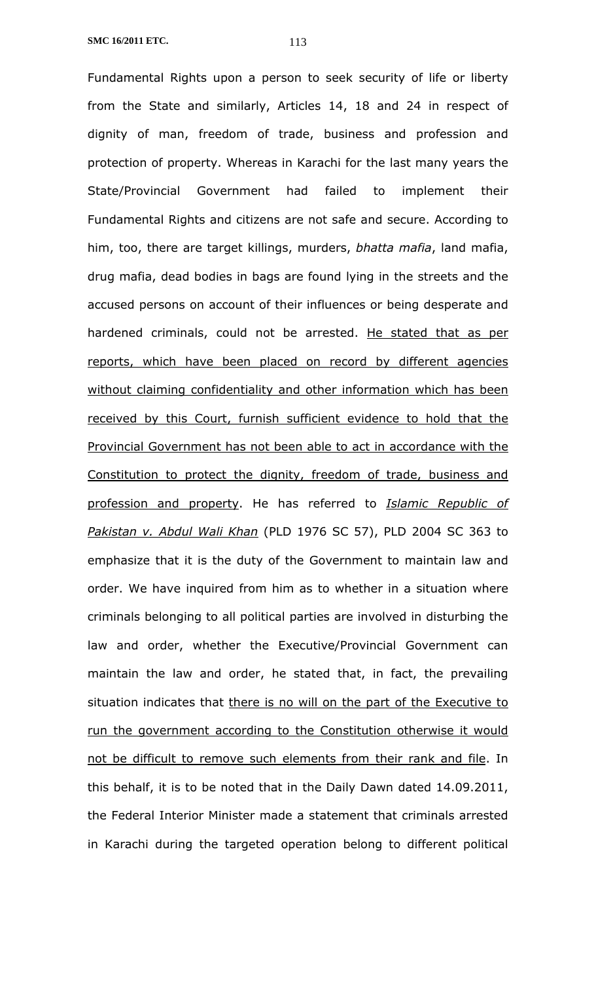Fundamental Rights upon a person to seek security of life or liberty from the State and similarly, Articles 14, 18 and 24 in respect of dignity of man, freedom of trade, business and profession and protection of property. Whereas in Karachi for the last many years the State/Provincial Government had failed to implement their Fundamental Rights and citizens are not safe and secure. According to him, too, there are target killings, murders, *bhatta mafia*, land mafia, drug mafia, dead bodies in bags are found lying in the streets and the accused persons on account of their influences or being desperate and hardened criminals, could not be arrested. He stated that as per reports, which have been placed on record by different agencies without claiming confidentiality and other information which has been received by this Court, furnish sufficient evidence to hold that the Provincial Government has not been able to act in accordance with the Constitution to protect the dignity, freedom of trade, business and profession and property. He has referred to *Islamic Republic of Pakistan v. Abdul Wali Khan* (PLD 1976 SC 57), PLD 2004 SC 363 to emphasize that it is the duty of the Government to maintain law and order. We have inquired from him as to whether in a situation where criminals belonging to all political parties are involved in disturbing the law and order, whether the Executive/Provincial Government can maintain the law and order, he stated that, in fact, the prevailing situation indicates that there is no will on the part of the Executive to run the government according to the Constitution otherwise it would not be difficult to remove such elements from their rank and file. In this behalf, it is to be noted that in the Daily Dawn dated 14.09.2011,

the Federal Interior Minister made a statement that criminals arrested

in Karachi during the targeted operation belong to different political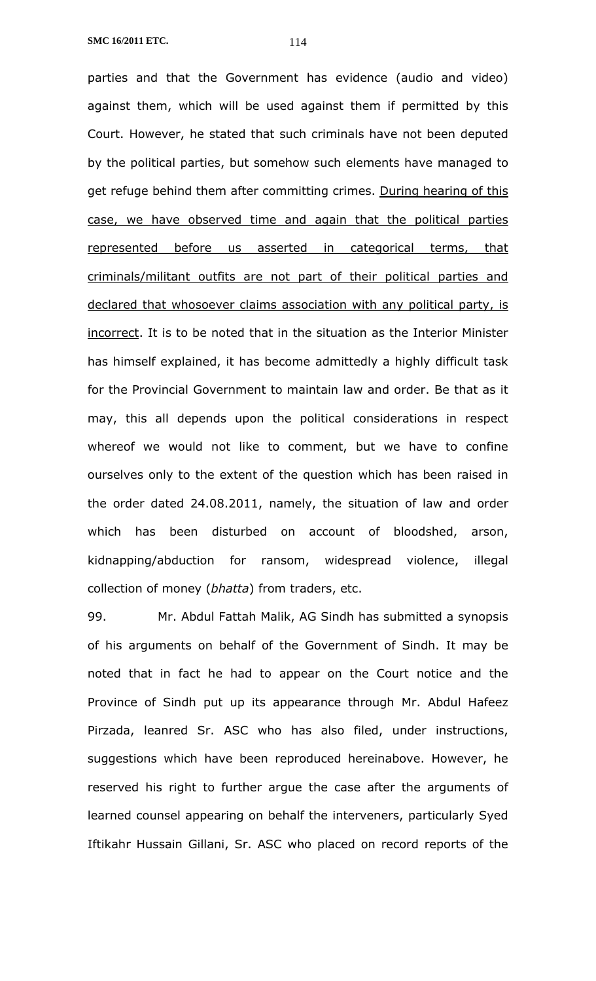parties and that the Government has evidence (audio and video) against them, which will be used against them if permitted by this Court. However, he stated that such criminals have not been deputed by the political parties, but somehow such elements have managed to get refuge behind them after committing crimes. During hearing of this case, we have observed time and again that the political parties represented before us asserted in categorical terms, that criminals/militant outfits are not part of their political parties and declared that whosoever claims association with any political party, is incorrect. It is to be noted that in the situation as the Interior Minister has himself explained, it has become admittedly a highly difficult task for the Provincial Government to maintain law and order. Be that as it may, this all depends upon the political considerations in respect whereof we would not like to comment, but we have to confine ourselves only to the extent of the question which has been raised in the order dated 24.08.2011, namely, the situation of law and order which has been disturbed on account of bloodshed, arson, kidnapping/abduction for ransom, widespread violence, illegal collection of money (*bhatta*) from traders, etc.

99. Mr. Abdul Fattah Malik, AG Sindh has submitted a synopsis of his arguments on behalf of the Government of Sindh. It may be noted that in fact he had to appear on the Court notice and the Province of Sindh put up its appearance through Mr. Abdul Hafeez Pirzada, leanred Sr. ASC who has also filed, under instructions, suggestions which have been reproduced hereinabove. However, he reserved his right to further argue the case after the arguments of learned counsel appearing on behalf the interveners, particularly Syed Iftikahr Hussain Gillani, Sr. ASC who placed on record reports of the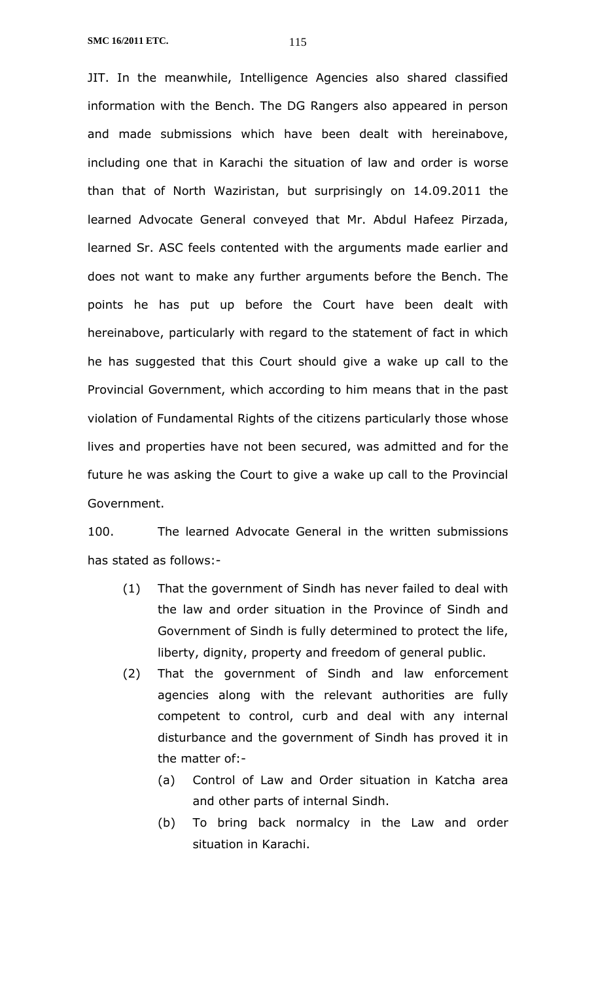JIT. In the meanwhile, Intelligence Agencies also shared classified information with the Bench. The DG Rangers also appeared in person and made submissions which have been dealt with hereinabove, including one that in Karachi the situation of law and order is worse than that of North Waziristan, but surprisingly on 14.09.2011 the learned Advocate General conveyed that Mr. Abdul Hafeez Pirzada, learned Sr. ASC feels contented with the arguments made earlier and does not want to make any further arguments before the Bench. The points he has put up before the Court have been dealt with hereinabove, particularly with regard to the statement of fact in which he has suggested that this Court should give a wake up call to the Provincial Government, which according to him means that in the past violation of Fundamental Rights of the citizens particularly those whose lives and properties have not been secured, was admitted and for the future he was asking the Court to give a wake up call to the Provincial Government.

100. The learned Advocate General in the written submissions has stated as follows:-

- (1) That the government of Sindh has never failed to deal with the law and order situation in the Province of Sindh and Government of Sindh is fully determined to protect the life, liberty, dignity, property and freedom of general public.
- (2) That the government of Sindh and law enforcement agencies along with the relevant authorities are fully competent to control, curb and deal with any internal disturbance and the government of Sindh has proved it in the matter of:-
	- (a) Control of Law and Order situation in Katcha area and other parts of internal Sindh.
	- (b) To bring back normalcy in the Law and order situation in Karachi.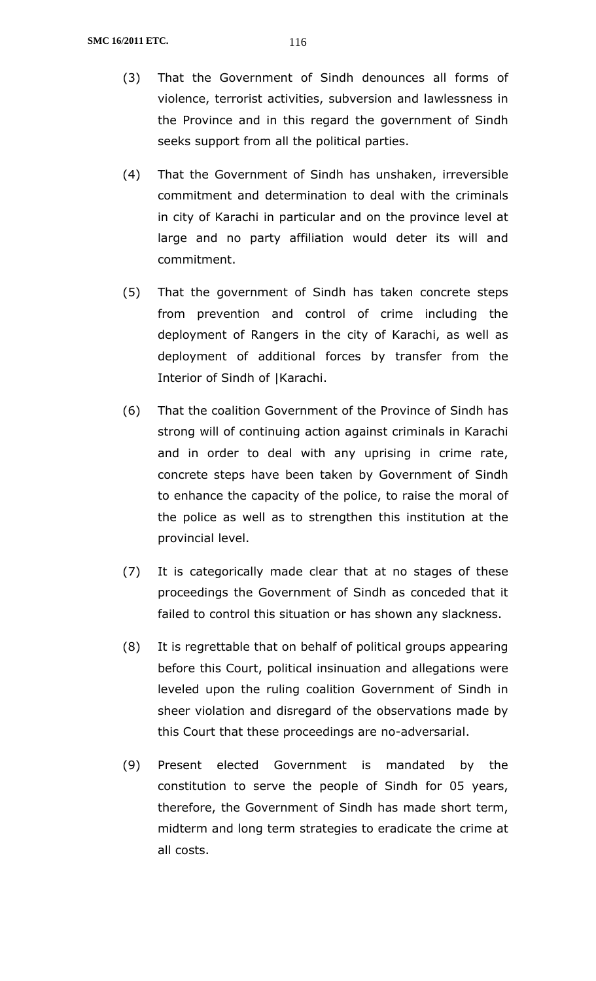- (3) That the Government of Sindh denounces all forms of violence, terrorist activities, subversion and lawlessness in the Province and in this regard the government of Sindh seeks support from all the political parties.
- (4) That the Government of Sindh has unshaken, irreversible commitment and determination to deal with the criminals in city of Karachi in particular and on the province level at large and no party affiliation would deter its will and commitment.
- (5) That the government of Sindh has taken concrete steps from prevention and control of crime including the deployment of Rangers in the city of Karachi, as well as deployment of additional forces by transfer from the Interior of Sindh of |Karachi.
- (6) That the coalition Government of the Province of Sindh has strong will of continuing action against criminals in Karachi and in order to deal with any uprising in crime rate, concrete steps have been taken by Government of Sindh to enhance the capacity of the police, to raise the moral of the police as well as to strengthen this institution at the provincial level.
- (7) It is categorically made clear that at no stages of these proceedings the Government of Sindh as conceded that it failed to control this situation or has shown any slackness.
- (8) It is regrettable that on behalf of political groups appearing before this Court, political insinuation and allegations were leveled upon the ruling coalition Government of Sindh in sheer violation and disregard of the observations made by this Court that these proceedings are no-adversarial.
- (9) Present elected Government is mandated by the constitution to serve the people of Sindh for 05 years, therefore, the Government of Sindh has made short term, midterm and long term strategies to eradicate the crime at all costs.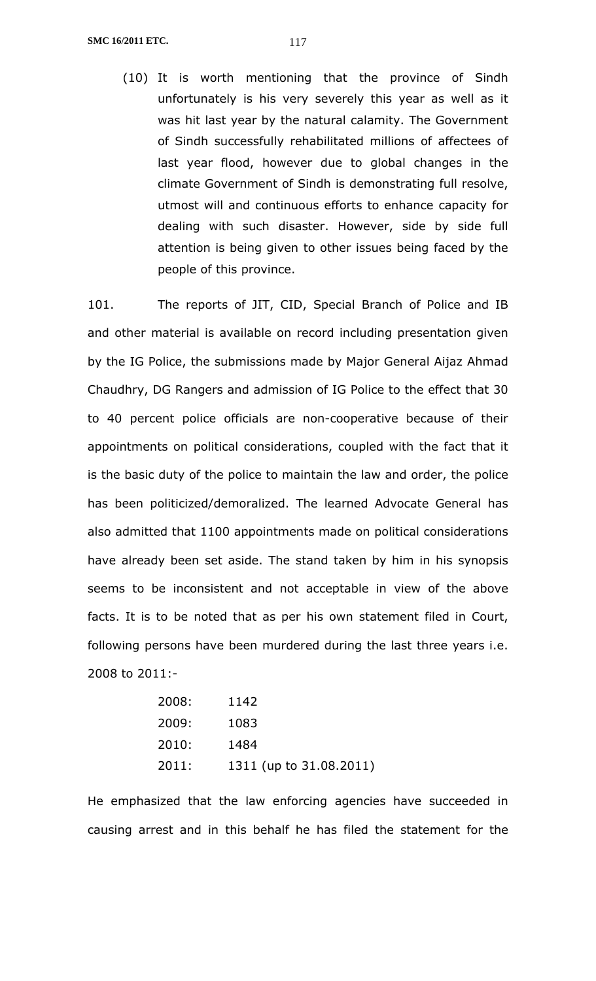(10) It is worth mentioning that the province of Sindh unfortunately is his very severely this year as well as it was hit last year by the natural calamity. The Government of Sindh successfully rehabilitated millions of affectees of last year flood, however due to global changes in the climate Government of Sindh is demonstrating full resolve, utmost will and continuous efforts to enhance capacity for dealing with such disaster. However, side by side full attention is being given to other issues being faced by the people of this province.

101. The reports of JIT, CID, Special Branch of Police and IB and other material is available on record including presentation given by the IG Police, the submissions made by Major General Aijaz Ahmad Chaudhry, DG Rangers and admission of IG Police to the effect that 30 to 40 percent police officials are non-cooperative because of their appointments on political considerations, coupled with the fact that it is the basic duty of the police to maintain the law and order, the police has been politicized/demoralized. The learned Advocate General has also admitted that 1100 appointments made on political considerations have already been set aside. The stand taken by him in his synopsis seems to be inconsistent and not acceptable in view of the above facts. It is to be noted that as per his own statement filed in Court, following persons have been murdered during the last three years i.e. 2008 to 2011:-

| 2008: | 1142                    |
|-------|-------------------------|
| 2009: | 1083                    |
| 2010: | 1484                    |
| 2011: | 1311 (up to 31.08.2011) |

He emphasized that the law enforcing agencies have succeeded in causing arrest and in this behalf he has filed the statement for the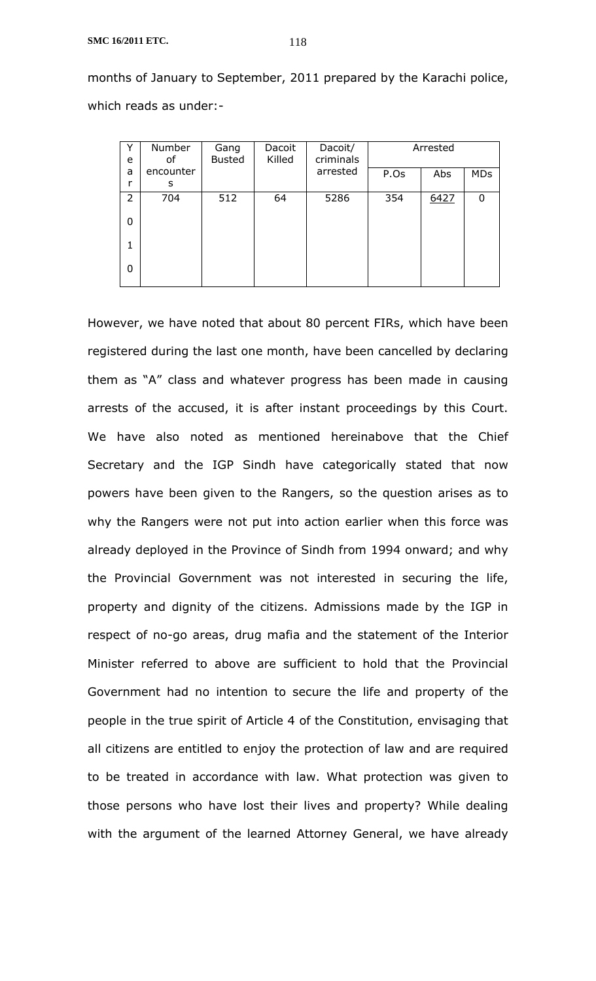months of January to September, 2011 prepared by the Karachi police, which reads as under:-

| Y<br>e         | Number<br>οf | Gang<br><b>Busted</b> | Dacoit<br>Killed | Dacoit/<br>criminals | Arrested |      |            |
|----------------|--------------|-----------------------|------------------|----------------------|----------|------|------------|
| a              | encounter    |                       |                  | arrested             | P.Os     | Abs  | <b>MDs</b> |
| r              | s            |                       |                  |                      |          |      |            |
| $\overline{2}$ | 704          | 512                   | 64               | 5286                 | 354      | 6427 | 0          |
| 0              |              |                       |                  |                      |          |      |            |
| 1              |              |                       |                  |                      |          |      |            |
| 0              |              |                       |                  |                      |          |      |            |

However, we have noted that about 80 percent FIRs, which have been registered during the last one month, have been cancelled by declaring them as "A" class and whatever progress has been made in causing arrests of the accused, it is after instant proceedings by this Court. We have also noted as mentioned hereinabove that the Chief Secretary and the IGP Sindh have categorically stated that now powers have been given to the Rangers, so the question arises as to why the Rangers were not put into action earlier when this force was already deployed in the Province of Sindh from 1994 onward; and why the Provincial Government was not interested in securing the life, property and dignity of the citizens. Admissions made by the IGP in respect of no-go areas, drug mafia and the statement of the Interior Minister referred to above are sufficient to hold that the Provincial Government had no intention to secure the life and property of the people in the true spirit of Article 4 of the Constitution, envisaging that all citizens are entitled to enjoy the protection of law and are required to be treated in accordance with law. What protection was given to those persons who have lost their lives and property? While dealing with the argument of the learned Attorney General, we have already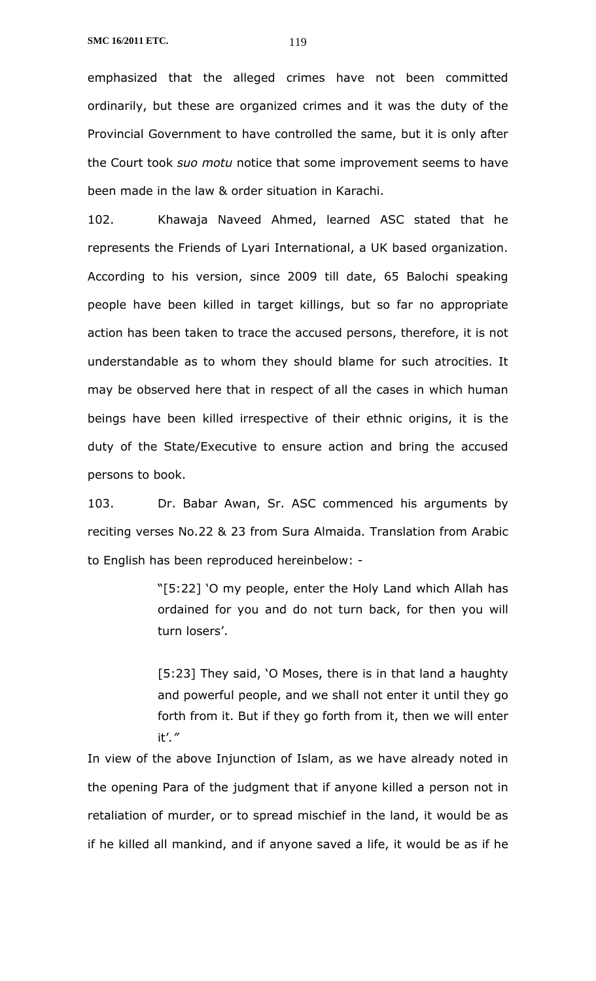emphasized that the alleged crimes have not been committed ordinarily, but these are organized crimes and it was the duty of the Provincial Government to have controlled the same, but it is only after the Court took *suo motu* notice that some improvement seems to have been made in the law & order situation in Karachi.

102. Khawaja Naveed Ahmed, learned ASC stated that he represents the Friends of Lyari International, a UK based organization. According to his version, since 2009 till date, 65 Balochi speaking people have been killed in target killings, but so far no appropriate action has been taken to trace the accused persons, therefore, it is not understandable as to whom they should blame for such atrocities. It may be observed here that in respect of all the cases in which human beings have been killed irrespective of their ethnic origins, it is the duty of the State/Executive to ensure action and bring the accused persons to book.

103. Dr. Babar Awan, Sr. ASC commenced his arguments by reciting verses No.22 & 23 from Sura Almaida. Translation from Arabic to English has been reproduced hereinbelow: -

> "[5:22] 'O my people, enter the Holy Land which Allah has ordained for you and do not turn back, for then you will turn losers'.

> [5:23] They said, 'O Moses, there is in that land a haughty and powerful people, and we shall not enter it until they go forth from it. But if they go forth from it, then we will enter it'*."*

In view of the above Injunction of Islam, as we have already noted in the opening Para of the judgment that if anyone killed a person not in retaliation of murder, or to spread mischief in the land, it would be as if he killed all mankind, and if anyone saved a life, it would be as if he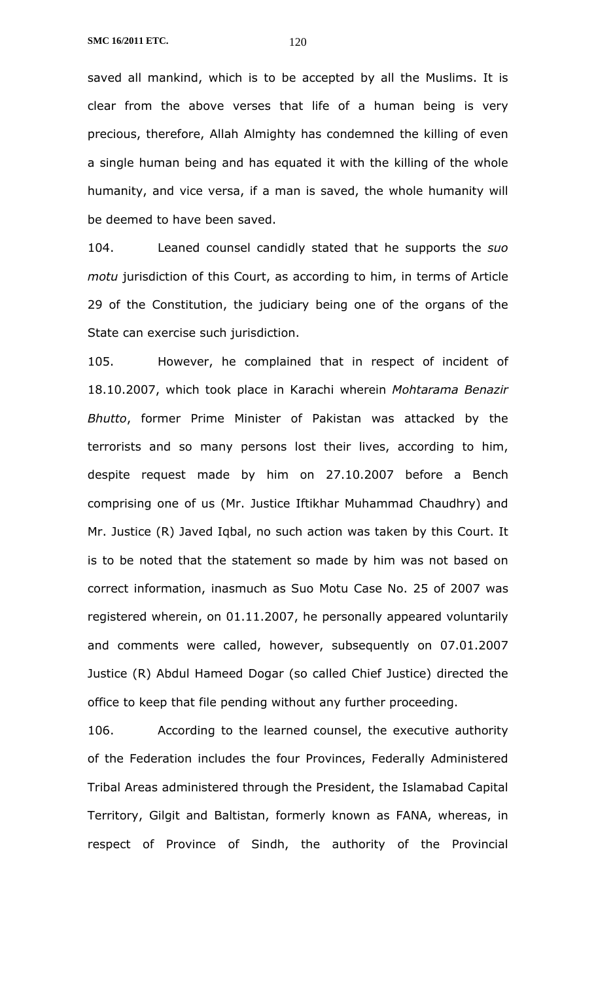saved all mankind, which is to be accepted by all the Muslims. It is clear from the above verses that life of a human being is very

precious, therefore, Allah Almighty has condemned the killing of even a single human being and has equated it with the killing of the whole humanity, and vice versa, if a man is saved, the whole humanity will be deemed to have been saved.

104. Leaned counsel candidly stated that he supports the *suo motu* jurisdiction of this Court, as according to him, in terms of Article 29 of the Constitution, the judiciary being one of the organs of the State can exercise such jurisdiction.

105. However, he complained that in respect of incident of 18.10.2007, which took place in Karachi wherein *Mohtarama Benazir Bhutto*, former Prime Minister of Pakistan was attacked by the terrorists and so many persons lost their lives, according to him, despite request made by him on 27.10.2007 before a Bench comprising one of us (Mr. Justice Iftikhar Muhammad Chaudhry) and Mr. Justice (R) Javed Iqbal, no such action was taken by this Court. It is to be noted that the statement so made by him was not based on correct information, inasmuch as Suo Motu Case No. 25 of 2007 was registered wherein, on 01.11.2007, he personally appeared voluntarily and comments were called, however, subsequently on 07.01.2007 Justice (R) Abdul Hameed Dogar (so called Chief Justice) directed the office to keep that file pending without any further proceeding.

106. According to the learned counsel, the executive authority of the Federation includes the four Provinces, Federally Administered Tribal Areas administered through the President, the Islamabad Capital Territory, Gilgit and Baltistan, formerly known as FANA, whereas, in respect of Province of Sindh, the authority of the Provincial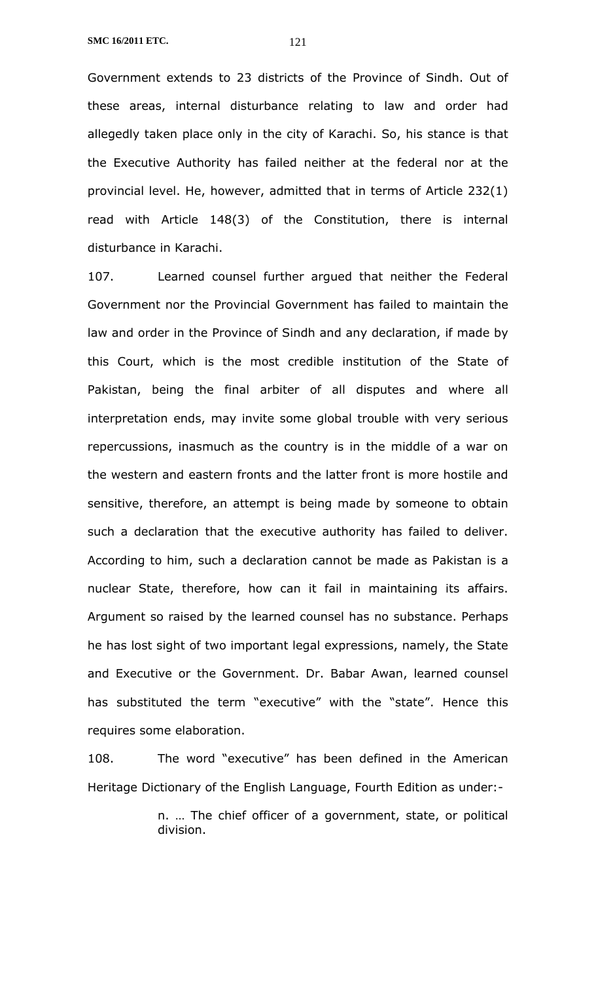Government extends to 23 districts of the Province of Sindh. Out of these areas, internal disturbance relating to law and order had allegedly taken place only in the city of Karachi. So, his stance is that the Executive Authority has failed neither at the federal nor at the provincial level. He, however, admitted that in terms of Article 232(1) read with Article 148(3) of the Constitution, there is internal disturbance in Karachi.

107. Learned counsel further argued that neither the Federal Government nor the Provincial Government has failed to maintain the law and order in the Province of Sindh and any declaration, if made by this Court, which is the most credible institution of the State of Pakistan, being the final arbiter of all disputes and where all interpretation ends, may invite some global trouble with very serious repercussions, inasmuch as the country is in the middle of a war on the western and eastern fronts and the latter front is more hostile and sensitive, therefore, an attempt is being made by someone to obtain such a declaration that the executive authority has failed to deliver. According to him, such a declaration cannot be made as Pakistan is a nuclear State, therefore, how can it fail in maintaining its affairs. Argument so raised by the learned counsel has no substance. Perhaps he has lost sight of two important legal expressions, namely, the State and Executive or the Government. Dr. Babar Awan, learned counsel has substituted the term "executive" with the "state". Hence this requires some elaboration.

108. The word "executive" has been defined in the American Heritage Dictionary of the English Language, Fourth Edition as under:-

> n. … The chief officer of a government, state, or political division.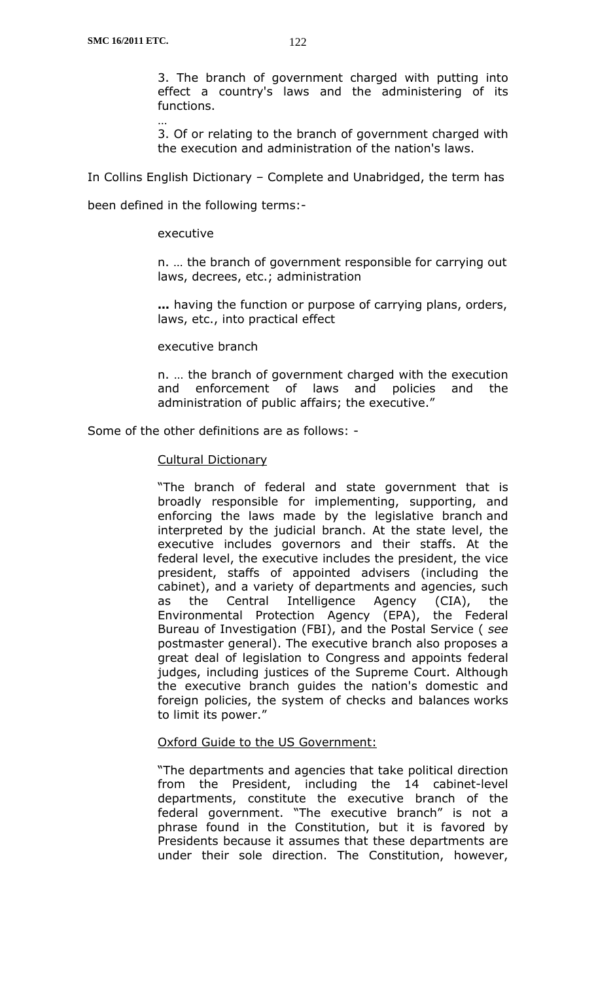3. The branch of government charged with putting into effect a country's laws and the administering of its functions.

… 3. Of or relating to the branch of government charged with the execution and administration of the nation's laws.

In Collins English Dictionary – Complete and Unabridged, the term has

been defined in the following terms:-

#### executive

n. … the branch of government responsible for carrying out laws, decrees, etc.; administration

**…** having the function or purpose of carrying plans, orders, laws, etc., into practical effect

#### executive branch

n. … the branch of government charged with the execution and enforcement of laws and policies and the administration of public affairs; the executive."

Some of the other definitions are as follows: -

## Cultural Dictionary

"The branch of federal and state government that is broadly responsible for implementing, supporting, and enforcing the laws made by the legislative branch and interpreted by the judicial branch. At the state level, the executive includes governors and their staffs. At the federal level, the executive includes the president, the vice president, staffs of appointed advisers (including the cabinet), and a variety of departments and agencies, such as the Central Intelligence Agency (CIA), the Environmental Protection Agency (EPA), the Federal Bureau of Investigation (FBI), and the Postal Service ( *see*  postmaster general). The executive branch also proposes a great deal of legislation to Congress and appoints federal judges, including justices of the Supreme Court. Although the executive branch guides the nation's domestic and foreign policies, the system of checks and balances works to limit its power."

#### Oxford Guide to the US Government:

"The departments and agencies that take political direction from the President, including the 14 cabinet-level departments, constitute the executive branch of the federal government. "The executive branch" is not a phrase found in the Constitution, but it is favored by Presidents because it assumes that these departments are under their sole direction. The Constitution, however,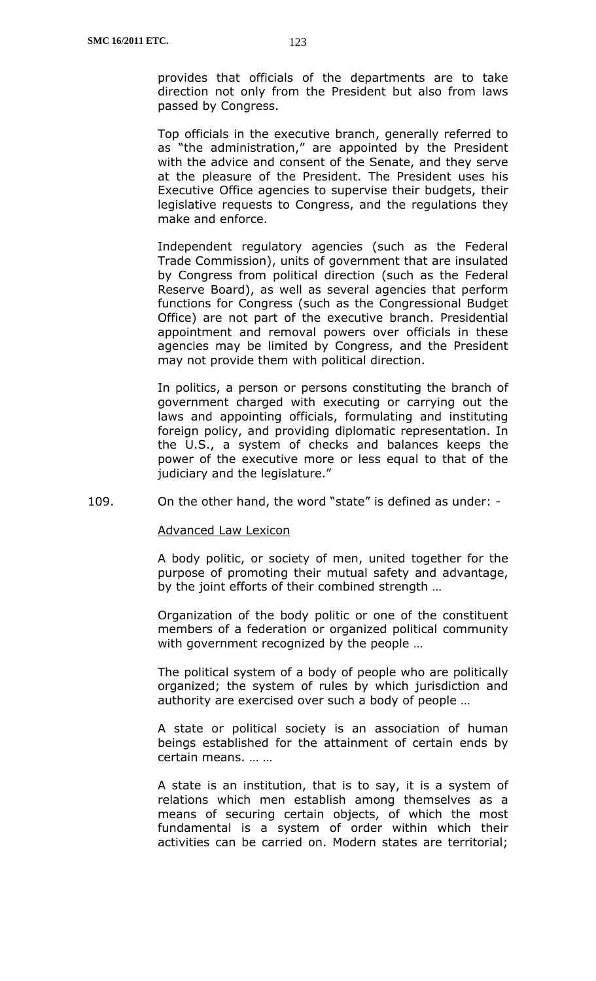provides that officials of the departments are to take direction not only from the President but also from laws passed by Congress.

Top officials in the executive branch, generally referred to as "the administration," are appointed by the President with the advice and consent of the Senate, and they serve at the pleasure of the President. The President uses his Executive Office agencies to supervise their budgets, their legislative requests to Congress, and the regulations they make and enforce.

Independent regulatory agencies (such as the Federal Trade Commission), units of government that are insulated by Congress from political direction (such as the Federal Reserve Board), as well as several agencies that perform functions for Congress (such as the Congressional Budget Office) are not part of the executive branch. Presidential appointment and removal powers over officials in these agencies may be limited by Congress, and the President may not provide them with political direction.

In politics, a person or persons constituting the branch of government charged with executing or carrying out the laws and appointing officials, formulating and instituting foreign policy, and providing diplomatic representation. In the U.S., a system of checks and balances keeps the power of the executive more or less equal to that of the judiciary and the legislature."

109. On the other hand, the word "state" is defined as under: -

Advanced Law Lexicon

A body politic, or society of men, united together for the purpose of promoting their mutual safety and advantage, by the joint efforts of their combined strength …

Organization of the body politic or one of the constituent members of a federation or organized political community with government recognized by the people …

The political system of a body of people who are politically organized; the system of rules by which jurisdiction and authority are exercised over such a body of people …

A state or political society is an association of human beings established for the attainment of certain ends by certain means. … …

A state is an institution, that is to say, it is a system of relations which men establish among themselves as a means of securing certain objects, of which the most fundamental is a system of order within which their activities can be carried on. Modern states are territorial;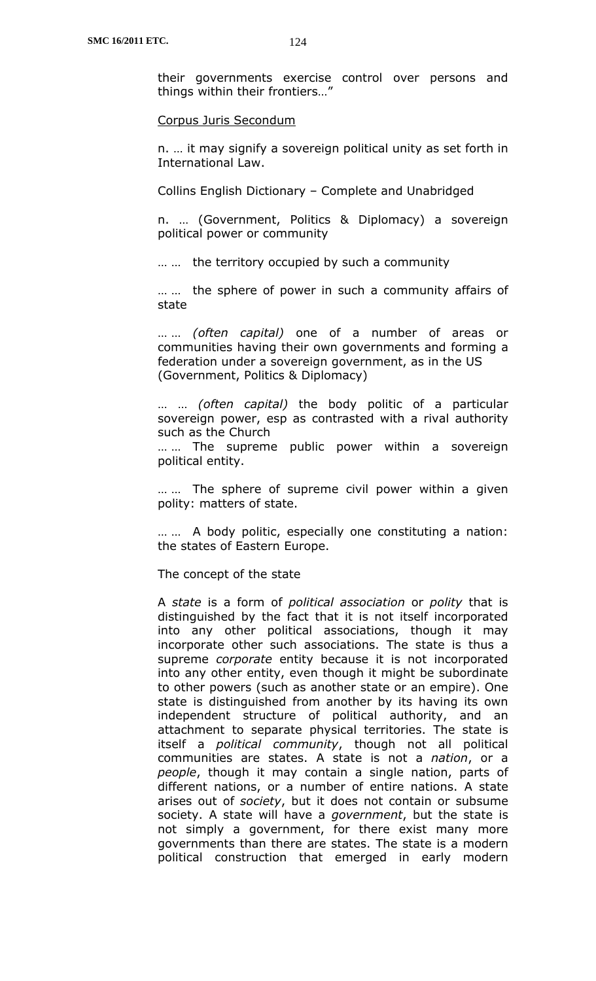their governments exercise control over persons and things within their frontiers…"

Corpus Juris Secondum

n. … it may signify a sovereign political unity as set forth in International Law.

Collins English Dictionary – Complete and Unabridged

n. … (Government, Politics & Diplomacy) a sovereign political power or community

… … the territory occupied by such a community

… … the sphere of power in such a community affairs of state

… … *(often capital)* one of a number of areas or communities having their own governments and forming a federation under a sovereign government, as in the US (Government, Politics & Diplomacy)

… … *(often capital)* the body politic of a particular sovereign power, esp as contrasted with a rival authority such as the Church

… … The supreme public power within a sovereign political entity.

… … The sphere of supreme civil power within a given polity: matters of state.

… … A body politic, especially one constituting a nation: the states of Eastern Europe.

The concept of the state

A *state* is a form of *political association* or *polity* that is distinguished by the fact that it is not itself incorporated into any other political associations, though it may incorporate other such associations. The state is thus a supreme *corporate* entity because it is not incorporated into any other entity, even though it might be subordinate to other powers (such as another state or an empire). One state is distinguished from another by its having its own independent structure of political authority, and an attachment to separate physical territories. The state is itself a *political community*, though not all political communities are states. A state is not a *nation*, or a *people*, though it may contain a single nation, parts of different nations, or a number of entire nations. A state arises out of *society*, but it does not contain or subsume society. A state will have a *government*, but the state is not simply a government, for there exist many more governments than there are states. The state is a modern political construction that emerged in early modern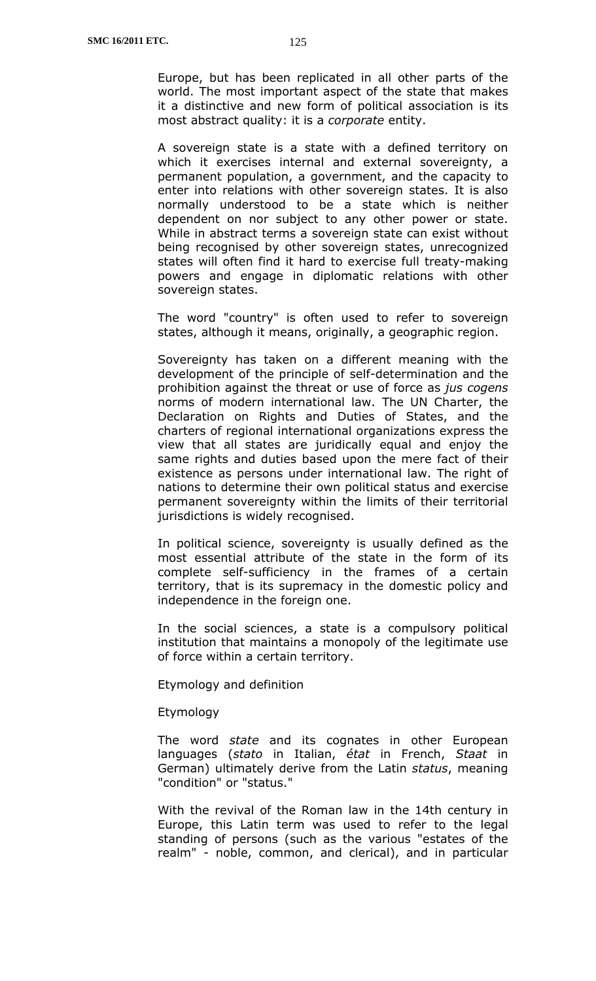A sovereign state is a state with a defined territory on which it exercises internal and external sovereignty, a permanent population, a government, and the capacity to enter into relations with other sovereign states. It is also normally understood to be a state which is neither dependent on nor subject to any other power or state. While in abstract terms a sovereign state can exist without being recognised by other sovereign states, unrecognized states will often find it hard to exercise full treaty-making powers and engage in diplomatic relations with other sovereign states.

The word "country" is often used to refer to sovereign states, although it means, originally, a geographic region.

Sovereignty has taken on a different meaning with the development of the principle of self-determination and the prohibition against the threat or use of force as *jus cogens* norms of modern international law. The UN Charter, the Declaration on Rights and Duties of States, and the charters of regional international organizations express the view that all states are juridically equal and enjoy the same rights and duties based upon the mere fact of their existence as persons under international law. The right of nations to determine their own political status and exercise permanent sovereignty within the limits of their territorial jurisdictions is widely recognised.

In political science, sovereignty is usually defined as the most essential attribute of the state in the form of its complete self-sufficiency in the frames of a certain territory, that is its supremacy in the domestic policy and independence in the foreign one.

In the social sciences, a state is a compulsory political institution that maintains a monopoly of the legitimate use of force within a certain territory.

Etymology and definition

Etymology

The word *state* and its cognates in other European languages (*stato* in Italian, *état* in French, *Staat* in German) ultimately derive from the Latin *status*, meaning "condition" or "status."

With the revival of the Roman law in the 14th century in Europe, this Latin term was used to refer to the legal standing of persons (such as the various "estates of the realm" - noble, common, and clerical), and in particular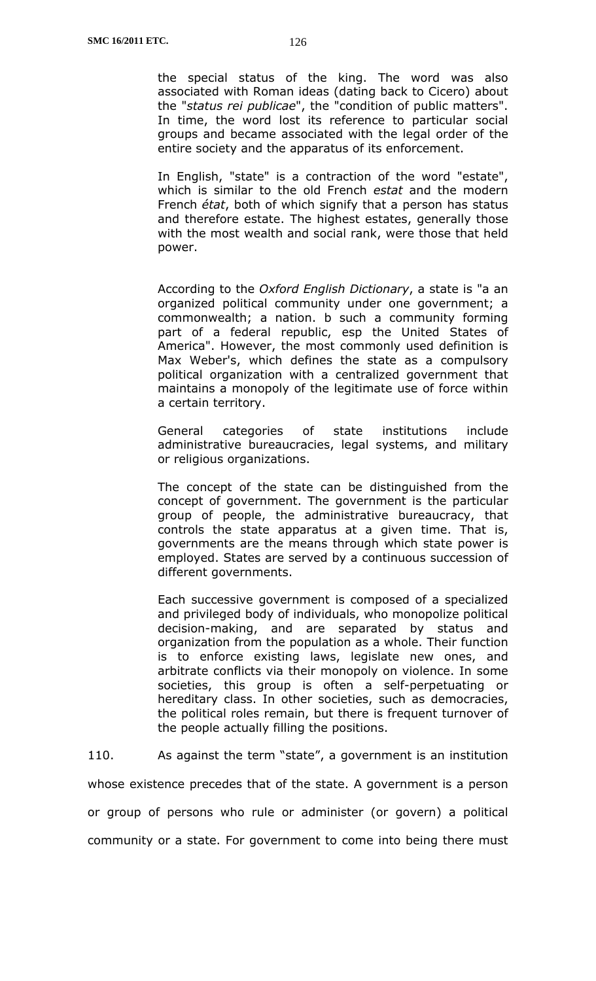the special status of the king. The word was also associated with Roman ideas (dating back to Cicero) about the "*status rei publicae*", the "condition of public matters". In time, the word lost its reference to particular social groups and became associated with the legal order of the entire society and the apparatus of its enforcement.

In English, "state" is a contraction of the word "estate", which is similar to the old French *estat* and the modern French *état*, both of which signify that a person has status and therefore estate. The highest estates, generally those with the most wealth and social rank, were those that held power.

According to the *Oxford English Dictionary*, a state is "a an organized political community under one government; a commonwealth; a nation. b such a community forming part of a federal republic, esp the United States of America". However, the most commonly used definition is Max Weber's, which defines the state as a compulsory political organization with a centralized government that maintains a monopoly of the legitimate use of force within a certain territory.

General categories of state institutions include administrative bureaucracies, legal systems, and military or religious organizations.

The concept of the state can be distinguished from the concept of government. The government is the particular group of people, the administrative bureaucracy, that controls the state apparatus at a given time. That is, governments are the means through which state power is employed. States are served by a continuous succession of different governments.

Each successive government is composed of a specialized and privileged body of individuals, who monopolize political decision-making, and are separated by status and organization from the population as a whole. Their function is to enforce existing laws, legislate new ones, and arbitrate conflicts via their monopoly on violence. In some societies, this group is often a self-perpetuating or hereditary class. In other societies, such as democracies, the political roles remain, but there is frequent turnover of the people actually filling the positions.

110. As against the term "state", a government is an institution whose existence precedes that of the state. A government is a person or group of persons who rule or administer (or govern) a political community or a state. For government to come into being there must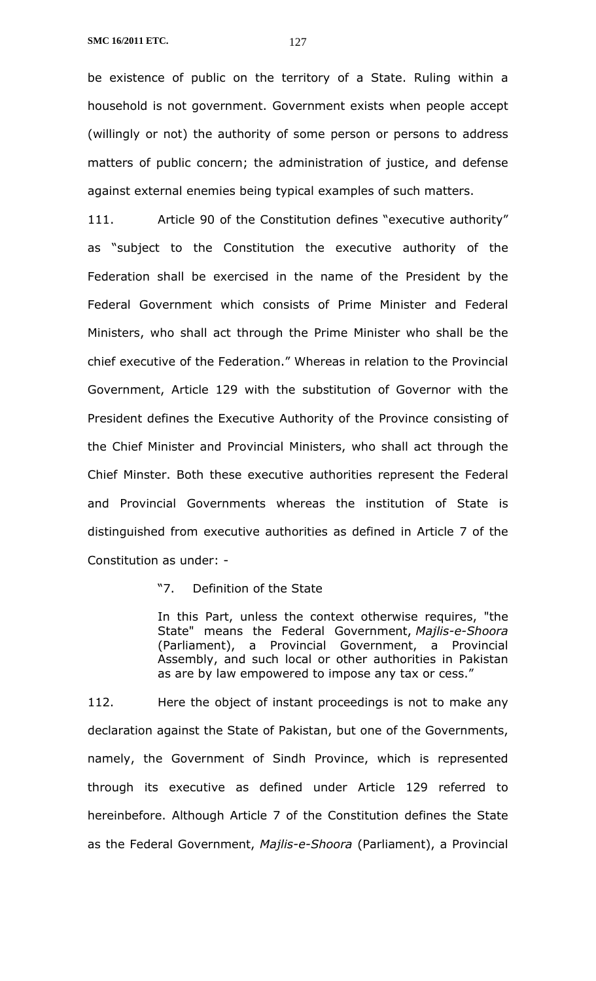be existence of public on the territory of a State. Ruling within a household is not government. Government exists when people accept (willingly or not) the authority of some person or persons to address matters of public concern; the administration of justice, and defense against external enemies being typical examples of such matters.

111. Article 90 of the Constitution defines "executive authority" as "subject to the Constitution the executive authority of the Federation shall be exercised in the name of the President by the Federal Government which consists of Prime Minister and Federal Ministers, who shall act through the Prime Minister who shall be the chief executive of the Federation." Whereas in relation to the Provincial Government, Article 129 with the substitution of Governor with the President defines the Executive Authority of the Province consisting of the Chief Minister and Provincial Ministers, who shall act through the Chief Minster. Both these executive authorities represent the Federal and Provincial Governments whereas the institution of State is distinguished from executive authorities as defined in Article 7 of the Constitution as under: -

"7. Definition of the State

In this Part, unless the context otherwise requires, "the State" means the Federal Government, *Majlis-e-Shoora* (Parliament), a Provincial Government, a Provincial Assembly, and such local or other authorities in Pakistan as are by law empowered to impose any tax or cess."

112. Here the object of instant proceedings is not to make any declaration against the State of Pakistan, but one of the Governments, namely, the Government of Sindh Province, which is represented through its executive as defined under Article 129 referred to hereinbefore. Although Article 7 of the Constitution defines the State as the Federal Government, *Majlis-e-Shoora* (Parliament), a Provincial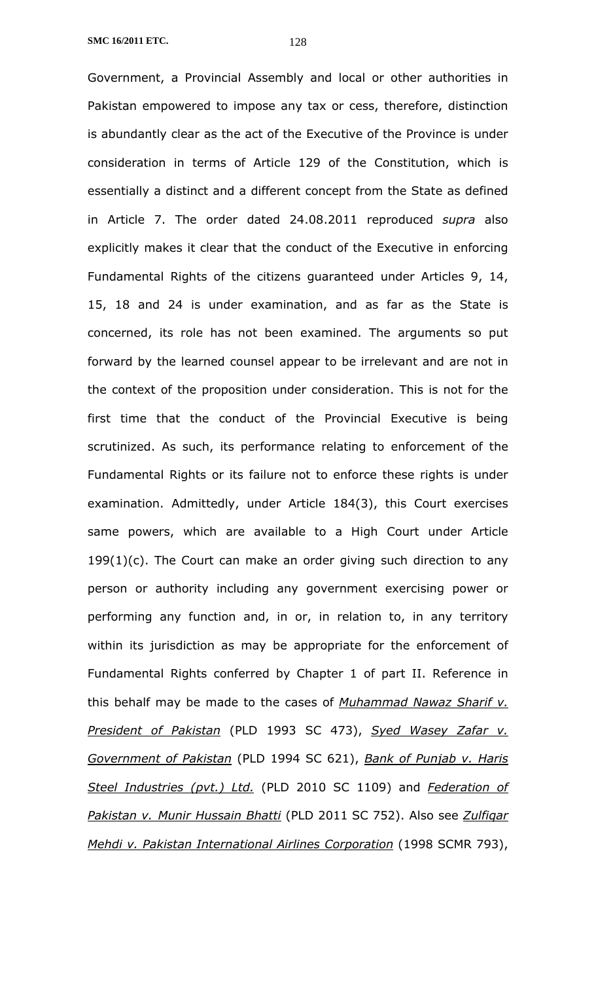Government, a Provincial Assembly and local or other authorities in Pakistan empowered to impose any tax or cess, therefore, distinction is abundantly clear as the act of the Executive of the Province is under consideration in terms of Article 129 of the Constitution, which is essentially a distinct and a different concept from the State as defined in Article 7. The order dated 24.08.2011 reproduced *supra* also explicitly makes it clear that the conduct of the Executive in enforcing Fundamental Rights of the citizens guaranteed under Articles 9, 14, 15, 18 and 24 is under examination, and as far as the State is concerned, its role has not been examined. The arguments so put forward by the learned counsel appear to be irrelevant and are not in the context of the proposition under consideration. This is not for the first time that the conduct of the Provincial Executive is being scrutinized. As such, its performance relating to enforcement of the Fundamental Rights or its failure not to enforce these rights is under examination. Admittedly, under Article 184(3), this Court exercises same powers, which are available to a High Court under Article  $199(1)(c)$ . The Court can make an order giving such direction to any person or authority including any government exercising power or performing any function and, in or, in relation to, in any territory within its jurisdiction as may be appropriate for the enforcement of

Fundamental Rights conferred by Chapter 1 of part II. Reference in this behalf may be made to the cases of *Muhammad Nawaz Sharif v. President of Pakistan* (PLD 1993 SC 473), *Syed Wasey Zafar v. Government of Pakistan* (PLD 1994 SC 621), *Bank of Punjab v. Haris Steel Industries (pvt.) Ltd.* (PLD 2010 SC 1109) and *Federation of Pakistan v. Munir Hussain Bhatti* (PLD 2011 SC 752). Also see *Zulfiqar Mehdi v. Pakistan International Airlines Corporation* (1998 SCMR 793),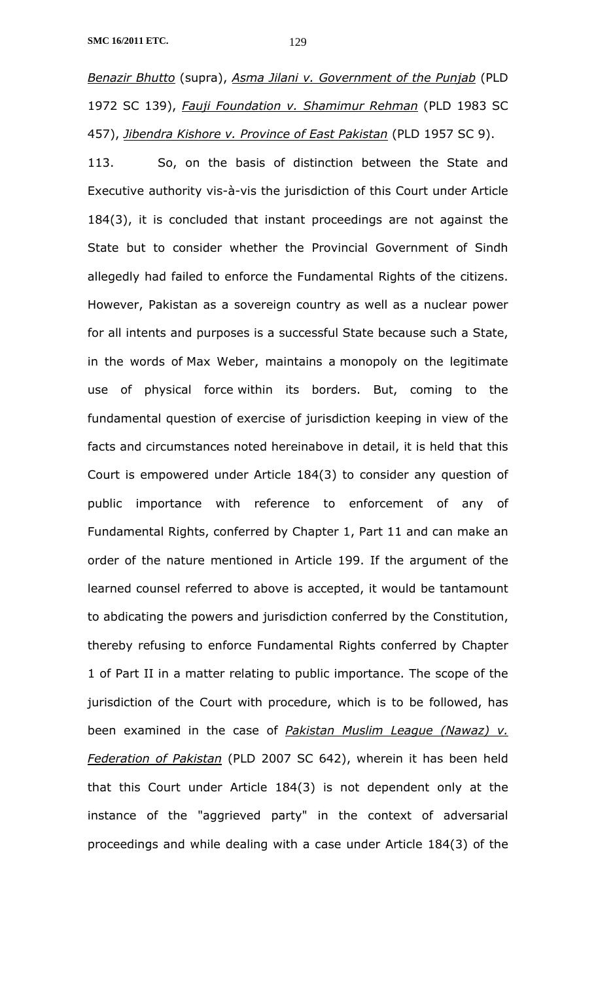*Benazir Bhutto* (supra), *Asma Jilani v. Government of the Punjab* (PLD 1972 SC 139), *Fauji Foundation v. Shamimur Rehman* (PLD 1983 SC 457), *Jibendra Kishore v. Province of East Pakistan* (PLD 1957 SC 9).

113. So, on the basis of distinction between the State and Executive authority vis-à-vis the jurisdiction of this Court under Article 184(3), it is concluded that instant proceedings are not against the State but to consider whether the Provincial Government of Sindh allegedly had failed to enforce the Fundamental Rights of the citizens. However, Pakistan as a sovereign country as well as a nuclear power for all intents and purposes is a successful State because such a State, in the words of Max Weber, maintains a monopoly on the legitimate use of physical force within its borders. But, coming to the fundamental question of exercise of jurisdiction keeping in view of the facts and circumstances noted hereinabove in detail, it is held that this Court is empowered under Article 184(3) to consider any question of public importance with reference to enforcement of any of Fundamental Rights, conferred by Chapter 1, Part 11 and can make an order of the nature mentioned in Article 199. If the argument of the learned counsel referred to above is accepted, it would be tantamount to abdicating the powers and jurisdiction conferred by the Constitution, thereby refusing to enforce Fundamental Rights conferred by Chapter 1 of Part II in a matter relating to public importance. The scope of the jurisdiction of the Court with procedure, which is to be followed, has been examined in the case of *Pakistan Muslim League (Nawaz) v. Federation of Pakistan* (PLD 2007 SC 642), wherein it has been held that this Court under Article 184(3) is not dependent only at the instance of the "aggrieved party" in the context of adversarial proceedings and while dealing with a case under Article 184(3) of the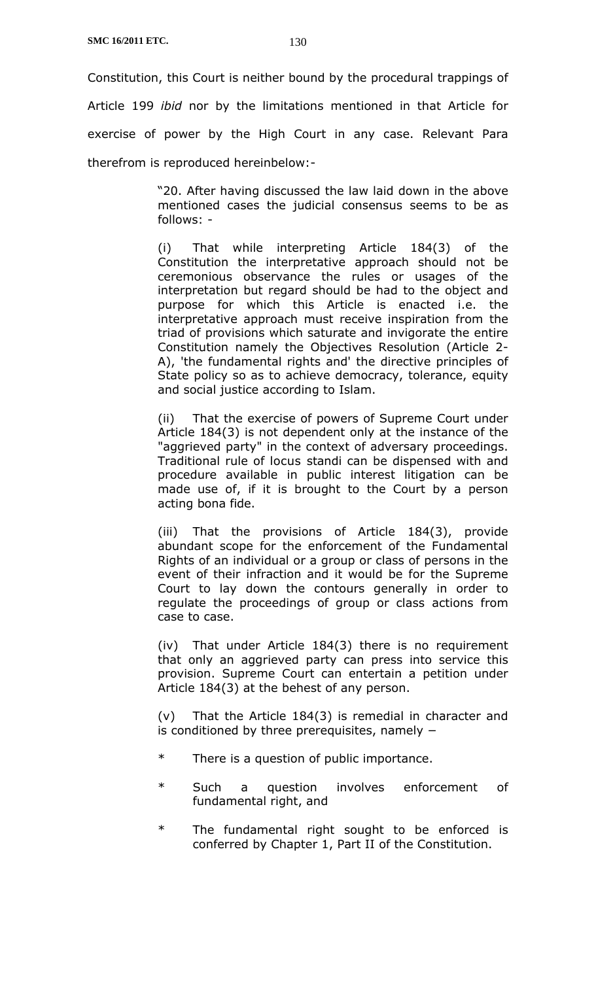Constitution, this Court is neither bound by the procedural trappings of Article 199 *ibid* nor by the limitations mentioned in that Article for exercise of power by the High Court in any case. Relevant Para therefrom is reproduced hereinbelow:-

> "20. After having discussed the law laid down in the above mentioned cases the judicial consensus seems to be as follows: -

> (i) That while interpreting Article 184(3) of the Constitution the interpretative approach should not be ceremonious observance the rules or usages of the interpretation but regard should be had to the object and purpose for which this Article is enacted i.e. the interpretative approach must receive inspiration from the triad of provisions which saturate and invigorate the entire Constitution namely the Objectives Resolution (Article 2- A), 'the fundamental rights and' the directive principles of State policy so as to achieve democracy, tolerance, equity and social justice according to Islam.

> (ii) That the exercise of powers of Supreme Court under Article 184(3) is not dependent only at the instance of the "aggrieved party" in the context of adversary proceedings. Traditional rule of locus standi can be dispensed with and procedure available in public interest litigation can be made use of, if it is brought to the Court by a person acting bona fide.

> (iii) That the provisions of Article 184(3), provide abundant scope for the enforcement of the Fundamental Rights of an individual or a group or class of persons in the event of their infraction and it would be for the Supreme Court to lay down the contours generally in order to regulate the proceedings of group or class actions from case to case.

> (iv) That under Article 184(3) there is no requirement that only an aggrieved party can press into service this provision. Supreme Court can entertain a petition under Article 184(3) at the behest of any person.

> (v) That the Article 184(3) is remedial in character and is conditioned by three prerequisites, namely −

- \* There is a question of public importance.
- \* Such a question involves enforcement of fundamental right, and
- \* The fundamental right sought to be enforced is conferred by Chapter 1, Part II of the Constitution.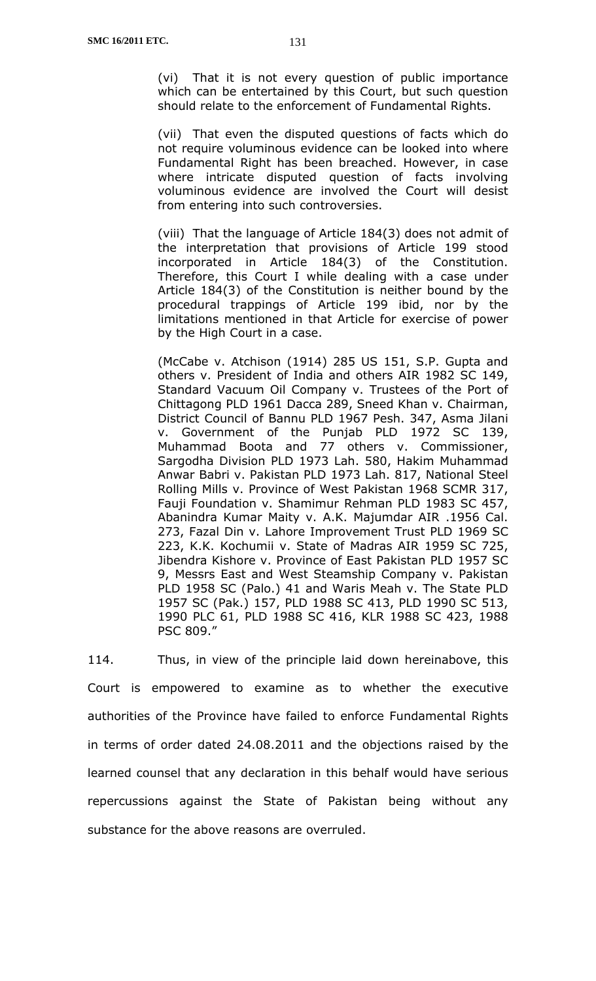(vi) That it is not every question of public importance which can be entertained by this Court, but such question should relate to the enforcement of Fundamental Rights.

(vii) That even the disputed questions of facts which do not require voluminous evidence can be looked into where Fundamental Right has been breached. However, in case where intricate disputed question of facts involving voluminous evidence are involved the Court will desist from entering into such controversies.

(viii) That the language of Article 184(3) does not admit of the interpretation that provisions of Article 199 stood incorporated in Article 184(3) of the Constitution. Therefore, this Court I while dealing with a case under Article 184(3) of the Constitution is neither bound by the procedural trappings of Article 199 ibid, nor by the limitations mentioned in that Article for exercise of power by the High Court in a case.

(McCabe v. Atchison (1914) 285 US 151, S.P. Gupta and others v. President of India and others AIR 1982 SC 149, Standard Vacuum Oil Company v. Trustees of the Port of Chittagong PLD 1961 Dacca 289, Sneed Khan v. Chairman, District Council of Bannu PLD 1967 Pesh. 347, Asma Jilani v. Government of the Punjab PLD 1972 SC 139, Muhammad Boota and 77 others v. Commissioner, Sargodha Division PLD 1973 Lah. 580, Hakim Muhammad Anwar Babri v. Pakistan PLD 1973 Lah. 817, National Steel Rolling Mills v. Province of West Pakistan 1968 SCMR 317, Fauji Foundation v. Shamimur Rehman PLD 1983 SC 457, Abanindra Kumar Maity v. A.K. Majumdar AIR .1956 Cal. 273, Fazal Din v. Lahore Improvement Trust PLD 1969 SC 223, K.K. Kochumii v. State of Madras AIR 1959 SC 725, Jibendra Kishore v. Province of East Pakistan PLD 1957 SC 9, Messrs East and West Steamship Company v. Pakistan PLD 1958 SC (Palo.) 41 and Waris Meah v. The State PLD 1957 SC (Pak.) 157, PLD 1988 SC 413, PLD 1990 SC 513, 1990 PLC 61, PLD 1988 SC 416, KLR 1988 SC 423, 1988 PSC 809."

114. Thus, in view of the principle laid down hereinabove, this Court is empowered to examine as to whether the executive authorities of the Province have failed to enforce Fundamental Rights in terms of order dated 24.08.2011 and the objections raised by the learned counsel that any declaration in this behalf would have serious repercussions against the State of Pakistan being without any substance for the above reasons are overruled.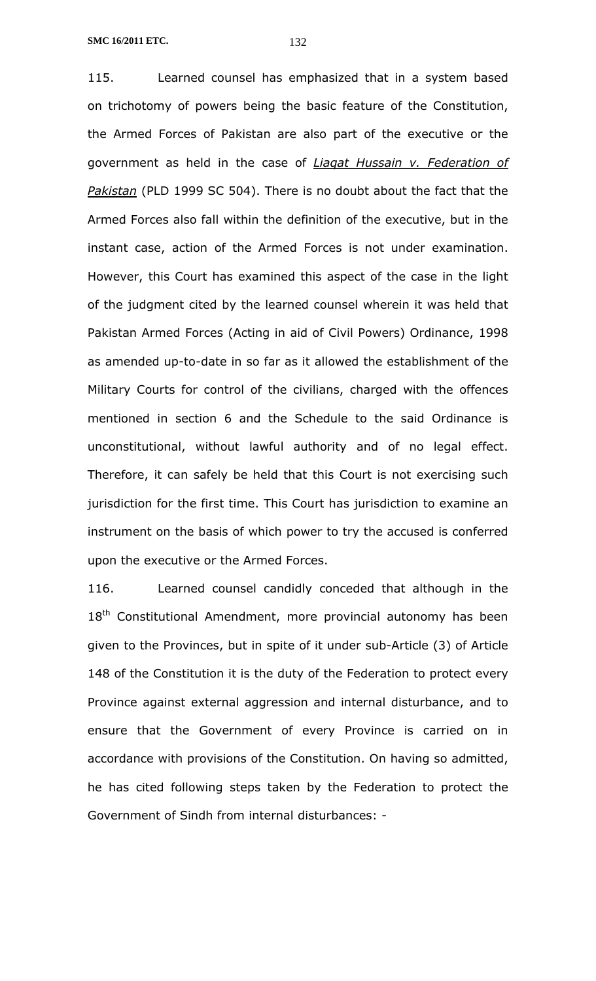**SMC 16/2011 ETC.** 132

115. Learned counsel has emphasized that in a system based on trichotomy of powers being the basic feature of the Constitution, the Armed Forces of Pakistan are also part of the executive or the government as held in the case of *Liaqat Hussain v. Federation of Pakistan* (PLD 1999 SC 504). There is no doubt about the fact that the Armed Forces also fall within the definition of the executive, but in the instant case, action of the Armed Forces is not under examination. However, this Court has examined this aspect of the case in the light of the judgment cited by the learned counsel wherein it was held that Pakistan Armed Forces (Acting in aid of Civil Powers) Ordinance, 1998 as amended up-to-date in so far as it allowed the establishment of the Military Courts for control of the civilians, charged with the offences mentioned in section 6 and the Schedule to the said Ordinance is unconstitutional, without lawful authority and of no legal effect. Therefore, it can safely be held that this Court is not exercising such jurisdiction for the first time. This Court has jurisdiction to examine an instrument on the basis of which power to try the accused is conferred upon the executive or the Armed Forces.

116. Learned counsel candidly conceded that although in the  $18<sup>th</sup>$  Constitutional Amendment, more provincial autonomy has been given to the Provinces, but in spite of it under sub-Article (3) of Article 148 of the Constitution it is the duty of the Federation to protect every Province against external aggression and internal disturbance, and to ensure that the Government of every Province is carried on in accordance with provisions of the Constitution. On having so admitted, he has cited following steps taken by the Federation to protect the Government of Sindh from internal disturbances: -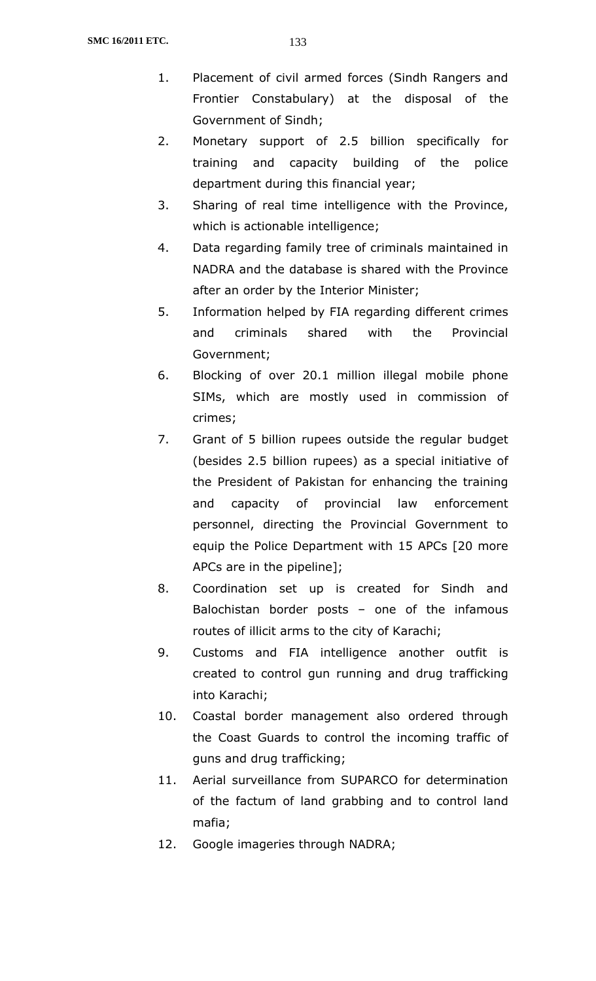- 1. Placement of civil armed forces (Sindh Rangers and Frontier Constabulary) at the disposal of the Government of Sindh;
- 2. Monetary support of 2.5 billion specifically for training and capacity building of the police department during this financial year;
- 3. Sharing of real time intelligence with the Province, which is actionable intelligence;
- 4. Data regarding family tree of criminals maintained in NADRA and the database is shared with the Province after an order by the Interior Minister;
- 5. Information helped by FIA regarding different crimes and criminals shared with the Provincial Government;
- 6. Blocking of over 20.1 million illegal mobile phone SIMs, which are mostly used in commission of crimes;
- 7. Grant of 5 billion rupees outside the regular budget (besides 2.5 billion rupees) as a special initiative of the President of Pakistan for enhancing the training and capacity of provincial law enforcement personnel, directing the Provincial Government to equip the Police Department with 15 APCs [20 more APCs are in the pipeline];
- 8. Coordination set up is created for Sindh and Balochistan border posts – one of the infamous routes of illicit arms to the city of Karachi;
- 9. Customs and FIA intelligence another outfit is created to control gun running and drug trafficking into Karachi;
- 10. Coastal border management also ordered through the Coast Guards to control the incoming traffic of guns and drug trafficking;
- 11. Aerial surveillance from SUPARCO for determination of the factum of land grabbing and to control land mafia;
- 12. Google imageries through NADRA;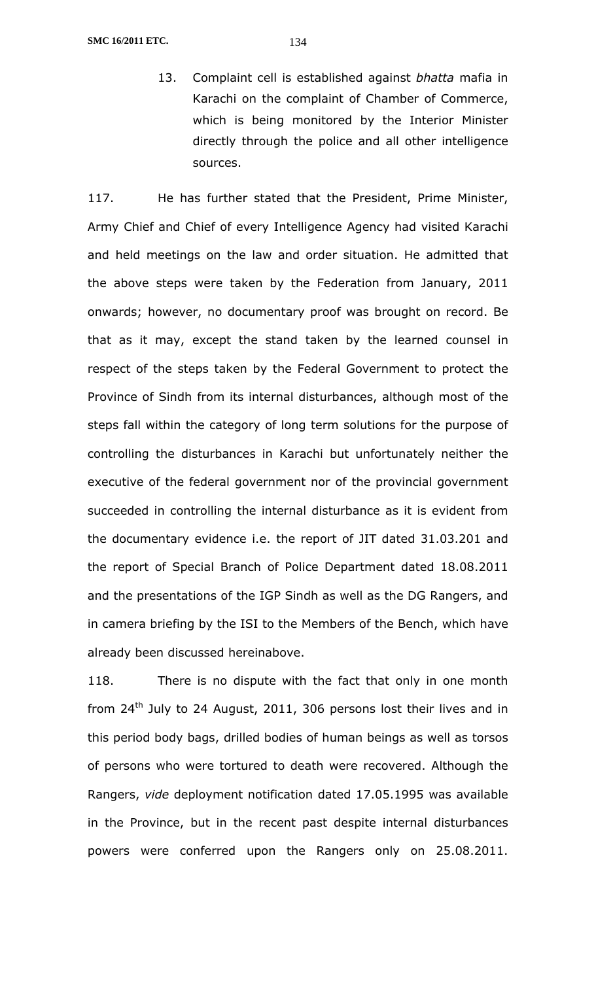13. Complaint cell is established against *bhatta* mafia in Karachi on the complaint of Chamber of Commerce, which is being monitored by the Interior Minister directly through the police and all other intelligence sources.

117. He has further stated that the President, Prime Minister, Army Chief and Chief of every Intelligence Agency had visited Karachi and held meetings on the law and order situation. He admitted that the above steps were taken by the Federation from January, 2011 onwards; however, no documentary proof was brought on record. Be that as it may, except the stand taken by the learned counsel in respect of the steps taken by the Federal Government to protect the Province of Sindh from its internal disturbances, although most of the steps fall within the category of long term solutions for the purpose of controlling the disturbances in Karachi but unfortunately neither the executive of the federal government nor of the provincial government succeeded in controlling the internal disturbance as it is evident from the documentary evidence i.e. the report of JIT dated 31.03.201 and the report of Special Branch of Police Department dated 18.08.2011 and the presentations of the IGP Sindh as well as the DG Rangers, and in camera briefing by the ISI to the Members of the Bench, which have already been discussed hereinabove.

118. There is no dispute with the fact that only in one month from  $24<sup>th</sup>$  July to 24 August, 2011, 306 persons lost their lives and in this period body bags, drilled bodies of human beings as well as torsos of persons who were tortured to death were recovered. Although the Rangers, *vide* deployment notification dated 17.05.1995 was available in the Province, but in the recent past despite internal disturbances powers were conferred upon the Rangers only on 25.08.2011.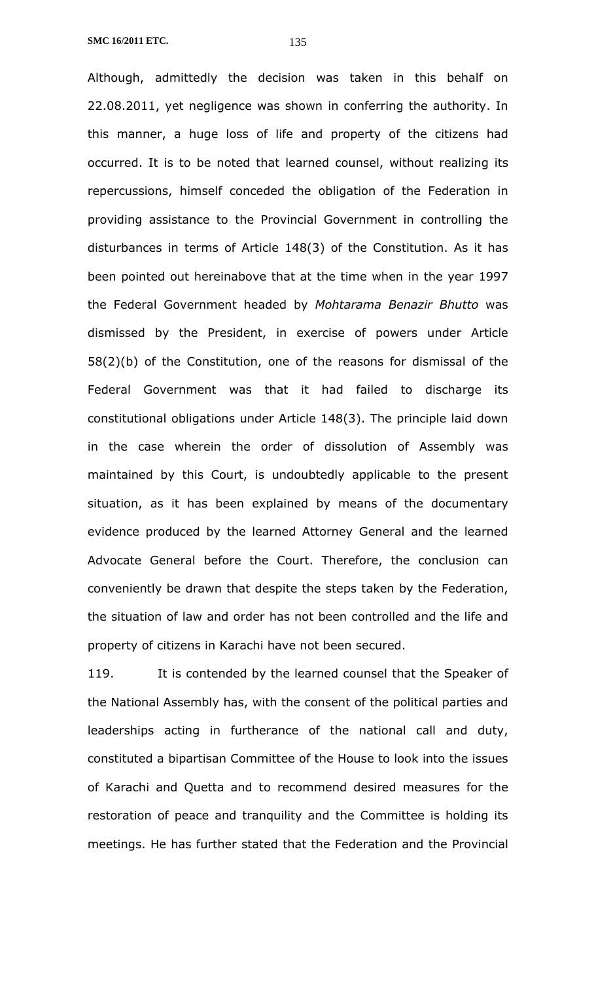Although, admittedly the decision was taken in this behalf on 22.08.2011, yet negligence was shown in conferring the authority. In this manner, a huge loss of life and property of the citizens had occurred. It is to be noted that learned counsel, without realizing its repercussions, himself conceded the obligation of the Federation in providing assistance to the Provincial Government in controlling the disturbances in terms of Article 148(3) of the Constitution. As it has been pointed out hereinabove that at the time when in the year 1997 the Federal Government headed by *Mohtarama Benazir Bhutto* was dismissed by the President, in exercise of powers under Article 58(2)(b) of the Constitution, one of the reasons for dismissal of the Federal Government was that it had failed to discharge its constitutional obligations under Article 148(3). The principle laid down in the case wherein the order of dissolution of Assembly was maintained by this Court, is undoubtedly applicable to the present situation, as it has been explained by means of the documentary evidence produced by the learned Attorney General and the learned Advocate General before the Court. Therefore, the conclusion can conveniently be drawn that despite the steps taken by the Federation, the situation of law and order has not been controlled and the life and property of citizens in Karachi have not been secured.

119. It is contended by the learned counsel that the Speaker of the National Assembly has, with the consent of the political parties and leaderships acting in furtherance of the national call and duty, constituted a bipartisan Committee of the House to look into the issues of Karachi and Quetta and to recommend desired measures for the restoration of peace and tranquility and the Committee is holding its meetings. He has further stated that the Federation and the Provincial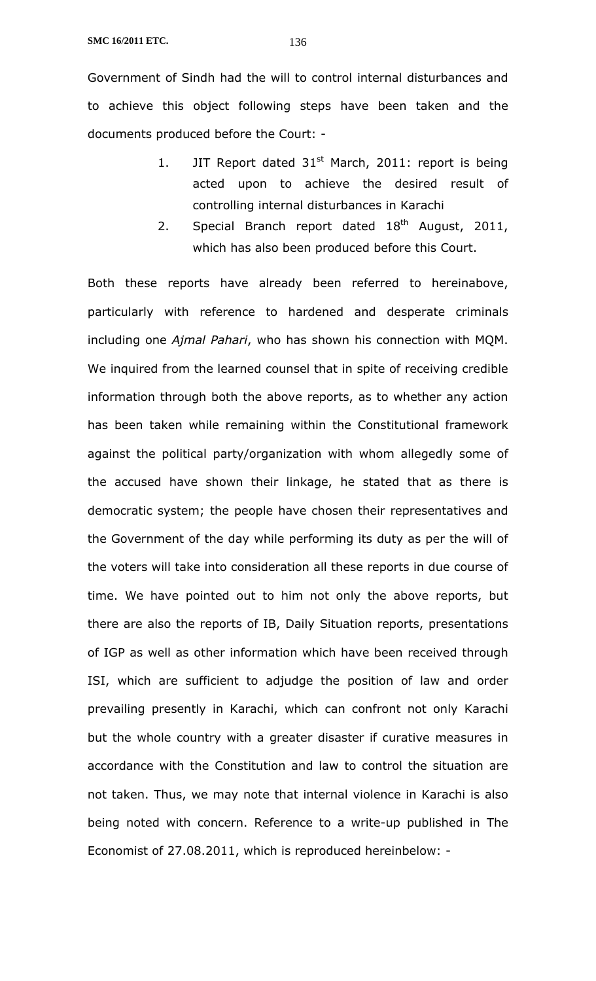Government of Sindh had the will to control internal disturbances and to achieve this object following steps have been taken and the documents produced before the Court: -

- 1. JIT Report dated  $31<sup>st</sup>$  March, 2011: report is being acted upon to achieve the desired result of controlling internal disturbances in Karachi
- 2. Special Branch report dated  $18<sup>th</sup>$  August, 2011, which has also been produced before this Court.

Both these reports have already been referred to hereinabove, particularly with reference to hardened and desperate criminals including one *Ajmal Pahari*, who has shown his connection with MQM. We inquired from the learned counsel that in spite of receiving credible information through both the above reports, as to whether any action has been taken while remaining within the Constitutional framework against the political party/organization with whom allegedly some of the accused have shown their linkage, he stated that as there is democratic system; the people have chosen their representatives and the Government of the day while performing its duty as per the will of the voters will take into consideration all these reports in due course of time. We have pointed out to him not only the above reports, but there are also the reports of IB, Daily Situation reports, presentations of IGP as well as other information which have been received through ISI, which are sufficient to adjudge the position of law and order prevailing presently in Karachi, which can confront not only Karachi but the whole country with a greater disaster if curative measures in accordance with the Constitution and law to control the situation are not taken. Thus, we may note that internal violence in Karachi is also being noted with concern. Reference to a write-up published in The Economist of 27.08.2011, which is reproduced hereinbelow: -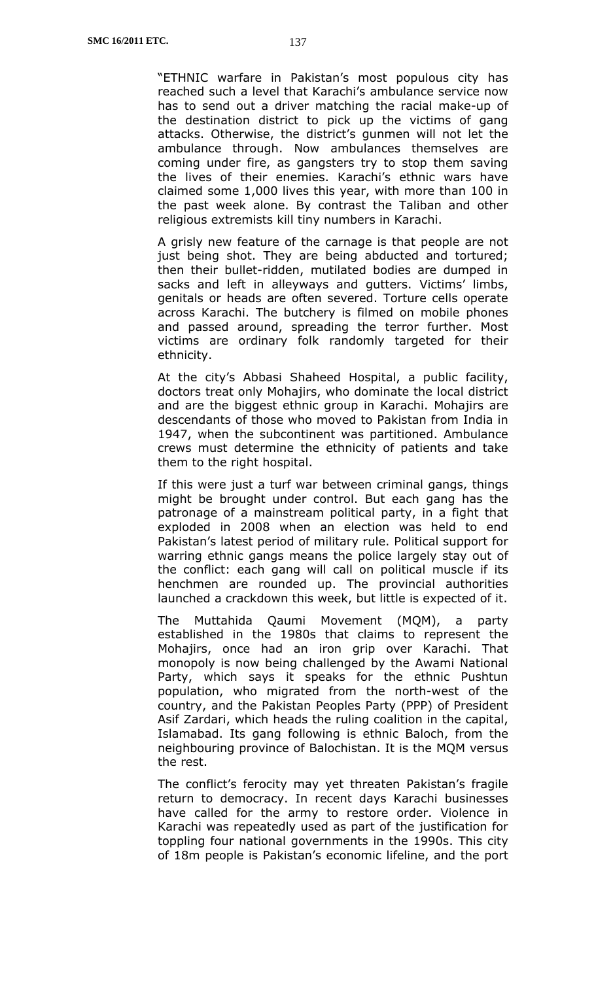"ETHNIC warfare in Pakistan's most populous city has reached such a level that Karachi's ambulance service now has to send out a driver matching the racial make-up of the destination district to pick up the victims of gang attacks. Otherwise, the district's gunmen will not let the ambulance through. Now ambulances themselves are coming under fire, as gangsters try to stop them saving the lives of their enemies. Karachi's ethnic wars have claimed some 1,000 lives this year, with more than 100 in the past week alone. By contrast the Taliban and other religious extremists kill tiny numbers in Karachi.

A grisly new feature of the carnage is that people are not just being shot. They are being abducted and tortured; then their bullet-ridden, mutilated bodies are dumped in sacks and left in alleyways and gutters. Victims' limbs, genitals or heads are often severed. Torture cells operate across Karachi. The butchery is filmed on mobile phones and passed around, spreading the terror further. Most victims are ordinary folk randomly targeted for their ethnicity.

At the city's Abbasi Shaheed Hospital, a public facility, doctors treat only Mohajirs, who dominate the local district and are the biggest ethnic group in Karachi. Mohajirs are descendants of those who moved to Pakistan from India in 1947, when the subcontinent was partitioned. Ambulance crews must determine the ethnicity of patients and take them to the right hospital.

If this were just a turf war between criminal gangs, things might be brought under control. But each gang has the patronage of a mainstream political party, in a fight that exploded in 2008 when an election was held to end Pakistan's latest period of military rule. Political support for warring ethnic gangs means the police largely stay out of the conflict: each gang will call on political muscle if its henchmen are rounded up. The provincial authorities launched a crackdown this week, but little is expected of it.

The Muttahida Qaumi Movement (MQM), a party established in the 1980s that claims to represent the Mohajirs, once had an iron grip over Karachi. That monopoly is now being challenged by the Awami National Party, which says it speaks for the ethnic Pushtun population, who migrated from the north-west of the country, and the Pakistan Peoples Party (PPP) of President Asif Zardari, which heads the ruling coalition in the capital, Islamabad. Its gang following is ethnic Baloch, from the neighbouring province of Balochistan. It is the MQM versus the rest.

The conflict's ferocity may yet threaten Pakistan's fragile return to democracy. In recent days Karachi businesses have called for the army to restore order. Violence in Karachi was repeatedly used as part of the justification for toppling four national governments in the 1990s. This city of 18m people is Pakistan's economic lifeline, and the port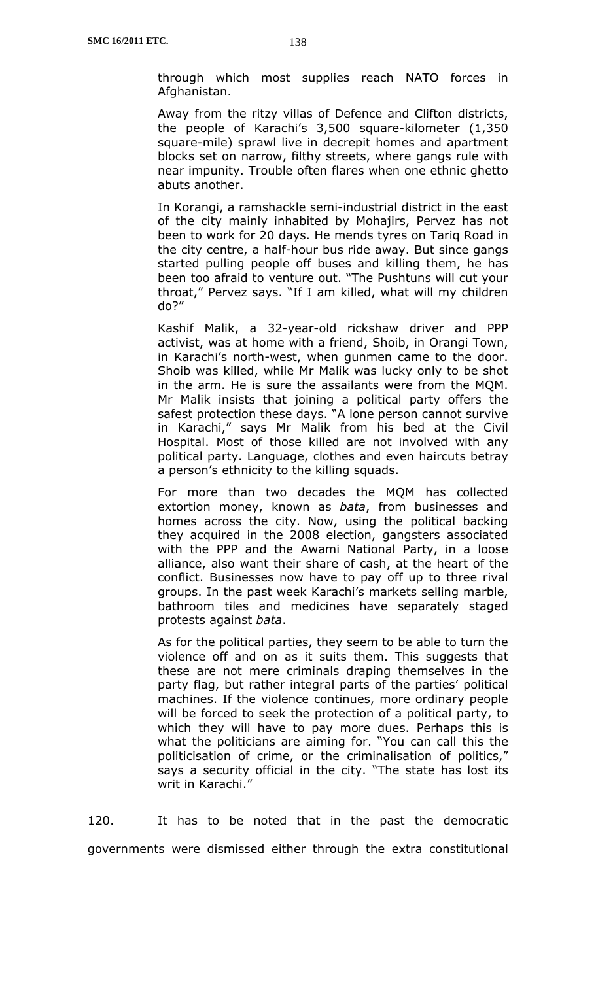through which most supplies reach NATO forces in Afghanistan.

Away from the ritzy villas of Defence and Clifton districts, the people of Karachi's 3,500 square-kilometer (1,350 square-mile) sprawl live in decrepit homes and apartment blocks set on narrow, filthy streets, where gangs rule with near impunity. Trouble often flares when one ethnic ghetto abuts another.

In Korangi, a ramshackle semi-industrial district in the east of the city mainly inhabited by Mohajirs, Pervez has not been to work for 20 days. He mends tyres on Tariq Road in the city centre, a half-hour bus ride away. But since gangs started pulling people off buses and killing them, he has been too afraid to venture out. "The Pushtuns will cut your throat," Pervez says. "If I am killed, what will my children do?"

Kashif Malik, a 32-year-old rickshaw driver and PPP activist, was at home with a friend, Shoib, in Orangi Town, in Karachi's north-west, when gunmen came to the door. Shoib was killed, while Mr Malik was lucky only to be shot in the arm. He is sure the assailants were from the MQM. Mr Malik insists that joining a political party offers the safest protection these days. "A lone person cannot survive in Karachi," says Mr Malik from his bed at the Civil Hospital. Most of those killed are not involved with any political party. Language, clothes and even haircuts betray a person's ethnicity to the killing squads.

For more than two decades the MQM has collected extortion money, known as *bata*, from businesses and homes across the city. Now, using the political backing they acquired in the 2008 election, gangsters associated with the PPP and the Awami National Party, in a loose alliance, also want their share of cash, at the heart of the conflict. Businesses now have to pay off up to three rival groups. In the past week Karachi's markets selling marble, bathroom tiles and medicines have separately staged protests against *bata*.

As for the political parties, they seem to be able to turn the violence off and on as it suits them. This suggests that these are not mere criminals draping themselves in the party flag, but rather integral parts of the parties' political machines. If the violence continues, more ordinary people will be forced to seek the protection of a political party, to which they will have to pay more dues. Perhaps this is what the politicians are aiming for. "You can call this the politicisation of crime, or the criminalisation of politics," says a security official in the city. "The state has lost its writ in Karachi."

120. It has to be noted that in the past the democratic governments were dismissed either through the extra constitutional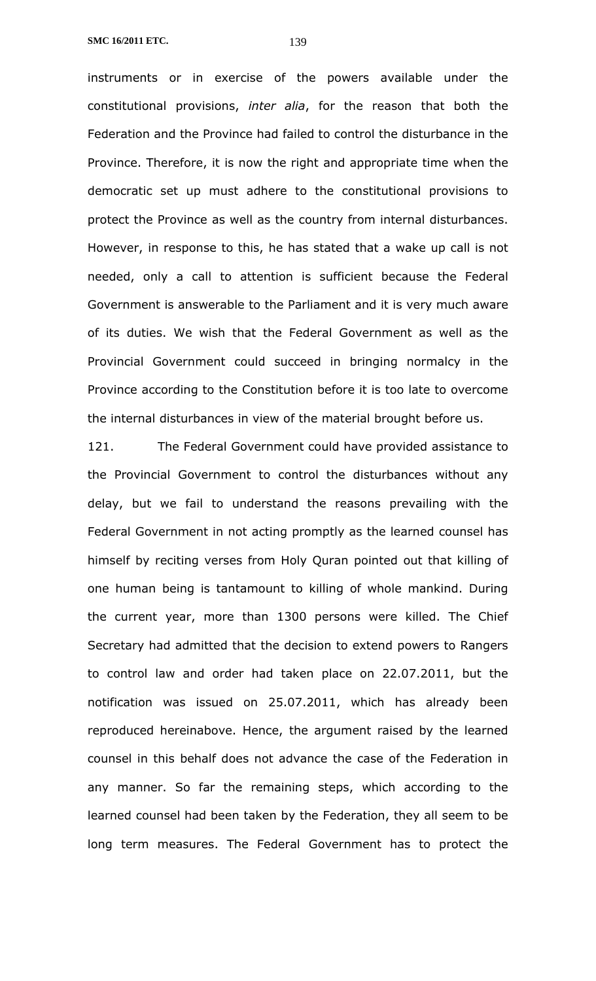instruments or in exercise of the powers available under the constitutional provisions, *inter alia*, for the reason that both the Federation and the Province had failed to control the disturbance in the Province. Therefore, it is now the right and appropriate time when the democratic set up must adhere to the constitutional provisions to protect the Province as well as the country from internal disturbances. However, in response to this, he has stated that a wake up call is not needed, only a call to attention is sufficient because the Federal Government is answerable to the Parliament and it is very much aware of its duties. We wish that the Federal Government as well as the Provincial Government could succeed in bringing normalcy in the Province according to the Constitution before it is too late to overcome the internal disturbances in view of the material brought before us.

121. The Federal Government could have provided assistance to the Provincial Government to control the disturbances without any delay, but we fail to understand the reasons prevailing with the Federal Government in not acting promptly as the learned counsel has himself by reciting verses from Holy Quran pointed out that killing of one human being is tantamount to killing of whole mankind. During the current year, more than 1300 persons were killed. The Chief Secretary had admitted that the decision to extend powers to Rangers to control law and order had taken place on 22.07.2011, but the notification was issued on 25.07.2011, which has already been reproduced hereinabove. Hence, the argument raised by the learned counsel in this behalf does not advance the case of the Federation in any manner. So far the remaining steps, which according to the learned counsel had been taken by the Federation, they all seem to be long term measures. The Federal Government has to protect the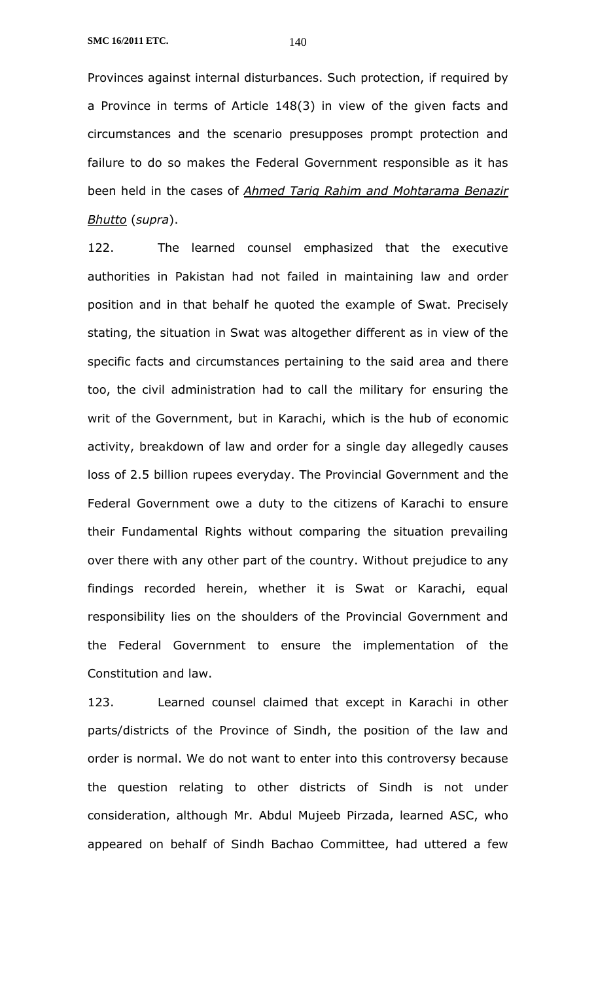**SMC 16/2011 ETC.** 140

Provinces against internal disturbances. Such protection, if required by a Province in terms of Article 148(3) in view of the given facts and circumstances and the scenario presupposes prompt protection and failure to do so makes the Federal Government responsible as it has been held in the cases of *Ahmed Tariq Rahim and Mohtarama Benazir Bhutto* (*supra*).

122. The learned counsel emphasized that the executive authorities in Pakistan had not failed in maintaining law and order position and in that behalf he quoted the example of Swat. Precisely stating, the situation in Swat was altogether different as in view of the specific facts and circumstances pertaining to the said area and there too, the civil administration had to call the military for ensuring the writ of the Government, but in Karachi, which is the hub of economic activity, breakdown of law and order for a single day allegedly causes loss of 2.5 billion rupees everyday. The Provincial Government and the Federal Government owe a duty to the citizens of Karachi to ensure their Fundamental Rights without comparing the situation prevailing over there with any other part of the country. Without prejudice to any findings recorded herein, whether it is Swat or Karachi, equal responsibility lies on the shoulders of the Provincial Government and the Federal Government to ensure the implementation of the Constitution and law.

123. Learned counsel claimed that except in Karachi in other parts/districts of the Province of Sindh, the position of the law and order is normal. We do not want to enter into this controversy because the question relating to other districts of Sindh is not under consideration, although Mr. Abdul Mujeeb Pirzada, learned ASC, who appeared on behalf of Sindh Bachao Committee, had uttered a few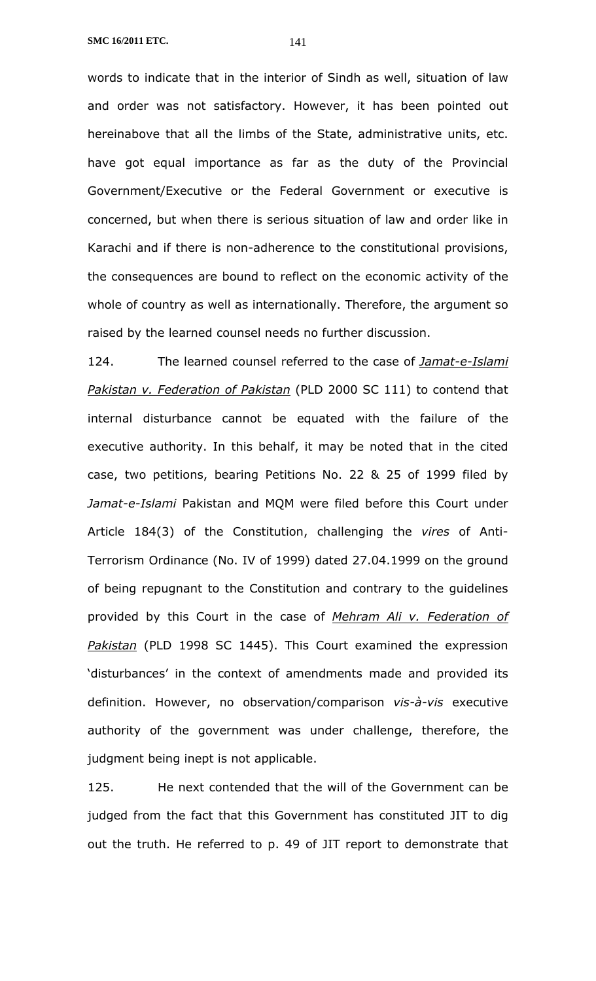words to indicate that in the interior of Sindh as well, situation of law and order was not satisfactory. However, it has been pointed out hereinabove that all the limbs of the State, administrative units, etc. have got equal importance as far as the duty of the Provincial Government/Executive or the Federal Government or executive is concerned, but when there is serious situation of law and order like in Karachi and if there is non-adherence to the constitutional provisions, the consequences are bound to reflect on the economic activity of the whole of country as well as internationally. Therefore, the argument so raised by the learned counsel needs no further discussion.

124. The learned counsel referred to the case of *Jamat-e-Islami Pakistan v. Federation of Pakistan* (PLD 2000 SC 111) to contend that internal disturbance cannot be equated with the failure of the executive authority. In this behalf, it may be noted that in the cited case, two petitions, bearing Petitions No. 22 & 25 of 1999 filed by *Jamat-e-Islami* Pakistan and MQM were filed before this Court under Article 184(3) of the Constitution, challenging the *vires* of Anti-Terrorism Ordinance (No. IV of 1999) dated 27.04.1999 on the ground of being repugnant to the Constitution and contrary to the guidelines provided by this Court in the case of *Mehram Ali v. Federation of Pakistan* (PLD 1998 SC 1445). This Court examined the expression 'disturbances' in the context of amendments made and provided its definition. However, no observation/comparison *vis-à-vis* executive authority of the government was under challenge, therefore, the judgment being inept is not applicable.

125. He next contended that the will of the Government can be judged from the fact that this Government has constituted JIT to dig out the truth. He referred to p. 49 of JIT report to demonstrate that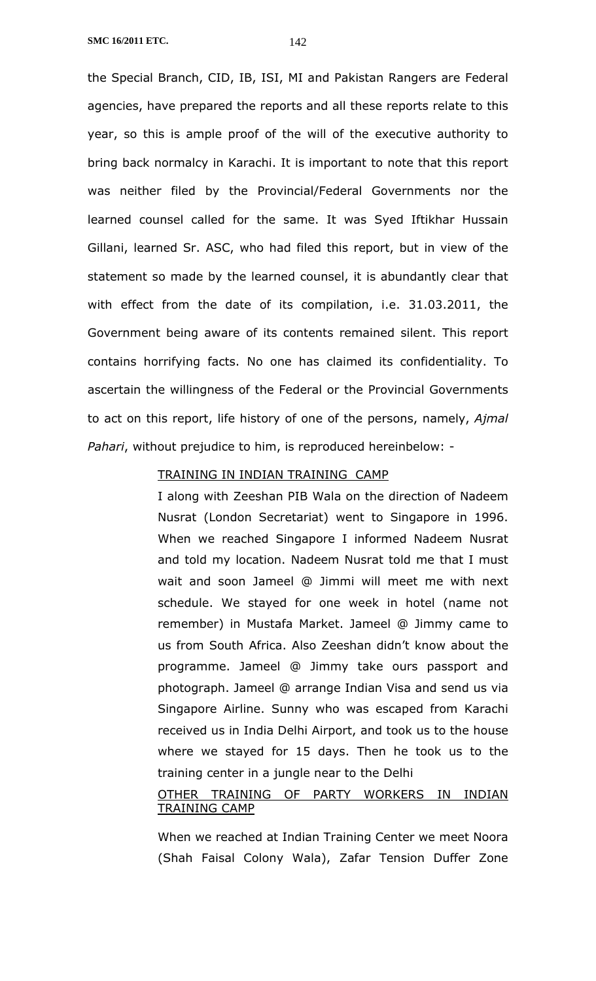the Special Branch, CID, IB, ISI, MI and Pakistan Rangers are Federal agencies, have prepared the reports and all these reports relate to this year, so this is ample proof of the will of the executive authority to bring back normalcy in Karachi. It is important to note that this report was neither filed by the Provincial/Federal Governments nor the learned counsel called for the same. It was Syed Iftikhar Hussain Gillani, learned Sr. ASC, who had filed this report, but in view of the statement so made by the learned counsel, it is abundantly clear that with effect from the date of its compilation, i.e. 31.03.2011, the Government being aware of its contents remained silent. This report contains horrifying facts. No one has claimed its confidentiality. To ascertain the willingness of the Federal or the Provincial Governments to act on this report, life history of one of the persons, namely, *Ajmal Pahari*, without prejudice to him, is reproduced hereinbelow: -

## TRAINING IN INDIAN TRAINING CAMP

I along with Zeeshan PIB Wala on the direction of Nadeem Nusrat (London Secretariat) went to Singapore in 1996. When we reached Singapore I informed Nadeem Nusrat and told my location. Nadeem Nusrat told me that I must wait and soon Jameel @ Jimmi will meet me with next schedule. We stayed for one week in hotel (name not remember) in Mustafa Market. Jameel @ Jimmy came to us from South Africa. Also Zeeshan didn't know about the programme. Jameel @ Jimmy take ours passport and photograph. Jameel @ arrange Indian Visa and send us via Singapore Airline. Sunny who was escaped from Karachi received us in India Delhi Airport, and took us to the house where we stayed for 15 days. Then he took us to the training center in a jungle near to the Delhi

## OTHER TRAINING OF PARTY WORKERS IN INDIAN TRAINING CAMP

When we reached at Indian Training Center we meet Noora (Shah Faisal Colony Wala), Zafar Tension Duffer Zone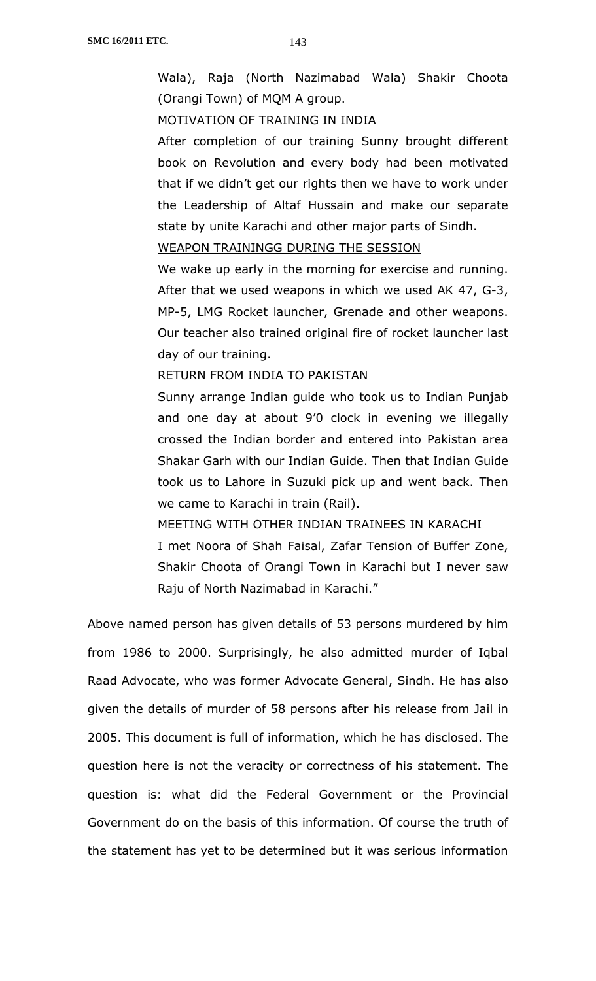Wala), Raja (North Nazimabad Wala) Shakir Choota (Orangi Town) of MQM A group.

## MOTIVATION OF TRAINING IN INDIA

After completion of our training Sunny brought different book on Revolution and every body had been motivated that if we didn't get our rights then we have to work under the Leadership of Altaf Hussain and make our separate state by unite Karachi and other major parts of Sindh.

# WEAPON TRAININGG DURING THE SESSION

We wake up early in the morning for exercise and running. After that we used weapons in which we used AK 47, G-3, MP-5, LMG Rocket launcher, Grenade and other weapons. Our teacher also trained original fire of rocket launcher last day of our training.

## RETURN FROM INDIA TO PAKISTAN

Sunny arrange Indian guide who took us to Indian Punjab and one day at about 9'0 clock in evening we illegally crossed the Indian border and entered into Pakistan area Shakar Garh with our Indian Guide. Then that Indian Guide took us to Lahore in Suzuki pick up and went back. Then we came to Karachi in train (Rail).

MEETING WITH OTHER INDIAN TRAINEES IN KARACHI

I met Noora of Shah Faisal, Zafar Tension of Buffer Zone, Shakir Choota of Orangi Town in Karachi but I never saw Raju of North Nazimabad in Karachi."

Above named person has given details of 53 persons murdered by him from 1986 to 2000. Surprisingly, he also admitted murder of Iqbal Raad Advocate, who was former Advocate General, Sindh. He has also given the details of murder of 58 persons after his release from Jail in 2005. This document is full of information, which he has disclosed. The question here is not the veracity or correctness of his statement. The question is: what did the Federal Government or the Provincial Government do on the basis of this information. Of course the truth of the statement has yet to be determined but it was serious information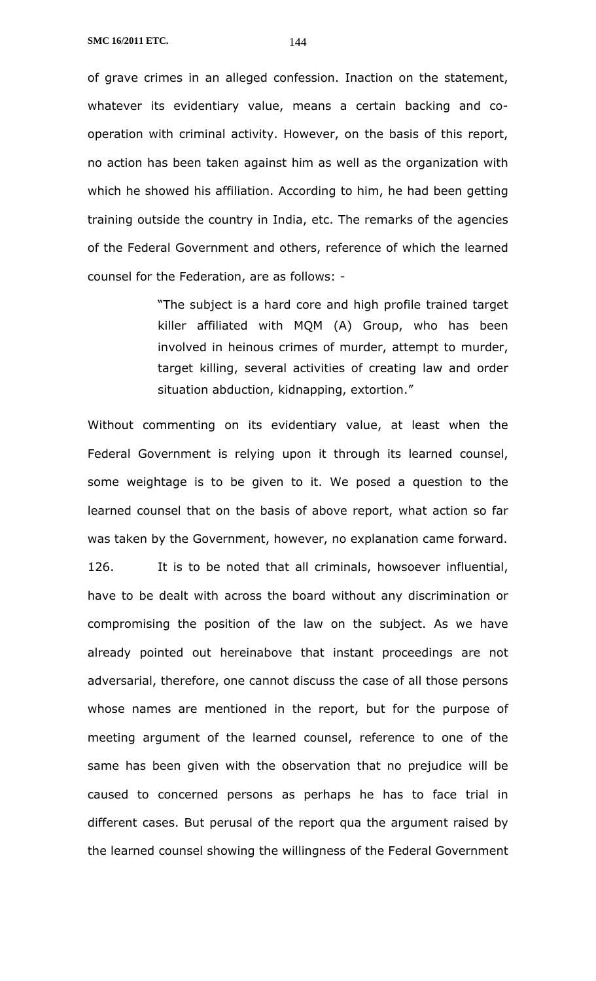of grave crimes in an alleged confession. Inaction on the statement, whatever its evidentiary value, means a certain backing and cooperation with criminal activity. However, on the basis of this report, no action has been taken against him as well as the organization with which he showed his affiliation. According to him, he had been getting training outside the country in India, etc. The remarks of the agencies of the Federal Government and others, reference of which the learned counsel for the Federation, are as follows: -

> "The subject is a hard core and high profile trained target killer affiliated with MQM (A) Group, who has been involved in heinous crimes of murder, attempt to murder, target killing, several activities of creating law and order situation abduction, kidnapping, extortion."

Without commenting on its evidentiary value, at least when the Federal Government is relying upon it through its learned counsel, some weightage is to be given to it. We posed a question to the learned counsel that on the basis of above report, what action so far was taken by the Government, however, no explanation came forward. 126. It is to be noted that all criminals, howsoever influential, have to be dealt with across the board without any discrimination or compromising the position of the law on the subject. As we have already pointed out hereinabove that instant proceedings are not adversarial, therefore, one cannot discuss the case of all those persons whose names are mentioned in the report, but for the purpose of meeting argument of the learned counsel, reference to one of the same has been given with the observation that no prejudice will be caused to concerned persons as perhaps he has to face trial in different cases. But perusal of the report qua the argument raised by the learned counsel showing the willingness of the Federal Government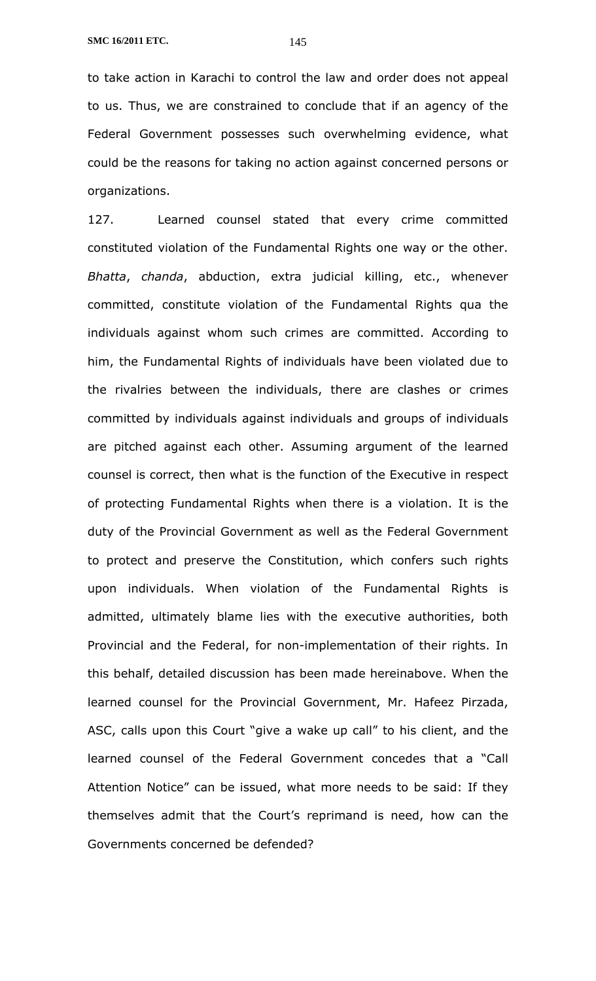to take action in Karachi to control the law and order does not appeal to us. Thus, we are constrained to conclude that if an agency of the Federal Government possesses such overwhelming evidence, what could be the reasons for taking no action against concerned persons or organizations.

127. Learned counsel stated that every crime committed constituted violation of the Fundamental Rights one way or the other. *Bhatta*, *chanda*, abduction, extra judicial killing, etc., whenever committed, constitute violation of the Fundamental Rights qua the individuals against whom such crimes are committed. According to him, the Fundamental Rights of individuals have been violated due to the rivalries between the individuals, there are clashes or crimes committed by individuals against individuals and groups of individuals are pitched against each other. Assuming argument of the learned counsel is correct, then what is the function of the Executive in respect of protecting Fundamental Rights when there is a violation. It is the duty of the Provincial Government as well as the Federal Government to protect and preserve the Constitution, which confers such rights upon individuals. When violation of the Fundamental Rights is admitted, ultimately blame lies with the executive authorities, both Provincial and the Federal, for non-implementation of their rights. In this behalf, detailed discussion has been made hereinabove. When the learned counsel for the Provincial Government, Mr. Hafeez Pirzada, ASC, calls upon this Court "give a wake up call" to his client, and the learned counsel of the Federal Government concedes that a "Call Attention Notice" can be issued, what more needs to be said: If they themselves admit that the Court's reprimand is need, how can the Governments concerned be defended?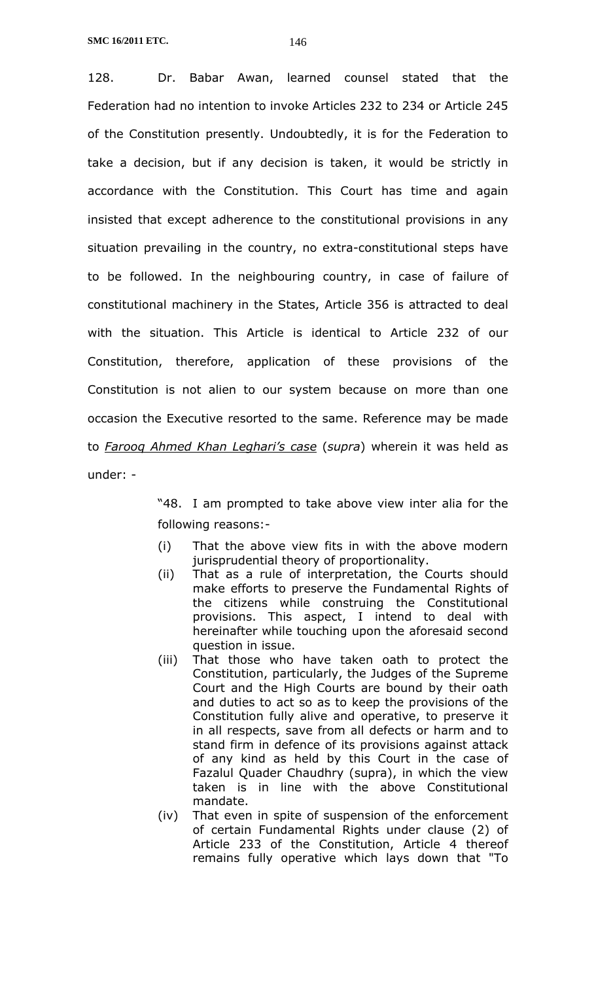128. Dr. Babar Awan, learned counsel stated that the Federation had no intention to invoke Articles 232 to 234 or Article 245 of the Constitution presently. Undoubtedly, it is for the Federation to take a decision, but if any decision is taken, it would be strictly in accordance with the Constitution. This Court has time and again insisted that except adherence to the constitutional provisions in any situation prevailing in the country, no extra-constitutional steps have to be followed. In the neighbouring country, in case of failure of constitutional machinery in the States, Article 356 is attracted to deal with the situation. This Article is identical to Article 232 of our Constitution, therefore, application of these provisions of the Constitution is not alien to our system because on more than one occasion the Executive resorted to the same. Reference may be made to *Farooq Ahmed Khan Leghari's case* (*supra*) wherein it was held as under: -

> "48. I am prompted to take above view inter alia for the following reasons:-

- (i) That the above view fits in with the above modern jurisprudential theory of proportionality.
- (ii) That as a rule of interpretation, the Courts should make efforts to preserve the Fundamental Rights of the citizens while construing the Constitutional provisions. This aspect, I intend to deal with hereinafter while touching upon the aforesaid second question in issue.
- (iii) That those who have taken oath to protect the Constitution, particularly, the Judges of the Supreme Court and the High Courts are bound by their oath and duties to act so as to keep the provisions of the Constitution fully alive and operative, to preserve it in all respects, save from all defects or harm and to stand firm in defence of its provisions against attack of any kind as held by this Court in the case of Fazalul Quader Chaudhry (supra), in which the view taken is in line with the above Constitutional mandate.
- (iv) That even in spite of suspension of the enforcement of certain Fundamental Rights under clause (2) of Article 233 of the Constitution, Article 4 thereof remains fully operative which lays down that "To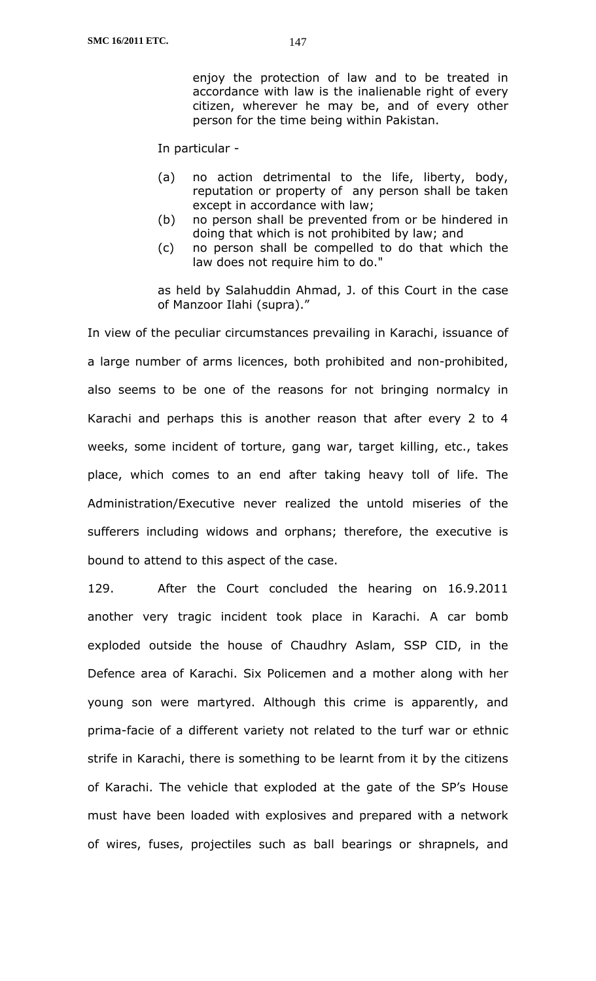enjoy the protection of law and to be treated in accordance with law is the inalienable right of every citizen, wherever he may be, and of every other person for the time being within Pakistan.

In particular -

- (a) no action detrimental to the life, liberty, body, reputation or property of any person shall be taken except in accordance with law;
- (b) no person shall be prevented from or be hindered in doing that which is not prohibited by law; and
- (c) no person shall be compelled to do that which the law does not require him to do."

as held by Salahuddin Ahmad, J. of this Court in the case of Manzoor Ilahi (supra)."

In view of the peculiar circumstances prevailing in Karachi, issuance of a large number of arms licences, both prohibited and non-prohibited, also seems to be one of the reasons for not bringing normalcy in Karachi and perhaps this is another reason that after every 2 to 4 weeks, some incident of torture, gang war, target killing, etc., takes place, which comes to an end after taking heavy toll of life. The Administration/Executive never realized the untold miseries of the sufferers including widows and orphans; therefore, the executive is bound to attend to this aspect of the case.

129. After the Court concluded the hearing on 16.9.2011 another very tragic incident took place in Karachi. A car bomb exploded outside the house of Chaudhry Aslam, SSP CID, in the Defence area of Karachi. Six Policemen and a mother along with her young son were martyred. Although this crime is apparently, and prima-facie of a different variety not related to the turf war or ethnic strife in Karachi, there is something to be learnt from it by the citizens of Karachi. The vehicle that exploded at the gate of the SP's House must have been loaded with explosives and prepared with a network of wires, fuses, projectiles such as ball bearings or shrapnels, and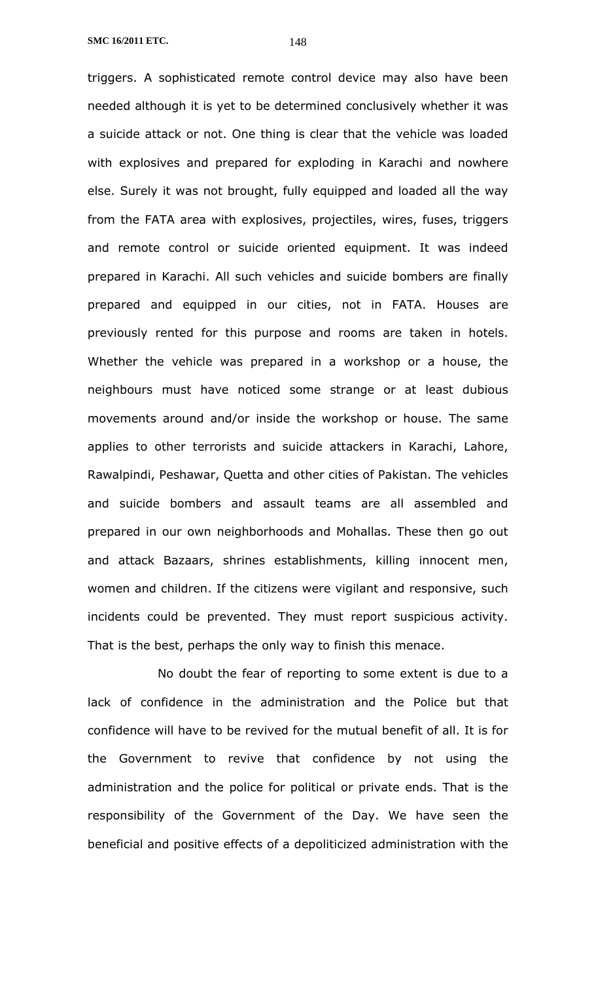triggers. A sophisticated remote control device may also have been needed although it is yet to be determined conclusively whether it was a suicide attack or not. One thing is clear that the vehicle was loaded with explosives and prepared for exploding in Karachi and nowhere else. Surely it was not brought, fully equipped and loaded all the way from the FATA area with explosives, projectiles, wires, fuses, triggers and remote control or suicide oriented equipment. It was indeed prepared in Karachi. All such vehicles and suicide bombers are finally prepared and equipped in our cities, not in FATA. Houses are previously rented for this purpose and rooms are taken in hotels. Whether the vehicle was prepared in a workshop or a house, the neighbours must have noticed some strange or at least dubious movements around and/or inside the workshop or house. The same applies to other terrorists and suicide attackers in Karachi, Lahore, Rawalpindi, Peshawar, Quetta and other cities of Pakistan. The vehicles and suicide bombers and assault teams are all assembled and prepared in our own neighborhoods and Mohallas. These then go out and attack Bazaars, shrines establishments, killing innocent men, women and children. If the citizens were vigilant and responsive, such incidents could be prevented. They must report suspicious activity. That is the best, perhaps the only way to finish this menace.

 No doubt the fear of reporting to some extent is due to a lack of confidence in the administration and the Police but that confidence will have to be revived for the mutual benefit of all. It is for the Government to revive that confidence by not using the administration and the police for political or private ends. That is the responsibility of the Government of the Day. We have seen the beneficial and positive effects of a depoliticized administration with the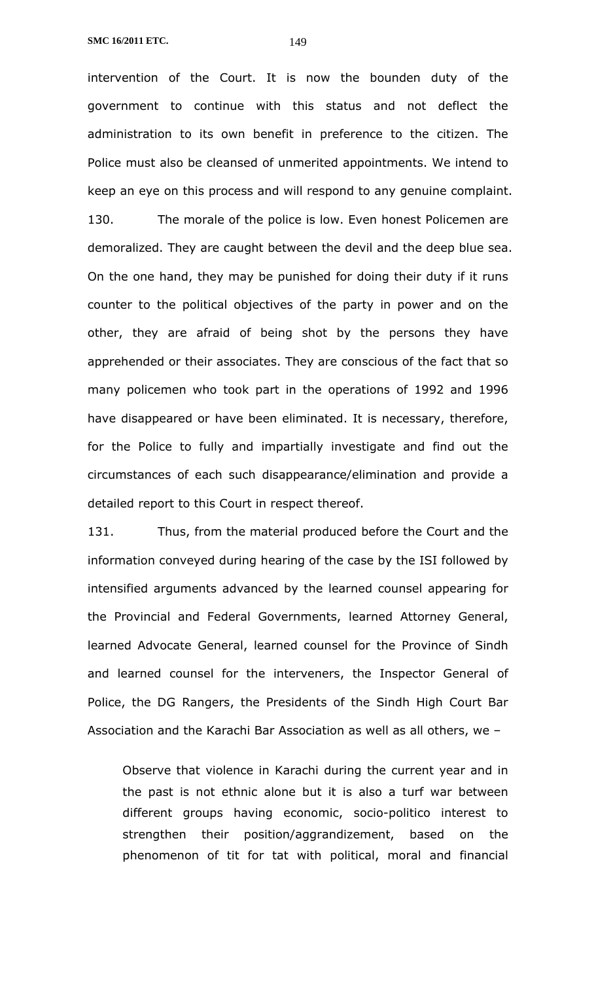**SMC 16/2011 ETC.** 149

intervention of the Court. It is now the bounden duty of the government to continue with this status and not deflect the administration to its own benefit in preference to the citizen. The Police must also be cleansed of unmerited appointments. We intend to keep an eye on this process and will respond to any genuine complaint. 130. The morale of the police is low. Even honest Policemen are demoralized. They are caught between the devil and the deep blue sea. On the one hand, they may be punished for doing their duty if it runs counter to the political objectives of the party in power and on the other, they are afraid of being shot by the persons they have apprehended or their associates. They are conscious of the fact that so many policemen who took part in the operations of 1992 and 1996 have disappeared or have been eliminated. It is necessary, therefore, for the Police to fully and impartially investigate and find out the circumstances of each such disappearance/elimination and provide a detailed report to this Court in respect thereof.

131. Thus, from the material produced before the Court and the information conveyed during hearing of the case by the ISI followed by intensified arguments advanced by the learned counsel appearing for the Provincial and Federal Governments, learned Attorney General, learned Advocate General, learned counsel for the Province of Sindh and learned counsel for the interveners, the Inspector General of Police, the DG Rangers, the Presidents of the Sindh High Court Bar Association and the Karachi Bar Association as well as all others, we –

Observe that violence in Karachi during the current year and in the past is not ethnic alone but it is also a turf war between different groups having economic, socio-politico interest to strengthen their position/aggrandizement, based on the phenomenon of tit for tat with political, moral and financial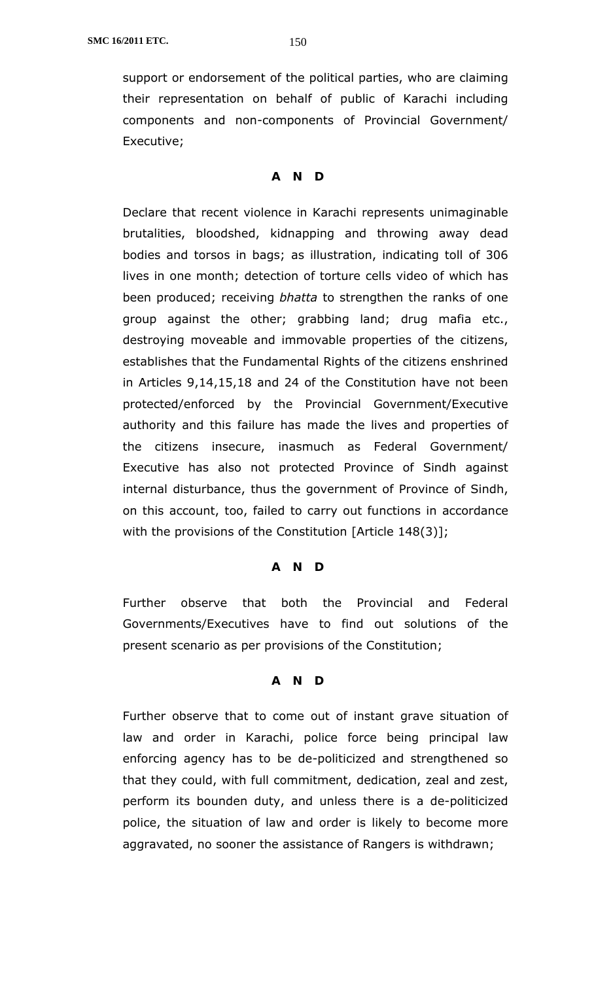support or endorsement of the political parties, who are claiming their representation on behalf of public of Karachi including components and non-components of Provincial Government/ Executive;

#### *A N D*

Declare that recent violence in Karachi represents unimaginable brutalities, bloodshed, kidnapping and throwing away dead bodies and torsos in bags; as illustration, indicating toll of 306 lives in one month; detection of torture cells video of which has been produced; receiving *bhatta* to strengthen the ranks of one group against the other; grabbing land; drug mafia etc., destroying moveable and immovable properties of the citizens, establishes that the Fundamental Rights of the citizens enshrined in Articles 9,14,15,18 and 24 of the Constitution have not been protected/enforced by the Provincial Government/Executive authority and this failure has made the lives and properties of the citizens insecure, inasmuch as Federal Government/ Executive has also not protected Province of Sindh against internal disturbance, thus the government of Province of Sindh, on this account, too, failed to carry out functions in accordance with the provisions of the Constitution [Article 148(3)];

### *A N D*

Further observe that both the Provincial and Federal Governments/Executives have to find out solutions of the present scenario as per provisions of the Constitution;

## *A N D*

Further observe that to come out of instant grave situation of law and order in Karachi, police force being principal law enforcing agency has to be de-politicized and strengthened so that they could, with full commitment, dedication, zeal and zest, perform its bounden duty, and unless there is a de-politicized police, the situation of law and order is likely to become more aggravated, no sooner the assistance of Rangers is withdrawn;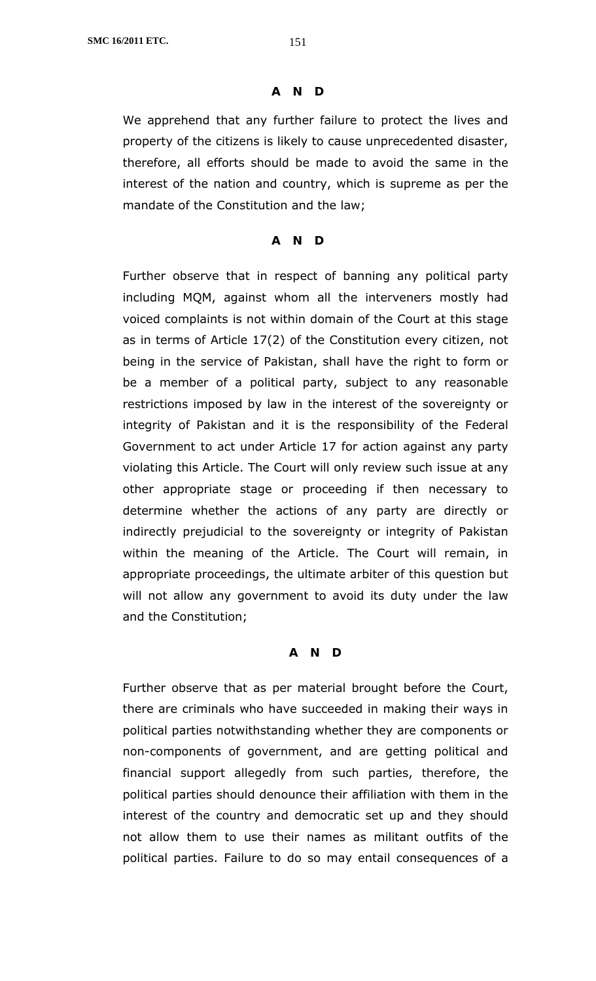### *A N D*

We apprehend that any further failure to protect the lives and property of the citizens is likely to cause unprecedented disaster, therefore, all efforts should be made to avoid the same in the interest of the nation and country, which is supreme as per the mandate of the Constitution and the law;

# *A N D*

Further observe that in respect of banning any political party including MQM, against whom all the interveners mostly had voiced complaints is not within domain of the Court at this stage as in terms of Article 17(2) of the Constitution every citizen, not being in the service of Pakistan, shall have the right to form or be a member of a political party, subject to any reasonable restrictions imposed by law in the interest of the sovereignty or integrity of Pakistan and it is the responsibility of the Federal Government to act under Article 17 for action against any party violating this Article. The Court will only review such issue at any other appropriate stage or proceeding if then necessary to determine whether the actions of any party are directly or indirectly prejudicial to the sovereignty or integrity of Pakistan within the meaning of the Article. The Court will remain, in appropriate proceedings, the ultimate arbiter of this question but will not allow any government to avoid its duty under the law and the Constitution;

# *A N D*

Further observe that as per material brought before the Court, there are criminals who have succeeded in making their ways in political parties notwithstanding whether they are components or non-components of government, and are getting political and financial support allegedly from such parties, therefore, the political parties should denounce their affiliation with them in the interest of the country and democratic set up and they should not allow them to use their names as militant outfits of the political parties. Failure to do so may entail consequences of a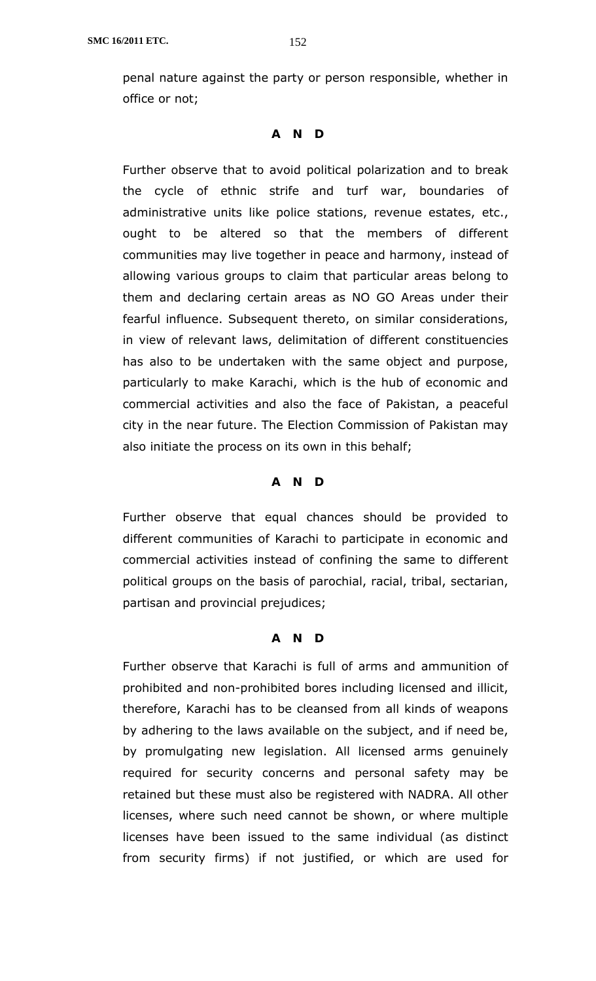penal nature against the party or person responsible, whether in office or not;

## *A N D*

Further observe that to avoid political polarization and to break the cycle of ethnic strife and turf war, boundaries of administrative units like police stations, revenue estates, etc., ought to be altered so that the members of different communities may live together in peace and harmony, instead of allowing various groups to claim that particular areas belong to them and declaring certain areas as NO GO Areas under their fearful influence. Subsequent thereto, on similar considerations, in view of relevant laws, delimitation of different constituencies has also to be undertaken with the same object and purpose, particularly to make Karachi, which is the hub of economic and commercial activities and also the face of Pakistan, a peaceful city in the near future. The Election Commission of Pakistan may also initiate the process on its own in this behalf;

## *A N D*

Further observe that equal chances should be provided to different communities of Karachi to participate in economic and commercial activities instead of confining the same to different political groups on the basis of parochial, racial, tribal, sectarian, partisan and provincial prejudices;

## *A N D*

Further observe that Karachi is full of arms and ammunition of prohibited and non-prohibited bores including licensed and illicit, therefore, Karachi has to be cleansed from all kinds of weapons by adhering to the laws available on the subject, and if need be, by promulgating new legislation. All licensed arms genuinely required for security concerns and personal safety may be retained but these must also be registered with NADRA. All other licenses, where such need cannot be shown, or where multiple licenses have been issued to the same individual (as distinct from security firms) if not justified, or which are used for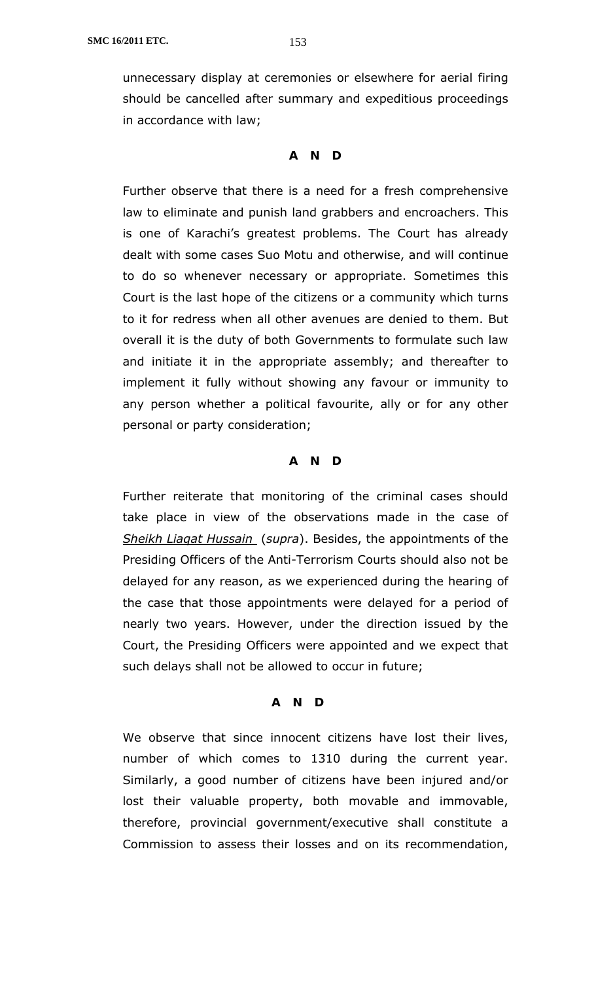unnecessary display at ceremonies or elsewhere for aerial firing should be cancelled after summary and expeditious proceedings in accordance with law;

# *A N D*

Further observe that there is a need for a fresh comprehensive law to eliminate and punish land grabbers and encroachers. This is one of Karachi's greatest problems. The Court has already dealt with some cases Suo Motu and otherwise, and will continue to do so whenever necessary or appropriate. Sometimes this Court is the last hope of the citizens or a community which turns to it for redress when all other avenues are denied to them. But overall it is the duty of both Governments to formulate such law and initiate it in the appropriate assembly; and thereafter to implement it fully without showing any favour or immunity to any person whether a political favourite, ally or for any other personal or party consideration;

# *A N D*

Further reiterate that monitoring of the criminal cases should take place in view of the observations made in the case of *Sheikh Liaqat Hussain* (*supra*). Besides, the appointments of the Presiding Officers of the Anti-Terrorism Courts should also not be delayed for any reason, as we experienced during the hearing of the case that those appointments were delayed for a period of nearly two years. However, under the direction issued by the Court, the Presiding Officers were appointed and we expect that such delays shall not be allowed to occur in future;

## *A N D*

We observe that since innocent citizens have lost their lives, number of which comes to 1310 during the current year. Similarly, a good number of citizens have been injured and/or lost their valuable property, both movable and immovable, therefore, provincial government/executive shall constitute a Commission to assess their losses and on its recommendation,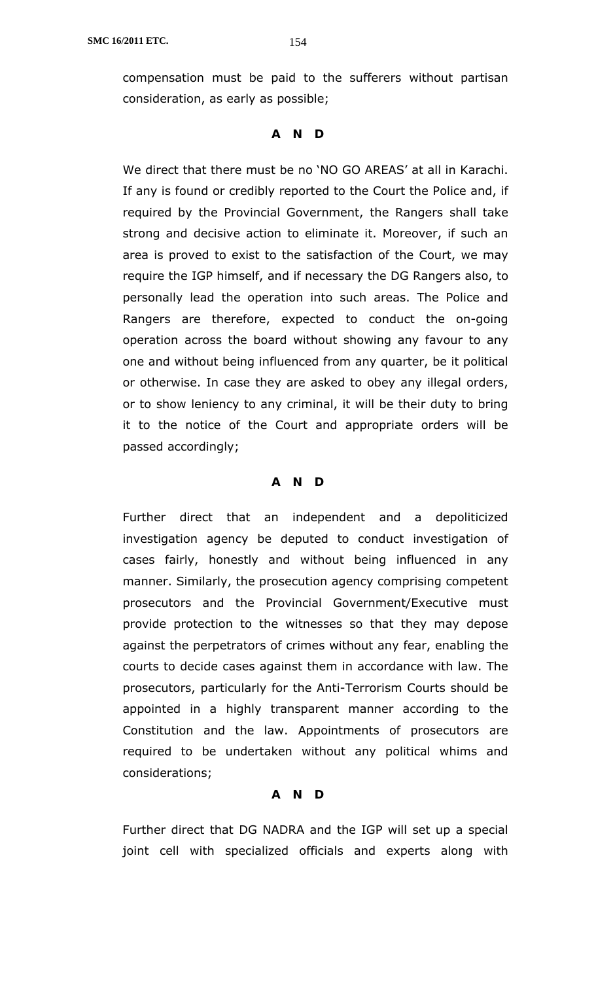# *A N D*

We direct that there must be no 'NO GO AREAS' at all in Karachi. If any is found or credibly reported to the Court the Police and, if required by the Provincial Government, the Rangers shall take strong and decisive action to eliminate it. Moreover, if such an area is proved to exist to the satisfaction of the Court, we may require the IGP himself, and if necessary the DG Rangers also, to personally lead the operation into such areas. The Police and Rangers are therefore, expected to conduct the on-going operation across the board without showing any favour to any one and without being influenced from any quarter, be it political or otherwise. In case they are asked to obey any illegal orders, or to show leniency to any criminal, it will be their duty to bring it to the notice of the Court and appropriate orders will be passed accordingly;

# *A N D*

Further direct that an independent and a depoliticized investigation agency be deputed to conduct investigation of cases fairly, honestly and without being influenced in any manner. Similarly, the prosecution agency comprising competent prosecutors and the Provincial Government/Executive must provide protection to the witnesses so that they may depose against the perpetrators of crimes without any fear, enabling the courts to decide cases against them in accordance with law. The prosecutors, particularly for the Anti-Terrorism Courts should be appointed in a highly transparent manner according to the Constitution and the law. Appointments of prosecutors are required to be undertaken without any political whims and considerations;

## *A N D*

Further direct that DG NADRA and the IGP will set up a special joint cell with specialized officials and experts along with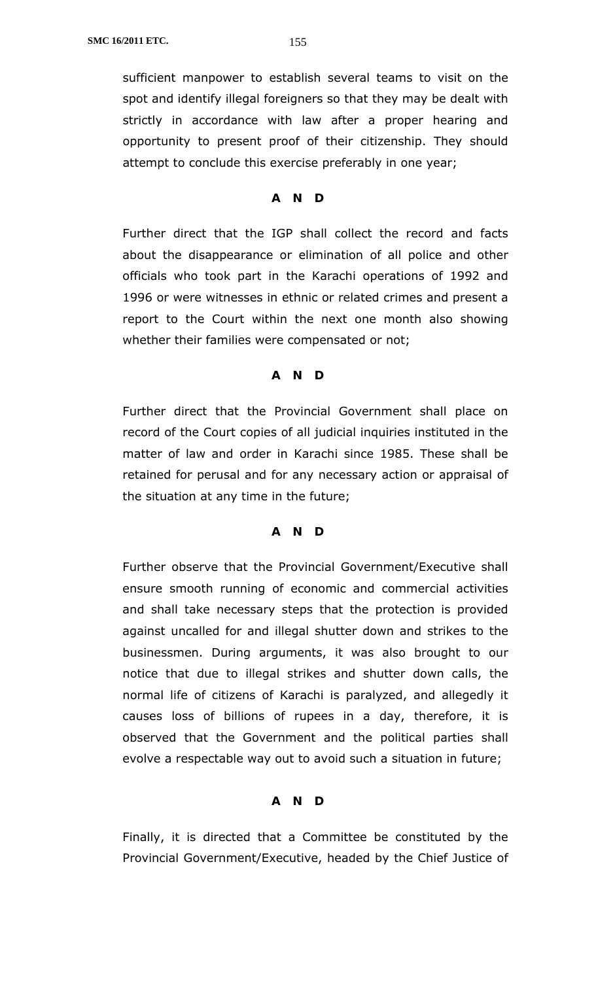sufficient manpower to establish several teams to visit on the spot and identify illegal foreigners so that they may be dealt with strictly in accordance with law after a proper hearing and opportunity to present proof of their citizenship. They should attempt to conclude this exercise preferably in one year;

### *A N D*

Further direct that the IGP shall collect the record and facts about the disappearance or elimination of all police and other officials who took part in the Karachi operations of 1992 and 1996 or were witnesses in ethnic or related crimes and present a report to the Court within the next one month also showing whether their families were compensated or not;

## *A N D*

Further direct that the Provincial Government shall place on record of the Court copies of all judicial inquiries instituted in the matter of law and order in Karachi since 1985. These shall be retained for perusal and for any necessary action or appraisal of the situation at any time in the future;

### *A N D*

Further observe that the Provincial Government/Executive shall ensure smooth running of economic and commercial activities and shall take necessary steps that the protection is provided against uncalled for and illegal shutter down and strikes to the businessmen. During arguments, it was also brought to our notice that due to illegal strikes and shutter down calls, the normal life of citizens of Karachi is paralyzed, and allegedly it causes loss of billions of rupees in a day, therefore, it is observed that the Government and the political parties shall evolve a respectable way out to avoid such a situation in future;

## *A N D*

Finally, it is directed that a Committee be constituted by the Provincial Government/Executive, headed by the Chief Justice of